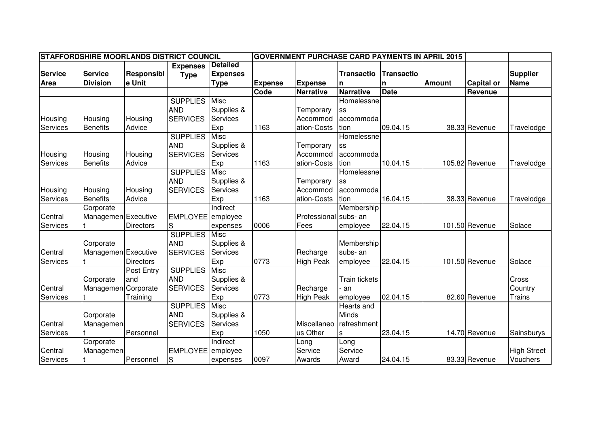|                | STAFFORDSHIRE MOORLANDS DISTRICT COUNCIL |                  |                   |                 |                | <b>GOVERNMENT PURCHASE CARD PAYMENTS IN APRIL 2015</b> |                      |                   |               |                   |                    |
|----------------|------------------------------------------|------------------|-------------------|-----------------|----------------|--------------------------------------------------------|----------------------|-------------------|---------------|-------------------|--------------------|
|                |                                          |                  | <b>Expenses</b>   | <b>Detailed</b> |                |                                                        |                      |                   |               |                   |                    |
| <b>Service</b> | <b>Service</b>                           | Responsibl       | <b>Type</b>       | <b>Expenses</b> |                |                                                        | <b>Transactio</b>    | <b>Transactio</b> |               |                   | <b>Supplier</b>    |
| Area           | <b>Division</b>                          | e Unit           |                   | <b>Type</b>     | <b>Expense</b> | <b>Expense</b>                                         | n                    | n                 | <b>Amount</b> | <b>Capital or</b> | <b>Name</b>        |
|                |                                          |                  |                   |                 | Code           | <b>Narrative</b>                                       | <b>Narrative</b>     | <b>Date</b>       |               | Revenue           |                    |
|                |                                          |                  | <b>SUPPLIES</b>   | Misc            |                |                                                        | Homelessne           |                   |               |                   |                    |
|                |                                          |                  | <b>AND</b>        | Supplies &      |                | Temporary                                              | SS                   |                   |               |                   |                    |
| Housing        | Housing                                  | Housing          | <b>SERVICES</b>   | <b>Services</b> |                | Accommod                                               | accommoda            |                   |               |                   |                    |
| Services       | <b>Benefits</b>                          | Advice           |                   | Exp             | 1163           | ation-Costs                                            | tion                 | 09.04.15          |               | 38.33 Revenue     | Travelodge         |
|                |                                          |                  | <b>SUPPLIES</b>   | <b>Misc</b>     |                |                                                        | Homelessne           |                   |               |                   |                    |
|                |                                          |                  | <b>AND</b>        | Supplies &      |                | Temporary                                              | SS                   |                   |               |                   |                    |
| Housing        | Housing                                  | Housing          | <b>SERVICES</b>   | Services        |                | Accommod                                               | accommoda            |                   |               |                   |                    |
| Services       | <b>Benefits</b>                          | Advice           |                   | Exp             | 1163           | ation-Costs                                            | tion                 | 10.04.15          |               | 105.82 Revenue    | Travelodge         |
|                |                                          |                  | <b>SUPPLIES</b>   | Misc            |                |                                                        | Homelessne           |                   |               |                   |                    |
|                |                                          |                  | <b>AND</b>        | Supplies &      |                | Temporary                                              | SS                   |                   |               |                   |                    |
| Housing        | Housing                                  | Housing          | <b>SERVICES</b>   | Services        |                | Accommod                                               | accommoda            |                   |               |                   |                    |
| Services       | <b>Benefits</b>                          | Advice           |                   | Exp             | 1163           | ation-Costs                                            | tion                 | 16.04.15          |               | 38.33 Revenue     | Travelodge         |
|                | Corporate                                |                  |                   | Indirect        |                |                                                        | Membership           |                   |               |                   |                    |
| Central        | Managemen Executive                      |                  | EMPLOYEE employee |                 |                | Professional                                           | subs- an             |                   |               |                   |                    |
| Services       |                                          | Directors        | S                 | expenses        | 0006           | Fees                                                   | employee             | 22.04.15          |               | 101.50 Revenue    | Solace             |
|                |                                          |                  | <b>SUPPLIES</b>   | Misc            |                |                                                        |                      |                   |               |                   |                    |
|                | Corporate                                |                  | <b>AND</b>        | Supplies &      |                |                                                        | Membership           |                   |               |                   |                    |
| Central        | Managemen Executive                      |                  | <b>SERVICES</b>   | <b>Services</b> |                | Recharge                                               | subs-an              |                   |               |                   |                    |
| Services       |                                          | <b>Directors</b> |                   | Exp             | 0773           | <b>High Peak</b>                                       | employee             | 22.04.15          |               | 101.50 Revenue    | Solace             |
|                |                                          | Post Entry       | <b>SUPPLIES</b>   | <b>Misc</b>     |                |                                                        |                      |                   |               |                   |                    |
|                | Corporate                                | and              | <b>AND</b>        | Supplies &      |                |                                                        | <b>Train tickets</b> |                   |               |                   | Cross              |
| Central        | Managemen                                | Corporate        | <b>SERVICES</b>   | Services        |                | Recharge                                               | an                   |                   |               |                   | Country            |
| Services       |                                          | Training         |                   | Exp             | 0773           | <b>High Peak</b>                                       | employee             | 02.04.15          |               | 82.60 Revenue     | <b>Trains</b>      |
|                |                                          |                  | <b>SUPPLIES</b>   | Misc            |                |                                                        | <b>Hearts and</b>    |                   |               |                   |                    |
|                | Corporate                                |                  | <b>AND</b>        | Supplies &      |                |                                                        | <b>Minds</b>         |                   |               |                   |                    |
| Central        | Managemen                                |                  | <b>SERVICES</b>   | Services        |                | Miscellaneo                                            | refreshment          |                   |               |                   |                    |
| Services       |                                          | Personnel        |                   | Exp             | 1050           | us Other                                               | s                    | 23.04.15          |               | 14.70 Revenue     | Sainsburys         |
|                | Corporate                                |                  |                   | Indirect        |                | Long                                                   | Long                 |                   |               |                   |                    |
| Central        | Managemen                                |                  | EMPLOYEE employee |                 |                | Service                                                | Service              |                   |               |                   | <b>High Street</b> |
| Services       |                                          | Personnel        | S                 | expenses        | 0097           | Awards                                                 | Award                | 24.04.15          |               | 83.33 Revenue     | <b>Vouchers</b>    |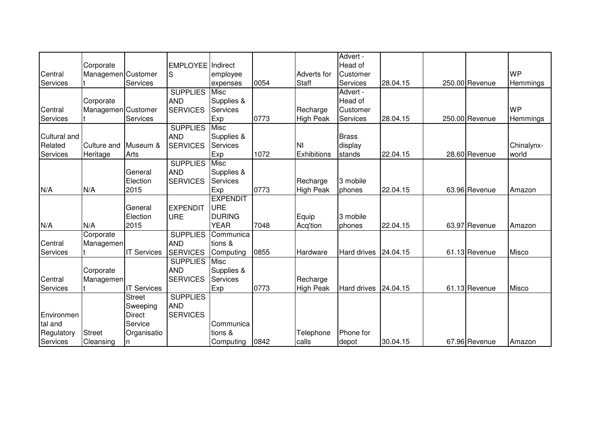|              |                    |                    |                   |                 |      |                  | Advert -     |          |                |              |
|--------------|--------------------|--------------------|-------------------|-----------------|------|------------------|--------------|----------|----------------|--------------|
|              | Corporate          |                    | EMPLOYEE Indirect |                 |      |                  | Head of      |          |                |              |
| Central      | Managemen Customer |                    | S                 | employee        |      | Adverts for      | Customer     |          |                | <b>WP</b>    |
| Services     |                    | Services           |                   | expenses        | 0054 | <b>Staff</b>     | Services     | 28.04.15 | 250.00 Revenue | Hemmings     |
|              |                    |                    | <b>SUPPLIES</b>   | Misc            |      |                  | Advert -     |          |                |              |
|              | Corporate          |                    | <b>AND</b>        | Supplies &      |      |                  | Head of      |          |                |              |
| Central      | Managemen Customer |                    | <b>SERVICES</b>   | Services        |      | Recharge         | Customer     |          |                | <b>WP</b>    |
| Services     |                    | Services           |                   | Exp             | 0773 | <b>High Peak</b> | Services     | 28.04.15 | 250.00 Revenue | Hemmings     |
|              |                    |                    | <b>SUPPLIES</b>   | <b>Misc</b>     |      |                  |              |          |                |              |
| Cultural and |                    |                    | <b>AND</b>        | Supplies &      |      |                  | <b>Brass</b> |          |                |              |
| Related      | Culture and        | Museum &           | <b>SERVICES</b>   | <b>Services</b> |      | İNI              | display      |          |                | Chinalynx-   |
| Services     | Heritage           | Arts               |                   | Exp             | 1072 | Exhibitions      | stands       | 22.04.15 | 28.60 Revenue  | world        |
|              |                    |                    | <b>SUPPLIES</b>   | <b>Misc</b>     |      |                  |              |          |                |              |
|              |                    | General            | <b>AND</b>        | Supplies &      |      |                  |              |          |                |              |
|              |                    | Election           | <b>SERVICES</b>   | Services        |      | Recharge         | 3 mobile     |          |                |              |
| N/A          | N/A                | 2015               |                   | Exp             | 0773 | <b>High Peak</b> | phones       | 22.04.15 | 63.96 Revenue  | Amazon       |
|              |                    |                    |                   | <b>EXPENDIT</b> |      |                  |              |          |                |              |
|              |                    | General            | <b>EXPENDIT</b>   | <b>URE</b>      |      |                  |              |          |                |              |
|              |                    | Election           | <b>URE</b>        | <b>DURING</b>   |      | Equip            | 3 mobile     |          |                |              |
| N/A          | N/A                | 2015               |                   | <b>YEAR</b>     | 7048 | Acq'tion         | phones       | 22.04.15 | 63.97 Revenue  | Amazon       |
|              | Corporate          |                    | <b>SUPPLIES</b>   | Communica       |      |                  |              |          |                |              |
| Central      | Managemen          |                    | <b>AND</b>        | tions &         |      |                  |              |          |                |              |
| Services     |                    | <b>IT Services</b> | <b>SERVICES</b>   | Computing       | 0855 | Hardware         | Hard drives  | 24.04.15 | 61.13 Revenue  | Misco        |
|              |                    |                    | <b>SUPPLIES</b>   | Misc            |      |                  |              |          |                |              |
|              | Corporate          |                    | <b>AND</b>        | Supplies &      |      |                  |              |          |                |              |
| Central      | Managemen          |                    | <b>SERVICES</b>   | Services        |      | Recharge         |              |          |                |              |
| Services     |                    | <b>IT Services</b> |                   | Exp             | 0773 | <b>High Peak</b> | Hard drives  | 24.04.15 | 61.13 Revenue  | <b>Misco</b> |
|              |                    | <b>Street</b>      | <b>SUPPLIES</b>   |                 |      |                  |              |          |                |              |
|              |                    | Sweeping           | <b>AND</b>        |                 |      |                  |              |          |                |              |
| Environmen   |                    | <b>Direct</b>      | <b>SERVICES</b>   |                 |      |                  |              |          |                |              |
| tal and      |                    | Service            |                   | Communica       |      |                  |              |          |                |              |
| Regulatory   | <b>Street</b>      | Organisatio        |                   | tions &         |      | Telephone        | Phone for    |          |                |              |
| Services     | Cleansing          | n                  |                   | Computing       | 0842 | calls            | depot        | 30.04.15 | 67.96 Revenue  | Amazon       |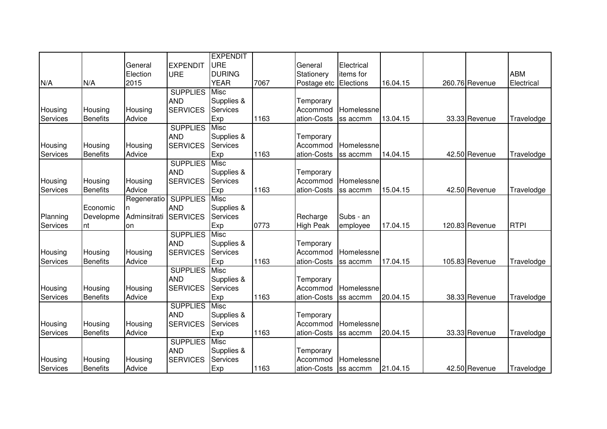|          |                 |              |                 | <b>EXPENDIT</b> |      |                  |            |          |                |             |
|----------|-----------------|--------------|-----------------|-----------------|------|------------------|------------|----------|----------------|-------------|
|          |                 | General      | <b>EXPENDIT</b> | <b>URE</b>      |      | General          | Electrical |          |                |             |
|          |                 | Election     | <b>URE</b>      | <b>DURING</b>   |      | Stationery       | items for  |          |                | <b>ABM</b>  |
| N/A      | N/A             | 2015         |                 | <b>YEAR</b>     | 7067 | Postage etc      | Elections  | 16.04.15 | 260.76 Revenue | Electrical  |
|          |                 |              | <b>SUPPLIES</b> | <b>Misc</b>     |      |                  |            |          |                |             |
|          |                 |              | <b>AND</b>      | Supplies &      |      | Temporary        |            |          |                |             |
| Housing  | Housing         | Housing      | <b>SERVICES</b> | <b>Services</b> |      | Accommod         | Homelessne |          |                |             |
| Services | <b>Benefits</b> | Advice       |                 | Exp             | 1163 | ation-Costs      | ss accmm   | 13.04.15 | 33.33 Revenue  | Travelodge  |
|          |                 |              | <b>SUPPLIES</b> | <b>Misc</b>     |      |                  |            |          |                |             |
|          |                 |              | <b>AND</b>      | Supplies &      |      | Temporary        |            |          |                |             |
| Housing  | Housing         | Housing      | <b>SERVICES</b> | <b>Services</b> |      | Accommod         | Homelessne |          |                |             |
| Services | <b>Benefits</b> | Advice       |                 | Exp             | 1163 | ation-Costs      | ss accmm   | 14.04.15 | 42.50 Revenue  | Travelodge  |
|          |                 |              | <b>SUPPLIES</b> | Misc            |      |                  |            |          |                |             |
|          |                 |              | <b>AND</b>      | Supplies &      |      | Temporary        |            |          |                |             |
| Housing  | Housing         | Housing      | <b>SERVICES</b> | <b>Services</b> |      | Accommod         | Homelessne |          |                |             |
| Services | <b>Benefits</b> | Advice       |                 | Exp             | 1163 | ation-Costs      | ss accmm   | 15.04.15 | 42.50 Revenue  | Travelodge  |
|          |                 | Regeneratio  | <b>SUPPLIES</b> | Misc            |      |                  |            |          |                |             |
|          | Economic        | n            | <b>AND</b>      | Supplies &      |      |                  |            |          |                |             |
| Planning | Developme       | Adminsitrati | <b>SERVICES</b> | Services        |      | Recharge         | Subs - an  |          |                |             |
| Services | Int             | on           |                 | Exp             | 0773 | <b>High Peak</b> | employee   | 17.04.15 | 120.83 Revenue | <b>RTPI</b> |
|          |                 |              | <b>SUPPLIES</b> | <b>Misc</b>     |      |                  |            |          |                |             |
|          |                 |              | <b>AND</b>      | Supplies &      |      | Temporary        |            |          |                |             |
| Housing  | Housing         | Housing      | <b>SERVICES</b> | Services        |      | Accommod         | Homelessne |          |                |             |
| Services | <b>Benefits</b> | Advice       |                 | Exp             | 1163 | ation-Costs      | ss accmm   | 17.04.15 | 105.83 Revenue | Travelodge  |
|          |                 |              | <b>SUPPLIES</b> | Misc            |      |                  |            |          |                |             |
|          |                 |              | <b>AND</b>      | Supplies &      |      | Temporary        |            |          |                |             |
| Housing  | Housing         | Housing      | <b>SERVICES</b> | Services        |      | Accommod         | Homelessne |          |                |             |
| Services | <b>Benefits</b> | Advice       |                 | Exp             | 1163 | ation-Costs      | ss accmm   | 20.04.15 | 38.33 Revenue  | Travelodge  |
|          |                 |              | <b>SUPPLIES</b> | <b>Misc</b>     |      |                  |            |          |                |             |
|          |                 |              | <b>AND</b>      | Supplies &      |      | Temporary        |            |          |                |             |
| Housing  | Housing         | Housing      | <b>SERVICES</b> | Services        |      | Accommod         | Homelessne |          |                |             |
| Services | <b>Benefits</b> | Advice       |                 | Exp             | 1163 | ation-Costs      | ss accmm   | 20.04.15 | 33.33 Revenue  | Travelodge  |
|          |                 |              | <b>SUPPLIES</b> | <b>Misc</b>     |      |                  |            |          |                |             |
|          |                 |              | <b>AND</b>      | Supplies &      |      | Temporary        |            |          |                |             |
| Housing  | Housing         | Housing      | <b>SERVICES</b> | Services        |      | Accommod         | Homelessne |          |                |             |
| Services | <b>Benefits</b> | Advice       |                 | Exp             | 1163 | ation-Costs      | ss accmm   | 21.04.15 | 42.50 Revenue  | Travelodge  |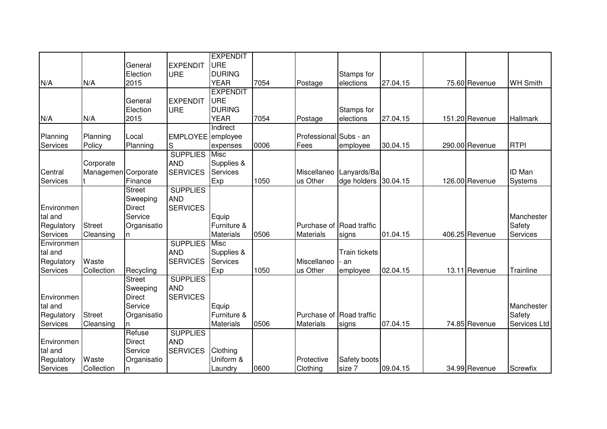|            |                     |               |                   | <b>EXPENDIT</b>  |      |                          |                      |          |                |                 |
|------------|---------------------|---------------|-------------------|------------------|------|--------------------------|----------------------|----------|----------------|-----------------|
|            |                     | General       | <b>EXPENDIT</b>   | <b>URE</b>       |      |                          |                      |          |                |                 |
|            |                     | Election      | <b>URE</b>        | <b>DURING</b>    |      |                          | Stamps for           |          |                |                 |
| N/A        | N/A                 | 2015          |                   | <b>YEAR</b>      | 7054 | Postage                  | elections            | 27.04.15 | 75.60 Revenue  | <b>WH Smith</b> |
|            |                     |               |                   | <b>EXPENDIT</b>  |      |                          |                      |          |                |                 |
|            |                     | General       | <b>EXPENDIT</b>   | URE              |      |                          |                      |          |                |                 |
|            |                     | Election      | <b>URE</b>        | <b>DURING</b>    |      |                          | Stamps for           |          |                |                 |
| N/A        | N/A                 | 2015          |                   | <b>YEAR</b>      | 7054 | Postage                  | elections            | 27.04.15 | 151.20 Revenue | <b>Hallmark</b> |
|            |                     |               |                   | Indirect         |      |                          |                      |          |                |                 |
| Planning   | Planning            | Local         | EMPLOYEE employee |                  |      | Professional Subs - an   |                      |          |                |                 |
| Services   | Policy              | Planning      | S                 | expenses         | 0006 | Fees                     | employee             | 30.04.15 | 290.00 Revenue | <b>RTPI</b>     |
|            |                     |               | <b>SUPPLIES</b>   | Misc             |      |                          |                      |          |                |                 |
|            | Corporate           |               | <b>AND</b>        | Supplies &       |      |                          |                      |          |                |                 |
| Central    | Managemen Corporate |               | <b>SERVICES</b>   | Services         |      | Miscellaneo              | Lanyards/Ba          |          |                | <b>ID Man</b>   |
| Services   |                     | Finance       |                   | Exp              | 1050 | us Other                 | dge holders          | 30.04.15 | 126.00 Revenue | Systems         |
|            |                     | <b>Street</b> | <b>SUPPLIES</b>   |                  |      |                          |                      |          |                |                 |
|            |                     | Sweeping      | <b>AND</b>        |                  |      |                          |                      |          |                |                 |
| Environmen |                     | Direct        | <b>SERVICES</b>   |                  |      |                          |                      |          |                |                 |
| tal and    |                     | Service       |                   | Equip            |      |                          |                      |          |                | Manchester      |
| Regulatory | <b>Street</b>       | Organisatio   |                   | Furniture &      |      | Purchase of Road traffic |                      |          |                | Safety          |
| Services   | Cleansing           | n             |                   | <b>Materials</b> | 0506 | <b>Materials</b>         | signs                | 01.04.15 | 406.25 Revenue | Services        |
| Environmen |                     |               | <b>SUPPLIES</b>   | Misc             |      |                          |                      |          |                |                 |
| tal and    |                     |               | <b>AND</b>        | Supplies &       |      |                          | <b>Train tickets</b> |          |                |                 |
| Regulatory | Waste               |               | <b>SERVICES</b>   | Services         |      | Miscellaneo              | - an                 |          |                |                 |
| Services   | Collection          | Recycling     |                   | Exp              | 1050 | us Other                 | employee             | 02.04.15 | 13.11 Revenue  | Trainline       |
|            |                     | <b>Street</b> | <b>SUPPLIES</b>   |                  |      |                          |                      |          |                |                 |
|            |                     | Sweeping      | <b>AND</b>        |                  |      |                          |                      |          |                |                 |
| Environmen |                     | <b>Direct</b> | <b>SERVICES</b>   |                  |      |                          |                      |          |                |                 |
| tal and    |                     | Service       |                   | Equip            |      |                          |                      |          |                | Manchester      |
| Regulatory | <b>Street</b>       | Organisatio   |                   | Furniture &      |      | Purchase of Road traffic |                      |          |                | Safety          |
| Services   | Cleansing           | n             |                   | <b>Materials</b> | 0506 | <b>Materials</b>         | signs                | 07.04.15 | 74.85 Revenue  | Services Ltd    |
|            |                     | Refuse        | <b>SUPPLIES</b>   |                  |      |                          |                      |          |                |                 |
| Environmen |                     | <b>Direct</b> | <b>AND</b>        |                  |      |                          |                      |          |                |                 |
| tal and    |                     | Service       | <b>SERVICES</b>   | Clothing         |      |                          |                      |          |                |                 |
| Regulatory | Waste               | Organisatio   |                   | Uniform &        |      | Protective               | Safety boots         |          |                |                 |
| Services   | Collection          | n             |                   | Laundry          | 0600 | Clothing                 | size 7               | 09.04.15 | 34.99 Revenue  | Screwfix        |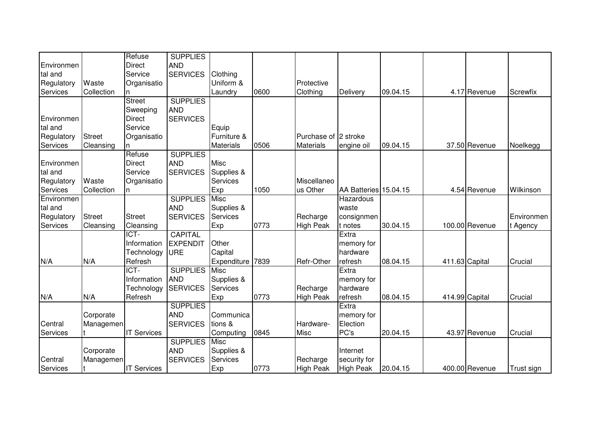|            |               | Refuse             | <b>SUPPLIES</b> |                  |      |                      |                       |          |                |            |
|------------|---------------|--------------------|-----------------|------------------|------|----------------------|-----------------------|----------|----------------|------------|
| Environmen |               | <b>Direct</b>      | <b>AND</b>      |                  |      |                      |                       |          |                |            |
| tal and    |               | Service            | <b>SERVICES</b> | Clothing         |      |                      |                       |          |                |            |
| Regulatory | Waste         | Organisatio        |                 | Uniform &        |      | Protective           |                       |          |                |            |
| Services   | Collection    | n                  |                 | Laundry          | 0600 | Clothing             | Delivery              | 09.04.15 | 4.17 Revenue   | Screwfix   |
|            |               | <b>Street</b>      | <b>SUPPLIES</b> |                  |      |                      |                       |          |                |            |
|            |               | Sweeping           | <b>AND</b>      |                  |      |                      |                       |          |                |            |
| Environmen |               | <b>Direct</b>      | <b>SERVICES</b> |                  |      |                      |                       |          |                |            |
| tal and    |               | Service            |                 | Equip            |      |                      |                       |          |                |            |
| Regulatory | <b>Street</b> | Organisatio        |                 | Furniture &      |      | Purchase of 2 stroke |                       |          |                |            |
| Services   | Cleansing     | n                  |                 | <b>Materials</b> | 0506 | <b>Materials</b>     | engine oil            | 09.04.15 | 37.50 Revenue  | Noelkegg   |
|            |               | Refuse             | <b>SUPPLIES</b> |                  |      |                      |                       |          |                |            |
| Environmen |               | <b>Direct</b>      | <b>AND</b>      | <b>Misc</b>      |      |                      |                       |          |                |            |
| tal and    |               | Service            | <b>SERVICES</b> | Supplies &       |      |                      |                       |          |                |            |
| Regulatory | Waste         | Organisatio        |                 | Services         |      | Miscellaneo          |                       |          |                |            |
| Services   | Collection    | n                  |                 | Exp              | 1050 | us Other             | AA Batteries 15.04.15 |          | 4.54 Revenue   | Wilkinson  |
| Environmen |               |                    | <b>SUPPLIES</b> | Misc             |      |                      | Hazardous             |          |                |            |
| tal and    |               |                    | <b>AND</b>      | Supplies &       |      |                      | waste                 |          |                |            |
| Regulatory | <b>Street</b> | <b>Street</b>      | <b>SERVICES</b> | <b>Services</b>  |      | Recharge             | consignmen            |          |                | Environmen |
| Services   | Cleansing     | Cleansing          |                 | Exp              | 0773 | <b>High Peak</b>     | t notes               | 30.04.15 | 100.00 Revenue | t Agency   |
|            |               | ICT-               | <b>CAPITAL</b>  |                  |      |                      | Extra                 |          |                |            |
|            |               | Information        | <b>EXPENDIT</b> | Other            |      |                      | memory for            |          |                |            |
|            |               | Technology         | URE             | Capital          |      |                      | hardware              |          |                |            |
| N/A        | N/A           | Refresh            |                 | Expenditure      | 7839 | Refr-Other           | refresh               | 08.04.15 | 411.63 Capital | Crucial    |
|            |               | ICT-               | <b>SUPPLIES</b> | Misc             |      |                      | Extra                 |          |                |            |
|            |               | Information        | <b>AND</b>      | Supplies &       |      |                      | memory for            |          |                |            |
|            |               | Technology         | <b>SERVICES</b> | Services         |      | Recharge             | hardware              |          |                |            |
| N/A        | N/A           | Refresh            |                 | Exp              | 0773 | <b>High Peak</b>     | refresh               | 08.04.15 | 414.99 Capital | Crucial    |
|            |               |                    | <b>SUPPLIES</b> |                  |      |                      | Extra                 |          |                |            |
|            | Corporate     |                    | <b>AND</b>      | Communica        |      |                      | memory for            |          |                |            |
| Central    | Managemen     |                    | <b>SERVICES</b> | tions &          |      | Hardware-            | Election              |          |                |            |
| Services   |               | <b>IT Services</b> |                 | Computing        | 0845 | <b>Misc</b>          | PC's                  | 20.04.15 | 43.97 Revenue  | Crucial    |
|            |               |                    | <b>SUPPLIES</b> | <b>Misc</b>      |      |                      |                       |          |                |            |
|            | Corporate     |                    | <b>AND</b>      | Supplies &       |      |                      | Internet              |          |                |            |
| Central    | Managemen     |                    | <b>SERVICES</b> | Services         |      | Recharge             | security for          |          |                |            |
| Services   |               | <b>IT Services</b> |                 | Exp              | 0773 | <b>High Peak</b>     | <b>High Peak</b>      | 20.04.15 | 400.00 Revenue | Trust sign |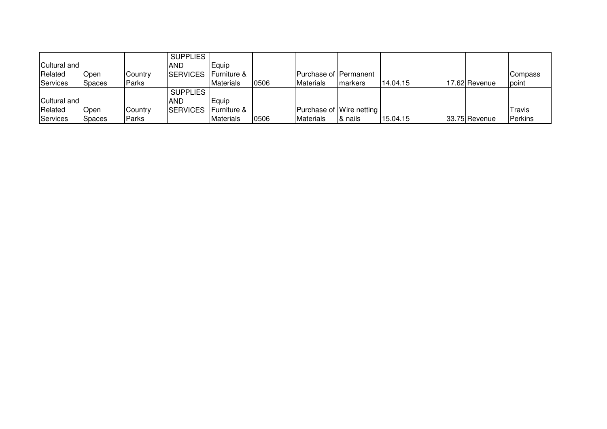|                |               |         | <b>SUPPLIES</b>             |                  |      |                         |                          |          |               |               |
|----------------|---------------|---------|-----------------------------|------------------|------|-------------------------|--------------------------|----------|---------------|---------------|
| Cultural and I |               |         | <b>AND</b>                  | Equip            |      |                         |                          |          |               |               |
| Related        | Open          | Country | SERVICES Furniture &        |                  |      | IPurchase of IPermanent |                          |          |               | Compass       |
| Services       | <b>Spaces</b> | Parks   |                             | <b>Materials</b> | 0506 | <b>Materials</b>        | Imarkers                 | 14.04.15 | 17.62 Revenue | point         |
|                |               |         | <b>SUPPLIES</b>             |                  |      |                         |                          |          |               |               |
| Cultural and I |               |         | <b>AND</b>                  | Equip            |      |                         |                          |          |               |               |
| Related        | Open          | Country | <b>SERVICES</b> Furniture & |                  |      |                         | Purchase of Wire netting |          |               | <b>Travis</b> |
| Services       | <b>Spaces</b> | Parks   |                             | Materials        | 0506 | <b>Materials</b>        | I& nails                 | 15.04.15 | 33.75 Revenue | Perkins       |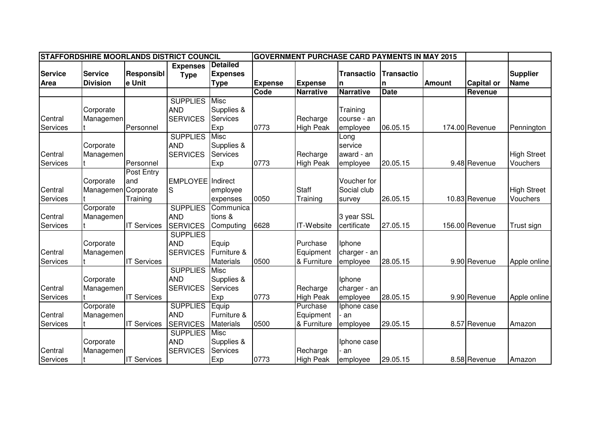| STAFFORDSHIRE MOORLANDS DISTRICT COUNCIL |                 |                    |                          |                             |                |                   | <b>GOVERNMENT PURCHASE CARD PAYMENTS IN MAY 2015</b> |                   |               |                   |                    |
|------------------------------------------|-----------------|--------------------|--------------------------|-----------------------------|----------------|-------------------|------------------------------------------------------|-------------------|---------------|-------------------|--------------------|
|                                          |                 |                    | <b>Expenses</b>          | <b>Detailed</b>             |                |                   |                                                      |                   |               |                   |                    |
| <b>Service</b>                           | <b>Service</b>  | Responsibl         | <b>Type</b>              | <b>Expenses</b>             |                |                   | <b>Transactio</b>                                    | <b>Transactio</b> |               |                   | <b>Supplier</b>    |
| Area                                     | <b>Division</b> | e Unit             |                          | <b>Type</b>                 | <b>Expense</b> | <b>Expense</b>    | n                                                    | n                 | <b>Amount</b> | <b>Capital or</b> | <b>Name</b>        |
|                                          |                 |                    |                          |                             | Code           | <b>Narrative</b>  | <b>Narrative</b>                                     | <b>Date</b>       |               | Revenue           |                    |
|                                          |                 |                    | <b>SUPPLIES</b>          | Misc                        |                |                   |                                                      |                   |               |                   |                    |
|                                          | Corporate       |                    | <b>AND</b>               | Supplies &                  |                |                   | Training                                             |                   |               |                   |                    |
| Central                                  | Managemen       |                    | <b>SERVICES</b>          | Services                    |                | Recharge          | course - an                                          |                   |               |                   |                    |
| Services                                 |                 | Personnel          |                          | Exp                         | 0773           | <b>High Peak</b>  | employee                                             | 06.05.15          |               | 174.00 Revenue    | Pennington         |
|                                          |                 |                    | <b>SUPPLIES</b>          | <b>Misc</b>                 |                |                   | Long                                                 |                   |               |                   |                    |
|                                          | Corporate       |                    | <b>AND</b>               | Supplies &                  |                |                   | service                                              |                   |               |                   |                    |
| Central                                  | Managemen       |                    | <b>SERVICES</b>          | Services                    |                | Recharge          | award - an                                           |                   |               |                   | <b>High Street</b> |
| Services                                 |                 | Personnel          |                          | Exp                         | 0773           | <b>High Peak</b>  | employee                                             | 20.05.15          |               | 9.48 Revenue      | Vouchers           |
|                                          |                 | Post Entry         |                          |                             |                |                   |                                                      |                   |               |                   |                    |
|                                          | Corporate       | and                | <b>EMPLOYEE</b> Indirect |                             |                |                   | Voucher for                                          |                   |               |                   |                    |
| Central                                  | Managemen       | Corporate          | S                        | employee                    |                | <b>Staff</b>      | Social club                                          |                   |               |                   | <b>High Street</b> |
| Services                                 |                 | Training           |                          | expenses                    | 0050           | Training          | survey                                               | 26.05.15          |               | 10.83 Revenue     | Vouchers           |
|                                          | Corporate       |                    | <b>SUPPLIES</b>          | Communica                   |                |                   |                                                      |                   |               |                   |                    |
| Central                                  | Managemen       |                    | <b>AND</b>               | tions &                     |                |                   | 3 year SSL                                           |                   |               |                   |                    |
| Services                                 |                 | <b>IT Services</b> | <b>SERVICES</b>          | Computing                   | 6628           | <b>IT-Website</b> | certificate                                          | 27.05.15          |               | 156.00 Revenue    | Trust sign         |
|                                          |                 |                    | <b>SUPPLIES</b>          |                             |                |                   |                                                      |                   |               |                   |                    |
|                                          | Corporate       |                    | <b>AND</b>               | Equip                       |                | Purchase          | Iphone                                               |                   |               |                   |                    |
| Central                                  | Managemen       |                    | <b>SERVICES</b>          | Furniture &                 |                | Equipment         | charger - an                                         |                   |               |                   |                    |
| Services                                 |                 | <b>IT Services</b> |                          | <b>Materials</b>            | 0500           | & Furniture       | employee                                             | 28.05.15          |               | 9.90 Revenue      | Apple online       |
|                                          |                 |                    | <b>SUPPLIES</b>          | <b>Misc</b>                 |                |                   |                                                      |                   |               |                   |                    |
|                                          | Corporate       |                    | <b>AND</b>               | Supplies &                  |                |                   | Iphone                                               |                   |               |                   |                    |
| Central                                  | Managemen       |                    | <b>SERVICES</b>          | Services                    |                | Recharge          | charger - an                                         |                   |               |                   |                    |
| Services                                 |                 | <b>IT Services</b> |                          | Exp                         | 0773           | <b>High Peak</b>  | employee                                             | 28.05.15          |               | 9.90 Revenue      | Apple online       |
|                                          | Corporate       |                    | <b>SUPPLIES</b>          | $\overline{\mathsf{Equip}}$ |                | Purchase          | Iphone case                                          |                   |               |                   |                    |
| Central                                  | Managemen       |                    | <b>AND</b>               | Furniture &                 |                | Equipment         | · an                                                 |                   |               |                   |                    |
| Services                                 |                 | <b>IT Services</b> | <b>SERVICES</b>          | Materials                   | 0500           | & Furniture       | employee                                             | 29.05.15          |               | 8.57 Revenue      | Amazon             |
|                                          |                 |                    | <b>SUPPLIES</b>          | <b>Misc</b>                 |                |                   |                                                      |                   |               |                   |                    |
|                                          | Corporate       |                    | <b>AND</b>               | Supplies &                  |                |                   | Iphone case                                          |                   |               |                   |                    |
| Central                                  | Managemen       |                    | <b>SERVICES</b>          | Services                    |                | Recharge          | an                                                   |                   |               |                   |                    |
| Services                                 |                 | <b>IT Services</b> |                          | Exp                         | 0773           | <b>High Peak</b>  | employee                                             | 29.05.15          |               | 8.58 Revenue      | Amazon             |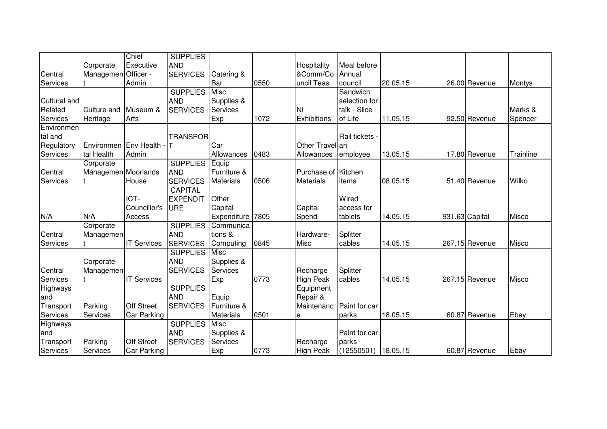|              |                         | Chief              | <b>SUPPLIES</b> |                  |      |                     |                     |          |                |               |
|--------------|-------------------------|--------------------|-----------------|------------------|------|---------------------|---------------------|----------|----------------|---------------|
|              | Corporate               | Executive          | <b>AND</b>      |                  |      | Hospitality         | Meal before         |          |                |               |
| Central      | Managemen               | Officer -          | <b>SERVICES</b> | Catering &       |      | &Comm/Co            | Annual              |          |                |               |
| Services     |                         | Admin              |                 | Bar              | 0550 | uncil Teas          | council             | 20.05.15 | 26.00 Revenue  | <b>Montys</b> |
|              |                         |                    | <b>SUPPLIES</b> | Misc             |      |                     | Sandwich            |          |                |               |
| Cultural and |                         |                    | <b>AND</b>      | Supplies &       |      |                     | selection for       |          |                |               |
| Related      | Culture and             | Museum &           | <b>SERVICES</b> | Services         |      | NI                  | talk - Slice        |          |                | Marks &       |
| Services     | Heritage                | Arts               |                 | Exp              | 1072 | Exhibitions         | of Life             | 11.05.15 | 92.50 Revenue  | Spencer       |
| Environmen   |                         |                    |                 |                  |      |                     |                     |          |                |               |
| tal and      |                         |                    | <b>TRANSPOR</b> |                  |      |                     | Rail tickets        |          |                |               |
| Regulatory   | Environmen Env Health - |                    |                 | Car              |      | Other Travel an     |                     |          |                |               |
| Services     | tal Health              | Admin              |                 | Allowances       | 0483 | Allowances          | employee            | 13.05.15 | 17.80 Revenue  | Trainline     |
|              | Corporate               |                    | <b>SUPPLIES</b> | Equip            |      |                     |                     |          |                |               |
| Central      | Managemen Moorlands     |                    | <b>AND</b>      | Furniture &      |      | Purchase of Kitchen |                     |          |                |               |
| Services     |                         | House              | <b>SERVICES</b> | <b>Materials</b> | 0506 | <b>Materials</b>    | items               | 08.05.15 | 51.40 Revenue  | Wilko         |
|              |                         |                    | <b>CAPITAL</b>  |                  |      |                     |                     |          |                |               |
|              |                         | ICT-               | <b>EXPENDIT</b> | Other            |      |                     | Wired               |          |                |               |
|              |                         | Councillor's       | URE             | Capital          |      | Capital             | access for          |          |                |               |
| N/A          | N/A                     | Access             |                 | Expenditure      | 7805 | Spend               | tablets             | 14.05.15 | 931.63 Capital | Misco         |
|              | Corporate               |                    | <b>SUPPLIES</b> | Communica        |      |                     |                     |          |                |               |
| Central      | Managemen               |                    | <b>AND</b>      | tions &          |      | Hardware-           | Splitter            |          |                |               |
| Services     |                         | <b>IT Services</b> | <b>SERVICES</b> | Computing        | 0845 | <b>Misc</b>         | cables              | 14.05.15 | 267.15 Revenue | Misco         |
|              |                         |                    | <b>SUPPLIES</b> | Misc             |      |                     |                     |          |                |               |
|              | Corporate               |                    | <b>AND</b>      | Supplies &       |      |                     |                     |          |                |               |
| Central      | Managemen               |                    | <b>SERVICES</b> | <b>Services</b>  |      | Recharge            | Splitter            |          |                |               |
| Services     |                         | <b>IT Services</b> |                 | Exp              | 0773 | <b>High Peak</b>    | cables              | 14.05.15 | 267.15 Revenue | Misco         |
| Highways     |                         |                    | <b>SUPPLIES</b> |                  |      | Equipment           |                     |          |                |               |
| and          |                         |                    | <b>AND</b>      | Equip            |      | Repair &            |                     |          |                |               |
| Transport    | Parking                 | <b>Off Street</b>  | <b>SERVICES</b> | Furniture &      |      | Maintenanc          | Paint for car       |          |                |               |
| Services     | Services                | Car Parking        |                 | Materials        | 0501 | е                   | parks               | 18.05.15 | 60.87 Revenue  | Ebay          |
| Highways     |                         |                    | <b>SUPPLIES</b> | Misc             |      |                     |                     |          |                |               |
| and          |                         |                    | <b>AND</b>      | Supplies &       |      |                     | Paint for car       |          |                |               |
| Transport    | Parking                 | <b>Off Street</b>  | <b>SERVICES</b> | Services         |      | Recharge            | parks               |          |                |               |
| Services     | Services                | Car Parking        |                 | Exp              | 0773 | <b>High Peak</b>    | (12550501) 18.05.15 |          | 60.87 Revenue  | Ebay          |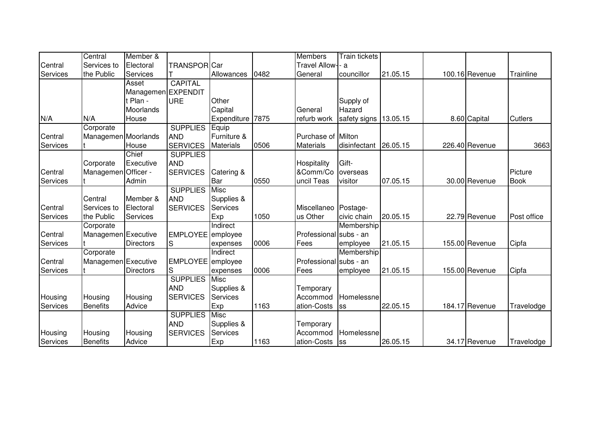|          | Central             | Member &           |                     |                  |      | <b>Members</b>         | Train tickets |          |                |                |
|----------|---------------------|--------------------|---------------------|------------------|------|------------------------|---------------|----------|----------------|----------------|
| Central  | Services to         | Electoral          | <b>TRANSPOR</b> Car |                  |      | Travel Allow-- a       |               |          |                |                |
| Services | the Public          | Services           |                     | Allowances       | 0482 | General                | councillor    | 21.05.15 | 100.16 Revenue | Trainline      |
|          |                     | Asset              | <b>CAPITAL</b>      |                  |      |                        |               |          |                |                |
|          |                     | Managemen EXPENDIT |                     |                  |      |                        |               |          |                |                |
|          |                     | t Plan -           | <b>URE</b>          | Other            |      |                        | Supply of     |          |                |                |
|          |                     | Moorlands          |                     | Capital          |      | General                | Hazard        |          |                |                |
| N/A      | N/A                 | House              |                     | Expenditure 7875 |      | refurb work            | safety signs  | 13.05.15 | 8.60 Capital   | <b>Cutlers</b> |
|          | Corporate           |                    | <b>SUPPLIES</b>     | Equip            |      |                        |               |          |                |                |
| Central  | Managemen Moorlands |                    | <b>AND</b>          | Furniture &      |      | Purchase of Milton     |               |          |                |                |
| Services |                     | House              | <b>SERVICES</b>     | <b>Materials</b> | 0506 | <b>Materials</b>       | disinfectant  | 26.05.15 | 226.40 Revenue | 3663           |
|          |                     | Chief              | <b>SUPPLIES</b>     |                  |      |                        |               |          |                |                |
|          | Corporate           | Executive          | <b>AND</b>          |                  |      | Hospitality            | Gift-         |          |                |                |
| Central  | Managemen Officer - |                    | <b>SERVICES</b>     | Catering &       |      | &Comm/Co               | overseas      |          |                | Picture        |
| Services |                     | Admin              |                     | Bar              | 0550 | uncil Teas             | visitor       | 07.05.15 | 30.00 Revenue  | <b>Book</b>    |
|          |                     |                    | <b>SUPPLIES</b>     | <b>Misc</b>      |      |                        |               |          |                |                |
|          | Central             | Member &           | <b>AND</b>          | Supplies &       |      |                        |               |          |                |                |
| Central  | Services to         | Electoral          | <b>SERVICES</b>     | <b>Services</b>  |      | Miscellaneo Postage-   |               |          |                |                |
| Services | the Public          | Services           |                     | Exp              | 1050 | us Other               | civic chain   | 20.05.15 | 22.79 Revenue  | Post office    |
|          | Corporate           |                    |                     | Indirect         |      |                        | Membership    |          |                |                |
| Central  | Managemen Executive |                    | EMPLOYEE employee   |                  |      | Professional subs - an |               |          |                |                |
| Services |                     | Directors          | S                   | expenses         | 0006 | Fees                   | employee      | 21.05.15 | 155.00 Revenue | Cipfa          |
|          | Corporate           |                    |                     | Indirect         |      |                        | Membership    |          |                |                |
| Central  | Managemen Executive |                    | EMPLOYEE employee   |                  |      | Professional subs - an |               |          |                |                |
| Services |                     | Directors          | S                   | expenses         | 0006 | Fees                   | employee      | 21.05.15 | 155.00 Revenue | Cipfa          |
|          |                     |                    | <b>SUPPLIES</b>     | Misc             |      |                        |               |          |                |                |
|          |                     |                    | <b>AND</b>          | Supplies &       |      | Temporary              |               |          |                |                |
| Housing  | Housing             | Housing            | <b>SERVICES</b>     | Services         |      | Accommod               | Homelessne    |          |                |                |
| Services | <b>Benefits</b>     | Advice             |                     | Exp              | 1163 | ation-Costs            | <b>SS</b>     | 22.05.15 | 184.17 Revenue | Travelodge     |
|          |                     |                    | <b>SUPPLIES</b>     | Misc             |      |                        |               |          |                |                |
|          |                     |                    | <b>AND</b>          | Supplies &       |      | Temporary              |               |          |                |                |
| Housing  | Housing             | Housing            | <b>SERVICES</b>     | Services         |      | Accommod               | Homelessne    |          |                |                |
| Services | <b>Benefits</b>     | Advice             |                     | Exp              | 1163 | ation-Costs            | <b>SS</b>     | 26.05.15 | 34.17 Revenue  | Travelodge     |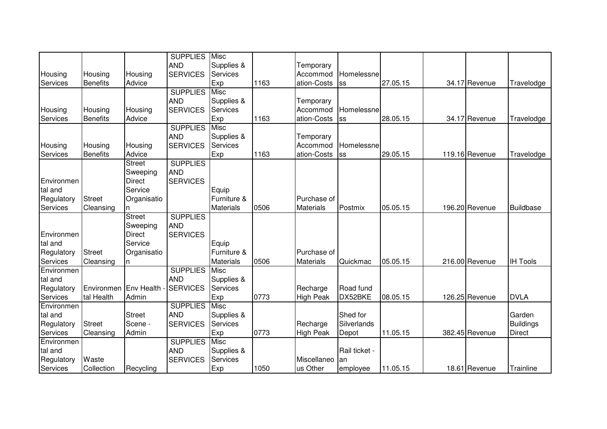|            |                       |               | <b>SUPPLIES</b> | Misc             |      |                  |               |          |                |                  |
|------------|-----------------------|---------------|-----------------|------------------|------|------------------|---------------|----------|----------------|------------------|
|            |                       |               | <b>AND</b>      | Supplies &       |      | Temporary        |               |          |                |                  |
| Housing    | Housing               | Housing       | <b>SERVICES</b> | <b>Services</b>  |      | Accommod         | Homelessne    |          |                |                  |
| Services   | <b>Benefits</b>       | Advice        |                 | Exp              | 1163 | ation-Costs      | lss           | 27.05.15 | 34.17 Revenue  | Travelodge       |
|            |                       |               | <b>SUPPLIES</b> | <b>Misc</b>      |      |                  |               |          |                |                  |
|            |                       |               | <b>AND</b>      | Supplies &       |      | Temporary        |               |          |                |                  |
| Housing    | Housing               | Housing       | <b>SERVICES</b> | <b>Services</b>  |      | Accommod         | Homelessne    |          |                |                  |
| Services   | <b>Benefits</b>       | Advice        |                 | Exp              | 1163 | ation-Costs      | <b>SS</b>     | 28.05.15 | 34.17 Revenue  | Travelodge       |
|            |                       |               | <b>SUPPLIES</b> | <b>Misc</b>      |      |                  |               |          |                |                  |
|            |                       |               | <b>AND</b>      | Supplies &       |      | Temporary        |               |          |                |                  |
| Housing    | Housing               | Housing       | <b>SERVICES</b> | Services         |      | Accommod         | Homelessne    |          |                |                  |
| Services   | <b>Benefits</b>       | Advice        |                 | Exp              | 1163 | ation-Costs      | <b>SS</b>     | 29.05.15 | 119.16 Revenue | Travelodge       |
|            |                       | <b>Street</b> | <b>SUPPLIES</b> |                  |      |                  |               |          |                |                  |
|            |                       | Sweeping      | <b>AND</b>      |                  |      |                  |               |          |                |                  |
| Environmen |                       | <b>Direct</b> | <b>SERVICES</b> |                  |      |                  |               |          |                |                  |
| tal and    |                       | Service       |                 | Equip            |      |                  |               |          |                |                  |
| Regulatory | <b>Street</b>         | Organisatio   |                 | Furniture &      |      | Purchase of      |               |          |                |                  |
| Services   | Cleansing             | n             |                 | <b>Materials</b> | 0506 | <b>Materials</b> | Postmix       | 05.05.15 | 196.20 Revenue | <b>Buildbase</b> |
|            |                       | <b>Street</b> | <b>SUPPLIES</b> |                  |      |                  |               |          |                |                  |
|            |                       | Sweeping      | <b>AND</b>      |                  |      |                  |               |          |                |                  |
| Environmen |                       | <b>Direct</b> | <b>SERVICES</b> |                  |      |                  |               |          |                |                  |
| tal and    |                       | Service       |                 | Equip            |      |                  |               |          |                |                  |
| Regulatory | <b>Street</b>         | Organisatio   |                 | Furniture &      |      | Purchase of      |               |          |                |                  |
| Services   | Cleansing             | n             |                 | Materials        | 0506 | Materials        | Quickmac      | 05.05.15 | 216.00 Revenue | <b>IH Tools</b>  |
| Environmen |                       |               | <b>SUPPLIES</b> | <b>Misc</b>      |      |                  |               |          |                |                  |
| tal and    |                       |               | <b>AND</b>      | Supplies &       |      |                  |               |          |                |                  |
| Regulatory | Environmen Env Health |               | <b>SERVICES</b> | Services         |      | Recharge         | Road fund     |          |                |                  |
| Services   | tal Health            | Admin         |                 | Exp              | 0773 | <b>High Peak</b> | DX52BKE       | 08.05.15 | 126.25 Revenue | <b>DVLA</b>      |
| Environmen |                       |               | <b>SUPPLIES</b> | Misc             |      |                  |               |          |                |                  |
| tal and    |                       | <b>Street</b> | <b>AND</b>      | Supplies &       |      |                  | Shed for      |          |                | Garden           |
| Regulatory | <b>Street</b>         | Scene -       | <b>SERVICES</b> | Services         |      | Recharge         | Silverlands   |          |                | <b>Buildings</b> |
| Services   | Cleansing             | Admin         |                 | Exp              | 0773 | <b>High Peak</b> | Depot         | 11.05.15 | 382.45 Revenue | <b>Direct</b>    |
| Environmen |                       |               | <b>SUPPLIES</b> | <b>Misc</b>      |      |                  |               |          |                |                  |
| tal and    |                       |               | <b>AND</b>      | Supplies &       |      |                  | Rail ticket - |          |                |                  |
| Regulatory | Waste                 |               | <b>SERVICES</b> | Services         |      | Miscellaneo      | lan           |          |                |                  |
| Services   | Collection            | Recycling     |                 | Exp              | 1050 | us Other         | employee      | 11.05.15 | 18.61 Revenue  | Trainline        |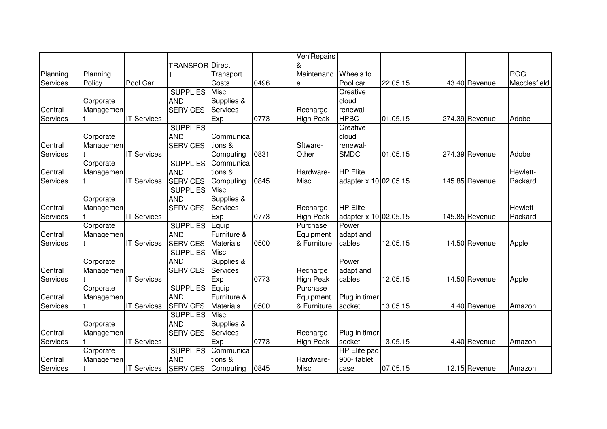|          |           |                    |                        |                  |      | Veh'Repairs      |                       |          |                |              |
|----------|-----------|--------------------|------------------------|------------------|------|------------------|-----------------------|----------|----------------|--------------|
|          |           |                    | <b>TRANSPOR Direct</b> |                  |      |                  |                       |          |                |              |
| Planning | Planning  |                    |                        | Transport        |      | Maintenanc       | Wheels fo             |          |                | <b>RGG</b>   |
| Services | Policy    | Pool Car           |                        | Costs            | 0496 | е                | Pool car              | 22.05.15 | 43.40 Revenue  | Macclesfield |
|          |           |                    | <b>SUPPLIES</b>        | <b>Misc</b>      |      |                  | Creative              |          |                |              |
|          | Corporate |                    | <b>AND</b>             | Supplies &       |      |                  | cloud                 |          |                |              |
| Central  | Managemen |                    | <b>SERVICES</b>        | Services         |      | Recharge         | renewal-              |          |                |              |
| Services |           | <b>IT Services</b> |                        | Exp              | 0773 | <b>High Peak</b> | <b>HPBC</b>           | 01.05.15 | 274.39 Revenue | Adobe        |
|          |           |                    | <b>SUPPLIES</b>        |                  |      |                  | Creative              |          |                |              |
|          | Corporate |                    | <b>AND</b>             | Communica        |      |                  | cloud                 |          |                |              |
| Central  | Managemen |                    | <b>SERVICES</b>        | tions &          |      | Sftware-         | renewal-              |          |                |              |
| Services |           | <b>IT Services</b> |                        | Computing        | 0831 | Other            | <b>SMDC</b>           | 01.05.15 | 274.39 Revenue | Adobe        |
|          | Corporate |                    | <b>SUPPLIES</b>        | Communica        |      |                  |                       |          |                |              |
| Central  | Managemen |                    | <b>AND</b>             | tions &          |      | Hardware-        | <b>HP Elite</b>       |          |                | Hewlett-     |
| Services |           | <b>IT Services</b> | <b>SERVICES</b>        | Computing        | 0845 | <b>Misc</b>      | adapter x 10 02.05.15 |          | 145.85 Revenue | Packard      |
|          |           |                    | <b>SUPPLIES</b>        | Misc             |      |                  |                       |          |                |              |
|          | Corporate |                    | <b>AND</b>             | Supplies &       |      |                  |                       |          |                |              |
| Central  | Managemen |                    | <b>SERVICES</b>        | <b>Services</b>  |      | Recharge         | <b>HP Elite</b>       |          |                | Hewlett-     |
| Services |           | <b>IT Services</b> |                        | Exp              | 0773 | <b>High Peak</b> | adapter x 10 02.05.15 |          | 145.85 Revenue | Packard      |
|          | Corporate |                    | <b>SUPPLIES</b>        | Equip            |      | Purchase         | Power                 |          |                |              |
| Central  | Managemen |                    | <b>AND</b>             | Furniture &      |      | Equipment        | adapt and             |          |                |              |
| Services |           | <b>IT Services</b> | <b>SERVICES</b>        | <b>Materials</b> | 0500 | & Furniture      | cables                | 12.05.15 | 14.50 Revenue  | Apple        |
|          |           |                    | <b>SUPPLIES</b>        | <b>Misc</b>      |      |                  |                       |          |                |              |
|          | Corporate |                    | <b>AND</b>             | Supplies &       |      |                  | Power                 |          |                |              |
| Central  | Managemen |                    | <b>SERVICES</b>        | Services         |      | Recharge         | adapt and             |          |                |              |
| Services |           | <b>IT Services</b> |                        | Exp              | 0773 | <b>High Peak</b> | cables                | 12.05.15 | 14.50 Revenue  | Apple        |
|          | Corporate |                    | <b>SUPPLIES</b>        | Equip            |      | Purchase         |                       |          |                |              |
| Central  | Managemen |                    | <b>AND</b>             | Furniture &      |      | Equipment        | Plug in timer         |          |                |              |
| Services |           | <b>IT Services</b> | <b>SERVICES</b>        | <b>Materials</b> | 0500 | & Furniture      | socket                | 13.05.15 | 4.40 Revenue   | Amazon       |
|          |           |                    | <b>SUPPLIES</b>        | <b>Misc</b>      |      |                  |                       |          |                |              |
|          | Corporate |                    | <b>AND</b>             | Supplies &       |      |                  |                       |          |                |              |
| Central  | Managemen |                    | <b>SERVICES</b>        | Services         |      | Recharge         | Plug in timer         |          |                |              |
| Services |           | <b>IT Services</b> |                        | Exp              | 0773 | <b>High Peak</b> | socket                | 13.05.15 | 4.40 Revenue   | Amazon       |
|          | Corporate |                    | <b>SUPPLIES</b>        | Communica        |      |                  | <b>HP</b> Elite pad   |          |                |              |
| Central  | Managemen |                    | <b>AND</b>             | tions &          |      | Hardware-        | 900-tablet            |          |                |              |
| Services |           | <b>IT Services</b> | <b>SERVICES</b>        | Computing        | 0845 | <b>Misc</b>      | case                  | 07.05.15 | 12.15 Revenue  | Amazon       |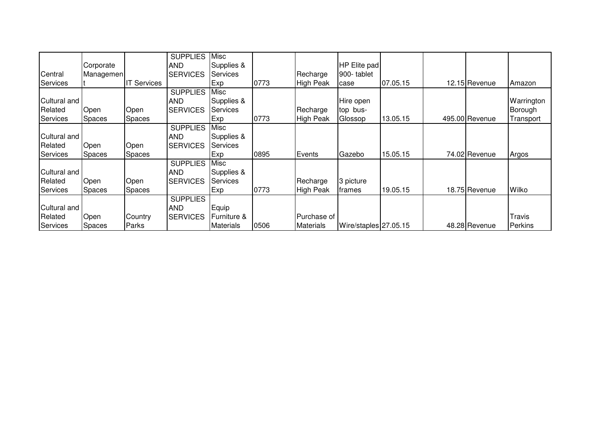|                 |           |                    | <b>SUPPLIES</b> | Misc             |      |                  |                       |          |                |                |
|-----------------|-----------|--------------------|-----------------|------------------|------|------------------|-----------------------|----------|----------------|----------------|
|                 | Corporate |                    | <b>AND</b>      | Supplies &       |      |                  | HP Elite pad          |          |                |                |
| Central         | Managemen |                    | <b>SERVICES</b> | Services         |      | Recharge         | 900-tablet            |          |                |                |
| Services        |           | <b>IT Services</b> |                 | Exp              | 0773 | High Peak        | case                  | 07.05.15 | 12.15 Revenue  | Amazon         |
|                 |           |                    | <b>SUPPLIES</b> | Misc             |      |                  |                       |          |                |                |
| Cultural and    |           |                    | <b>AND</b>      | Supplies &       |      |                  | Hire open             |          |                | Warrington     |
| Related         | Open      | Open               | <b>SERVICES</b> | <b>Services</b>  |      | Recharge         | top bus-              |          |                | Borough        |
| <b>Services</b> | Spaces    | <b>Spaces</b>      |                 | Exp              | 0773 | High Peak        | Glossop               | 13.05.15 | 495.00 Revenue | Transport      |
|                 |           |                    | <b>SUPPLIES</b> | Misc             |      |                  |                       |          |                |                |
| Cultural and    |           |                    | <b>AND</b>      | Supplies &       |      |                  |                       |          |                |                |
| Related         | Open      | Open               | <b>SERVICES</b> | <b>Services</b>  |      |                  |                       |          |                |                |
| <b>Services</b> | Spaces    | Spaces             |                 | Exp              | 0895 | Events           | Gazebo                | 15.05.15 | 74.02 Revenue  | Argos          |
|                 |           |                    | <b>SUPPLIES</b> | Misc             |      |                  |                       |          |                |                |
| Cultural and    |           |                    | <b>AND</b>      | Supplies &       |      |                  |                       |          |                |                |
| Related         | Open      | Open               | <b>SERVICES</b> | Services         |      | Recharge         | 3 picture             |          |                |                |
| <b>Services</b> | Spaces    | <b>Spaces</b>      |                 | Exp              | 0773 | <b>High Peak</b> | frames                | 19.05.15 | 18.75 Revenue  | Wilko          |
|                 |           |                    | <b>SUPPLIES</b> |                  |      |                  |                       |          |                |                |
| Cultural and    |           |                    | <b>AND</b>      | Equip            |      |                  |                       |          |                |                |
| Related         | Open      | Country            | <b>SERVICES</b> | lFurniture &     |      | Purchase of      |                       |          |                | <b>Travis</b>  |
| <b>Services</b> | Spaces    | Parks              |                 | <b>Materials</b> | 0506 | <b>Materials</b> | Wire/staples 27.05.15 |          | 48.28 Revenue  | <b>Perkins</b> |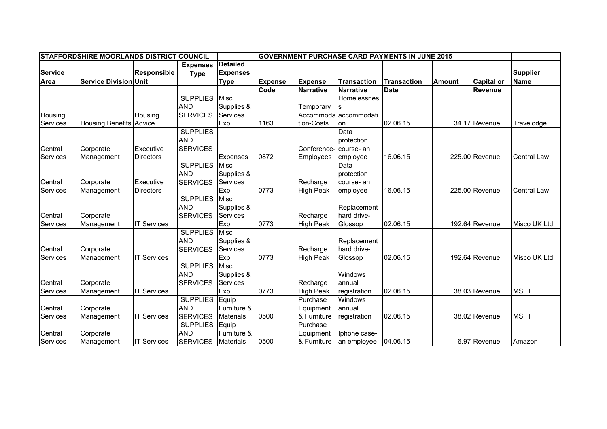|                | STAFFORDSHIRE MOORLANDS DISTRICT COUNCIL |                    |                 |                  |                | <b>GOVERNMENT PURCHASE CARD PAYMENTS IN JUNE 2015</b> |                       |                    |               |                   |                    |
|----------------|------------------------------------------|--------------------|-----------------|------------------|----------------|-------------------------------------------------------|-----------------------|--------------------|---------------|-------------------|--------------------|
|                |                                          |                    | <b>Expenses</b> | <b>Detailed</b>  |                |                                                       |                       |                    |               |                   |                    |
| <b>Service</b> |                                          | <b>Responsible</b> | <b>Type</b>     | <b>Expenses</b>  |                |                                                       |                       |                    |               |                   | <b>Supplier</b>    |
| Area           | <b>Service Division Unit</b>             |                    |                 | <b>Type</b>      | <b>Expense</b> | <b>Expense</b>                                        | <b>Transaction</b>    | <b>Transaction</b> | <b>Amount</b> | <b>Capital or</b> | <b>Name</b>        |
|                |                                          |                    |                 |                  | Code           | Narrative                                             | <b>Narrative</b>      | <b>Date</b>        |               | Revenue           |                    |
|                |                                          |                    | <b>SUPPLIES</b> | Misc             |                |                                                       | Homelessnes           |                    |               |                   |                    |
|                |                                          |                    | <b>AND</b>      | Supplies &       |                | Temporary                                             | ls                    |                    |               |                   |                    |
| Housing        |                                          | Housing            | <b>SERVICES</b> | Services         |                |                                                       | Accommoda accommodati |                    |               |                   |                    |
| Services       | <b>Housing Benefits Advice</b>           |                    |                 | Exp              | 1163           | tion-Costs                                            | lon                   | 02.06.15           |               | 34.17 Revenue     | Travelodge         |
|                |                                          |                    | <b>SUPPLIES</b> |                  |                |                                                       | Data                  |                    |               |                   |                    |
|                |                                          |                    | <b>AND</b>      |                  |                |                                                       | protection            |                    |               |                   |                    |
| Central        | Corporate                                | Executive          | <b>SERVICES</b> |                  |                | Conference                                            | course- an            |                    |               |                   |                    |
| Services       | Management                               | <b>Directors</b>   |                 | Expenses         | 0872           | <b>Employees</b>                                      | employee              | 16.06.15           |               | 225.00 Revenue    | Central Law        |
|                |                                          |                    | <b>SUPPLIES</b> | <b>Misc</b>      |                |                                                       | Data                  |                    |               |                   |                    |
|                |                                          |                    | <b>AND</b>      | Supplies &       |                |                                                       | protection            |                    |               |                   |                    |
| Central        | Corporate                                | Executive          | <b>SERVICES</b> | Services         |                | Recharge                                              | course- an            |                    |               |                   |                    |
| Services       | Management                               | <b>Directors</b>   |                 | Exp              | 0773           | <b>High Peak</b>                                      | employee              | 16.06.15           |               | 225.00 Revenue    | <b>Central Law</b> |
|                |                                          |                    | <b>SUPPLIES</b> | Misc             |                |                                                       |                       |                    |               |                   |                    |
|                |                                          |                    | <b>AND</b>      | Supplies &       |                |                                                       | Replacement           |                    |               |                   |                    |
| Central        | Corporate                                |                    | <b>SERVICES</b> | Services         |                | Recharge                                              | hard drive-           |                    |               |                   |                    |
| Services       | Management                               | <b>IT Services</b> |                 | Exp              | 0773           | <b>High Peak</b>                                      | Glossop               | 02.06.15           |               | 192.64 Revenue    | Misco UK Ltd       |
|                |                                          |                    | <b>SUPPLIES</b> | <b>Misc</b>      |                |                                                       |                       |                    |               |                   |                    |
|                |                                          |                    | <b>AND</b>      | Supplies &       |                |                                                       | Replacement           |                    |               |                   |                    |
| Central        | Corporate                                |                    | <b>SERVICES</b> | Services         |                | Recharge                                              | hard drive-           |                    |               |                   |                    |
| Services       | Management                               | <b>IT Services</b> |                 | Exp              | 0773           | <b>High Peak</b>                                      | Glossop               | 02.06.15           |               | 192.64 Revenue    | Misco UK Ltd       |
|                |                                          |                    | <b>SUPPLIES</b> | <b>Misc</b>      |                |                                                       |                       |                    |               |                   |                    |
|                |                                          |                    | <b>AND</b>      | Supplies &       |                |                                                       | Windows               |                    |               |                   |                    |
| Central        | Corporate                                |                    | <b>SERVICES</b> | Services         |                | Recharge                                              | annual                |                    |               |                   |                    |
| Services       | Management                               | <b>IT Services</b> |                 | Exp              | 0773           | <b>High Peak</b>                                      | registration          | 02.06.15           |               | 38.03 Revenue     | <b>MSFT</b>        |
|                |                                          |                    | <b>SUPPLIES</b> | Equip            |                | Purchase                                              | Windows               |                    |               |                   |                    |
| Central        | Corporate                                |                    | <b>AND</b>      | Furniture &      |                | Equipment                                             | annual                |                    |               |                   |                    |
| Services       | Management                               | <b>IT Services</b> | <b>SERVICES</b> | <b>Materials</b> | 0500           | & Furniture                                           | registration          | 02.06.15           |               | 38.02 Revenue     | <b>MSFT</b>        |
|                |                                          |                    | <b>SUPPLIES</b> | Equip            |                | Purchase                                              |                       |                    |               |                   |                    |
| Central        | Corporate                                |                    | <b>AND</b>      | Furniture &      |                | Equipment                                             | Iphone case-          |                    |               |                   |                    |
| Services       | Management                               | <b>IT Services</b> | <b>SERVICES</b> | <b>Materials</b> | 0500           | & Furniture                                           | an employee           | 04.06.15           |               | 6.97 Revenue      | Amazon             |
|                |                                          |                    |                 |                  |                |                                                       |                       |                    |               |                   |                    |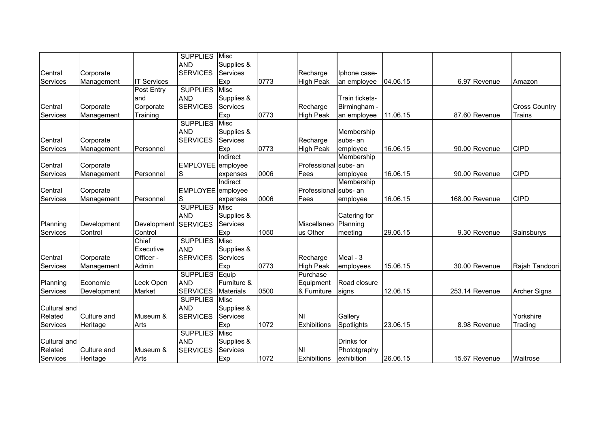| <b>AND</b><br>Supplies &<br><b>SERVICES</b><br>Services<br>Corporate<br>Recharge<br>Iphone case-<br><b>IT Services</b><br>Exp<br>0773<br>04.06.15<br>6.97 Revenue<br>Management<br><b>High Peak</b><br>an employee<br>Amazon<br>Post Entry<br><b>SUPPLIES</b><br>Misc<br><b>AND</b><br>and<br>Supplies &<br>Train tickets-<br><b>SERVICES</b><br>Services<br>Corporate<br>Corporate<br>Recharge<br>Birmingham -<br><b>Cross Country</b><br>0773<br>Services<br>Exp<br><b>High Peak</b><br>11.06.15<br>87.60 Revenue<br>Trains<br>Management<br>Training<br>an employee<br><b>SUPPLIES</b><br>Misc<br><b>AND</b><br>Supplies &<br>Membership<br><b>SERVICES</b><br>Services<br>subs- an<br>Central<br>Corporate<br>Recharge<br><b>CIPD</b><br>0773<br>16.06.15<br>90.00 Revenue<br>Exp<br><b>High Peak</b><br>employee<br>Services<br>Management<br>Personnel<br>Indirect<br>Membership<br>Central<br>EMPLOYEE employee<br>Professional<br>Corporate<br>subs- an<br>0006<br><b>CIPD</b><br>Services<br>lS<br>Fees<br>16.06.15<br>90.00 Revenue<br>Management<br>Personnel<br>employee<br>expenses<br>Membership<br>Indirect<br>Central<br>EMPLOYEE employee<br>Professional<br>subs- an<br>Corporate<br>0006<br><b>CIPD</b><br>Services<br>Personnel<br>S<br>Fees<br>16.06.15<br>168.00 Revenue<br>Management<br>employee<br>expenses<br><b>SUPPLIES</b><br>Misc<br><b>AND</b><br>Supplies &<br>Catering for<br><b>SERVICES</b><br>Services<br>Miscellaneo<br>Planning<br>Planning<br>Development<br>Development<br>1050<br>Services<br>Control<br>Control<br>Exp<br>us Other<br>29.06.15<br>9.30 Revenue<br>Sainsburys<br>meeting<br><b>SUPPLIES</b><br>Chief<br>Misc<br><b>AND</b><br>Executive<br>Supplies &<br>Officer -<br><b>SERVICES</b><br>Services<br>Meal - 3<br>Central<br>Corporate<br>Recharge<br>0773<br>Admin<br>Exp<br>Services<br>Management<br><b>High Peak</b><br>15.06.15<br>30.00 Revenue<br>Rajah Tandoori<br>employees<br>Purchase<br><b>SUPPLIES</b><br>Equip<br>Leek Open<br><b>AND</b><br>Furniture &<br>Road closure<br>Planning<br>Economic<br>Equipment<br>0500<br>Market<br><b>SERVICES</b><br>& Furniture<br>12.06.15<br>Services<br>Development<br><b>Materials</b><br>253.14 Revenue<br>signs<br><b>Archer Signs</b><br><b>SUPPLIES</b><br><b>Misc</b><br><b>AND</b><br>Cultural and<br>Supplies &<br>Related<br><b>SERVICES</b><br>Services<br><b>NI</b><br>Gallery<br>Yorkshire<br>Culture and<br>Museum &<br>Exp<br>1072<br>Exhibitions<br>23.06.15<br>Services<br>Heritage<br>Arts<br>Spotlights<br>8.98 Revenue<br>Trading<br><b>SUPPLIES</b><br>Misc<br><b>AND</b><br>Cultural and<br>Supplies &<br>Drinks for<br><b>SERVICES</b><br>Related<br>Services<br><b>NI</b><br>Culture and<br>Museum &<br>Phototgraphy<br>15.67 Revenue |          |          |      | <b>SUPPLIES</b> | Misc |      |             |            |          |  |          |
|-------------------------------------------------------------------------------------------------------------------------------------------------------------------------------------------------------------------------------------------------------------------------------------------------------------------------------------------------------------------------------------------------------------------------------------------------------------------------------------------------------------------------------------------------------------------------------------------------------------------------------------------------------------------------------------------------------------------------------------------------------------------------------------------------------------------------------------------------------------------------------------------------------------------------------------------------------------------------------------------------------------------------------------------------------------------------------------------------------------------------------------------------------------------------------------------------------------------------------------------------------------------------------------------------------------------------------------------------------------------------------------------------------------------------------------------------------------------------------------------------------------------------------------------------------------------------------------------------------------------------------------------------------------------------------------------------------------------------------------------------------------------------------------------------------------------------------------------------------------------------------------------------------------------------------------------------------------------------------------------------------------------------------------------------------------------------------------------------------------------------------------------------------------------------------------------------------------------------------------------------------------------------------------------------------------------------------------------------------------------------------------------------------------------------------------------------------------------------------------------------------------------------------------------------------------------------------------------------------------------------------------------------------------------------------------------------------------------------------------------------------------------------|----------|----------|------|-----------------|------|------|-------------|------------|----------|--|----------|
|                                                                                                                                                                                                                                                                                                                                                                                                                                                                                                                                                                                                                                                                                                                                                                                                                                                                                                                                                                                                                                                                                                                                                                                                                                                                                                                                                                                                                                                                                                                                                                                                                                                                                                                                                                                                                                                                                                                                                                                                                                                                                                                                                                                                                                                                                                                                                                                                                                                                                                                                                                                                                                                                                                                                                                         |          |          |      |                 |      |      |             |            |          |  |          |
|                                                                                                                                                                                                                                                                                                                                                                                                                                                                                                                                                                                                                                                                                                                                                                                                                                                                                                                                                                                                                                                                                                                                                                                                                                                                                                                                                                                                                                                                                                                                                                                                                                                                                                                                                                                                                                                                                                                                                                                                                                                                                                                                                                                                                                                                                                                                                                                                                                                                                                                                                                                                                                                                                                                                                                         | Central  |          |      |                 |      |      |             |            |          |  |          |
|                                                                                                                                                                                                                                                                                                                                                                                                                                                                                                                                                                                                                                                                                                                                                                                                                                                                                                                                                                                                                                                                                                                                                                                                                                                                                                                                                                                                                                                                                                                                                                                                                                                                                                                                                                                                                                                                                                                                                                                                                                                                                                                                                                                                                                                                                                                                                                                                                                                                                                                                                                                                                                                                                                                                                                         | Services |          |      |                 |      |      |             |            |          |  |          |
|                                                                                                                                                                                                                                                                                                                                                                                                                                                                                                                                                                                                                                                                                                                                                                                                                                                                                                                                                                                                                                                                                                                                                                                                                                                                                                                                                                                                                                                                                                                                                                                                                                                                                                                                                                                                                                                                                                                                                                                                                                                                                                                                                                                                                                                                                                                                                                                                                                                                                                                                                                                                                                                                                                                                                                         |          |          |      |                 |      |      |             |            |          |  |          |
|                                                                                                                                                                                                                                                                                                                                                                                                                                                                                                                                                                                                                                                                                                                                                                                                                                                                                                                                                                                                                                                                                                                                                                                                                                                                                                                                                                                                                                                                                                                                                                                                                                                                                                                                                                                                                                                                                                                                                                                                                                                                                                                                                                                                                                                                                                                                                                                                                                                                                                                                                                                                                                                                                                                                                                         |          |          |      |                 |      |      |             |            |          |  |          |
|                                                                                                                                                                                                                                                                                                                                                                                                                                                                                                                                                                                                                                                                                                                                                                                                                                                                                                                                                                                                                                                                                                                                                                                                                                                                                                                                                                                                                                                                                                                                                                                                                                                                                                                                                                                                                                                                                                                                                                                                                                                                                                                                                                                                                                                                                                                                                                                                                                                                                                                                                                                                                                                                                                                                                                         | Central  |          |      |                 |      |      |             |            |          |  |          |
|                                                                                                                                                                                                                                                                                                                                                                                                                                                                                                                                                                                                                                                                                                                                                                                                                                                                                                                                                                                                                                                                                                                                                                                                                                                                                                                                                                                                                                                                                                                                                                                                                                                                                                                                                                                                                                                                                                                                                                                                                                                                                                                                                                                                                                                                                                                                                                                                                                                                                                                                                                                                                                                                                                                                                                         |          |          |      |                 |      |      |             |            |          |  |          |
|                                                                                                                                                                                                                                                                                                                                                                                                                                                                                                                                                                                                                                                                                                                                                                                                                                                                                                                                                                                                                                                                                                                                                                                                                                                                                                                                                                                                                                                                                                                                                                                                                                                                                                                                                                                                                                                                                                                                                                                                                                                                                                                                                                                                                                                                                                                                                                                                                                                                                                                                                                                                                                                                                                                                                                         |          |          |      |                 |      |      |             |            |          |  |          |
|                                                                                                                                                                                                                                                                                                                                                                                                                                                                                                                                                                                                                                                                                                                                                                                                                                                                                                                                                                                                                                                                                                                                                                                                                                                                                                                                                                                                                                                                                                                                                                                                                                                                                                                                                                                                                                                                                                                                                                                                                                                                                                                                                                                                                                                                                                                                                                                                                                                                                                                                                                                                                                                                                                                                                                         |          |          |      |                 |      |      |             |            |          |  |          |
|                                                                                                                                                                                                                                                                                                                                                                                                                                                                                                                                                                                                                                                                                                                                                                                                                                                                                                                                                                                                                                                                                                                                                                                                                                                                                                                                                                                                                                                                                                                                                                                                                                                                                                                                                                                                                                                                                                                                                                                                                                                                                                                                                                                                                                                                                                                                                                                                                                                                                                                                                                                                                                                                                                                                                                         |          |          |      |                 |      |      |             |            |          |  |          |
|                                                                                                                                                                                                                                                                                                                                                                                                                                                                                                                                                                                                                                                                                                                                                                                                                                                                                                                                                                                                                                                                                                                                                                                                                                                                                                                                                                                                                                                                                                                                                                                                                                                                                                                                                                                                                                                                                                                                                                                                                                                                                                                                                                                                                                                                                                                                                                                                                                                                                                                                                                                                                                                                                                                                                                         |          |          |      |                 |      |      |             |            |          |  |          |
|                                                                                                                                                                                                                                                                                                                                                                                                                                                                                                                                                                                                                                                                                                                                                                                                                                                                                                                                                                                                                                                                                                                                                                                                                                                                                                                                                                                                                                                                                                                                                                                                                                                                                                                                                                                                                                                                                                                                                                                                                                                                                                                                                                                                                                                                                                                                                                                                                                                                                                                                                                                                                                                                                                                                                                         |          |          |      |                 |      |      |             |            |          |  |          |
|                                                                                                                                                                                                                                                                                                                                                                                                                                                                                                                                                                                                                                                                                                                                                                                                                                                                                                                                                                                                                                                                                                                                                                                                                                                                                                                                                                                                                                                                                                                                                                                                                                                                                                                                                                                                                                                                                                                                                                                                                                                                                                                                                                                                                                                                                                                                                                                                                                                                                                                                                                                                                                                                                                                                                                         |          |          |      |                 |      |      |             |            |          |  |          |
|                                                                                                                                                                                                                                                                                                                                                                                                                                                                                                                                                                                                                                                                                                                                                                                                                                                                                                                                                                                                                                                                                                                                                                                                                                                                                                                                                                                                                                                                                                                                                                                                                                                                                                                                                                                                                                                                                                                                                                                                                                                                                                                                                                                                                                                                                                                                                                                                                                                                                                                                                                                                                                                                                                                                                                         |          |          |      |                 |      |      |             |            |          |  |          |
|                                                                                                                                                                                                                                                                                                                                                                                                                                                                                                                                                                                                                                                                                                                                                                                                                                                                                                                                                                                                                                                                                                                                                                                                                                                                                                                                                                                                                                                                                                                                                                                                                                                                                                                                                                                                                                                                                                                                                                                                                                                                                                                                                                                                                                                                                                                                                                                                                                                                                                                                                                                                                                                                                                                                                                         |          |          |      |                 |      |      |             |            |          |  |          |
|                                                                                                                                                                                                                                                                                                                                                                                                                                                                                                                                                                                                                                                                                                                                                                                                                                                                                                                                                                                                                                                                                                                                                                                                                                                                                                                                                                                                                                                                                                                                                                                                                                                                                                                                                                                                                                                                                                                                                                                                                                                                                                                                                                                                                                                                                                                                                                                                                                                                                                                                                                                                                                                                                                                                                                         |          |          |      |                 |      |      |             |            |          |  |          |
|                                                                                                                                                                                                                                                                                                                                                                                                                                                                                                                                                                                                                                                                                                                                                                                                                                                                                                                                                                                                                                                                                                                                                                                                                                                                                                                                                                                                                                                                                                                                                                                                                                                                                                                                                                                                                                                                                                                                                                                                                                                                                                                                                                                                                                                                                                                                                                                                                                                                                                                                                                                                                                                                                                                                                                         |          |          |      |                 |      |      |             |            |          |  |          |
|                                                                                                                                                                                                                                                                                                                                                                                                                                                                                                                                                                                                                                                                                                                                                                                                                                                                                                                                                                                                                                                                                                                                                                                                                                                                                                                                                                                                                                                                                                                                                                                                                                                                                                                                                                                                                                                                                                                                                                                                                                                                                                                                                                                                                                                                                                                                                                                                                                                                                                                                                                                                                                                                                                                                                                         |          |          |      |                 |      |      |             |            |          |  |          |
|                                                                                                                                                                                                                                                                                                                                                                                                                                                                                                                                                                                                                                                                                                                                                                                                                                                                                                                                                                                                                                                                                                                                                                                                                                                                                                                                                                                                                                                                                                                                                                                                                                                                                                                                                                                                                                                                                                                                                                                                                                                                                                                                                                                                                                                                                                                                                                                                                                                                                                                                                                                                                                                                                                                                                                         |          |          |      |                 |      |      |             |            |          |  |          |
|                                                                                                                                                                                                                                                                                                                                                                                                                                                                                                                                                                                                                                                                                                                                                                                                                                                                                                                                                                                                                                                                                                                                                                                                                                                                                                                                                                                                                                                                                                                                                                                                                                                                                                                                                                                                                                                                                                                                                                                                                                                                                                                                                                                                                                                                                                                                                                                                                                                                                                                                                                                                                                                                                                                                                                         |          |          |      |                 |      |      |             |            |          |  |          |
|                                                                                                                                                                                                                                                                                                                                                                                                                                                                                                                                                                                                                                                                                                                                                                                                                                                                                                                                                                                                                                                                                                                                                                                                                                                                                                                                                                                                                                                                                                                                                                                                                                                                                                                                                                                                                                                                                                                                                                                                                                                                                                                                                                                                                                                                                                                                                                                                                                                                                                                                                                                                                                                                                                                                                                         |          |          |      |                 |      |      |             |            |          |  |          |
|                                                                                                                                                                                                                                                                                                                                                                                                                                                                                                                                                                                                                                                                                                                                                                                                                                                                                                                                                                                                                                                                                                                                                                                                                                                                                                                                                                                                                                                                                                                                                                                                                                                                                                                                                                                                                                                                                                                                                                                                                                                                                                                                                                                                                                                                                                                                                                                                                                                                                                                                                                                                                                                                                                                                                                         |          |          |      |                 |      |      |             |            |          |  |          |
|                                                                                                                                                                                                                                                                                                                                                                                                                                                                                                                                                                                                                                                                                                                                                                                                                                                                                                                                                                                                                                                                                                                                                                                                                                                                                                                                                                                                                                                                                                                                                                                                                                                                                                                                                                                                                                                                                                                                                                                                                                                                                                                                                                                                                                                                                                                                                                                                                                                                                                                                                                                                                                                                                                                                                                         |          |          |      |                 |      |      |             |            |          |  |          |
|                                                                                                                                                                                                                                                                                                                                                                                                                                                                                                                                                                                                                                                                                                                                                                                                                                                                                                                                                                                                                                                                                                                                                                                                                                                                                                                                                                                                                                                                                                                                                                                                                                                                                                                                                                                                                                                                                                                                                                                                                                                                                                                                                                                                                                                                                                                                                                                                                                                                                                                                                                                                                                                                                                                                                                         |          |          |      |                 |      |      |             |            |          |  |          |
|                                                                                                                                                                                                                                                                                                                                                                                                                                                                                                                                                                                                                                                                                                                                                                                                                                                                                                                                                                                                                                                                                                                                                                                                                                                                                                                                                                                                                                                                                                                                                                                                                                                                                                                                                                                                                                                                                                                                                                                                                                                                                                                                                                                                                                                                                                                                                                                                                                                                                                                                                                                                                                                                                                                                                                         |          |          |      |                 |      |      |             |            |          |  |          |
|                                                                                                                                                                                                                                                                                                                                                                                                                                                                                                                                                                                                                                                                                                                                                                                                                                                                                                                                                                                                                                                                                                                                                                                                                                                                                                                                                                                                                                                                                                                                                                                                                                                                                                                                                                                                                                                                                                                                                                                                                                                                                                                                                                                                                                                                                                                                                                                                                                                                                                                                                                                                                                                                                                                                                                         |          |          |      |                 |      |      |             |            |          |  |          |
|                                                                                                                                                                                                                                                                                                                                                                                                                                                                                                                                                                                                                                                                                                                                                                                                                                                                                                                                                                                                                                                                                                                                                                                                                                                                                                                                                                                                                                                                                                                                                                                                                                                                                                                                                                                                                                                                                                                                                                                                                                                                                                                                                                                                                                                                                                                                                                                                                                                                                                                                                                                                                                                                                                                                                                         |          |          |      |                 |      |      |             |            |          |  |          |
|                                                                                                                                                                                                                                                                                                                                                                                                                                                                                                                                                                                                                                                                                                                                                                                                                                                                                                                                                                                                                                                                                                                                                                                                                                                                                                                                                                                                                                                                                                                                                                                                                                                                                                                                                                                                                                                                                                                                                                                                                                                                                                                                                                                                                                                                                                                                                                                                                                                                                                                                                                                                                                                                                                                                                                         |          |          |      |                 |      |      |             |            |          |  |          |
|                                                                                                                                                                                                                                                                                                                                                                                                                                                                                                                                                                                                                                                                                                                                                                                                                                                                                                                                                                                                                                                                                                                                                                                                                                                                                                                                                                                                                                                                                                                                                                                                                                                                                                                                                                                                                                                                                                                                                                                                                                                                                                                                                                                                                                                                                                                                                                                                                                                                                                                                                                                                                                                                                                                                                                         |          |          |      |                 |      |      |             |            |          |  |          |
|                                                                                                                                                                                                                                                                                                                                                                                                                                                                                                                                                                                                                                                                                                                                                                                                                                                                                                                                                                                                                                                                                                                                                                                                                                                                                                                                                                                                                                                                                                                                                                                                                                                                                                                                                                                                                                                                                                                                                                                                                                                                                                                                                                                                                                                                                                                                                                                                                                                                                                                                                                                                                                                                                                                                                                         |          |          |      |                 |      |      |             |            |          |  |          |
|                                                                                                                                                                                                                                                                                                                                                                                                                                                                                                                                                                                                                                                                                                                                                                                                                                                                                                                                                                                                                                                                                                                                                                                                                                                                                                                                                                                                                                                                                                                                                                                                                                                                                                                                                                                                                                                                                                                                                                                                                                                                                                                                                                                                                                                                                                                                                                                                                                                                                                                                                                                                                                                                                                                                                                         |          |          |      |                 |      |      |             |            |          |  |          |
|                                                                                                                                                                                                                                                                                                                                                                                                                                                                                                                                                                                                                                                                                                                                                                                                                                                                                                                                                                                                                                                                                                                                                                                                                                                                                                                                                                                                                                                                                                                                                                                                                                                                                                                                                                                                                                                                                                                                                                                                                                                                                                                                                                                                                                                                                                                                                                                                                                                                                                                                                                                                                                                                                                                                                                         |          |          |      |                 |      |      |             |            |          |  |          |
|                                                                                                                                                                                                                                                                                                                                                                                                                                                                                                                                                                                                                                                                                                                                                                                                                                                                                                                                                                                                                                                                                                                                                                                                                                                                                                                                                                                                                                                                                                                                                                                                                                                                                                                                                                                                                                                                                                                                                                                                                                                                                                                                                                                                                                                                                                                                                                                                                                                                                                                                                                                                                                                                                                                                                                         |          |          |      |                 |      |      |             |            |          |  |          |
|                                                                                                                                                                                                                                                                                                                                                                                                                                                                                                                                                                                                                                                                                                                                                                                                                                                                                                                                                                                                                                                                                                                                                                                                                                                                                                                                                                                                                                                                                                                                                                                                                                                                                                                                                                                                                                                                                                                                                                                                                                                                                                                                                                                                                                                                                                                                                                                                                                                                                                                                                                                                                                                                                                                                                                         |          |          |      |                 |      |      |             |            |          |  |          |
|                                                                                                                                                                                                                                                                                                                                                                                                                                                                                                                                                                                                                                                                                                                                                                                                                                                                                                                                                                                                                                                                                                                                                                                                                                                                                                                                                                                                                                                                                                                                                                                                                                                                                                                                                                                                                                                                                                                                                                                                                                                                                                                                                                                                                                                                                                                                                                                                                                                                                                                                                                                                                                                                                                                                                                         | Services | Heritage | Arts |                 | Exp  | 1072 | Exhibitions | exhibition | 26.06.15 |  | Waitrose |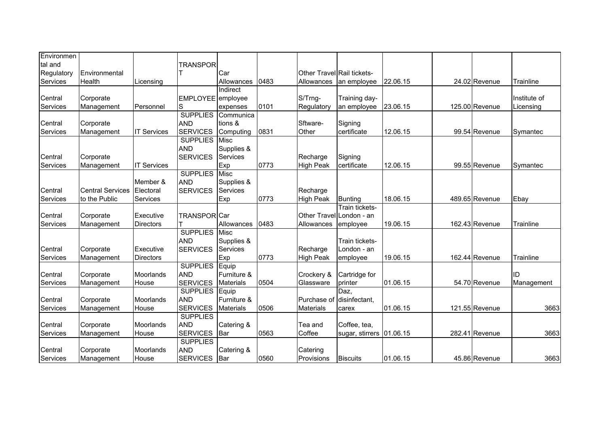| Environmen |                         |                    |                     |                  |      |                            |                          |          |                |              |
|------------|-------------------------|--------------------|---------------------|------------------|------|----------------------------|--------------------------|----------|----------------|--------------|
| tal and    |                         |                    | <b>TRANSPOR</b>     |                  |      |                            |                          |          |                |              |
| Regulatory | Environmental           |                    |                     | <b>I</b> Car     |      | Other Travel Rail tickets- |                          |          |                |              |
| Services   | Health                  | Licensing          |                     | Allowances       | 0483 | Allowances                 | an employee              | 22.06.15 | 24.02 Revenue  | Trainline    |
|            |                         |                    |                     | Indirect         |      |                            |                          |          |                |              |
| Central    | Corporate               |                    | EMPLOYEE employee   |                  |      | S/Trng-                    | Training day-            |          |                | Institute of |
| Services   | Management              | Personnel          | S                   | expenses         | 0101 | Regulatory                 | an employee              | 23.06.15 | 125.00 Revenue | Licensing    |
|            |                         |                    | <b>SUPPLIES</b>     | Communica        |      |                            |                          |          |                |              |
| Central    | Corporate               |                    | <b>AND</b>          | tions &          |      | Sftware-                   | Signing                  |          |                |              |
| Services   | Management              | <b>IT Services</b> | <b>SERVICES</b>     | Computing        | 0831 | Other                      | certificate              | 12.06.15 | 99.54 Revenue  | Symantec     |
|            |                         |                    | <b>SUPPLIES</b>     | <b>Misc</b>      |      |                            |                          |          |                |              |
|            |                         |                    | <b>AND</b>          | Supplies &       |      |                            |                          |          |                |              |
| Central    | Corporate               |                    | <b>SERVICES</b>     | <b>Services</b>  |      | Recharge                   | Signing                  |          |                |              |
| Services   | Management              | <b>IT Services</b> |                     | Exp              | 0773 | <b>High Peak</b>           | certificate              | 12.06.15 | 99.55 Revenue  | Symantec     |
|            |                         |                    | <b>SUPPLIES</b>     | Misc             |      |                            |                          |          |                |              |
|            |                         | Member &           | <b>AND</b>          | Supplies &       |      |                            |                          |          |                |              |
| Central    | <b>Central Services</b> | Electoral          | <b>SERVICES</b>     | Services         |      | Recharge                   |                          |          |                |              |
| Services   | to the Public           | Services           |                     | Exp              | 0773 | <b>High Peak</b>           | Bunting                  | 18.06.15 | 489.65 Revenue | Ebay         |
|            |                         |                    |                     |                  |      |                            | Train tickets-           |          |                |              |
| Central    | Corporate               | Executive          | <b>TRANSPOR</b> Car |                  |      |                            | Other Travel London - an |          |                |              |
| Services   | Management              | <b>Directors</b>   |                     | Allowances       | 0483 | Allowances                 | employee                 | 19.06.15 | 162.43 Revenue | Trainline    |
|            |                         |                    | <b>SUPPLIES</b>     | <b>Misc</b>      |      |                            |                          |          |                |              |
|            |                         |                    | <b>AND</b>          | Supplies &       |      |                            | Train tickets-           |          |                |              |
| Central    | Corporate               | Executive          | <b>SERVICES</b>     | <b>Services</b>  |      | Recharge                   | London - an              |          |                |              |
| Services   | Management              | <b>Directors</b>   |                     | Exp              | 0773 | <b>High Peak</b>           | employee                 | 19.06.15 | 162.44 Revenue | Trainline    |
|            |                         |                    | <b>SUPPLIES</b>     | Equip            |      |                            |                          |          |                |              |
| Central    | Corporate               | Moorlands          | <b>AND</b>          | Furniture &      |      | Crockery &                 | Cartridge for            |          |                | ID           |
| Services   | Management              | House              | <b>SERVICES</b>     | <b>Materials</b> | 0504 | Glassware                  | printer                  | 01.06.15 | 54.70 Revenue  | Management   |
|            |                         |                    | <b>SUPPLIES</b>     | Equip            |      |                            | Daz.                     |          |                |              |
| Central    | Corporate               | Moorlands          | <b>AND</b>          | Furniture &      |      | Purchase of                | disinfectant,            |          |                |              |
| Services   | Management              | House              | <b>SERVICES</b>     | <b>Materials</b> | 0506 | <b>Materials</b>           | carex                    | 01.06.15 | 121.55 Revenue | 3663         |
|            |                         |                    | <b>SUPPLIES</b>     |                  |      |                            |                          |          |                |              |
| Central    | Corporate               | Moorlands          | <b>AND</b>          | Catering &       |      | Tea and                    | Coffee, tea,             |          |                |              |
| Services   | Management              | House              | <b>SERVICES</b>     | Bar              | 0563 | Coffee                     | sugar, stirrers 01.06.15 |          | 282.41 Revenue | 3663         |
|            |                         |                    | <b>SUPPLIES</b>     |                  |      |                            |                          |          |                |              |
| Central    | Corporate               | <b>Moorlands</b>   | <b>AND</b>          | Catering &       |      | Catering                   |                          |          |                |              |
| Services   | Management              | House              | <b>SERVICES</b>     | <b>I</b> Bar     | 0560 | Provisions                 | <b>Biscuits</b>          | 01.06.15 | 45.86 Revenue  | 3663         |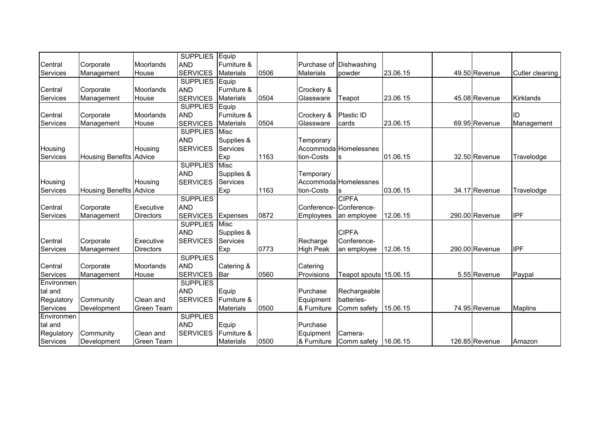|            |                                |                   | <b>SUPPLIES</b> | Equip            |      |                  |                        |          |                |                 |
|------------|--------------------------------|-------------------|-----------------|------------------|------|------------------|------------------------|----------|----------------|-----------------|
| Central    | Corporate                      | <b>Moorlands</b>  | <b>AND</b>      | Furniture &      |      | Purchase of      | Dishwashing            |          |                |                 |
| Services   | Management                     | House             | <b>SERVICES</b> | <b>Materials</b> | 0506 | <b>Materials</b> | powder                 | 23.06.15 | 49.50 Revenue  | Cutler cleaning |
|            |                                |                   | <b>SUPPLIES</b> | Equip            |      |                  |                        |          |                |                 |
| Central    | Corporate                      | Moorlands         | <b>AND</b>      | Furniture &      |      | Crockery &       |                        |          |                |                 |
| Services   | Management                     | House             | <b>SERVICES</b> | <b>Materials</b> | 0504 | Glassware        | Teapot                 | 23.06.15 | 45.08 Revenue  | Kirklands       |
|            |                                |                   | <b>SUPPLIES</b> | Equip            |      |                  |                        |          |                |                 |
| Central    | Corporate                      | Moorlands         | <b>AND</b>      | Furniture &      |      | Crockery &       | Plastic ID             |          |                | ID              |
| Services   | Management                     | House             | <b>SERVICES</b> | <b>Materials</b> | 0504 | Glassware        | cards                  | 23.06.15 | 69.95 Revenue  | Management      |
|            |                                |                   | <b>SUPPLIES</b> | Misc             |      |                  |                        |          |                |                 |
|            |                                |                   | <b>AND</b>      | Supplies &       |      | Temporary        |                        |          |                |                 |
| Housing    |                                | Housing           | <b>SERVICES</b> | Services         |      |                  | Accommoda Homelessnes  |          |                |                 |
| Services   | <b>Housing Benefits Advice</b> |                   |                 | Exp              | 1163 | tion-Costs       | lS                     | 01.06.15 | 32.50 Revenue  | Travelodge      |
|            |                                |                   | <b>SUPPLIES</b> | <b>Misc</b>      |      |                  |                        |          |                |                 |
|            |                                |                   | <b>AND</b>      | Supplies &       |      | Temporary        |                        |          |                |                 |
| Housing    |                                | Housing           | <b>SERVICES</b> | Services         |      |                  | Accommoda Homelessnes  |          |                |                 |
| Services   | Housing Benefits Advice        |                   |                 | Exp              | 1163 | tion-Costs       |                        | 03.06.15 | 34.17 Revenue  | Travelodge      |
|            |                                |                   | <b>SUPPLIES</b> |                  |      |                  | <b>CIPFA</b>           |          |                |                 |
| Central    | Corporate                      | Executive         | <b>AND</b>      |                  |      | Conference-      | Conference-            |          |                |                 |
| Services   | Management                     | <b>Directors</b>  | <b>SERVICES</b> | Expenses         | 0872 | Employees        | an employee            | 12.06.15 | 290.00 Revenue | <b>IPF</b>      |
|            |                                |                   | <b>SUPPLIES</b> | Misc             |      |                  |                        |          |                |                 |
|            |                                |                   | <b>AND</b>      | Supplies &       |      |                  | <b>CIPFA</b>           |          |                |                 |
| Central    | Corporate                      | Executive         | <b>SERVICES</b> | <b>Services</b>  |      | Recharge         | Conference-            |          |                |                 |
| Services   | Management                     | <b>Directors</b>  |                 | Exp              | 0773 | <b>High Peak</b> | an employee            | 12.06.15 | 290.00 Revenue | <b>IPF</b>      |
|            |                                |                   | <b>SUPPLIES</b> |                  |      |                  |                        |          |                |                 |
| Central    | Corporate                      | Moorlands         | <b>AND</b>      | Catering &       |      | Catering         |                        |          |                |                 |
| Services   | Management                     | House             | <b>SERVICES</b> | Bar              | 0560 | Provisions       | Teapot spouts 15.06.15 |          | 5.55 Revenue   | Paypal          |
| Environmen |                                |                   | <b>SUPPLIES</b> |                  |      |                  |                        |          |                |                 |
| tal and    |                                |                   | <b>AND</b>      | Equip            |      | Purchase         | Rechargeable           |          |                |                 |
| Regulatory | Community                      | Clean and         | <b>SERVICES</b> | Furniture &      |      | Equipment        | batteries-             |          |                |                 |
| Services   | Development                    | Green Team        |                 | <b>Materials</b> | 0500 | & Furniture      | Comm safety            | 15.06.15 | 74.95 Revenue  | <b>Maplins</b>  |
| Environmen |                                |                   | <b>SUPPLIES</b> |                  |      |                  |                        |          |                |                 |
| tal and    |                                |                   | <b>AND</b>      | Equip            |      | Purchase         |                        |          |                |                 |
| Regulatory | Community                      | Clean and         | <b>SERVICES</b> | Furniture &      |      | Equipment        | Camera-                |          |                |                 |
| Services   | Development                    | <b>Green Team</b> |                 | <b>Materials</b> | 0500 | & Furniture      | Comm safety            | 16.06.15 | 126.85 Revenue | Amazon          |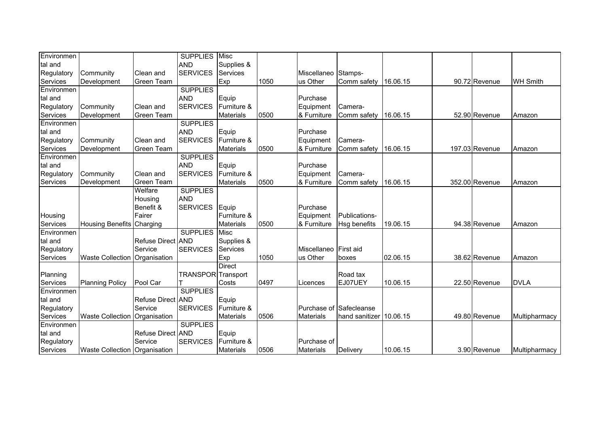| Environmen |                                      |                   | <b>SUPPLIES</b>           | <b>Misc</b>      |      |                  |                |          |                |                 |
|------------|--------------------------------------|-------------------|---------------------------|------------------|------|------------------|----------------|----------|----------------|-----------------|
| tal and    |                                      |                   | <b>AND</b>                | Supplies &       |      |                  |                |          |                |                 |
| Regulatory | Community                            | Clean and         | <b>SERVICES</b>           | Services         |      | Miscellaneo      | Stamps-        |          |                |                 |
| Services   | Development                          | Green Team        |                           | Exp              | 1050 | us Other         | Comm safety    | 16.06.15 | 90.72 Revenue  | <b>WH Smith</b> |
| Environmen |                                      |                   | <b>SUPPLIES</b>           |                  |      |                  |                |          |                |                 |
| tal and    |                                      |                   | <b>AND</b>                | Equip            |      | Purchase         |                |          |                |                 |
| Regulatory | Community                            | Clean and         | <b>SERVICES</b>           | Furniture &      |      | Equipment        | Camera-        |          |                |                 |
| Services   | Development                          | Green Team        |                           | Materials        | 0500 | & Furniture      | Comm safety    | 16.06.15 | 52.90 Revenue  | Amazon          |
| Environmen |                                      |                   | <b>SUPPLIES</b>           |                  |      |                  |                |          |                |                 |
| tal and    |                                      |                   | <b>AND</b>                | Equip            |      | Purchase         |                |          |                |                 |
| Regulatory | Community                            | Clean and         | <b>SERVICES</b>           | Furniture &      |      | Equipment        | Camera-        |          |                |                 |
| Services   | Development                          | Green Team        |                           | Materials        | 0500 | & Furniture      | Comm safety    | 16.06.15 | 197.03 Revenue | Amazon          |
| Environmen |                                      |                   | <b>SUPPLIES</b>           |                  |      |                  |                |          |                |                 |
| tal and    |                                      |                   | <b>AND</b>                | Equip            |      | Purchase         |                |          |                |                 |
| Regulatory | Community                            | Clean and         | <b>SERVICES</b>           | Furniture &      |      | Equipment        | Camera-        |          |                |                 |
| Services   | Development                          | Green Team        |                           | <b>Materials</b> | 0500 | & Furniture      | Comm safety    | 16.06.15 | 352.00 Revenue | Amazon          |
|            |                                      | Welfare           | <b>SUPPLIES</b>           |                  |      |                  |                |          |                |                 |
|            |                                      | Housing           | <b>AND</b>                |                  |      |                  |                |          |                |                 |
|            |                                      | Benefit &         | <b>SERVICES</b>           | Equip            |      | Purchase         |                |          |                |                 |
| Housing    |                                      | Fairer            |                           | Furniture &      |      | Equipment        | Publications-  |          |                |                 |
| Services   | Housing Benefits Charging            |                   |                           | <b>Materials</b> | 0500 | & Furniture      | Hsg benefits   | 19.06.15 | 94.38 Revenue  | Amazon          |
| Environmen |                                      |                   | <b>SUPPLIES</b>           | Misc             |      |                  |                |          |                |                 |
| tal and    |                                      | Refuse Direct AND |                           | Supplies &       |      |                  |                |          |                |                 |
| Regulatory |                                      | Service           | <b>SERVICES</b>           | Services         |      | Miscellaneo      | First aid      |          |                |                 |
| Services   | Waste Collection                     | Organisation      |                           | Exp              | 1050 | us Other         | boxes          | 02.06.15 | 38.62 Revenue  | Amazon          |
|            |                                      |                   |                           | <b>Direct</b>    |      |                  |                |          |                |                 |
| Planning   |                                      |                   | <b>TRANSPOR</b> Transport |                  |      |                  | Road tax       |          |                |                 |
| Services   | <b>Planning Policy</b>               | Pool Car          | T                         | Costs            | 0497 | Licences         | EJ07UEY        | 10.06.15 | 22.50 Revenue  | <b>DVLA</b>     |
| Environmen |                                      |                   | <b>SUPPLIES</b>           |                  |      |                  |                |          |                |                 |
| tal and    |                                      | Refuse Direct AND |                           | Equip            |      |                  |                |          |                |                 |
| Regulatory |                                      | Service           | <b>SERVICES</b>           | Furniture &      |      | Purchase of      | Safecleanse    |          |                |                 |
| Services   | <b>Waste Collection</b>              | Organisation      |                           | <b>Materials</b> | 0506 | <b>Materials</b> | hand sanitizer | 10.06.15 | 49.80 Revenue  | Multipharmacy   |
| Environmen |                                      |                   | <b>SUPPLIES</b>           |                  |      |                  |                |          |                |                 |
| tal and    |                                      | Refuse Direct AND |                           | Equip            |      |                  |                |          |                |                 |
| Regulatory |                                      | Service           | <b>SERVICES</b>           | Furniture &      |      | Purchase of      |                |          |                |                 |
| Services   | <b>Waste Collection Organisation</b> |                   |                           | <b>Materials</b> | 0506 | <b>Materials</b> | Delivery       | 10.06.15 | 3.90 Revenue   | Multipharmacy   |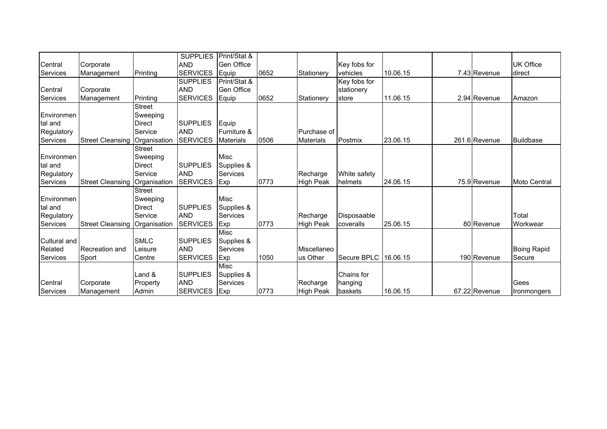|                   |                         |               | <b>SUPPLIES</b> | Print/Stat &     |      |                  |                      |          |               |                     |
|-------------------|-------------------------|---------------|-----------------|------------------|------|------------------|----------------------|----------|---------------|---------------------|
| Central           | Corporate               |               | <b>AND</b>      | Gen Office       |      |                  | Key fobs for         |          |               | UK Office           |
| <b>Services</b>   | Management              | Printing      | <b>SERVICES</b> | Equip            | 0652 | Stationerv       | vehicles             | 10.06.15 | 7.43 Revenue  | direct              |
|                   |                         |               | <b>SUPPLIES</b> | Print/Stat &     |      |                  | Key fobs for         |          |               |                     |
| Central           | Corporate               |               | <b>AND</b>      | Gen Office       |      |                  | stationery           |          |               |                     |
| Services          | Management              | Printing      | <b>SERVICES</b> | Equip            | 0652 | Stationery       | store                | 11.06.15 | 2.94 Revenue  | Amazon              |
|                   |                         | <b>Street</b> |                 |                  |      |                  |                      |          |               |                     |
| <b>Environmen</b> |                         | Sweeping      |                 |                  |      |                  |                      |          |               |                     |
| tal and           |                         | <b>Direct</b> | <b>SUPPLIES</b> | Equip            |      |                  |                      |          |               |                     |
| Regulatory        |                         | Service       | <b>AND</b>      | Furniture &      |      | Purchase of      |                      |          |               |                     |
| Services          | <b>Street Cleansing</b> | Organisation  | <b>SERVICES</b> | <b>Materials</b> | 0506 | <b>Materials</b> | Postmix              | 23.06.15 | 261.6 Revenue | <b>Buildbase</b>    |
|                   |                         | <b>Street</b> |                 |                  |      |                  |                      |          |               |                     |
| Environmen        |                         | Sweeping      |                 | Misc             |      |                  |                      |          |               |                     |
| tal and           |                         | <b>Direct</b> | <b>SUPPLIES</b> | Supplies &       |      |                  |                      |          |               |                     |
| Regulatory        |                         | Service       | <b>AND</b>      | Services         |      | Recharge         | White safety         |          |               |                     |
| Services          | <b>Street Cleansing</b> | Organisation  | <b>SERVICES</b> | Exp              | 0773 | <b>High Peak</b> | helmets              | 24.06.15 | 75.9 Revenue  | <b>Moto Central</b> |
|                   |                         | Street        |                 |                  |      |                  |                      |          |               |                     |
| <b>Environmen</b> |                         | Sweeping      |                 | <b>Misc</b>      |      |                  |                      |          |               |                     |
| tal and           |                         | <b>Direct</b> | <b>SUPPLIES</b> | Supplies &       |      |                  |                      |          |               |                     |
| Regulatory        |                         | Service       | <b>AND</b>      | Services         |      | Recharge         | Disposaable          |          |               | Total               |
| Services          | Street Cleansing        | Organisation  | <b>SERVICES</b> | Exp              | 0773 | <b>High Peak</b> | coveralls            | 25.06.15 | 80 Revenue    | Workwear            |
|                   |                         |               |                 | Misc             |      |                  |                      |          |               |                     |
| Cultural and      |                         | <b>SMLC</b>   | <b>SUPPLIES</b> | Supplies &       |      |                  |                      |          |               |                     |
| Related           | Recreation and          | Leisure       | <b>AND</b>      | <b>Services</b>  |      | Miscellaneo      |                      |          |               | <b>Boing Rapid</b>  |
| Services          | Sport                   | Centre        | <b>SERVICES</b> | Exp              | 1050 | us Other         | Secure BPLC 16.06.15 |          | 190 Revenue   | Secure              |
|                   |                         |               |                 | Misc             |      |                  |                      |          |               |                     |
|                   |                         | Land &        | <b>SUPPLIES</b> | Supplies &       |      |                  | Chains for           |          |               |                     |
| Central           | Corporate               | Property      | <b>AND</b>      | <b>Services</b>  |      | Recharge         | hanging              |          |               | Gees                |
| Services          | Management              | Admin         | <b>SERVICES</b> | <b>Exp</b>       | 0773 | <b>High Peak</b> | baskets              | 16.06.15 | 67.22 Revenue | Ironmongers         |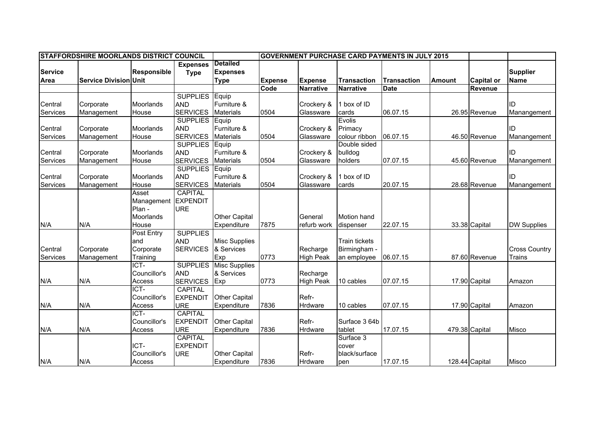|                     | <b>STAFFORDSHIRE MOORLANDS DISTRICT COUNCIL</b> |                  |                 |                      |                | <b>GOVERNMENT PURCHASE CARD PAYMENTS IN JULY 2015</b> |                      |                    |               |                   |                                |
|---------------------|-------------------------------------------------|------------------|-----------------|----------------------|----------------|-------------------------------------------------------|----------------------|--------------------|---------------|-------------------|--------------------------------|
|                     |                                                 |                  | <b>Expenses</b> | <b>Detailed</b>      |                |                                                       |                      |                    |               |                   |                                |
| <b>Service</b>      |                                                 | Responsible      | <b>Type</b>     | <b>Expenses</b>      |                |                                                       |                      |                    |               |                   | <b>Supplier</b>                |
| Area                | <b>Service Division Unit</b>                    |                  |                 | <b>Type</b>          | <b>Expense</b> | <b>Expense</b>                                        | <b>Transaction</b>   | <b>Transaction</b> | <b>Amount</b> | <b>Capital or</b> | Name                           |
|                     |                                                 |                  |                 |                      | Code           | <b>Narrative</b>                                      | <b>Narrative</b>     | <b>Date</b>        |               | <b>Revenue</b>    |                                |
|                     |                                                 |                  | <b>SUPPLIES</b> | Equip                |                |                                                       |                      |                    |               |                   |                                |
| Central             | Corporate                                       | Moorlands        | <b>AND</b>      | Furniture &          |                | Crockery &                                            | 1 box of ID          |                    |               |                   | ID                             |
| Services            | Management                                      | House            | <b>SERVICES</b> | <b>Materials</b>     | 0504           | Glassware                                             | cards                | 06.07.15           |               | 26.95 Revenue     | Manangement                    |
|                     |                                                 |                  | <b>SUPPLIES</b> | Equip                |                |                                                       | Evolis               |                    |               |                   |                                |
| Central             | Corporate                                       | <b>Moorlands</b> | <b>AND</b>      | Furniture &          |                | Crockery &                                            | Primacy              |                    |               |                   | ID                             |
| Services            | Management                                      | House            | <b>SERVICES</b> | <b>Materials</b>     | 0504           | Glassware                                             | colour ribbon        | 06.07.15           |               | 46.50 Revenue     | Manangement                    |
|                     |                                                 |                  | <b>SUPPLIES</b> | Equip                |                |                                                       | Double sided         |                    |               |                   |                                |
| Central             | Corporate                                       | Moorlands        | <b>AND</b>      | Furniture &          |                | Crockery &                                            | bulldog              |                    |               |                   | ID                             |
| Services            | Management                                      | House            | <b>SERVICES</b> | <b>Materials</b>     | 0504           | Glassware                                             | holders              | 07.07.15           |               | 45.60 Revenue     | Manangement                    |
|                     |                                                 |                  | <b>SUPPLIES</b> | Equip                |                |                                                       |                      |                    |               |                   |                                |
| Central             | Corporate                                       | Moorlands        | <b>AND</b>      | Furniture &          |                | Crockery &                                            | 1 box of ID          |                    |               |                   | ID                             |
| Services            | Management                                      | House            | <b>SERVICES</b> | <b>Materials</b>     | 0504           | Glassware                                             | cards                | 20.07.15           |               | 28.68 Revenue     | Manangement                    |
|                     |                                                 | Asset            | <b>CAPITAL</b>  |                      |                |                                                       |                      |                    |               |                   |                                |
|                     |                                                 | Management       | <b>EXPENDIT</b> |                      |                |                                                       |                      |                    |               |                   |                                |
|                     |                                                 | Plan -           | <b>URE</b>      |                      |                |                                                       |                      |                    |               |                   |                                |
|                     |                                                 | Moorlands        |                 | <b>Other Capital</b> |                | General                                               | <b>Motion hand</b>   |                    |               |                   |                                |
| N/A                 | N/A                                             | House            |                 | Expenditure          | 7875           | refurb work                                           | dispenser            | 22.07.15           |               | 33.38 Capital     | <b>DW Supplies</b>             |
|                     |                                                 | Post Entry       | <b>SUPPLIES</b> |                      |                |                                                       |                      |                    |               |                   |                                |
|                     |                                                 | and<br>Corporate | <b>AND</b>      | Misc Supplies        |                |                                                       | <b>Train tickets</b> |                    |               |                   |                                |
| Central<br>Services | Corporate                                       | Training         | <b>SERVICES</b> | & Services<br>Exp    | 0773           | Recharge<br><b>High Peak</b>                          | Birmingham -         | 06.07.15           |               | 87.60 Revenue     | <b>Cross Country</b><br>Trains |
|                     | Management                                      | ICT-             | <b>SUPPLIES</b> | <b>Misc Supplies</b> |                |                                                       | an employee          |                    |               |                   |                                |
|                     |                                                 | Councillor's     | <b>AND</b>      | & Services           |                | Recharge                                              |                      |                    |               |                   |                                |
| N/A                 | N/A                                             | Access           | <b>SERVICES</b> | Exp                  | 0773           | <b>High Peak</b>                                      | 10 cables            | 07.07.15           |               | 17.90 Capital     | Amazon                         |
|                     |                                                 | ICT-             | <b>CAPITAL</b>  |                      |                |                                                       |                      |                    |               |                   |                                |
|                     |                                                 | Councillor's     | <b>EXPENDIT</b> | <b>Other Capital</b> |                | Refr-                                                 |                      |                    |               |                   |                                |
| N/A                 | N/A                                             | Access           | <b>URE</b>      | Expenditure          | 7836           | Hrdware                                               | 10 cables            | 07.07.15           |               | 17.90 Capital     | Amazon                         |
|                     |                                                 | ICT-             | <b>CAPITAL</b>  |                      |                |                                                       |                      |                    |               |                   |                                |
|                     |                                                 | Councillor's     | <b>EXPENDIT</b> | <b>Other Capital</b> |                | Refr-                                                 | Surface 3 64b        |                    |               |                   |                                |
| N/A                 | N/A                                             | Access           | <b>URE</b>      | Expenditure          | 7836           | Hrdware                                               | tablet               | 17.07.15           |               | 479.38 Capital    | Misco                          |
|                     |                                                 |                  | <b>CAPITAL</b>  |                      |                |                                                       | Surface 3            |                    |               |                   |                                |
|                     |                                                 | ICT-             | <b>EXPENDIT</b> |                      |                |                                                       | cover                |                    |               |                   |                                |
|                     |                                                 | Councillor's     | <b>URE</b>      | Other Capital        |                | Refr-                                                 | black/surface        |                    |               |                   |                                |
| N/A                 | N/A                                             | Access           |                 | Expenditure          | 7836           | Hrdware                                               | pen                  | 17.07.15           |               | 128.44 Capital    | Misco                          |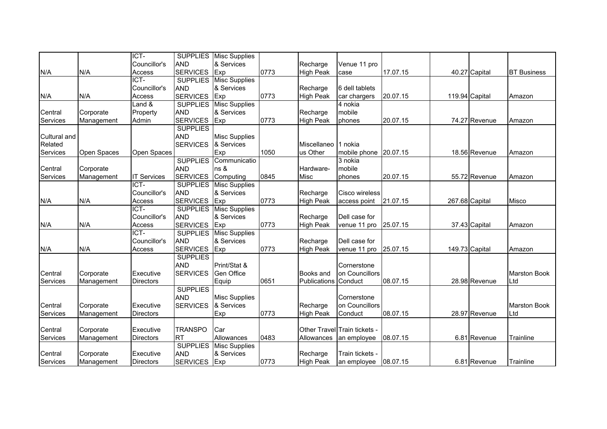| Councillor's<br>Venue 11 pro<br>Recharge<br><b>SERVICES</b><br>0773<br>Exp<br>17.07.15<br>N/A<br>N/A<br><b>High Peak</b><br>40.27 Capital<br><b>BT Business</b><br>Access<br>case<br>ICT-<br><b>SUPPLIES</b><br><b>Misc Supplies</b><br>& Services<br>Councillor's<br><b>AND</b><br>Recharge<br>6 dell tablets<br>0773<br>N/A<br><b>SERVICES</b><br>Exp<br><b>High Peak</b><br>20.07.15<br>119.94 Capital<br>N/A<br>Access<br>car chargers<br>Amazon<br><b>SUPPLIES</b><br>Land &<br><b>Misc Supplies</b><br>4 nokia<br>Property<br><b>AND</b><br>& Services<br>Recharge<br>mobile<br>Central<br>Corporate<br><b>SERVICES</b><br>Exp<br>0773<br>20.07.15<br>74.27 Revenue<br>Services<br>Admin<br><b>High Peak</b><br>Management<br>phones<br>Amazon<br><b>SUPPLIES</b><br><b>AND</b><br>Cultural and<br><b>Misc Supplies</b><br>Related<br><b>SERVICES</b><br>& Services<br>Miscellaneo<br>1 nokia<br>Exp<br>1050<br>20.07.15<br>Services<br>Open Spaces<br>Open Spaces<br>us Other<br>mobile phone<br>18.56 Revenue<br>Amazon<br><b>SUPPLIES</b><br>Communicatio<br>3 nokia<br><b>AND</b><br>Central<br>ns &<br>Hardware-<br>mobile<br>Corporate<br><b>SERVICES</b><br>Computing<br>0845<br>Services<br><b>IT Services</b><br>Misc<br>20.07.15<br>55.72 Revenue<br>Management<br>phones<br>Amazon<br>ICT-<br><b>SUPPLIES</b><br><b>Misc Supplies</b><br>Councillor's<br><b>AND</b><br>& Services<br>Recharge<br>Cisco wireless<br><b>SERVICES</b><br>N/A<br>0773<br>21.07.15<br>267.68 Capital<br>N/A<br>Access<br>Exp<br><b>High Peak</b><br>Misco<br>access point<br>$\overline{ICT}$<br><b>SUPPLIES</b><br><b>Misc Supplies</b><br><b>AND</b><br>Councillor's<br>& Services<br>Dell case for<br>Recharge<br>0773<br>N/A<br><b>SERVICES</b><br>Exp<br><b>High Peak</b><br>25.07.15<br>37.43 Capital<br>N/A<br>Access<br>venue 11 pro<br>Amazon<br>ICT-<br><b>Misc Supplies</b><br><b>SUPPLIES</b><br><b>AND</b><br>& Services<br>Councillor's<br>Dell case for<br>Recharge |  | ICT- | <b>SUPPLIES</b> | <b>Misc Supplies</b> |  |  |  |                     |
|--------------------------------------------------------------------------------------------------------------------------------------------------------------------------------------------------------------------------------------------------------------------------------------------------------------------------------------------------------------------------------------------------------------------------------------------------------------------------------------------------------------------------------------------------------------------------------------------------------------------------------------------------------------------------------------------------------------------------------------------------------------------------------------------------------------------------------------------------------------------------------------------------------------------------------------------------------------------------------------------------------------------------------------------------------------------------------------------------------------------------------------------------------------------------------------------------------------------------------------------------------------------------------------------------------------------------------------------------------------------------------------------------------------------------------------------------------------------------------------------------------------------------------------------------------------------------------------------------------------------------------------------------------------------------------------------------------------------------------------------------------------------------------------------------------------------------------------------------------------------------------------------------------------------------------------------------------------------------------|--|------|-----------------|----------------------|--|--|--|---------------------|
|                                                                                                                                                                                                                                                                                                                                                                                                                                                                                                                                                                                                                                                                                                                                                                                                                                                                                                                                                                                                                                                                                                                                                                                                                                                                                                                                                                                                                                                                                                                                                                                                                                                                                                                                                                                                                                                                                                                                                                                |  |      | <b>AND</b>      | & Services           |  |  |  |                     |
|                                                                                                                                                                                                                                                                                                                                                                                                                                                                                                                                                                                                                                                                                                                                                                                                                                                                                                                                                                                                                                                                                                                                                                                                                                                                                                                                                                                                                                                                                                                                                                                                                                                                                                                                                                                                                                                                                                                                                                                |  |      |                 |                      |  |  |  |                     |
|                                                                                                                                                                                                                                                                                                                                                                                                                                                                                                                                                                                                                                                                                                                                                                                                                                                                                                                                                                                                                                                                                                                                                                                                                                                                                                                                                                                                                                                                                                                                                                                                                                                                                                                                                                                                                                                                                                                                                                                |  |      |                 |                      |  |  |  |                     |
|                                                                                                                                                                                                                                                                                                                                                                                                                                                                                                                                                                                                                                                                                                                                                                                                                                                                                                                                                                                                                                                                                                                                                                                                                                                                                                                                                                                                                                                                                                                                                                                                                                                                                                                                                                                                                                                                                                                                                                                |  |      |                 |                      |  |  |  |                     |
|                                                                                                                                                                                                                                                                                                                                                                                                                                                                                                                                                                                                                                                                                                                                                                                                                                                                                                                                                                                                                                                                                                                                                                                                                                                                                                                                                                                                                                                                                                                                                                                                                                                                                                                                                                                                                                                                                                                                                                                |  |      |                 |                      |  |  |  |                     |
|                                                                                                                                                                                                                                                                                                                                                                                                                                                                                                                                                                                                                                                                                                                                                                                                                                                                                                                                                                                                                                                                                                                                                                                                                                                                                                                                                                                                                                                                                                                                                                                                                                                                                                                                                                                                                                                                                                                                                                                |  |      |                 |                      |  |  |  |                     |
|                                                                                                                                                                                                                                                                                                                                                                                                                                                                                                                                                                                                                                                                                                                                                                                                                                                                                                                                                                                                                                                                                                                                                                                                                                                                                                                                                                                                                                                                                                                                                                                                                                                                                                                                                                                                                                                                                                                                                                                |  |      |                 |                      |  |  |  |                     |
|                                                                                                                                                                                                                                                                                                                                                                                                                                                                                                                                                                                                                                                                                                                                                                                                                                                                                                                                                                                                                                                                                                                                                                                                                                                                                                                                                                                                                                                                                                                                                                                                                                                                                                                                                                                                                                                                                                                                                                                |  |      |                 |                      |  |  |  |                     |
|                                                                                                                                                                                                                                                                                                                                                                                                                                                                                                                                                                                                                                                                                                                                                                                                                                                                                                                                                                                                                                                                                                                                                                                                                                                                                                                                                                                                                                                                                                                                                                                                                                                                                                                                                                                                                                                                                                                                                                                |  |      |                 |                      |  |  |  |                     |
|                                                                                                                                                                                                                                                                                                                                                                                                                                                                                                                                                                                                                                                                                                                                                                                                                                                                                                                                                                                                                                                                                                                                                                                                                                                                                                                                                                                                                                                                                                                                                                                                                                                                                                                                                                                                                                                                                                                                                                                |  |      |                 |                      |  |  |  |                     |
|                                                                                                                                                                                                                                                                                                                                                                                                                                                                                                                                                                                                                                                                                                                                                                                                                                                                                                                                                                                                                                                                                                                                                                                                                                                                                                                                                                                                                                                                                                                                                                                                                                                                                                                                                                                                                                                                                                                                                                                |  |      |                 |                      |  |  |  |                     |
|                                                                                                                                                                                                                                                                                                                                                                                                                                                                                                                                                                                                                                                                                                                                                                                                                                                                                                                                                                                                                                                                                                                                                                                                                                                                                                                                                                                                                                                                                                                                                                                                                                                                                                                                                                                                                                                                                                                                                                                |  |      |                 |                      |  |  |  |                     |
|                                                                                                                                                                                                                                                                                                                                                                                                                                                                                                                                                                                                                                                                                                                                                                                                                                                                                                                                                                                                                                                                                                                                                                                                                                                                                                                                                                                                                                                                                                                                                                                                                                                                                                                                                                                                                                                                                                                                                                                |  |      |                 |                      |  |  |  |                     |
|                                                                                                                                                                                                                                                                                                                                                                                                                                                                                                                                                                                                                                                                                                                                                                                                                                                                                                                                                                                                                                                                                                                                                                                                                                                                                                                                                                                                                                                                                                                                                                                                                                                                                                                                                                                                                                                                                                                                                                                |  |      |                 |                      |  |  |  |                     |
|                                                                                                                                                                                                                                                                                                                                                                                                                                                                                                                                                                                                                                                                                                                                                                                                                                                                                                                                                                                                                                                                                                                                                                                                                                                                                                                                                                                                                                                                                                                                                                                                                                                                                                                                                                                                                                                                                                                                                                                |  |      |                 |                      |  |  |  |                     |
|                                                                                                                                                                                                                                                                                                                                                                                                                                                                                                                                                                                                                                                                                                                                                                                                                                                                                                                                                                                                                                                                                                                                                                                                                                                                                                                                                                                                                                                                                                                                                                                                                                                                                                                                                                                                                                                                                                                                                                                |  |      |                 |                      |  |  |  |                     |
|                                                                                                                                                                                                                                                                                                                                                                                                                                                                                                                                                                                                                                                                                                                                                                                                                                                                                                                                                                                                                                                                                                                                                                                                                                                                                                                                                                                                                                                                                                                                                                                                                                                                                                                                                                                                                                                                                                                                                                                |  |      |                 |                      |  |  |  |                     |
|                                                                                                                                                                                                                                                                                                                                                                                                                                                                                                                                                                                                                                                                                                                                                                                                                                                                                                                                                                                                                                                                                                                                                                                                                                                                                                                                                                                                                                                                                                                                                                                                                                                                                                                                                                                                                                                                                                                                                                                |  |      |                 |                      |  |  |  |                     |
|                                                                                                                                                                                                                                                                                                                                                                                                                                                                                                                                                                                                                                                                                                                                                                                                                                                                                                                                                                                                                                                                                                                                                                                                                                                                                                                                                                                                                                                                                                                                                                                                                                                                                                                                                                                                                                                                                                                                                                                |  |      |                 |                      |  |  |  |                     |
|                                                                                                                                                                                                                                                                                                                                                                                                                                                                                                                                                                                                                                                                                                                                                                                                                                                                                                                                                                                                                                                                                                                                                                                                                                                                                                                                                                                                                                                                                                                                                                                                                                                                                                                                                                                                                                                                                                                                                                                |  |      |                 |                      |  |  |  |                     |
|                                                                                                                                                                                                                                                                                                                                                                                                                                                                                                                                                                                                                                                                                                                                                                                                                                                                                                                                                                                                                                                                                                                                                                                                                                                                                                                                                                                                                                                                                                                                                                                                                                                                                                                                                                                                                                                                                                                                                                                |  |      |                 |                      |  |  |  |                     |
|                                                                                                                                                                                                                                                                                                                                                                                                                                                                                                                                                                                                                                                                                                                                                                                                                                                                                                                                                                                                                                                                                                                                                                                                                                                                                                                                                                                                                                                                                                                                                                                                                                                                                                                                                                                                                                                                                                                                                                                |  |      |                 |                      |  |  |  |                     |
|                                                                                                                                                                                                                                                                                                                                                                                                                                                                                                                                                                                                                                                                                                                                                                                                                                                                                                                                                                                                                                                                                                                                                                                                                                                                                                                                                                                                                                                                                                                                                                                                                                                                                                                                                                                                                                                                                                                                                                                |  |      |                 |                      |  |  |  |                     |
| N/A<br>0773<br><b>SERVICES</b><br>Exp<br><b>High Peak</b><br>25.07.15<br>149.73 Capital<br>Amazon<br>N/A<br>Access<br>venue 11 pro                                                                                                                                                                                                                                                                                                                                                                                                                                                                                                                                                                                                                                                                                                                                                                                                                                                                                                                                                                                                                                                                                                                                                                                                                                                                                                                                                                                                                                                                                                                                                                                                                                                                                                                                                                                                                                             |  |      |                 |                      |  |  |  |                     |
| <b>SUPPLIES</b>                                                                                                                                                                                                                                                                                                                                                                                                                                                                                                                                                                                                                                                                                                                                                                                                                                                                                                                                                                                                                                                                                                                                                                                                                                                                                                                                                                                                                                                                                                                                                                                                                                                                                                                                                                                                                                                                                                                                                                |  |      |                 |                      |  |  |  |                     |
| <b>AND</b><br>Print/Stat &<br>Cornerstone                                                                                                                                                                                                                                                                                                                                                                                                                                                                                                                                                                                                                                                                                                                                                                                                                                                                                                                                                                                                                                                                                                                                                                                                                                                                                                                                                                                                                                                                                                                                                                                                                                                                                                                                                                                                                                                                                                                                      |  |      |                 |                      |  |  |  |                     |
| <b>SERVICES</b><br>Gen Office<br>Central<br>Executive<br><b>Books</b> and<br>on Councillors<br>Corporate                                                                                                                                                                                                                                                                                                                                                                                                                                                                                                                                                                                                                                                                                                                                                                                                                                                                                                                                                                                                                                                                                                                                                                                                                                                                                                                                                                                                                                                                                                                                                                                                                                                                                                                                                                                                                                                                       |  |      |                 |                      |  |  |  | <b>Marston Book</b> |
| 08.07.15<br>0651<br>Conduct<br>28.98 Revenue<br>Equip<br>Ltd<br>Services<br>Management<br><b>Directors</b><br><b>Publications</b>                                                                                                                                                                                                                                                                                                                                                                                                                                                                                                                                                                                                                                                                                                                                                                                                                                                                                                                                                                                                                                                                                                                                                                                                                                                                                                                                                                                                                                                                                                                                                                                                                                                                                                                                                                                                                                              |  |      |                 |                      |  |  |  |                     |
| <b>SUPPLIES</b>                                                                                                                                                                                                                                                                                                                                                                                                                                                                                                                                                                                                                                                                                                                                                                                                                                                                                                                                                                                                                                                                                                                                                                                                                                                                                                                                                                                                                                                                                                                                                                                                                                                                                                                                                                                                                                                                                                                                                                |  |      |                 |                      |  |  |  |                     |
| <b>Misc Supplies</b><br><b>AND</b><br>Cornerstone                                                                                                                                                                                                                                                                                                                                                                                                                                                                                                                                                                                                                                                                                                                                                                                                                                                                                                                                                                                                                                                                                                                                                                                                                                                                                                                                                                                                                                                                                                                                                                                                                                                                                                                                                                                                                                                                                                                              |  |      |                 |                      |  |  |  |                     |
| <b>SERVICES</b><br>Central<br>Executive<br>& Services<br>Corporate<br>Recharge<br>on Councillors                                                                                                                                                                                                                                                                                                                                                                                                                                                                                                                                                                                                                                                                                                                                                                                                                                                                                                                                                                                                                                                                                                                                                                                                                                                                                                                                                                                                                                                                                                                                                                                                                                                                                                                                                                                                                                                                               |  |      |                 |                      |  |  |  | <b>Marston Book</b> |
| Exp<br>08.07.15<br>0773<br>Conduct<br>28.97 Revenue<br>Services<br><b>Directors</b><br><b>High Peak</b><br>Ltd<br>Management                                                                                                                                                                                                                                                                                                                                                                                                                                                                                                                                                                                                                                                                                                                                                                                                                                                                                                                                                                                                                                                                                                                                                                                                                                                                                                                                                                                                                                                                                                                                                                                                                                                                                                                                                                                                                                                   |  |      |                 |                      |  |  |  |                     |
|                                                                                                                                                                                                                                                                                                                                                                                                                                                                                                                                                                                                                                                                                                                                                                                                                                                                                                                                                                                                                                                                                                                                                                                                                                                                                                                                                                                                                                                                                                                                                                                                                                                                                                                                                                                                                                                                                                                                                                                |  |      |                 |                      |  |  |  |                     |
| Central<br>Executive<br>Car<br>Other Travel Train tickets -<br>Corporate<br><b>TRANSPO</b>                                                                                                                                                                                                                                                                                                                                                                                                                                                                                                                                                                                                                                                                                                                                                                                                                                                                                                                                                                                                                                                                                                                                                                                                                                                                                                                                                                                                                                                                                                                                                                                                                                                                                                                                                                                                                                                                                     |  |      |                 |                      |  |  |  |                     |
| 6.81 Revenue<br>Services<br><b>RT</b><br>Allowances<br>0483<br>08.07.15<br><b>Directors</b><br>Allowances<br>an employee<br>Trainline<br>Management                                                                                                                                                                                                                                                                                                                                                                                                                                                                                                                                                                                                                                                                                                                                                                                                                                                                                                                                                                                                                                                                                                                                                                                                                                                                                                                                                                                                                                                                                                                                                                                                                                                                                                                                                                                                                            |  |      |                 |                      |  |  |  |                     |
| <b>SUPPLIES</b><br><b>Misc Supplies</b>                                                                                                                                                                                                                                                                                                                                                                                                                                                                                                                                                                                                                                                                                                                                                                                                                                                                                                                                                                                                                                                                                                                                                                                                                                                                                                                                                                                                                                                                                                                                                                                                                                                                                                                                                                                                                                                                                                                                        |  |      |                 |                      |  |  |  |                     |
| Central<br>& Services<br>Corporate<br>Executive<br><b>AND</b><br>Recharge<br>Train tickets -                                                                                                                                                                                                                                                                                                                                                                                                                                                                                                                                                                                                                                                                                                                                                                                                                                                                                                                                                                                                                                                                                                                                                                                                                                                                                                                                                                                                                                                                                                                                                                                                                                                                                                                                                                                                                                                                                   |  |      |                 |                      |  |  |  |                     |
| Services<br><b>SERVICES</b><br>Exp<br>0773<br><b>High Peak</b><br>08.07.15<br>6.81 Revenue<br>Management<br><b>Directors</b><br>an employee<br>Trainline                                                                                                                                                                                                                                                                                                                                                                                                                                                                                                                                                                                                                                                                                                                                                                                                                                                                                                                                                                                                                                                                                                                                                                                                                                                                                                                                                                                                                                                                                                                                                                                                                                                                                                                                                                                                                       |  |      |                 |                      |  |  |  |                     |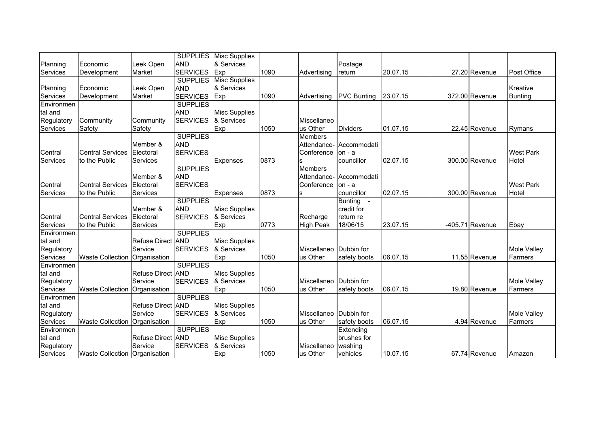|            |                               |                      |                 | <b>SUPPLIES</b> Misc Supplies |      |                  |                    |          |                   |                  |
|------------|-------------------------------|----------------------|-----------------|-------------------------------|------|------------------|--------------------|----------|-------------------|------------------|
| Planning   | Economic                      | Leek Open            | <b>AND</b>      | & Services                    |      |                  | Postage            |          |                   |                  |
| Services   | Development                   | Market               | <b>SERVICES</b> | Exp                           | 1090 | Advertising      | return             | 20.07.15 | 27.20 Revenue     | Post Office      |
|            |                               |                      |                 | <b>SUPPLIES</b> Misc Supplies |      |                  |                    |          |                   |                  |
| Planning   | Economic                      | Leek Open            | <b>AND</b>      | & Services                    |      |                  |                    |          |                   | Kreative         |
| Services   | Development                   | Market               | <b>SERVICES</b> | Exp                           | 1090 | Advertising      | <b>PVC Bunting</b> | 23.07.15 | 372.00 Revenue    | Bunting          |
| Environmen |                               |                      | <b>SUPPLIES</b> |                               |      |                  |                    |          |                   |                  |
| tal and    |                               |                      | <b>AND</b>      | <b>Misc Supplies</b>          |      |                  |                    |          |                   |                  |
| Regulatory | Community                     | Community            | <b>SERVICES</b> | & Services                    |      | Miscellaneo      |                    |          |                   |                  |
| Services   | Safety                        | Safety               |                 | Exp                           | 1050 | us Other         | <b>Dividers</b>    | 01.07.15 | 22.45 Revenue     | Rymans           |
|            |                               |                      | <b>SUPPLIES</b> |                               |      | <b>Members</b>   |                    |          |                   |                  |
|            |                               | Member &             | <b>AND</b>      |                               |      | Attendance-      | Accommodati        |          |                   |                  |
| Central    | <b>Central Services</b>       | Electoral            | <b>SERVICES</b> |                               |      | Conference       | $on - a$           |          |                   | <b>West Park</b> |
| Services   | to the Public                 | Services             |                 | Expenses                      | 0873 | s                | councillor         | 02.07.15 | 300.00 Revenue    | Hotel            |
|            |                               |                      | <b>SUPPLIES</b> |                               |      | <b>Members</b>   |                    |          |                   |                  |
|            |                               | Member &             | <b>AND</b>      |                               |      | Attendance-      | Accommodati        |          |                   |                  |
| Central    | <b>Central Services</b>       | Electoral            | <b>SERVICES</b> |                               |      | Conference       | $on -a$            |          |                   | <b>West Park</b> |
| Services   | to the Public                 | Services             |                 | Expenses                      | 0873 | s                | councillor         | 02.07.15 | 300.00 Revenue    | Hotel            |
|            |                               |                      | <b>SUPPLIES</b> |                               |      |                  | Bunting -          |          |                   |                  |
|            |                               | Member &             | <b>AND</b>      | <b>Misc Supplies</b>          |      |                  | credit for         |          |                   |                  |
| Central    | <b>Central Services</b>       | Electoral            | <b>SERVICES</b> | & Services                    |      | Recharge         | return re          |          |                   |                  |
| Services   | to the Public                 | Services             |                 | Exp                           | 0773 | <b>High Peak</b> | 18/06/15           | 23.07.15 | $-405.71$ Revenue | Ebay             |
| Environmen |                               |                      | <b>SUPPLIES</b> |                               |      |                  |                    |          |                   |                  |
| tal and    |                               | Refuse Direct AND    |                 | <b>Misc Supplies</b>          |      |                  |                    |          |                   |                  |
| Regulatory |                               | Service              | <b>SERVICES</b> | & Services                    |      | Miscellaneo      | Dubbin for         |          |                   | Mole Valley      |
| Services   | Waste Collection Organisation |                      |                 | Exp                           | 1050 | us Other         | safety boots       | 06.07.15 | 11.55 Revenue     | Farmers          |
| Environmen |                               |                      | <b>SUPPLIES</b> |                               |      |                  |                    |          |                   |                  |
| tal and    |                               | Refuse Direct AND    |                 | <b>Misc Supplies</b>          |      |                  |                    |          |                   |                  |
| Regulatory |                               | Service              | <b>SERVICES</b> | & Services                    |      | Miscellaneo      | Dubbin for         |          |                   | Mole Valley      |
| Services   | <b>Waste Collection</b>       | Organisation         |                 | Exp                           | 1050 | us Other         | safety boots       | 06.07.15 | 19.80 Revenue     | Farmers          |
| Environmen |                               |                      | <b>SUPPLIES</b> |                               |      |                  |                    |          |                   |                  |
| tal and    |                               | <b>Refuse Direct</b> | <b>AND</b>      | <b>Misc Supplies</b>          |      |                  |                    |          |                   |                  |
| Regulatory |                               | Service              | <b>SERVICES</b> | & Services                    |      | Miscellaneo      | Dubbin for         |          |                   | Mole Valley      |
| Services   | <b>Waste Collection</b>       | Organisation         |                 | Exp                           | 1050 | us Other         | safety boots       | 06.07.15 | 4.94 Revenue      | Farmers          |
| Environmen |                               |                      | <b>SUPPLIES</b> |                               |      |                  | Extending          |          |                   |                  |
| tal and    |                               | Refuse Direct AND    |                 | <b>Misc Supplies</b>          |      |                  | brushes for        |          |                   |                  |
| Regulatory |                               | Service              | <b>SERVICES</b> | & Services                    |      | Miscellaneo      | washing            |          |                   |                  |
| Services   | Waste Collection Organisation |                      |                 | Exp                           | 1050 | us Other         | vehicles           | 10.07.15 | 67.74 Revenue     | Amazon           |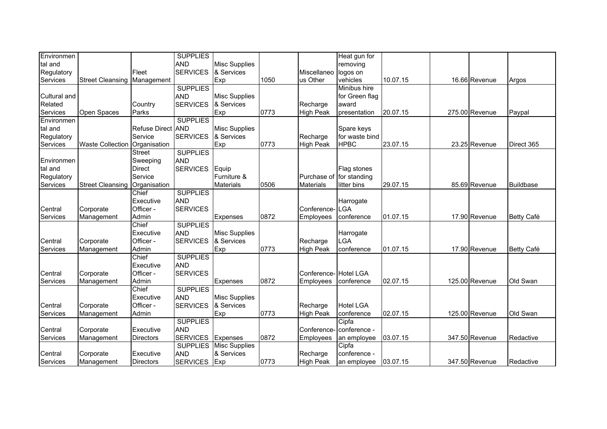| Environmen   |                                 |                   | <b>SUPPLIES</b> |                      |      |                          | Heat gun for     |          |                |                   |
|--------------|---------------------------------|-------------------|-----------------|----------------------|------|--------------------------|------------------|----------|----------------|-------------------|
| tal and      |                                 |                   | <b>AND</b>      | <b>Misc Supplies</b> |      |                          | removing         |          |                |                   |
| Regulatory   |                                 | Fleet             | <b>SERVICES</b> | & Services           |      | Miscellaneo logos on     |                  |          |                |                   |
| Services     | Street Cleansing Management     |                   |                 | Exp                  | 1050 | us Other                 | vehicles         | 10.07.15 | 16.66 Revenue  | Argos             |
|              |                                 |                   | <b>SUPPLIES</b> |                      |      |                          | Minibus hire     |          |                |                   |
| Cultural and |                                 |                   | <b>AND</b>      | <b>Misc Supplies</b> |      |                          | for Green flag   |          |                |                   |
| Related      |                                 | Country           | <b>SERVICES</b> | & Services           |      | Recharge                 | award            |          |                |                   |
| Services     | Open Spaces                     | Parks             |                 | Exp                  | 0773 | <b>High Peak</b>         | presentation     | 20.07.15 | 275.00 Revenue | Paypal            |
| Environmen   |                                 |                   | <b>SUPPLIES</b> |                      |      |                          |                  |          |                |                   |
| tal and      |                                 | Refuse Direct AND |                 | <b>Misc Supplies</b> |      |                          | Spare keys       |          |                |                   |
| Regulatory   |                                 | Service           | <b>SERVICES</b> | & Services           |      | Recharge                 | for waste bind   |          |                |                   |
| Services     | <b>Waste Collection</b>         | Organisation      |                 | <b>Exp</b>           | 0773 | <b>High Peak</b>         | <b>HPBC</b>      | 23.07.15 | 23.25 Revenue  | Direct 365        |
|              |                                 | <b>Street</b>     | <b>SUPPLIES</b> |                      |      |                          |                  |          |                |                   |
| Environmen   |                                 | Sweeping          | <b>AND</b>      |                      |      |                          |                  |          |                |                   |
| tal and      |                                 | <b>Direct</b>     | <b>SERVICES</b> | Equip                |      |                          | Flag stones      |          |                |                   |
| Regulatory   |                                 | Service           |                 | Furniture &          |      | Purchase of for standing |                  |          |                |                   |
| Services     | Street Cleansing   Organisation |                   |                 | <b>Materials</b>     | 0506 | <b>Materials</b>         | litter bins      | 29.07.15 | 85.69 Revenue  | Buildbase         |
|              |                                 | Chief             | <b>SUPPLIES</b> |                      |      |                          |                  |          |                |                   |
|              |                                 | Executive         | <b>AND</b>      |                      |      |                          | Harrogate        |          |                |                   |
| Central      | Corporate                       | Officer -         | <b>SERVICES</b> |                      |      | Conference-              | LGA              |          |                |                   |
| Services     | Management                      | Admin             |                 | Expenses             | 0872 | Employees                | conference       | 01.07.15 | 17.90 Revenue  | <b>Betty Café</b> |
|              |                                 | Chief             | <b>SUPPLIES</b> |                      |      |                          |                  |          |                |                   |
|              |                                 | Executive         | <b>AND</b>      | <b>Misc Supplies</b> |      |                          | Harrogate        |          |                |                   |
| Central      | Corporate                       | Officer -         | <b>SERVICES</b> | & Services           |      | Recharge                 | LGA              |          |                |                   |
| Services     | Management                      | Admin             |                 | Exp                  | 0773 | <b>High Peak</b>         | conference       | 01.07.15 | 17.90 Revenue  | <b>Betty Café</b> |
|              |                                 | Chief             | <b>SUPPLIES</b> |                      |      |                          |                  |          |                |                   |
|              |                                 | Executive         | <b>AND</b>      |                      |      |                          |                  |          |                |                   |
| Central      | Corporate                       | Officer -         | <b>SERVICES</b> |                      |      | Conference-              | <b>Hotel LGA</b> |          |                |                   |
| Services     | Management                      | Admin             |                 | Expenses             | 0872 | Employees                | conference       | 02.07.15 | 125.00 Revenue | Old Swan          |
|              |                                 | Chief             | <b>SUPPLIES</b> |                      |      |                          |                  |          |                |                   |
|              |                                 | Executive         | <b>AND</b>      | <b>Misc Supplies</b> |      |                          |                  |          |                |                   |
| Central      | Corporate                       | Officer -         | <b>SERVICES</b> | & Services           |      | Recharge                 | <b>Hotel LGA</b> |          |                |                   |
| Services     | Management                      | Admin             |                 | Exp                  | 0773 | <b>High Peak</b>         | conference       | 02.07.15 | 125.00 Revenue | Old Swan          |
|              |                                 |                   | <b>SUPPLIES</b> |                      |      |                          | Cipfa            |          |                |                   |
| Central      | Corporate                       | Executive         | <b>AND</b>      |                      |      | Conference-              | conference -     |          |                |                   |
| Services     | Management                      | <b>Directors</b>  | <b>SERVICES</b> | Expenses             | 0872 | Employees                | an employee      | 03.07.15 | 347.50 Revenue | Redactive         |
|              |                                 |                   | <b>SUPPLIES</b> | <b>Misc Supplies</b> |      |                          | Cipfa            |          |                |                   |
| Central      | Corporate                       | Executive         | <b>AND</b>      | & Services           |      | Recharge                 | conference -     |          |                |                   |
| Services     | Management                      | <b>Directors</b>  | <b>SERVICES</b> | Exp                  | 0773 | <b>High Peak</b>         | an employee      | 03.07.15 | 347.50 Revenue | Redactive         |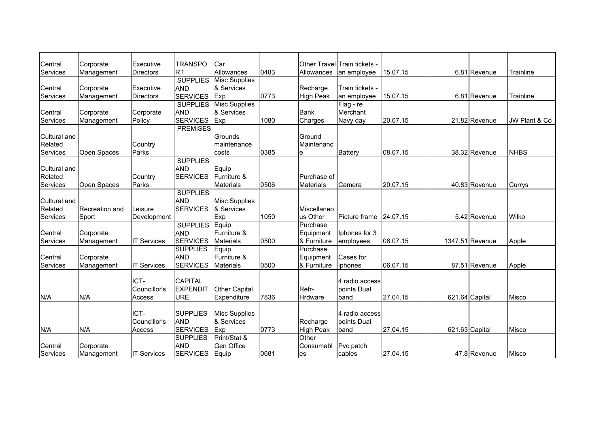| Central             | Corporate      | Executive          | <b>TRANSPO</b>  | Car                  |      |                  | Other TravellTrain tickets - |          |                 |               |
|---------------------|----------------|--------------------|-----------------|----------------------|------|------------------|------------------------------|----------|-----------------|---------------|
| Services            | Management     | <b>Directors</b>   | <b>RT</b>       | Allowances           | 0483 | Allowances       | an employee                  | 15.07.15 | 6.81 Revenue    | Trainline     |
|                     |                |                    | <b>SUPPLIES</b> | <b>Misc Supplies</b> |      |                  |                              |          |                 |               |
| Central             | Corporate      | Executive          | <b>AND</b>      | & Services           |      | Recharge         | Train tickets -              |          |                 |               |
| Services            | Management     | <b>Directors</b>   | <b>SERVICES</b> | Exp                  | 0773 | <b>High Peak</b> | an employee                  | 15.07.15 | 6.81 Revenue    | Trainline     |
|                     |                |                    | <b>SUPPLIES</b> | <b>Misc Supplies</b> |      |                  | Flag - re                    |          |                 |               |
| Central             | Corporate      | Corporate          | <b>AND</b>      | & Services           |      | <b>Bank</b>      | Merchant                     |          |                 |               |
| Services            | Management     | Policy             | <b>SERVICES</b> | Exp                  | 1080 | Charges          | Navy day                     | 20.07.15 | 21.82 Revenue   | JW Plant & Co |
|                     |                |                    | <b>PREMISES</b> |                      |      |                  |                              |          |                 |               |
| <b>Cultural and</b> |                |                    |                 | Grounds              |      | Ground           |                              |          |                 |               |
| Related             |                | Country            |                 | maintenance          |      | Maintenanc       |                              |          |                 |               |
| Services            | Open Spaces    | Parks              |                 | costs                | 0385 | le               | <b>Battery</b>               | 08.07.15 | 38.32 Revenue   | <b>NHBS</b>   |
|                     |                |                    | <b>SUPPLIES</b> |                      |      |                  |                              |          |                 |               |
| <b>Cultural and</b> |                |                    | <b>AND</b>      | Equip                |      |                  |                              |          |                 |               |
| Related             |                | Country            | <b>SERVICES</b> | Furniture &          |      | Purchase of      |                              |          |                 |               |
| Services            | Open Spaces    | Parks              |                 | <b>Materials</b>     | 0506 | <b>Materials</b> | Camera                       | 20.07.15 | 40.83 Revenue   | Currys        |
|                     |                |                    | <b>SUPPLIES</b> |                      |      |                  |                              |          |                 |               |
| Cultural and        |                |                    | <b>AND</b>      | <b>Misc Supplies</b> |      |                  |                              |          |                 |               |
| Related             | Recreation and | Leisure            | <b>SERVICES</b> | & Services           |      | Miscellaneo      |                              |          |                 |               |
| Services            | Sport          | Development        |                 | Exp                  | 1050 | us Other         | Picture frame                | 24.07.15 | 5.42 Revenue    | Wilko         |
|                     |                |                    | <b>SUPPLIES</b> | Equip                |      | Purchase         |                              |          |                 |               |
| Central             | Corporate      |                    | <b>AND</b>      | Furniture &          |      | Equipment        | Iphones for 3                |          |                 |               |
| Services            | Management     | <b>IT Services</b> | <b>SERVICES</b> | <b>Materials</b>     | 0500 | & Furniture      | employees                    | 06.07.15 | 1347.51 Revenue | Apple         |
|                     |                |                    | <b>SUPPLIES</b> | Equip                |      | Purchase         |                              |          |                 |               |
| Central             | Corporate      |                    | <b>AND</b>      | Furniture &          |      | Equipment        | Cases for                    |          |                 |               |
| Services            | Management     | <b>IT Services</b> | <b>SERVICES</b> | <b>Materials</b>     | 0500 | & Furniture      | iphones                      | 06.07.15 | 87.51 Revenue   | Apple         |
|                     |                |                    |                 |                      |      |                  |                              |          |                 |               |
|                     |                | ICT-               | <b>CAPITAL</b>  |                      |      |                  | 4 radio access               |          |                 |               |
|                     |                | Councillor's       | <b>EXPENDIT</b> | <b>Other Capital</b> |      | Refr-            | points Dual                  |          |                 |               |
| N/A                 | N/A            | Access             | <b>URE</b>      | Expenditure          | 7836 | <b>Hrdware</b>   | band                         | 27.04.15 | 621.64 Capital  | <b>Misco</b>  |
|                     |                |                    |                 |                      |      |                  |                              |          |                 |               |
|                     |                | ICT-               | <b>SUPPLIES</b> | <b>Misc Supplies</b> |      |                  | 4 radio access               |          |                 |               |
|                     |                | Councillor's       | <b>AND</b>      | & Services           |      | Recharge         | points Dual                  |          |                 |               |
| N/A                 | N/A            | Access             | <b>SERVICES</b> | Exp                  | 0773 | <b>High Peak</b> | band                         | 27.04.15 | 621.63 Capital  | Misco         |
|                     |                |                    | <b>SUPPLIES</b> | Print/Stat &         |      | Other            |                              |          |                 |               |
| Central             | Corporate      |                    | <b>AND</b>      | Gen Office           |      | Consumabl        | Pvc patch                    |          |                 |               |
| Services            | Management     | <b>IT Services</b> | <b>SERVICES</b> | Equip                | 0681 | <b>es</b>        | cables                       | 27.04.15 | 47.8 Revenue    | <b>Misco</b>  |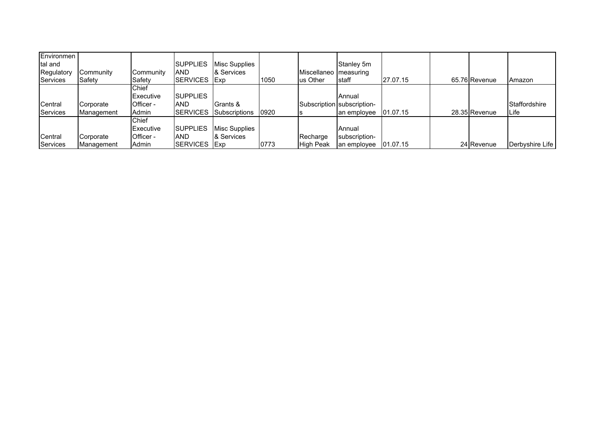| Environmen<br>tal and<br>Regulatory<br>Services | Community<br>Safety     | Community<br>Safety                                    | <b>ISUPPLIES</b><br>AND<br>ISERVICES        | Misc Supplies<br>& Services<br><b>IExp</b> | 1050 | Miscellaneo   measuring<br>lus Other | Stanley 5m<br>staff                                 | 27.07.15 | 65.76 Revenue | Amazon                         |
|-------------------------------------------------|-------------------------|--------------------------------------------------------|---------------------------------------------|--------------------------------------------|------|--------------------------------------|-----------------------------------------------------|----------|---------------|--------------------------------|
| Central<br><b>Services</b>                      | Corporate<br>Management | Chief<br>Executive<br>Officer -<br>Admin               | <b>ISUPPLIES</b><br>AND<br><b>ISERVICES</b> | Grants &<br>Subscriptions                  | 0920 |                                      | Annual<br>Subscription subscription-<br>an employee | 01.07.15 | 28.35 Revenue | Staffordshire<br><b>I</b> Life |
| Central<br>Services                             | Corporate<br>Management | <b>Chief</b><br><b>Executive</b><br>Officer -<br>Admin | <b>SUPPLIES</b><br>AND<br><b>SERVICES</b>   | Misc Supplies<br>& Services<br><b>IExp</b> | 0773 | Recharge<br><b>High Peak</b>         | <b>Annual</b><br>subscription-<br>an employee       | 01.07.15 | 24 Revenue    | Derbyshire Life                |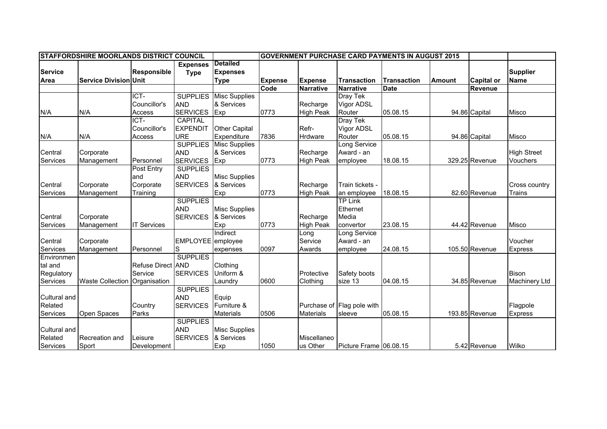| <b>STAFFORDSHIRE MOORLANDS DISTRICT COUNCIL</b><br><b>GOVERNMENT PURCHASE CARD PAYMENTS IN AUGUST 2015</b> |                              |                    |                 |                      |                |                  |                            |                    |        |                   |                      |
|------------------------------------------------------------------------------------------------------------|------------------------------|--------------------|-----------------|----------------------|----------------|------------------|----------------------------|--------------------|--------|-------------------|----------------------|
|                                                                                                            |                              |                    | <b>Expenses</b> | <b>Detailed</b>      |                |                  |                            |                    |        |                   |                      |
| <b>Service</b>                                                                                             |                              | Responsible        | <b>Type</b>     | <b>Expenses</b>      |                |                  |                            |                    |        |                   | <b>Supplier</b>      |
| Area                                                                                                       | <b>Service Division Unit</b> |                    |                 | <b>Type</b>          | <b>Expense</b> | <b>Expense</b>   | <b>Transaction</b>         | <b>Transaction</b> | Amount | <b>Capital or</b> | <b>Name</b>          |
|                                                                                                            |                              |                    |                 |                      | Code           | <b>Narrative</b> | <b>Narrative</b>           | <b>Date</b>        |        | <b>Revenue</b>    |                      |
|                                                                                                            |                              | ICT-               | <b>SUPPLIES</b> | <b>Misc Supplies</b> |                |                  | Dray Tek                   |                    |        |                   |                      |
|                                                                                                            |                              | Councillor's       | <b>AND</b>      | & Services           |                | Recharge         | Vigor ADSL                 |                    |        |                   |                      |
| N/A                                                                                                        | N/A                          | Access             | <b>SERVICES</b> | Exp                  | 0773           | <b>High Peak</b> | Router                     | 05.08.15           |        | 94.86 Capital     | <b>Misco</b>         |
|                                                                                                            |                              | ICT-               | <b>CAPITAL</b>  |                      |                |                  | Dray Tek                   |                    |        |                   |                      |
|                                                                                                            |                              | Councillor's       | <b>EXPENDIT</b> | <b>Other Capital</b> |                | Refr-            | Vigor ADSL                 |                    |        |                   |                      |
| N/A                                                                                                        | N/A                          | Access             | URE             | Expenditure          | 7836           | Hrdware          | Router                     | 05.08.15           |        | 94.86 Capital     | <b>Misco</b>         |
|                                                                                                            |                              |                    | <b>SUPPLIES</b> | <b>Misc Supplies</b> |                |                  | Long Service               |                    |        |                   |                      |
| Central                                                                                                    | Corporate                    |                    | <b>AND</b>      | & Services           |                | Recharge         | Award - an                 |                    |        |                   | <b>High Street</b>   |
| Services                                                                                                   | Management                   | Personnel          | <b>SERVICES</b> | Exp                  | 0773           | <b>High Peak</b> | employee                   | 18.08.15           |        | 329.25 Revenue    | Vouchers             |
|                                                                                                            |                              | Post Entry         | <b>SUPPLIES</b> |                      |                |                  |                            |                    |        |                   |                      |
|                                                                                                            |                              | and                | <b>AND</b>      | <b>Misc Supplies</b> |                |                  |                            |                    |        |                   |                      |
| Central                                                                                                    | Corporate                    | Corporate          | <b>SERVICES</b> | & Services           |                | Recharge         | Train tickets -            |                    |        |                   | Cross country        |
| Services                                                                                                   | Management                   | Training           |                 | Exp                  | 0773           | <b>High Peak</b> | an employee                | 18.08.15           |        | 82.60 Revenue     | Trains               |
|                                                                                                            |                              |                    | <b>SUPPLIES</b> |                      |                |                  | <b>TP</b> Link             |                    |        |                   |                      |
|                                                                                                            |                              |                    | <b>AND</b>      | <b>Misc Supplies</b> |                |                  | Ethernet                   |                    |        |                   |                      |
| Central                                                                                                    | Corporate                    |                    | <b>SERVICES</b> | & Services           |                | Recharge         | Media                      |                    |        |                   |                      |
| Services                                                                                                   | Management                   | <b>IT Services</b> |                 | Exp                  | 0773           | <b>High Peak</b> | convertor                  | 23.08.15           |        | 44.42 Revenue     | Misco                |
|                                                                                                            |                              |                    |                 | Indirect             |                | Long             | Long Service               |                    |        |                   |                      |
| Central                                                                                                    | Corporate                    |                    | <b>EMPLOYEE</b> | employee             |                | Service          | Award - an                 |                    |        |                   | Voucher              |
| Services                                                                                                   | Management                   | Personnel          | lS              | expenses             | 0097           | Awards           | employee                   | 24.08.15           |        | 105.50 Revenue    | <b>Express</b>       |
| Environmen                                                                                                 |                              |                    | <b>SUPPLIES</b> |                      |                |                  |                            |                    |        |                   |                      |
| tal and                                                                                                    |                              | Refuse Direct AND  |                 | Clothing             |                |                  |                            |                    |        |                   |                      |
| Regulatory                                                                                                 |                              | Service            | <b>SERVICES</b> | Uniform &            |                | Protective       | Safety boots               |                    |        |                   | <b>Bison</b>         |
| Services                                                                                                   | <b>Waste Collection</b>      | Organisation       |                 | Laundry              | 0600           | Clothing         | size 13                    | 04.08.15           |        | 34.85 Revenue     | <b>Machinery Ltd</b> |
|                                                                                                            |                              |                    | <b>SUPPLIES</b> |                      |                |                  |                            |                    |        |                   |                      |
| Cultural and                                                                                               |                              |                    | <b>AND</b>      | Equip                |                |                  |                            |                    |        |                   |                      |
| Related                                                                                                    |                              | Country            | <b>SERVICES</b> | Furniture &          |                |                  | Purchase of Flag pole with |                    |        |                   | Flagpole             |
| Services                                                                                                   | Open Spaces                  | Parks              |                 | <b>Materials</b>     | 0506           | <b>Materials</b> | sleeve                     | 05.08.15           |        | 193.85 Revenue    | Express              |
|                                                                                                            |                              |                    | <b>SUPPLIES</b> |                      |                |                  |                            |                    |        |                   |                      |
| Cultural and                                                                                               |                              |                    | <b>AND</b>      | <b>Misc Supplies</b> |                |                  |                            |                    |        |                   |                      |
| Related                                                                                                    | Recreation and               | Leisure            | <b>SERVICES</b> | & Services           |                | Miscellaneo      |                            |                    |        |                   |                      |
| Services                                                                                                   | Sport                        | Development        |                 | Exp                  | 1050           | us Other         | Picture Frame 06.08.15     |                    |        | 5.42 Revenue      | Wilko                |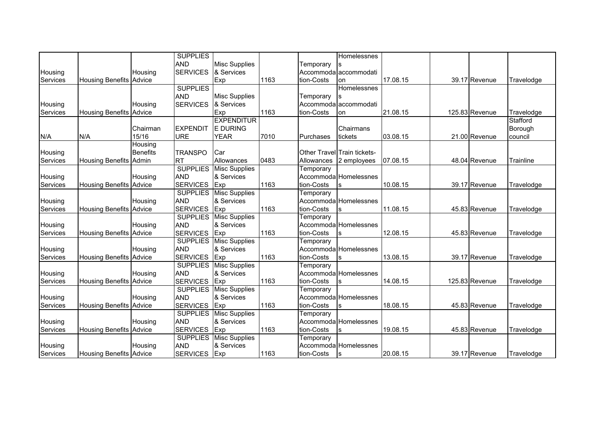|          |                                |                 | <b>SUPPLIES</b> |                      |      |            | Homelessnes                 |          |                |            |
|----------|--------------------------------|-----------------|-----------------|----------------------|------|------------|-----------------------------|----------|----------------|------------|
|          |                                |                 | <b>AND</b>      | <b>Misc Supplies</b> |      | Temporary  |                             |          |                |            |
| Housing  |                                | Housing         | <b>SERVICES</b> | & Services           |      |            | Accommoda accommodati       |          |                |            |
| Services | <b>Housing Benefits Advice</b> |                 |                 | Exp                  | 1163 | tion-Costs | lon                         | 17.08.15 | 39.17 Revenue  | Travelodge |
|          |                                |                 | <b>SUPPLIES</b> |                      |      |            | Homelessnes                 |          |                |            |
|          |                                |                 | <b>AND</b>      | <b>Misc Supplies</b> |      | Temporary  |                             |          |                |            |
| Housing  |                                | Housing         | <b>SERVICES</b> | & Services           |      |            | Accommoda accommodati       |          |                |            |
| Services | <b>Housing Benefits Advice</b> |                 |                 | Exp                  | 1163 | tion-Costs | lon                         | 21.08.15 | 125.83 Revenue | Travelodge |
|          |                                |                 |                 | <b>EXPENDITUR</b>    |      |            |                             |          |                | Stafford   |
|          |                                | Chairman        | <b>EXPENDIT</b> | <b>E DURING</b>      |      |            | Chairmans                   |          |                | Borough    |
| N/A      | N/A                            | 15/16           | <b>URE</b>      | <b>YEAR</b>          | 7010 | Purchases  | tickets                     | 03.08.15 | 21.00 Revenue  | council    |
|          |                                | Housing         |                 |                      |      |            |                             |          |                |            |
| Housing  |                                | <b>Benefits</b> | <b>TRANSPO</b>  | Car                  |      |            | Other TravellTrain tickets- |          |                |            |
| Services | <b>Housing Benefits Admin</b>  |                 | <b>RT</b>       | Allowances           | 0483 | Allowances | 2 employees                 | 07.08.15 | 48.04 Revenue  | Trainline  |
|          |                                |                 | <b>SUPPLIES</b> | <b>Misc Supplies</b> |      | Temporary  |                             |          |                |            |
| Housing  |                                | Housing         | <b>AND</b>      | & Services           |      |            | Accommoda Homelessnes       |          |                |            |
| Services | <b>Housing Benefits Advice</b> |                 | <b>SERVICES</b> | Exp                  | 1163 | tion-Costs | S                           | 10.08.15 | 39.17 Revenue  | Travelodge |
|          |                                |                 | <b>SUPPLIES</b> | <b>Misc Supplies</b> |      | Temporary  |                             |          |                |            |
| Housing  |                                | Housing         | <b>AND</b>      | & Services           |      |            | Accommoda Homelessnes       |          |                |            |
| Services | <b>Housing Benefits</b>        | Advice          | <b>SERVICES</b> | Exp                  | 1163 | tion-Costs | S                           | 11.08.15 | 45.83 Revenue  | Travelodge |
|          |                                |                 | <b>SUPPLIES</b> | <b>Misc Supplies</b> |      | Temporary  |                             |          |                |            |
| Housing  |                                | Housing         | <b>AND</b>      | & Services           |      |            | Accommoda Homelessnes       |          |                |            |
| Services | <b>Housing Benefits Advice</b> |                 | <b>SERVICES</b> | Exp                  | 1163 | tion-Costs | lS                          | 12.08.15 | 45.83 Revenue  | Travelodge |
|          |                                |                 | <b>SUPPLIES</b> | <b>Misc Supplies</b> |      | Temporary  |                             |          |                |            |
| Housing  |                                | Housing         | <b>AND</b>      | & Services           |      |            | Accommoda Homelessnes       |          |                |            |
| Services | <b>Housing Benefits Advice</b> |                 | <b>SERVICES</b> | Exp                  | 1163 | tion-Costs |                             | 13.08.15 | 39.17 Revenue  | Travelodge |
|          |                                |                 | <b>SUPPLIES</b> | <b>Misc Supplies</b> |      | Temporary  |                             |          |                |            |
| Housing  |                                | Housing         | <b>AND</b>      | & Services           |      |            | Accommoda Homelessnes       |          |                |            |
| Services | <b>Housing Benefits Advice</b> |                 | <b>SERVICES</b> | Exp                  | 1163 | tion-Costs | S                           | 14.08.15 | 125.83 Revenue | Travelodge |
|          |                                |                 | <b>SUPPLIES</b> | <b>Misc Supplies</b> |      | Temporary  |                             |          |                |            |
| Housing  |                                | Housing         | <b>AND</b>      | & Services           |      |            | Accommoda Homelessnes       |          |                |            |
| Services | <b>Housing Benefits Advice</b> |                 | <b>SERVICES</b> | Exp                  | 1163 | tion-Costs | S                           | 18.08.15 | 45.83 Revenue  | Travelodge |
|          |                                |                 | <b>SUPPLIES</b> | <b>Misc Supplies</b> |      | Temporary  |                             |          |                |            |
| Housing  |                                | Housing         | <b>AND</b>      | & Services           |      |            | Accommoda Homelessnes       |          |                |            |
| Services | <b>Housing Benefits Advice</b> |                 | <b>SERVICES</b> | Exp                  | 1163 | tion-Costs |                             | 19.08.15 | 45.83 Revenue  | Travelodge |
|          |                                |                 | <b>SUPPLIES</b> | <b>Misc Supplies</b> |      | Temporary  |                             |          |                |            |
| Housing  |                                | Housing         | <b>AND</b>      | & Services           |      |            | Accommoda Homelessnes       |          |                |            |
| Services | <b>Housing Benefits Advice</b> |                 | <b>SERVICES</b> | Exp                  | 1163 | tion-Costs | S                           | 20.08.15 | 39.17 Revenue  | Travelodge |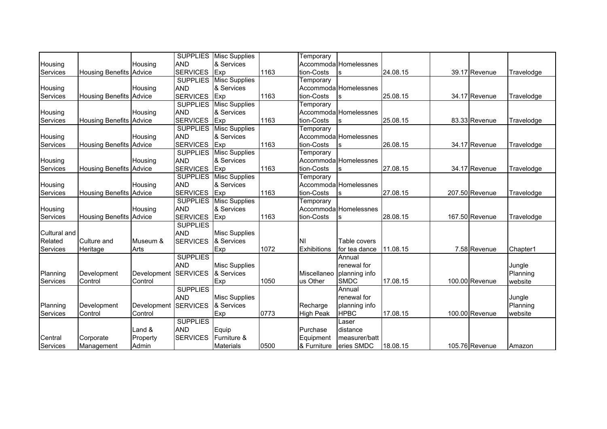|              |                                |             | <b>SUPPLIES</b> | <b>Misc Supplies</b> |      | Temporary        |                       |          |                |            |
|--------------|--------------------------------|-------------|-----------------|----------------------|------|------------------|-----------------------|----------|----------------|------------|
| Housing      |                                | Housing     | <b>AND</b>      | & Services           |      |                  | Accommoda Homelessnes |          |                |            |
| Services     | <b>Housing Benefits Advice</b> |             | <b>SERVICES</b> | Exp                  | 1163 | tion-Costs       |                       | 24.08.15 | 39.17 Revenue  | Travelodge |
|              |                                |             | <b>SUPPLIES</b> | <b>Misc Supplies</b> |      | Temporary        |                       |          |                |            |
| Housing      |                                | Housing     | <b>AND</b>      | & Services           |      |                  | Accommoda Homelessnes |          |                |            |
| Services     | <b>Housing Benefits Advice</b> |             | <b>SERVICES</b> | Exp                  | 1163 | tion-Costs       |                       | 25.08.15 | 34.17 Revenue  | Travelodge |
|              |                                |             | <b>SUPPLIES</b> | <b>Misc Supplies</b> |      | Temporary        |                       |          |                |            |
| Housing      |                                | Housing     | <b>AND</b>      | & Services           |      |                  | Accommoda Homelessnes |          |                |            |
| Services     | <b>Housing Benefits Advice</b> |             | <b>SERVICES</b> | Exp                  | 1163 | tion-Costs       |                       | 25.08.15 | 83.33 Revenue  | Travelodge |
|              |                                |             | <b>SUPPLIES</b> | <b>Misc Supplies</b> |      | Temporary        |                       |          |                |            |
| Housing      |                                | Housing     | <b>AND</b>      | & Services           |      |                  | Accommoda Homelessnes |          |                |            |
| Services     | <b>Housing Benefits Advice</b> |             | <b>SERVICES</b> | Exp                  | 1163 | tion-Costs       |                       | 26.08.15 | 34.17 Revenue  | Travelodge |
|              |                                |             | <b>SUPPLIES</b> | <b>Misc Supplies</b> |      | Temporary        |                       |          |                |            |
| Housing      |                                | Housing     | <b>AND</b>      | & Services           |      |                  | Accommoda Homelessnes |          |                |            |
| Services     | <b>Housing Benefits Advice</b> |             | <b>SERVICES</b> | Exp                  | 1163 | tion-Costs       |                       | 27.08.15 | 34.17 Revenue  | Travelodge |
|              |                                |             | <b>SUPPLIES</b> | <b>Misc Supplies</b> |      | Temporary        |                       |          |                |            |
| Housing      |                                | Housing     | <b>AND</b>      | & Services           |      |                  | Accommoda Homelessnes |          |                |            |
| Services     | <b>Housing Benefits Advice</b> |             | <b>SERVICES</b> | Exp                  | 1163 | tion-Costs       |                       | 27.08.15 | 207.50 Revenue | Travelodge |
|              |                                |             | <b>SUPPLIES</b> | <b>Misc Supplies</b> |      | Temporary        |                       |          |                |            |
| Housing      |                                | Housing     | <b>AND</b>      | & Services           |      |                  | Accommoda Homelessnes |          |                |            |
| Services     | <b>Housing Benefits Advice</b> |             | <b>SERVICES</b> | Exp                  | 1163 | tion-Costs       |                       | 28.08.15 | 167.50 Revenue | Travelodge |
|              |                                |             | <b>SUPPLIES</b> |                      |      |                  |                       |          |                |            |
| Cultural and |                                |             | <b>AND</b>      | <b>Misc Supplies</b> |      |                  |                       |          |                |            |
| Related      | Culture and                    | Museum &    | <b>SERVICES</b> | & Services           |      | <b>NI</b>        | Table covers          |          |                |            |
| Services     | Heritage                       | Arts        |                 | Exp                  | 1072 | Exhibitions      | for tea dance         | 11.08.15 | 7.58 Revenue   | Chapter1   |
|              |                                |             | <b>SUPPLIES</b> |                      |      |                  | Annual                |          |                |            |
|              |                                |             | <b>AND</b>      | <b>Misc Supplies</b> |      |                  | renewal for           |          |                | Jungle     |
| Planning     | Development                    | Development | <b>SERVICES</b> | & Services           |      | Miscellaneo      | planning info         |          |                | Planning   |
| Services     | Control                        | Control     |                 | Exp                  | 1050 | us Other         | <b>SMDC</b>           | 17.08.15 | 100.00 Revenue | website    |
|              |                                |             | <b>SUPPLIES</b> |                      |      |                  | Annual                |          |                |            |
|              |                                |             | <b>AND</b>      | <b>Misc Supplies</b> |      |                  | renewal for           |          |                | Jungle     |
| Planning     | Development                    | Development | <b>SERVICES</b> | & Services           |      | Recharge         | planning info         |          |                | Planning   |
| Services     | Control                        | Control     |                 | Exp                  | 0773 | <b>High Peak</b> | <b>HPBC</b>           | 17.08.15 | 100.00 Revenue | website    |
|              |                                |             | <b>SUPPLIES</b> |                      |      |                  | Laser                 |          |                |            |
|              |                                | Land &      | <b>AND</b>      | Equip                |      | Purchase         | distance              |          |                |            |
| Central      | Corporate                      | Property    | <b>SERVICES</b> | Furniture &          |      | Equipment        | measurer/batt         |          |                |            |
| Services     | Management                     | Admin       |                 | <b>Materials</b>     | 0500 | & Furniture      | eries SMDC            | 18.08.15 | 105.76 Revenue | Amazon     |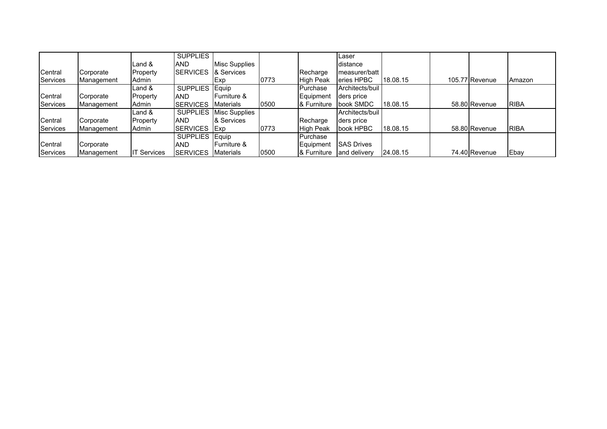|          |            |                    | <b>SUPPLIES</b>  |                         |      |                    | Laser             |          |                |             |
|----------|------------|--------------------|------------------|-------------------------|------|--------------------|-------------------|----------|----------------|-------------|
|          |            | Land &             | AND              | Misc Supplies           |      |                    | distance          |          |                |             |
| Central  | Corporate  | Property           | <b>ISERVICES</b> | <b>8</b> Services       |      | Recharge           | measurer/batt     |          |                |             |
| Services | Management | Admin              |                  | <b>Exp</b>              | 0773 | <b>High Peak</b>   | eries HPBC        | 18.08.15 | 105.77 Revenue | Amazon      |
|          |            | Land &             | <b>SUPPLIES</b>  | Equip                   |      | Purchase           | Architects/buil   |          |                |             |
| Central  | Corporate  | Property           | AND              | <b>IFurniture &amp;</b> |      | Equipment          | ders price        |          |                |             |
| Services | Management | Admin              | <b>SERVICES</b>  | Materials               | 0500 | <b>8</b> Furniture | book SMDC         | 18.08.15 | 58.80 Revenue  | <b>RIBA</b> |
|          |            | Land $&$           | <b>SUPPLIES</b>  | Misc Supplies           |      |                    | Architects/buil   |          |                |             |
| Central  | Corporate  | Property           | <b>AND</b>       | & Services              |      | Recharge           | ders price        |          |                |             |
| Services | Management | Admin              | <b>SERVICES</b>  | <b>IExp</b>             | 0773 | <b>High Peak</b>   | book HPBC         | 18.08.15 | 58.80 Revenue  | <b>RIBA</b> |
|          |            |                    | <b>SUPPLIES</b>  | Equip                   |      | Purchase           |                   |          |                |             |
| Central  | Corporate  |                    | AND              | Furniture &             |      | Equipment          | <b>SAS Drives</b> |          |                |             |
| Services | Management | <b>IT Services</b> | <b>SERVICES</b>  | Materials               | 0500 | & Furniture        | and delivery      | 24.08.15 | 74.40 Revenue  | Ebay        |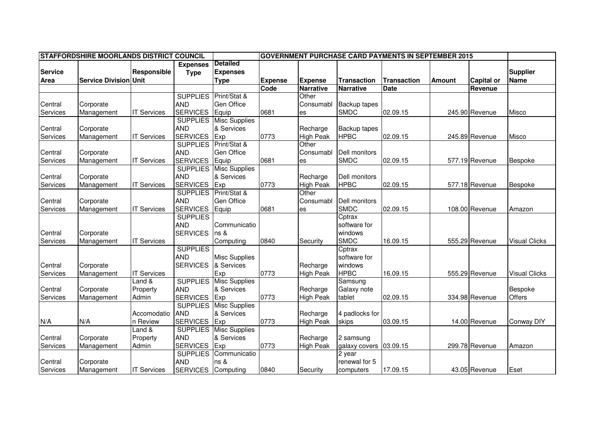|                |                              | <b>STAFFORDSHIRE MOORLANDS DISTRICT COUNCIL</b><br><b>GOVERNMENT PURCHASE CARD PAYMENTS IN SEPTEMBER 2015</b> |                 |                      |                |                  |                     |                    |               |                   |                      |
|----------------|------------------------------|---------------------------------------------------------------------------------------------------------------|-----------------|----------------------|----------------|------------------|---------------------|--------------------|---------------|-------------------|----------------------|
|                |                              |                                                                                                               | <b>Expenses</b> | <b>Detailed</b>      |                |                  |                     |                    |               |                   |                      |
| <b>Service</b> |                              | Responsible                                                                                                   | <b>Type</b>     | <b>Expenses</b>      |                |                  |                     |                    |               |                   | <b>Supplier</b>      |
| <b>Area</b>    | <b>Service Division Unit</b> |                                                                                                               |                 | <b>Type</b>          | <b>Expense</b> | <b>Expense</b>   | <b>Transaction</b>  | <b>Transaction</b> | <b>Amount</b> | <b>Capital or</b> | Name                 |
|                |                              |                                                                                                               |                 |                      | Code           | <b>Narrative</b> | <b>Narrative</b>    | <b>Date</b>        |               | Revenue           |                      |
|                |                              |                                                                                                               | <b>SUPPLIES</b> | Print/Stat &         |                | Other            |                     |                    |               |                   |                      |
| Central        | Corporate                    |                                                                                                               | <b>AND</b>      | Gen Office           |                | Consumabl        | <b>Backup tapes</b> |                    |               |                   |                      |
| Services       | Management                   | <b>IT Services</b>                                                                                            | <b>SERVICES</b> | Equip                | 0681           | es               | <b>SMDC</b>         | 02.09.15           |               | 245.90 Revenue    | Misco                |
|                |                              |                                                                                                               | <b>SUPPLIES</b> | <b>Misc Supplies</b> |                |                  |                     |                    |               |                   |                      |
| Central        | Corporate                    |                                                                                                               | <b>AND</b>      | & Services           |                | Recharge         | <b>Backup tapes</b> |                    |               |                   |                      |
| Services       | Management                   | <b>IT Services</b>                                                                                            | <b>SERVICES</b> | Exp                  | 0773           | <b>High Peak</b> | <b>HPBC</b>         | 02.09.15           |               | 245.89 Revenue    | Misco                |
|                |                              |                                                                                                               | <b>SUPPLIES</b> | Print/Stat &         |                | Other            |                     |                    |               |                   |                      |
| Central        | Corporate                    |                                                                                                               | <b>AND</b>      | Gen Office           |                | Consumabl        | Dell monitors       |                    |               |                   |                      |
| Services       | Management                   | <b>IT Services</b>                                                                                            | <b>SERVICES</b> | Equip                | 0681           | es               | <b>SMDC</b>         | 02.09.15           |               | 577.19 Revenue    | Bespoke              |
|                |                              |                                                                                                               | <b>SUPPLIES</b> | <b>Misc Supplies</b> |                |                  |                     |                    |               |                   |                      |
| Central        | Corporate                    |                                                                                                               | <b>AND</b>      | & Services           |                | Recharge         | Dell monitors       |                    |               |                   |                      |
| Services       | Management                   | <b>IT Services</b>                                                                                            | <b>SERVICES</b> | Exp                  | 0773           | <b>High Peak</b> | <b>HPBC</b>         | 02.09.15           |               | 577.18 Revenue    | Bespoke              |
|                |                              |                                                                                                               | <b>SUPPLIES</b> | Print/Stat &         |                | Other            |                     |                    |               |                   |                      |
| Central        | Corporate                    |                                                                                                               | <b>AND</b>      | <b>Gen Office</b>    |                | Consumabl        | Dell monitors       |                    |               |                   |                      |
| Services       | Management                   | <b>IT Services</b>                                                                                            | <b>SERVICES</b> | Equip                | 0681           | les              | <b>SMDC</b>         | 02.09.15           |               | 108.00 Revenue    | Amazon               |
|                |                              |                                                                                                               | <b>SUPPLIES</b> |                      |                |                  | Cptrax              |                    |               |                   |                      |
|                |                              |                                                                                                               | <b>AND</b>      | Communicatio         |                |                  | software for        |                    |               |                   |                      |
| Central        | Corporate                    |                                                                                                               | <b>SERVICES</b> | ns &                 |                |                  | windows             |                    |               |                   |                      |
| Services       | Management                   | <b>IT Services</b>                                                                                            |                 | Computing            | 0840           | Security         | <b>SMDC</b>         | 16.09.15           |               | 555.29 Revenue    | <b>Visual Clicks</b> |
|                |                              |                                                                                                               | <b>SUPPLIES</b> |                      |                |                  | Cptrax              |                    |               |                   |                      |
|                |                              |                                                                                                               | <b>AND</b>      | <b>Misc Supplies</b> |                |                  | software for        |                    |               |                   |                      |
| Central        | Corporate                    |                                                                                                               | <b>SERVICES</b> | & Services           |                | Recharge         | windows             |                    |               |                   |                      |
| Services       | Management                   | <b>IT Services</b>                                                                                            |                 | Exp                  | 0773           | <b>High Peak</b> | <b>HPBC</b>         | 16.09.15           |               | 555.29 Revenue    | <b>Visual Clicks</b> |
|                |                              | Land &                                                                                                        | <b>SUPPLIES</b> | <b>Misc Supplies</b> |                |                  | Samsung             |                    |               |                   |                      |
| Central        | Corporate                    | Property                                                                                                      | <b>AND</b>      | & Services           |                | Recharge         | Galaxy note         |                    |               |                   | Bespoke              |
| Services       | Management                   | Admin                                                                                                         | <b>SERVICES</b> | Exp                  | 0773           | <b>High Peak</b> | tablet              | 02.09.15           |               | 334.98 Revenue    | Offers               |
|                |                              |                                                                                                               | <b>SUPPLIES</b> | <b>Misc Supplies</b> |                |                  |                     |                    |               |                   |                      |
|                |                              | Accomodatio                                                                                                   | <b>AND</b>      | & Services           |                | Recharge         | 4 padlocks for      |                    |               |                   |                      |
| N/A            | N/A                          | n Review                                                                                                      | <b>SERVICES</b> | Exp                  | 0773           | <b>High Peak</b> | skips               | 03.09.15           |               | 14.00 Revenue     | <b>Conway DIY</b>    |
|                |                              | Land &                                                                                                        | <b>SUPPLIES</b> | <b>Misc Supplies</b> |                |                  |                     |                    |               |                   |                      |
| Central        | Corporate                    | Property                                                                                                      | <b>AND</b>      | & Services           |                | Recharge         | 2 samsung           |                    |               |                   |                      |
| Services       | Management                   | Admin                                                                                                         | <b>SERVICES</b> | Exp                  | 0773           | <b>High Peak</b> | galaxy covers       | 03.09.15           |               | 299.78 Revenue    | Amazon               |
|                |                              |                                                                                                               | <b>SUPPLIES</b> | Communicatio         |                |                  | 2 year              |                    |               |                   |                      |
| Central        | Corporate                    |                                                                                                               | <b>AND</b>      | ns &                 |                |                  | renewal for 5       |                    |               |                   |                      |
| Services       | Management                   | <b>IT Services</b>                                                                                            | <b>SERVICES</b> | Computing            | 0840           | Security         | computers           | 17.09.15           |               | 43.05 Revenue     | Eset                 |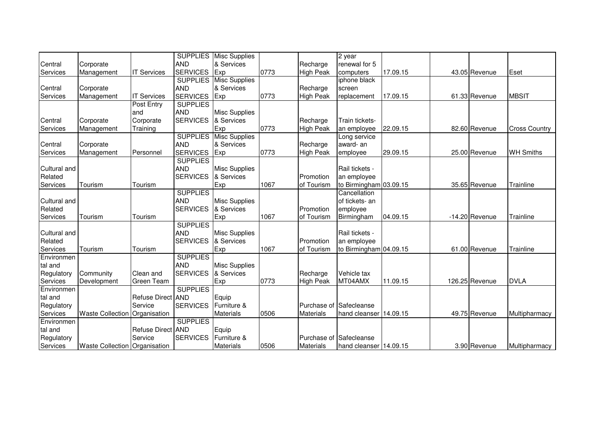|              |                                      |                    | <b>SUPPLIES</b> | <b>Misc Supplies</b> |      |                         | 2 year                  |          |                  |                      |
|--------------|--------------------------------------|--------------------|-----------------|----------------------|------|-------------------------|-------------------------|----------|------------------|----------------------|
| Central      | Corporate                            |                    | <b>AND</b>      | & Services           |      | Recharge                | renewal for 5           |          |                  |                      |
| Services     | Management                           | <b>IT Services</b> | <b>SERVICES</b> | Exp                  | 0773 | <b>High Peak</b>        | computers               | 17.09.15 | 43.05 Revenue    | Eset                 |
|              |                                      |                    | <b>SUPPLIES</b> | <b>Misc Supplies</b> |      |                         | iphone black            |          |                  |                      |
| Central      | Corporate                            |                    | <b>AND</b>      | & Services           |      | Recharge                | screen                  |          |                  |                      |
| Services     | Management                           | <b>IT Services</b> | <b>SERVICES</b> | Exp                  | 0773 | <b>High Peak</b>        | replacement             | 17.09.15 | 61.33 Revenue    | <b>MBSIT</b>         |
|              |                                      | Post Entry         | <b>SUPPLIES</b> |                      |      |                         |                         |          |                  |                      |
|              |                                      | and                | <b>AND</b>      | <b>Misc Supplies</b> |      |                         |                         |          |                  |                      |
| Central      | Corporate                            | Corporate          | <b>SERVICES</b> | & Services           |      | Recharge                | Train tickets-          |          |                  |                      |
| Services     | Management                           | Training           |                 | Exp                  | 0773 | <b>High Peak</b>        | an employee             | 22.09.15 | 82.60 Revenue    | <b>Cross Country</b> |
|              |                                      |                    | <b>SUPPLIES</b> | <b>Misc Supplies</b> |      |                         | Long service            |          |                  |                      |
| Central      | Corporate                            |                    | <b>AND</b>      | & Services           |      | Recharge                | award- an               |          |                  |                      |
| Services     | Management                           | Personnel          | <b>SERVICES</b> | Exp                  | 0773 | <b>High Peak</b>        | employee                | 29.09.15 | 25.00 Revenue    | <b>WH Smiths</b>     |
|              |                                      |                    | <b>SUPPLIES</b> |                      |      |                         |                         |          |                  |                      |
| Cultural and |                                      |                    | <b>AND</b>      | <b>Misc Supplies</b> |      |                         | Rail tickets -          |          |                  |                      |
| Related      |                                      |                    | <b>SERVICES</b> | & Services           |      | Promotion               | an employee             |          |                  |                      |
| Services     | Tourism                              | Tourism            |                 | Exp                  | 1067 | of Tourism              | to Birmingham 03.09.15  |          | 35.65 Revenue    | Trainline            |
|              |                                      |                    | <b>SUPPLIES</b> |                      |      |                         | Cancellation            |          |                  |                      |
| Cultural and |                                      |                    | <b>AND</b>      | <b>Misc Supplies</b> |      |                         | of tickets- an          |          |                  |                      |
| Related      |                                      |                    | <b>SERVICES</b> | & Services           |      | Promotion               | employee                |          |                  |                      |
| Services     | Tourism                              | Tourism            |                 | Exp                  | 1067 | of Tourism              | Birmingham              | 04.09.15 | $-14.20$ Revenue | Trainline            |
|              |                                      |                    | <b>SUPPLIES</b> |                      |      |                         |                         |          |                  |                      |
| Cultural and |                                      |                    | <b>AND</b>      | <b>Misc Supplies</b> |      |                         | Rail tickets -          |          |                  |                      |
| Related      |                                      |                    | <b>SERVICES</b> | & Services           |      | Promotion               | an employee             |          |                  |                      |
| Services     | Tourism                              | Tourism            |                 | Exp                  | 1067 | of Tourism              | to Birmingham 04.09.15  |          | 61.00 Revenue    | Trainline            |
| Environmen   |                                      |                    | <b>SUPPLIES</b> |                      |      |                         |                         |          |                  |                      |
| tal and      |                                      |                    | <b>AND</b>      | <b>Misc Supplies</b> |      |                         |                         |          |                  |                      |
| Regulatory   | Community                            | Clean and          | <b>SERVICES</b> | & Services           |      | Recharge                | Vehicle tax             |          |                  |                      |
| Services     | Development                          | Green Team         |                 | Exp                  | 0773 | <b>High Peak</b>        | MT04AMX                 | 11.09.15 | 126.25 Revenue   | <b>DVLA</b>          |
| Environmen   |                                      |                    | <b>SUPPLIES</b> |                      |      |                         |                         |          |                  |                      |
| tal and      |                                      | Refuse Direct AND  |                 | Equip                |      |                         |                         |          |                  |                      |
| Regulatory   |                                      | Service            | <b>SERVICES</b> | Furniture &          |      | Purchase of Safecleanse |                         |          |                  |                      |
| Services     | Waste Collection Organisation        |                    |                 | <b>Materials</b>     | 0506 | <b>Materials</b>        | hand cleanser 14.09.15  |          | 49.75 Revenue    | Multipharmacy        |
| Environmen   |                                      |                    | <b>SUPPLIES</b> |                      |      |                         |                         |          |                  |                      |
| tal and      |                                      | Refuse Direct AND  |                 | Equip                |      |                         |                         |          |                  |                      |
| Regulatory   |                                      | Service            | <b>SERVICES</b> | Furniture &          |      |                         | Purchase of Safecleanse |          |                  |                      |
| Services     | <b>Waste Collection Organisation</b> |                    |                 | <b>Materials</b>     | 0506 | <b>Materials</b>        | hand cleanser 14.09.15  |          | 3.90 Revenue     | Multipharmacy        |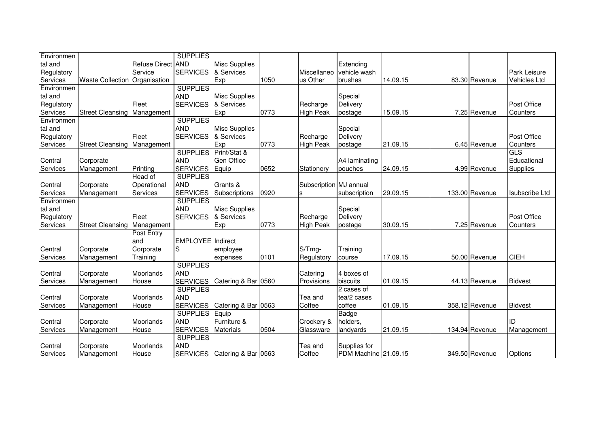| Environmen |                                      |                   | <b>SUPPLIES</b>   |                      |      |                        |                      |          |                |                       |
|------------|--------------------------------------|-------------------|-------------------|----------------------|------|------------------------|----------------------|----------|----------------|-----------------------|
| tal and    |                                      | Refuse Direct AND |                   | <b>Misc Supplies</b> |      |                        | Extending            |          |                |                       |
| Regulatory |                                      | Service           | <b>SERVICES</b>   | & Services           |      | Miscellaneo            | vehicle wash         |          |                | <b>Park Leisure</b>   |
| Services   | <b>Waste Collection</b>              | Organisation      |                   | Exp                  | 1050 | us Other               | brushes              | 14.09.15 | 83.30 Revenue  | <b>Vehicles Ltd</b>   |
| Environmen |                                      |                   | <b>SUPPLIES</b>   |                      |      |                        |                      |          |                |                       |
| tal and    |                                      |                   | <b>AND</b>        | <b>Misc Supplies</b> |      |                        | Special              |          |                |                       |
| Regulatory |                                      | Fleet             | <b>SERVICES</b>   | & Services           |      | Recharge               | Delivery             |          |                | Post Office           |
| Services   | Street Cleansing Management          |                   |                   | Exp                  | 0773 | <b>High Peak</b>       | postage              | 15.09.15 | 7.25 Revenue   | Counters              |
| Environmen |                                      |                   | <b>SUPPLIES</b>   |                      |      |                        |                      |          |                |                       |
| tal and    |                                      |                   | <b>AND</b>        | <b>Misc Supplies</b> |      |                        | Special              |          |                |                       |
| Regulatory |                                      | Fleet             | <b>SERVICES</b>   | & Services           |      | Recharge               | Delivery             |          |                | Post Office           |
| Services   | Street Cleansing Management          |                   |                   | Exp                  | 0773 | <b>High Peak</b>       | postage              | 21.09.15 | 6.45 Revenue   | Counters              |
|            |                                      |                   | <b>SUPPLIES</b>   | Print/Stat &         |      |                        |                      |          |                | <b>GLS</b>            |
| Central    | Corporate                            |                   | <b>AND</b>        | <b>Gen Office</b>    |      |                        | A4 laminating        |          |                | Educational           |
| Services   | Management                           | Printing          | <b>SERVICES</b>   | Equip                | 0652 | Stationery             | pouches              | 24.09.15 | 4.99 Revenue   | <b>Supplies</b>       |
|            |                                      | Head of           | <b>SUPPLIES</b>   |                      |      |                        |                      |          |                |                       |
| Central    | Corporate                            | Operational       | <b>AND</b>        | Grants &             |      | Subscription MJ annual |                      |          |                |                       |
| Services   | Management                           | Services          | <b>SERVICES</b>   | Subscriptions        | 0920 | S                      | subscription         | 29.09.15 | 133.00 Revenue | <b>Isubscribe Ltd</b> |
| Environmen |                                      |                   | <b>SUPPLIES</b>   |                      |      |                        |                      |          |                |                       |
| tal and    |                                      |                   | <b>AND</b>        | <b>Misc Supplies</b> |      |                        | Special              |          |                |                       |
| Regulatory |                                      | Fleet             | <b>SERVICES</b>   | & Services           |      | Recharge               | Delivery             |          |                | Post Office           |
| Services   | <b>Street Cleansing   Management</b> |                   |                   | Exp                  | 0773 | <b>High Peak</b>       | postage              | 30.09.15 | 7.25 Revenue   | Counters              |
|            |                                      | Post Entry        |                   |                      |      |                        |                      |          |                |                       |
|            |                                      | and               | EMPLOYEE Indirect |                      |      |                        |                      |          |                |                       |
| Central    | Corporate                            | Corporate         | S                 | employee             |      | S/Trng-                | Training             |          |                |                       |
| Services   | Management                           | Training          |                   | expenses             | 0101 | Regulatory             | course               | 17.09.15 | 50.00 Revenue  | <b>CIEH</b>           |
|            |                                      |                   | <b>SUPPLIES</b>   |                      |      |                        |                      |          |                |                       |
| Central    | Corporate                            | Moorlands         | <b>AND</b>        |                      |      | Catering               | 4 boxes of           |          |                |                       |
| Services   | Management                           | House             | <b>SERVICES</b>   | Catering & Bar 0560  |      | Provisions             | biscuits             | 01.09.15 | 44.13 Revenue  | <b>Bidvest</b>        |
|            |                                      |                   | <b>SUPPLIES</b>   |                      |      |                        | 2 cases of           |          |                |                       |
| Central    | Corporate                            | Moorlands         | <b>AND</b>        |                      |      | Tea and                | tea/2 cases          |          |                |                       |
| Services   | Management                           | House             | <b>SERVICES</b>   | Catering & Bar 0563  |      | Coffee                 | coffee               | 01.09.15 | 358.12 Revenue | <b>Bidvest</b>        |
|            |                                      |                   | <b>SUPPLIES</b>   | Equip                |      |                        | Badge                |          |                |                       |
| Central    | Corporate                            | Moorlands         | <b>AND</b>        | Furniture &          |      | Crockery &             | holders,             |          |                | ID                    |
| Services   | Management                           | House             | <b>SERVICES</b>   | <b>Materials</b>     | 0504 | Glassware              | landyards            | 21.09.15 | 134.94 Revenue | Management            |
|            |                                      |                   | <b>SUPPLIES</b>   |                      |      |                        |                      |          |                |                       |
| Central    | Corporate                            | Moorlands         | <b>AND</b>        |                      |      | Tea and                | Supplies for         |          |                |                       |
| Services   | Management                           | House             | <b>SERVICES</b>   | Catering & Bar 0563  |      | Coffee                 | PDM Machine 21.09.15 |          | 349.50 Revenue | Options               |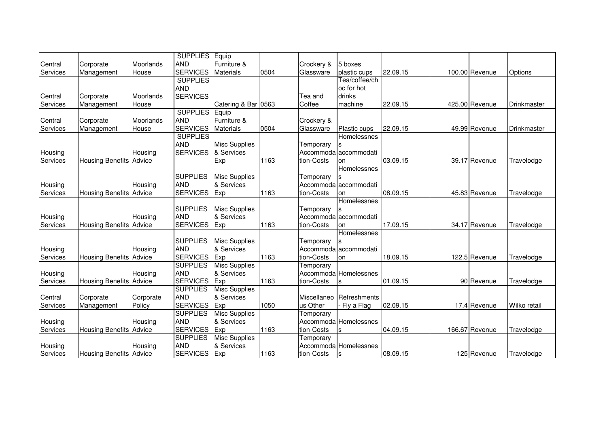|          |                                |           | <b>SUPPLIES</b> Equip |                      |      |             |                       |          |                |              |
|----------|--------------------------------|-----------|-----------------------|----------------------|------|-------------|-----------------------|----------|----------------|--------------|
| Central  | Corporate                      | Moorlands | <b>AND</b>            | Furniture &          |      | Crockery &  | 5 boxes               |          |                |              |
| Services | Management                     | House     | <b>SERVICES</b>       | <b>Materials</b>     | 0504 | Glassware   | plastic cups          | 22.09.15 | 100.00 Revenue | Options      |
|          |                                |           | <b>SUPPLIES</b>       |                      |      |             | Tea/coffee/ch         |          |                |              |
|          |                                |           | <b>AND</b>            |                      |      |             | oc for hot            |          |                |              |
| Central  | Corporate                      | Moorlands | <b>SERVICES</b>       |                      |      | Tea and     | drinks                |          |                |              |
| Services | Management                     | House     |                       | Catering & Bar 0563  |      | Coffee      | machine               | 22.09.15 | 425.00 Revenue | Drinkmaster  |
|          |                                |           | <b>SUPPLIES</b>       | Equip                |      |             |                       |          |                |              |
| Central  | Corporate                      | Moorlands | <b>AND</b>            | Furniture &          |      | Crockery &  |                       |          |                |              |
| Services | Management                     | House     | <b>SERVICES</b>       | <b>Materials</b>     | 0504 | Glassware   | Plastic cups          | 22.09.15 | 49.99 Revenue  | Drinkmaster  |
|          |                                |           | <b>SUPPLIES</b>       |                      |      |             | Homelessnes           |          |                |              |
|          |                                |           | <b>AND</b>            | <b>Misc Supplies</b> |      | Temporary   |                       |          |                |              |
| Housing  |                                | Housing   | <b>SERVICES</b>       | & Services           |      |             | Accommoda accommodati |          |                |              |
| Services | <b>Housing Benefits Advice</b> |           |                       | Exp                  | 1163 | tion-Costs  | on                    | 03.09.15 | 39.17 Revenue  | Travelodge   |
|          |                                |           |                       |                      |      |             | Homelessnes           |          |                |              |
|          |                                |           | <b>SUPPLIES</b>       | <b>Misc Supplies</b> |      | Temporary   |                       |          |                |              |
| Housing  |                                | Housing   | <b>AND</b>            | & Services           |      |             | Accommoda accommodati |          |                |              |
| Services | <b>Housing Benefits Advice</b> |           | <b>SERVICES</b>       | Exp                  | 1163 | tion-Costs  | on                    | 08.09.15 | 45.83 Revenue  | Travelodge   |
|          |                                |           |                       |                      |      |             | Homelessnes           |          |                |              |
|          |                                |           | <b>SUPPLIES</b>       | <b>Misc Supplies</b> |      | Temporary   |                       |          |                |              |
| Housing  |                                | Housing   | <b>AND</b>            | & Services           |      |             | Accommoda accommodati |          |                |              |
| Services | <b>Housing Benefits Advice</b> |           | <b>SERVICES</b>       | Exp                  | 1163 | tion-Costs  | on                    | 17.09.15 | 34.17 Revenue  | Travelodge   |
|          |                                |           |                       |                      |      |             | Homelessnes           |          |                |              |
|          |                                |           | <b>SUPPLIES</b>       | <b>Misc Supplies</b> |      | Temporary   |                       |          |                |              |
| Housing  |                                | Housing   | <b>AND</b>            | & Services           |      |             | Accommoda accommodati |          |                |              |
| Services | <b>Housing Benefits Advice</b> |           | <b>SERVICES</b>       | Exp                  | 1163 | tion-Costs  | lon                   | 18.09.15 | 122.5 Revenue  | Travelodge   |
|          |                                |           | <b>SUPPLIES</b>       | <b>Misc Supplies</b> |      | Temporary   |                       |          |                |              |
| Housing  |                                | Housing   | <b>AND</b>            | & Services           |      |             | Accommoda Homelessnes |          |                |              |
| Services | <b>Housing Benefits Advice</b> |           | <b>SERVICES</b>       | Exp                  | 1163 | tion-Costs  | S                     | 01.09.15 | 90 Revenue     | Travelodge   |
|          |                                |           | <b>SUPPLIES</b>       | <b>Misc Supplies</b> |      |             |                       |          |                |              |
| Central  | Corporate                      | Corporate | <b>AND</b>            | & Services           |      | Miscellaneo | Refreshments          |          |                |              |
| Services | Management                     | Policy    | <b>SERVICES</b>       | Exp                  | 1050 | us Other    | Fly a Flag            | 02.09.15 | 17.4 Revenue   | Wilko retail |
|          |                                |           | <b>SUPPLIES</b>       | <b>Misc Supplies</b> |      | Temporary   |                       |          |                |              |
| Housing  |                                | Housing   | <b>AND</b>            | & Services           |      |             | Accommoda Homelessnes |          |                |              |
| Services | <b>Housing Benefits Advice</b> |           | <b>SERVICES</b>       | Exp                  | 1163 | tion-Costs  | ls                    | 04.09.15 | 166.67 Revenue | Travelodge   |
|          |                                |           | <b>SUPPLIES</b>       | <b>Misc Supplies</b> |      | Temporary   |                       |          |                |              |
| Housing  |                                | Housing   | <b>AND</b>            | & Services           |      |             | Accommoda Homelessnes |          |                |              |
| Services | <b>Housing Benefits Advice</b> |           | <b>SERVICES</b>       | Exp                  | 1163 | tion-Costs  | $\mathbf s$           | 08.09.15 | -125 Revenue   | Travelodge   |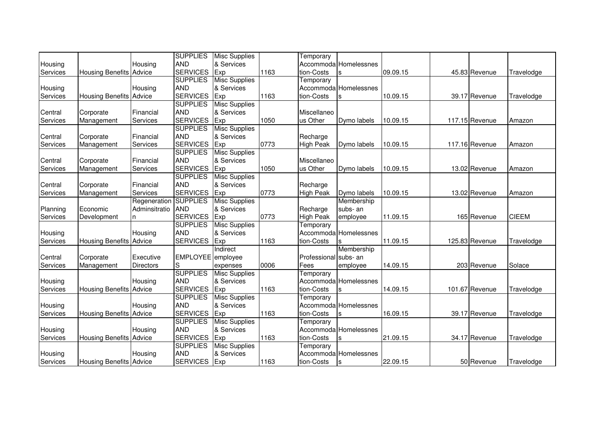|          |                                |               | <b>SUPPLIES</b>   | <b>Misc Supplies</b> |      | Temporary             |                       |          |                |              |
|----------|--------------------------------|---------------|-------------------|----------------------|------|-----------------------|-----------------------|----------|----------------|--------------|
| Housing  |                                | Housing       | <b>AND</b>        | & Services           |      |                       | Accommoda Homelessnes |          |                |              |
| Services | <b>Housing Benefits Advice</b> |               | <b>SERVICES</b>   | Exp                  | 1163 | tion-Costs            | S                     | 09.09.15 | 45.83 Revenue  | Travelodge   |
|          |                                |               | <b>SUPPLIES</b>   | <b>Misc Supplies</b> |      | Temporary             |                       |          |                |              |
| Housing  |                                | Housing       | <b>AND</b>        | & Services           |      |                       | Accommoda Homelessnes |          |                |              |
| Services | <b>Housing Benefits Advice</b> |               | <b>SERVICES</b>   | Exp                  | 1163 | tion-Costs            |                       | 10.09.15 | 39.17 Revenue  | Travelodge   |
|          |                                |               | <b>SUPPLIES</b>   | <b>Misc Supplies</b> |      |                       |                       |          |                |              |
| Central  | Corporate                      | Financial     | <b>AND</b>        | & Services           |      | Miscellaneo           |                       |          |                |              |
| Services | Management                     | Services      | <b>SERVICES</b>   | Exp                  | 1050 | us Other              | Dymo labels           | 10.09.15 | 117.15 Revenue | Amazon       |
|          |                                |               | <b>SUPPLIES</b>   | <b>Misc Supplies</b> |      |                       |                       |          |                |              |
| Central  | Corporate                      | Financial     | <b>AND</b>        | & Services           |      | Recharge              |                       |          |                |              |
| Services | Management                     | Services      | <b>SERVICES</b>   | Exp                  | 0773 | <b>High Peak</b>      | Dymo labels           | 10.09.15 | 117.16 Revenue | Amazon       |
|          |                                |               | <b>SUPPLIES</b>   | <b>Misc Supplies</b> |      |                       |                       |          |                |              |
| Central  | Corporate                      | Financial     | <b>AND</b>        | & Services           |      | Miscellaneo           |                       |          |                |              |
| Services | Management                     | Services      | <b>SERVICES</b>   | Exp                  | 1050 | us Other              | Dymo labels           | 10.09.15 | 13.02 Revenue  | Amazon       |
|          |                                |               | <b>SUPPLIES</b>   | <b>Misc Supplies</b> |      |                       |                       |          |                |              |
| Central  | Corporate                      | Financial     | <b>AND</b>        | & Services           |      | Recharge              |                       |          |                |              |
| Services | Management                     | Services      | <b>SERVICES</b>   | Exp                  | 0773 | <b>High Peak</b>      | Dymo labels           | 10.09.15 | 13.02 Revenue  | Amazon       |
|          |                                | Regeneration  | <b>SUPPLIES</b>   | <b>Misc Supplies</b> |      |                       | Membership            |          |                |              |
| Planning | Economic                       | Adminsitratio | <b>AND</b>        | & Services           |      | Recharge              | subs-an               |          |                |              |
| Services | Development                    | In.           | <b>SERVICES</b>   | Exp                  | 0773 | <b>High Peak</b>      | employee              | 11.09.15 | 165 Revenue    | <b>CIEEM</b> |
|          |                                |               | <b>SUPPLIES</b>   | <b>Misc Supplies</b> |      | Temporary             |                       |          |                |              |
| Housing  |                                | Housing       | <b>AND</b>        | & Services           |      |                       | Accommoda Homelessnes |          |                |              |
| Services | <b>Housing Benefits Advice</b> |               | <b>SERVICES</b>   | Exp                  | 1163 | tion-Costs            |                       | 11.09.15 | 125.83 Revenue | Travelodge   |
|          |                                |               |                   | Indirect             |      |                       | Membership            |          |                |              |
| Central  | Corporate                      | Executive     | EMPLOYEE employee |                      |      | Professional subs- an |                       |          |                |              |
| Services | Management                     | Directors     | S                 | expenses             | 0006 | Fees                  | employee              | 14.09.15 | 203 Revenue    | Solace       |
|          |                                |               | <b>SUPPLIES</b>   | <b>Misc Supplies</b> |      | Temporary             |                       |          |                |              |
| Housing  |                                | Housing       | <b>AND</b>        | & Services           |      |                       | Accommoda Homelessnes |          |                |              |
| Services | <b>Housing Benefits Advice</b> |               | <b>SERVICES</b>   | Exp                  | 1163 | tion-Costs            | S                     | 14.09.15 | 101.67 Revenue | Travelodge   |
|          |                                |               | <b>SUPPLIES</b>   | <b>Misc Supplies</b> |      | Temporary             |                       |          |                |              |
| Housing  |                                | Housing       | <b>AND</b>        | & Services           |      |                       | Accommoda Homelessnes |          |                |              |
| Services | <b>Housing Benefits Advice</b> |               | <b>SERVICES</b>   | Exp                  | 1163 | tion-Costs            | S                     | 16.09.15 | 39.17 Revenue  | Travelodge   |
|          |                                |               | <b>SUPPLIES</b>   | <b>Misc Supplies</b> |      | Temporary             |                       |          |                |              |
| Housing  |                                | Housing       | <b>AND</b>        | & Services           |      |                       | Accommoda Homelessnes |          |                |              |
| Services | <b>Housing Benefits Advice</b> |               | <b>SERVICES</b>   | Exp                  | 1163 | tion-Costs            | ls                    | 21.09.15 | 34.17 Revenue  | Travelodge   |
|          |                                |               | <b>SUPPLIES</b>   | <b>Misc Supplies</b> |      | Temporary             |                       |          |                |              |
| Housing  |                                | Housing       | <b>AND</b>        | & Services           |      |                       | Accommoda Homelessnes |          |                |              |
| Services | <b>Housing Benefits Advice</b> |               | <b>SERVICES</b>   | Exp                  | 1163 | tion-Costs            | S                     | 22.09.15 | 50 Revenue     | Travelodge   |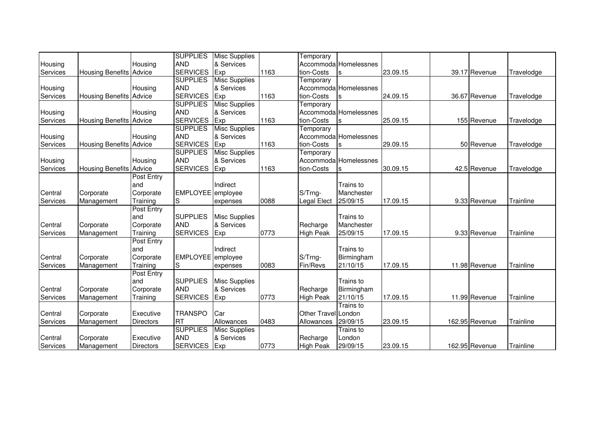|          |                                |                  | <b>SUPPLIES</b>   | <b>Misc Supplies</b> |      | Temporary           |                       |          |                |            |
|----------|--------------------------------|------------------|-------------------|----------------------|------|---------------------|-----------------------|----------|----------------|------------|
| Housing  |                                | Housing          | <b>AND</b>        | & Services           |      |                     | Accommoda Homelessnes |          |                |            |
| Services | <b>Housing Benefits Advice</b> |                  | <b>SERVICES</b>   | Exp                  | 1163 | tion-Costs          |                       | 23.09.15 | 39.17 Revenue  | Travelodge |
|          |                                |                  | <b>SUPPLIES</b>   | <b>Misc Supplies</b> |      | Temporary           |                       |          |                |            |
| Housing  |                                | Housing          | <b>AND</b>        | & Services           |      |                     | Accommoda Homelessnes |          |                |            |
| Services | <b>Housing Benefits Advice</b> |                  | <b>SERVICES</b>   | Exp                  | 1163 | tion-Costs          |                       | 24.09.15 | 36.67 Revenue  | Travelodge |
|          |                                |                  | <b>SUPPLIES</b>   | <b>Misc Supplies</b> |      | Temporary           |                       |          |                |            |
| Housing  |                                | Housing          | <b>AND</b>        | & Services           |      |                     | Accommoda Homelessnes |          |                |            |
| Services | <b>Housing Benefits Advice</b> |                  | <b>SERVICES</b>   | Exp                  | 1163 | tion-Costs          |                       | 25.09.15 | 155 Revenue    | Travelodge |
|          |                                |                  | <b>SUPPLIES</b>   | <b>Misc Supplies</b> |      | Temporary           |                       |          |                |            |
| Housing  |                                | Housing          | <b>AND</b>        | & Services           |      |                     | Accommoda Homelessnes |          |                |            |
| Services | Housing Benefits Advice        |                  | <b>SERVICES</b>   | Exp                  | 1163 | tion-Costs          |                       | 29.09.15 | 50 Revenue     | Travelodge |
|          |                                |                  | <b>SUPPLIES</b>   | <b>Misc Supplies</b> |      | Temporary           |                       |          |                |            |
| Housing  |                                | Housing          | <b>AND</b>        | & Services           |      |                     | Accommoda Homelessnes |          |                |            |
| Services | <b>Housing Benefits Advice</b> |                  | <b>SERVICES</b>   | Exp                  | 1163 | tion-Costs          |                       | 30.09.15 | 42.5 Revenue   | Travelodge |
|          |                                | Post Entry       |                   |                      |      |                     |                       |          |                |            |
|          |                                | and              |                   | Indirect             |      |                     | Trains to             |          |                |            |
| Central  | Corporate                      | Corporate        | <b>EMPLOYEE</b>   | employee             |      | S/Trng-             | Manchester            |          |                |            |
| Services | Management                     | Training         | S                 | expenses             | 0088 | Legal Elect         | 25/09/15              | 17.09.15 | 9.33 Revenue   | Trainline  |
|          |                                | Post Entry       |                   |                      |      |                     |                       |          |                |            |
|          |                                | and              | <b>SUPPLIES</b>   | <b>Misc Supplies</b> |      |                     | Trains to             |          |                |            |
| Central  | Corporate                      | Corporate        | <b>AND</b>        | & Services           |      | Recharge            | Manchester            |          |                |            |
| Services | Management                     | Training         | <b>SERVICES</b>   | Exp                  | 0773 | <b>High Peak</b>    | 25/09/15              | 17.09.15 | 9.33 Revenue   | Trainline  |
|          |                                | Post Entry       |                   |                      |      |                     |                       |          |                |            |
|          |                                | and              |                   | Indirect             |      |                     | Trains to             |          |                |            |
| Central  | Corporate                      | Corporate        | EMPLOYEE employee |                      |      | S/Trng-             | Birmingham            |          |                |            |
| Services | Management                     | Training         | S                 | expenses             | 0083 | Fin/Revs            | 21/10/15              | 17.09.15 | 11.98 Revenue  | Trainline  |
|          |                                | Post Entry       |                   |                      |      |                     |                       |          |                |            |
|          |                                | and              | <b>SUPPLIES</b>   | <b>Misc Supplies</b> |      |                     | Trains to             |          |                |            |
| Central  | Corporate                      | Corporate        | <b>AND</b>        | & Services           |      | Recharge            | Birmingham            |          |                |            |
| Services | Management                     | Training         | <b>SERVICES</b>   | Exp                  | 0773 | <b>High Peak</b>    | 21/10/15              | 17.09.15 | 11.99 Revenue  | Trainline  |
|          |                                |                  |                   |                      |      |                     | Trains to             |          |                |            |
| Central  | Corporate                      | Executive        | <b>TRANSPO</b>    | Car                  |      | Other Travel London |                       |          |                |            |
| Services | Management                     | Directors        | <b>RT</b>         | Allowances           | 0483 | Allowances          | 29/09/15              | 23.09.15 | 162.95 Revenue | Trainline  |
|          |                                |                  | <b>SUPPLIES</b>   | <b>Misc Supplies</b> |      |                     | Trains to             |          |                |            |
| Central  | Corporate                      | Executive        | <b>AND</b>        | & Services           |      | Recharge            | London                |          |                |            |
| Services | Management                     | <b>Directors</b> | <b>SERVICES</b>   | Exp                  | 0773 | <b>High Peak</b>    | 29/09/15              | 23.09.15 | 162.95 Revenue | Trainline  |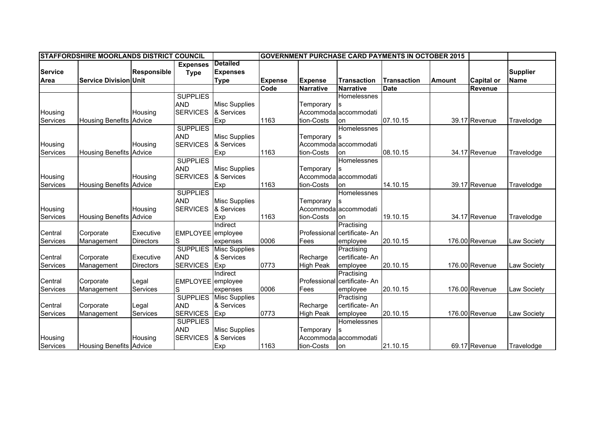|                | <b>STAFFORDSHIRE MOORLANDS DISTRICT COUNCIL</b> |                    |                   |                      |                |                  |                              | <b>GOVERNMENT PURCHASE CARD PAYMENTS IN OCTOBER 2015</b> |               |                   |                 |
|----------------|-------------------------------------------------|--------------------|-------------------|----------------------|----------------|------------------|------------------------------|----------------------------------------------------------|---------------|-------------------|-----------------|
|                |                                                 |                    | <b>Expenses</b>   | <b>Detailed</b>      |                |                  |                              |                                                          |               |                   |                 |
| <b>Service</b> |                                                 | <b>Responsible</b> | <b>Type</b>       | <b>Expenses</b>      |                |                  |                              |                                                          |               |                   | <b>Supplier</b> |
| Area           | <b>Service Division Unit</b>                    |                    |                   | <b>Type</b>          | <b>Expense</b> | <b>Expense</b>   | <b>Transaction</b>           | <b>Transaction</b>                                       | <b>Amount</b> | <b>Capital or</b> | <b>Name</b>     |
|                |                                                 |                    |                   |                      | Code           | <b>Narrative</b> | <b>Narrative</b>             | <b>Date</b>                                              |               | <b>Revenue</b>    |                 |
|                |                                                 |                    | <b>SUPPLIES</b>   |                      |                |                  | Homelessnes                  |                                                          |               |                   |                 |
|                |                                                 |                    | <b>AND</b>        | <b>Misc Supplies</b> |                | Temporary        |                              |                                                          |               |                   |                 |
| Housing        |                                                 | Housing            | <b>SERVICES</b>   | & Services           |                |                  | Accommoda accommodati        |                                                          |               |                   |                 |
| Services       | <b>Housing Benefits Advice</b>                  |                    |                   | Exp                  | 1163           | tion-Costs       | on                           | 07.10.15                                                 |               | 39.17 Revenue     | Travelodge      |
|                |                                                 |                    | <b>SUPPLIES</b>   |                      |                |                  | Homelessnes                  |                                                          |               |                   |                 |
|                |                                                 |                    | <b>AND</b>        | <b>Misc Supplies</b> |                | Temporary        |                              |                                                          |               |                   |                 |
| Housing        |                                                 | Housing            | <b>SERVICES</b>   | & Services           |                |                  | Accommodalaccommodati        |                                                          |               |                   |                 |
| Services       | <b>Housing Benefits Advice</b>                  |                    |                   | Exp                  | 1163           | tion-Costs       | lon                          | 08.10.15                                                 |               | 34.17 Revenue     | Travelodge      |
|                |                                                 |                    | <b>SUPPLIES</b>   |                      |                |                  | Homelessnes                  |                                                          |               |                   |                 |
|                |                                                 |                    | <b>AND</b>        | <b>Misc Supplies</b> |                | Temporary        |                              |                                                          |               |                   |                 |
| Housing        |                                                 | Housing            | <b>SERVICES</b>   | & Services           |                |                  | Accommoda accommodati        |                                                          |               |                   |                 |
| Services       | <b>Housing Benefits Advice</b>                  |                    |                   | Exp                  | 1163           | tion-Costs       | lon                          | 14.10.15                                                 |               | 39.17 Revenue     | Travelodge      |
|                |                                                 |                    | <b>SUPPLIES</b>   |                      |                |                  | Homelessnes                  |                                                          |               |                   |                 |
|                |                                                 |                    | <b>AND</b>        | <b>Misc Supplies</b> |                | Temporary        |                              |                                                          |               |                   |                 |
| Housing        |                                                 | Housing            | <b>SERVICES</b>   | & Services           |                |                  | Accommoda accommodati        |                                                          |               |                   |                 |
| Services       | <b>Housing Benefits Advice</b>                  |                    |                   | Exp                  | 1163           | tion-Costs       | lon                          | 19.10.15                                                 |               | 34.17 Revenue     | Travelodge      |
|                |                                                 |                    |                   | Indirect             |                |                  | Practising                   |                                                          |               |                   |                 |
| Central        | Corporate                                       | Executive          | EMPLOYEE employee |                      |                |                  | Professional certificate- An |                                                          |               |                   |                 |
| Services       | Management                                      | <b>Directors</b>   | S                 | expenses             | 0006           | Fees             | employee                     | 20.10.15                                                 |               | 176.00 Revenue    | Law Society     |
|                |                                                 |                    | <b>SUPPLIES</b>   | <b>Misc Supplies</b> |                |                  | Practising                   |                                                          |               |                   |                 |
| Central        | Corporate                                       | Executive          | <b>AND</b>        | & Services           |                | Recharge         | certificate-An               |                                                          |               |                   |                 |
| Services       | Management                                      | <b>Directors</b>   | <b>SERVICES</b>   | Exp                  | 0773           | <b>High Peak</b> | employee                     | 20.10.15                                                 |               | 176.00 Revenue    | Law Society     |
|                |                                                 |                    |                   | Indirect             |                |                  | Practising                   |                                                          |               |                   |                 |
| Central        | Corporate                                       | Legal              | <b>EMPLOYEE</b>   | employee             |                |                  | Professional certificate- An |                                                          |               |                   |                 |
| Services       | Management                                      | Services           | S                 | expenses             | 0006           | Fees             | employee                     | 20.10.15                                                 |               | 176.00 Revenue    | Law Society     |
|                |                                                 |                    | <b>SUPPLIES</b>   | <b>Misc Supplies</b> |                |                  | Practising                   |                                                          |               |                   |                 |
| Central        | Corporate                                       | Legal              | <b>AND</b>        | & Services           |                | Recharge         | certificate-An               |                                                          |               |                   |                 |
| Services       | Management                                      | Services           | <b>SERVICES</b>   | Exp                  | 0773           | <b>High Peak</b> | employee                     | 20.10.15                                                 |               | 176.00 Revenue    | Law Society     |
|                |                                                 |                    | <b>SUPPLIES</b>   |                      |                |                  | Homelessnes                  |                                                          |               |                   |                 |
|                |                                                 |                    | <b>AND</b>        | <b>Misc Supplies</b> |                | Temporary        |                              |                                                          |               |                   |                 |
| Housing        |                                                 | Housing            | <b>SERVICES</b>   | & Services           |                |                  | Accommoda accommodati        |                                                          |               |                   |                 |
| Services       | <b>Housing Benefits Advice</b>                  |                    |                   | Exp                  | 1163           | tion-Costs       | lon                          | 21.10.15                                                 |               | 69.17 Revenue     | Travelodge      |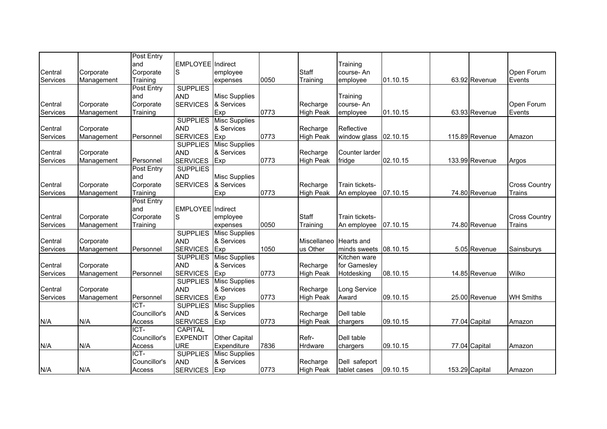| EMPLOYEE Indirect<br>Central<br>S<br>Staff<br>Open Forum<br>Corporate<br>course-An<br>Corporate<br>employee<br>Training<br>Training<br>employee<br>01.10.15<br>63.92 Revenue<br>Events<br>Services<br>Management<br>0050<br>expenses<br><b>SUPPLIES</b><br>Post Entry<br><b>AND</b><br><b>Misc Supplies</b><br>and<br>Training<br><b>SERVICES</b><br>& Services<br>Central<br>Corporate<br>Corporate<br>Recharge<br>course-An<br>Open Forum<br>Services<br>Exp<br>0773<br><b>High Peak</b><br>01.10.15<br>63.93 Revenue<br>Training<br>Events<br>Management<br>employee<br><b>SUPPLIES</b><br><b>Misc Supplies</b><br>& Services<br>Central<br><b>AND</b><br>Recharge<br>Reflective<br>Corporate<br><b>SERVICES</b><br>Exp<br>0773<br><b>High Peak</b><br>window glass<br>115.89 Revenue<br>Services<br>Management<br>Personnel<br>02.10.15<br>Amazon<br><b>Misc Supplies</b><br><b>SUPPLIES</b><br>& Services<br>Central<br><b>AND</b><br>Recharge<br>Counter larder<br>Corporate<br><b>SERVICES</b><br>0773<br><b>High Peak</b><br>fridge<br>02.10.15<br>133.99 Revenue<br>Services<br>Management<br>Personnel<br>Exp<br>Argos<br><b>SUPPLIES</b><br>Post Entry<br><b>AND</b><br>and<br><b>Misc Supplies</b><br>& Services<br>Central<br>Corporate<br><b>SERVICES</b><br>Recharge<br>Train tickets-<br>Corporate<br>Exp<br>0773<br>Services<br>Training<br><b>High Peak</b><br>07.10.15<br>74.80 Revenue<br>Trains<br>Management<br>An employee<br>Post Entry<br>EMPLOYEE Indirect<br>and<br>Staff<br>Central<br>Corporate<br>Corporate<br>Train tickets-<br>S<br>employee<br>Services<br>0050<br>07.10.15<br>74.80 Revenue<br>Training<br>Trains<br>Management<br>Training<br>expenses<br>An employee<br><b>SUPPLIES</b><br><b>Misc Supplies</b><br>& Services<br><b>AND</b><br>Central<br>Corporate<br>Miscellaneo<br><b>Hearts</b> and<br>Services<br><b>SERVICES</b><br>1050<br>us Other<br>minds sweets<br>08.10.15<br>5.05 Revenue<br>Management<br>Personnel<br>Exp<br>Sainsburys<br><b>Misc Supplies</b><br><b>SUPPLIES</b><br>Kitchen ware<br>& Services<br>for Gamesley<br>Central<br><b>AND</b><br>Recharge<br>Corporate<br><b>SERVICES</b><br>0773<br>Wilko<br>Exp<br>08.10.15<br>Services<br>Personnel<br><b>High Peak</b><br>Hotdesking<br>14.85 Revenue<br>Management<br><b>Misc Supplies</b><br><b>SUPPLIES</b><br>& Services<br>Central<br><b>AND</b><br>Recharge<br>Long Service<br>Corporate<br><b>SERVICES</b><br>0773<br><b>High Peak</b><br>25.00 Revenue<br>Personnel<br>Exp<br>Award<br>09.10.15<br><b>WH Smiths</b><br>Services<br>Management<br>ICT-<br><b>SUPPLIES</b><br><b>Misc Supplies</b><br><b>AND</b><br>& Services<br>Councillor's<br>Recharge<br>Dell table<br>N/A<br>0773<br><b>High Peak</b><br>N/A<br>Access<br><b>SERVICES</b><br>Exp<br>09.10.15<br>77.04 Capital<br>Amazon<br>chargers |  | Post Entry |  |  |          |  |                      |
|------------------------------------------------------------------------------------------------------------------------------------------------------------------------------------------------------------------------------------------------------------------------------------------------------------------------------------------------------------------------------------------------------------------------------------------------------------------------------------------------------------------------------------------------------------------------------------------------------------------------------------------------------------------------------------------------------------------------------------------------------------------------------------------------------------------------------------------------------------------------------------------------------------------------------------------------------------------------------------------------------------------------------------------------------------------------------------------------------------------------------------------------------------------------------------------------------------------------------------------------------------------------------------------------------------------------------------------------------------------------------------------------------------------------------------------------------------------------------------------------------------------------------------------------------------------------------------------------------------------------------------------------------------------------------------------------------------------------------------------------------------------------------------------------------------------------------------------------------------------------------------------------------------------------------------------------------------------------------------------------------------------------------------------------------------------------------------------------------------------------------------------------------------------------------------------------------------------------------------------------------------------------------------------------------------------------------------------------------------------------------------------------------------------------------------------------------------------------------------------------------------------------------------------------------------------------------------------------------------------------------------------------------------------------------------------------------------------------------------------------------------------------------------------------------------------------------------|--|------------|--|--|----------|--|----------------------|
|                                                                                                                                                                                                                                                                                                                                                                                                                                                                                                                                                                                                                                                                                                                                                                                                                                                                                                                                                                                                                                                                                                                                                                                                                                                                                                                                                                                                                                                                                                                                                                                                                                                                                                                                                                                                                                                                                                                                                                                                                                                                                                                                                                                                                                                                                                                                                                                                                                                                                                                                                                                                                                                                                                                                                                                                                                    |  | and        |  |  | Training |  |                      |
|                                                                                                                                                                                                                                                                                                                                                                                                                                                                                                                                                                                                                                                                                                                                                                                                                                                                                                                                                                                                                                                                                                                                                                                                                                                                                                                                                                                                                                                                                                                                                                                                                                                                                                                                                                                                                                                                                                                                                                                                                                                                                                                                                                                                                                                                                                                                                                                                                                                                                                                                                                                                                                                                                                                                                                                                                                    |  |            |  |  |          |  |                      |
|                                                                                                                                                                                                                                                                                                                                                                                                                                                                                                                                                                                                                                                                                                                                                                                                                                                                                                                                                                                                                                                                                                                                                                                                                                                                                                                                                                                                                                                                                                                                                                                                                                                                                                                                                                                                                                                                                                                                                                                                                                                                                                                                                                                                                                                                                                                                                                                                                                                                                                                                                                                                                                                                                                                                                                                                                                    |  |            |  |  |          |  |                      |
|                                                                                                                                                                                                                                                                                                                                                                                                                                                                                                                                                                                                                                                                                                                                                                                                                                                                                                                                                                                                                                                                                                                                                                                                                                                                                                                                                                                                                                                                                                                                                                                                                                                                                                                                                                                                                                                                                                                                                                                                                                                                                                                                                                                                                                                                                                                                                                                                                                                                                                                                                                                                                                                                                                                                                                                                                                    |  |            |  |  |          |  |                      |
|                                                                                                                                                                                                                                                                                                                                                                                                                                                                                                                                                                                                                                                                                                                                                                                                                                                                                                                                                                                                                                                                                                                                                                                                                                                                                                                                                                                                                                                                                                                                                                                                                                                                                                                                                                                                                                                                                                                                                                                                                                                                                                                                                                                                                                                                                                                                                                                                                                                                                                                                                                                                                                                                                                                                                                                                                                    |  |            |  |  |          |  |                      |
|                                                                                                                                                                                                                                                                                                                                                                                                                                                                                                                                                                                                                                                                                                                                                                                                                                                                                                                                                                                                                                                                                                                                                                                                                                                                                                                                                                                                                                                                                                                                                                                                                                                                                                                                                                                                                                                                                                                                                                                                                                                                                                                                                                                                                                                                                                                                                                                                                                                                                                                                                                                                                                                                                                                                                                                                                                    |  |            |  |  |          |  |                      |
|                                                                                                                                                                                                                                                                                                                                                                                                                                                                                                                                                                                                                                                                                                                                                                                                                                                                                                                                                                                                                                                                                                                                                                                                                                                                                                                                                                                                                                                                                                                                                                                                                                                                                                                                                                                                                                                                                                                                                                                                                                                                                                                                                                                                                                                                                                                                                                                                                                                                                                                                                                                                                                                                                                                                                                                                                                    |  |            |  |  |          |  |                      |
|                                                                                                                                                                                                                                                                                                                                                                                                                                                                                                                                                                                                                                                                                                                                                                                                                                                                                                                                                                                                                                                                                                                                                                                                                                                                                                                                                                                                                                                                                                                                                                                                                                                                                                                                                                                                                                                                                                                                                                                                                                                                                                                                                                                                                                                                                                                                                                                                                                                                                                                                                                                                                                                                                                                                                                                                                                    |  |            |  |  |          |  |                      |
|                                                                                                                                                                                                                                                                                                                                                                                                                                                                                                                                                                                                                                                                                                                                                                                                                                                                                                                                                                                                                                                                                                                                                                                                                                                                                                                                                                                                                                                                                                                                                                                                                                                                                                                                                                                                                                                                                                                                                                                                                                                                                                                                                                                                                                                                                                                                                                                                                                                                                                                                                                                                                                                                                                                                                                                                                                    |  |            |  |  |          |  |                      |
|                                                                                                                                                                                                                                                                                                                                                                                                                                                                                                                                                                                                                                                                                                                                                                                                                                                                                                                                                                                                                                                                                                                                                                                                                                                                                                                                                                                                                                                                                                                                                                                                                                                                                                                                                                                                                                                                                                                                                                                                                                                                                                                                                                                                                                                                                                                                                                                                                                                                                                                                                                                                                                                                                                                                                                                                                                    |  |            |  |  |          |  |                      |
|                                                                                                                                                                                                                                                                                                                                                                                                                                                                                                                                                                                                                                                                                                                                                                                                                                                                                                                                                                                                                                                                                                                                                                                                                                                                                                                                                                                                                                                                                                                                                                                                                                                                                                                                                                                                                                                                                                                                                                                                                                                                                                                                                                                                                                                                                                                                                                                                                                                                                                                                                                                                                                                                                                                                                                                                                                    |  |            |  |  |          |  |                      |
|                                                                                                                                                                                                                                                                                                                                                                                                                                                                                                                                                                                                                                                                                                                                                                                                                                                                                                                                                                                                                                                                                                                                                                                                                                                                                                                                                                                                                                                                                                                                                                                                                                                                                                                                                                                                                                                                                                                                                                                                                                                                                                                                                                                                                                                                                                                                                                                                                                                                                                                                                                                                                                                                                                                                                                                                                                    |  |            |  |  |          |  |                      |
|                                                                                                                                                                                                                                                                                                                                                                                                                                                                                                                                                                                                                                                                                                                                                                                                                                                                                                                                                                                                                                                                                                                                                                                                                                                                                                                                                                                                                                                                                                                                                                                                                                                                                                                                                                                                                                                                                                                                                                                                                                                                                                                                                                                                                                                                                                                                                                                                                                                                                                                                                                                                                                                                                                                                                                                                                                    |  |            |  |  |          |  |                      |
|                                                                                                                                                                                                                                                                                                                                                                                                                                                                                                                                                                                                                                                                                                                                                                                                                                                                                                                                                                                                                                                                                                                                                                                                                                                                                                                                                                                                                                                                                                                                                                                                                                                                                                                                                                                                                                                                                                                                                                                                                                                                                                                                                                                                                                                                                                                                                                                                                                                                                                                                                                                                                                                                                                                                                                                                                                    |  |            |  |  |          |  |                      |
|                                                                                                                                                                                                                                                                                                                                                                                                                                                                                                                                                                                                                                                                                                                                                                                                                                                                                                                                                                                                                                                                                                                                                                                                                                                                                                                                                                                                                                                                                                                                                                                                                                                                                                                                                                                                                                                                                                                                                                                                                                                                                                                                                                                                                                                                                                                                                                                                                                                                                                                                                                                                                                                                                                                                                                                                                                    |  |            |  |  |          |  |                      |
|                                                                                                                                                                                                                                                                                                                                                                                                                                                                                                                                                                                                                                                                                                                                                                                                                                                                                                                                                                                                                                                                                                                                                                                                                                                                                                                                                                                                                                                                                                                                                                                                                                                                                                                                                                                                                                                                                                                                                                                                                                                                                                                                                                                                                                                                                                                                                                                                                                                                                                                                                                                                                                                                                                                                                                                                                                    |  |            |  |  |          |  | <b>Cross Country</b> |
|                                                                                                                                                                                                                                                                                                                                                                                                                                                                                                                                                                                                                                                                                                                                                                                                                                                                                                                                                                                                                                                                                                                                                                                                                                                                                                                                                                                                                                                                                                                                                                                                                                                                                                                                                                                                                                                                                                                                                                                                                                                                                                                                                                                                                                                                                                                                                                                                                                                                                                                                                                                                                                                                                                                                                                                                                                    |  |            |  |  |          |  |                      |
|                                                                                                                                                                                                                                                                                                                                                                                                                                                                                                                                                                                                                                                                                                                                                                                                                                                                                                                                                                                                                                                                                                                                                                                                                                                                                                                                                                                                                                                                                                                                                                                                                                                                                                                                                                                                                                                                                                                                                                                                                                                                                                                                                                                                                                                                                                                                                                                                                                                                                                                                                                                                                                                                                                                                                                                                                                    |  |            |  |  |          |  |                      |
|                                                                                                                                                                                                                                                                                                                                                                                                                                                                                                                                                                                                                                                                                                                                                                                                                                                                                                                                                                                                                                                                                                                                                                                                                                                                                                                                                                                                                                                                                                                                                                                                                                                                                                                                                                                                                                                                                                                                                                                                                                                                                                                                                                                                                                                                                                                                                                                                                                                                                                                                                                                                                                                                                                                                                                                                                                    |  |            |  |  |          |  |                      |
|                                                                                                                                                                                                                                                                                                                                                                                                                                                                                                                                                                                                                                                                                                                                                                                                                                                                                                                                                                                                                                                                                                                                                                                                                                                                                                                                                                                                                                                                                                                                                                                                                                                                                                                                                                                                                                                                                                                                                                                                                                                                                                                                                                                                                                                                                                                                                                                                                                                                                                                                                                                                                                                                                                                                                                                                                                    |  |            |  |  |          |  | <b>Cross Country</b> |
|                                                                                                                                                                                                                                                                                                                                                                                                                                                                                                                                                                                                                                                                                                                                                                                                                                                                                                                                                                                                                                                                                                                                                                                                                                                                                                                                                                                                                                                                                                                                                                                                                                                                                                                                                                                                                                                                                                                                                                                                                                                                                                                                                                                                                                                                                                                                                                                                                                                                                                                                                                                                                                                                                                                                                                                                                                    |  |            |  |  |          |  |                      |
|                                                                                                                                                                                                                                                                                                                                                                                                                                                                                                                                                                                                                                                                                                                                                                                                                                                                                                                                                                                                                                                                                                                                                                                                                                                                                                                                                                                                                                                                                                                                                                                                                                                                                                                                                                                                                                                                                                                                                                                                                                                                                                                                                                                                                                                                                                                                                                                                                                                                                                                                                                                                                                                                                                                                                                                                                                    |  |            |  |  |          |  |                      |
|                                                                                                                                                                                                                                                                                                                                                                                                                                                                                                                                                                                                                                                                                                                                                                                                                                                                                                                                                                                                                                                                                                                                                                                                                                                                                                                                                                                                                                                                                                                                                                                                                                                                                                                                                                                                                                                                                                                                                                                                                                                                                                                                                                                                                                                                                                                                                                                                                                                                                                                                                                                                                                                                                                                                                                                                                                    |  |            |  |  |          |  |                      |
|                                                                                                                                                                                                                                                                                                                                                                                                                                                                                                                                                                                                                                                                                                                                                                                                                                                                                                                                                                                                                                                                                                                                                                                                                                                                                                                                                                                                                                                                                                                                                                                                                                                                                                                                                                                                                                                                                                                                                                                                                                                                                                                                                                                                                                                                                                                                                                                                                                                                                                                                                                                                                                                                                                                                                                                                                                    |  |            |  |  |          |  |                      |
|                                                                                                                                                                                                                                                                                                                                                                                                                                                                                                                                                                                                                                                                                                                                                                                                                                                                                                                                                                                                                                                                                                                                                                                                                                                                                                                                                                                                                                                                                                                                                                                                                                                                                                                                                                                                                                                                                                                                                                                                                                                                                                                                                                                                                                                                                                                                                                                                                                                                                                                                                                                                                                                                                                                                                                                                                                    |  |            |  |  |          |  |                      |
|                                                                                                                                                                                                                                                                                                                                                                                                                                                                                                                                                                                                                                                                                                                                                                                                                                                                                                                                                                                                                                                                                                                                                                                                                                                                                                                                                                                                                                                                                                                                                                                                                                                                                                                                                                                                                                                                                                                                                                                                                                                                                                                                                                                                                                                                                                                                                                                                                                                                                                                                                                                                                                                                                                                                                                                                                                    |  |            |  |  |          |  |                      |
|                                                                                                                                                                                                                                                                                                                                                                                                                                                                                                                                                                                                                                                                                                                                                                                                                                                                                                                                                                                                                                                                                                                                                                                                                                                                                                                                                                                                                                                                                                                                                                                                                                                                                                                                                                                                                                                                                                                                                                                                                                                                                                                                                                                                                                                                                                                                                                                                                                                                                                                                                                                                                                                                                                                                                                                                                                    |  |            |  |  |          |  |                      |
|                                                                                                                                                                                                                                                                                                                                                                                                                                                                                                                                                                                                                                                                                                                                                                                                                                                                                                                                                                                                                                                                                                                                                                                                                                                                                                                                                                                                                                                                                                                                                                                                                                                                                                                                                                                                                                                                                                                                                                                                                                                                                                                                                                                                                                                                                                                                                                                                                                                                                                                                                                                                                                                                                                                                                                                                                                    |  |            |  |  |          |  |                      |
|                                                                                                                                                                                                                                                                                                                                                                                                                                                                                                                                                                                                                                                                                                                                                                                                                                                                                                                                                                                                                                                                                                                                                                                                                                                                                                                                                                                                                                                                                                                                                                                                                                                                                                                                                                                                                                                                                                                                                                                                                                                                                                                                                                                                                                                                                                                                                                                                                                                                                                                                                                                                                                                                                                                                                                                                                                    |  |            |  |  |          |  |                      |
|                                                                                                                                                                                                                                                                                                                                                                                                                                                                                                                                                                                                                                                                                                                                                                                                                                                                                                                                                                                                                                                                                                                                                                                                                                                                                                                                                                                                                                                                                                                                                                                                                                                                                                                                                                                                                                                                                                                                                                                                                                                                                                                                                                                                                                                                                                                                                                                                                                                                                                                                                                                                                                                                                                                                                                                                                                    |  |            |  |  |          |  |                      |
|                                                                                                                                                                                                                                                                                                                                                                                                                                                                                                                                                                                                                                                                                                                                                                                                                                                                                                                                                                                                                                                                                                                                                                                                                                                                                                                                                                                                                                                                                                                                                                                                                                                                                                                                                                                                                                                                                                                                                                                                                                                                                                                                                                                                                                                                                                                                                                                                                                                                                                                                                                                                                                                                                                                                                                                                                                    |  |            |  |  |          |  |                      |
|                                                                                                                                                                                                                                                                                                                                                                                                                                                                                                                                                                                                                                                                                                                                                                                                                                                                                                                                                                                                                                                                                                                                                                                                                                                                                                                                                                                                                                                                                                                                                                                                                                                                                                                                                                                                                                                                                                                                                                                                                                                                                                                                                                                                                                                                                                                                                                                                                                                                                                                                                                                                                                                                                                                                                                                                                                    |  |            |  |  |          |  |                      |
|                                                                                                                                                                                                                                                                                                                                                                                                                                                                                                                                                                                                                                                                                                                                                                                                                                                                                                                                                                                                                                                                                                                                                                                                                                                                                                                                                                                                                                                                                                                                                                                                                                                                                                                                                                                                                                                                                                                                                                                                                                                                                                                                                                                                                                                                                                                                                                                                                                                                                                                                                                                                                                                                                                                                                                                                                                    |  |            |  |  |          |  |                      |
| ICT-<br><b>CAPITAL</b>                                                                                                                                                                                                                                                                                                                                                                                                                                                                                                                                                                                                                                                                                                                                                                                                                                                                                                                                                                                                                                                                                                                                                                                                                                                                                                                                                                                                                                                                                                                                                                                                                                                                                                                                                                                                                                                                                                                                                                                                                                                                                                                                                                                                                                                                                                                                                                                                                                                                                                                                                                                                                                                                                                                                                                                                             |  |            |  |  |          |  |                      |
| Councillor's<br><b>EXPENDIT</b><br><b>Other Capital</b><br>Refr-<br>Dell table                                                                                                                                                                                                                                                                                                                                                                                                                                                                                                                                                                                                                                                                                                                                                                                                                                                                                                                                                                                                                                                                                                                                                                                                                                                                                                                                                                                                                                                                                                                                                                                                                                                                                                                                                                                                                                                                                                                                                                                                                                                                                                                                                                                                                                                                                                                                                                                                                                                                                                                                                                                                                                                                                                                                                     |  |            |  |  |          |  |                      |
| <b>URE</b><br>Expenditure<br>7836<br>77.04 Capital<br>N/A<br>N/A<br>09.10.15<br>Access<br>Hrdware<br>Amazon<br>chargers                                                                                                                                                                                                                                                                                                                                                                                                                                                                                                                                                                                                                                                                                                                                                                                                                                                                                                                                                                                                                                                                                                                                                                                                                                                                                                                                                                                                                                                                                                                                                                                                                                                                                                                                                                                                                                                                                                                                                                                                                                                                                                                                                                                                                                                                                                                                                                                                                                                                                                                                                                                                                                                                                                            |  |            |  |  |          |  |                      |
| ICT-<br><b>SUPPLIES</b><br><b>Misc Supplies</b>                                                                                                                                                                                                                                                                                                                                                                                                                                                                                                                                                                                                                                                                                                                                                                                                                                                                                                                                                                                                                                                                                                                                                                                                                                                                                                                                                                                                                                                                                                                                                                                                                                                                                                                                                                                                                                                                                                                                                                                                                                                                                                                                                                                                                                                                                                                                                                                                                                                                                                                                                                                                                                                                                                                                                                                    |  |            |  |  |          |  |                      |
| & Services<br>Councillor's<br><b>AND</b><br>Recharge<br>Dell safeport                                                                                                                                                                                                                                                                                                                                                                                                                                                                                                                                                                                                                                                                                                                                                                                                                                                                                                                                                                                                                                                                                                                                                                                                                                                                                                                                                                                                                                                                                                                                                                                                                                                                                                                                                                                                                                                                                                                                                                                                                                                                                                                                                                                                                                                                                                                                                                                                                                                                                                                                                                                                                                                                                                                                                              |  |            |  |  |          |  |                      |
| <b>SERVICES</b><br>0773<br>N/A<br>N/A<br>Exp<br><b>High Peak</b><br>09.10.15<br>153.29 Capital<br>Access<br>tablet cases<br>Amazon                                                                                                                                                                                                                                                                                                                                                                                                                                                                                                                                                                                                                                                                                                                                                                                                                                                                                                                                                                                                                                                                                                                                                                                                                                                                                                                                                                                                                                                                                                                                                                                                                                                                                                                                                                                                                                                                                                                                                                                                                                                                                                                                                                                                                                                                                                                                                                                                                                                                                                                                                                                                                                                                                                 |  |            |  |  |          |  |                      |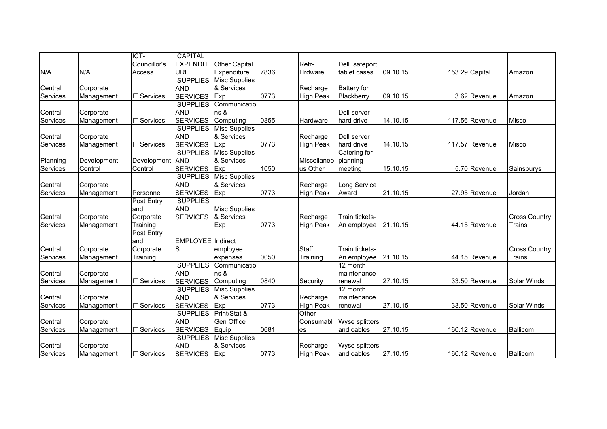|          |             | ICT-               | <b>CAPITAL</b>           |                      |      |                  |                    |          |                |                |                      |
|----------|-------------|--------------------|--------------------------|----------------------|------|------------------|--------------------|----------|----------------|----------------|----------------------|
|          |             | Councillor's       | <b>EXPENDIT</b>          | Other Capital        |      | Refr-            | Dell safeport      |          |                |                |                      |
| N/A      | N/A         | Access             | <b>URE</b>               | Expenditure          | 7836 | <b>Hrdware</b>   | tablet cases       | 09.10.15 | 153.29 Capital |                | Amazon               |
|          |             |                    | <b>SUPPLIES</b>          | <b>Misc Supplies</b> |      |                  |                    |          |                |                |                      |
| Central  | Corporate   |                    | <b>AND</b>               | & Services           |      | Recharge         | <b>Battery</b> for |          |                |                |                      |
| Services | Management  | <b>IT Services</b> | <b>SERVICES</b>          | Exp                  | 0773 | <b>High Peak</b> | Blackberry         | 09.10.15 |                | 3.62 Revenue   | Amazon               |
|          |             |                    | <b>SUPPLIES</b>          | Communicatio         |      |                  |                    |          |                |                |                      |
| Central  | Corporate   |                    | <b>AND</b>               | ns &                 |      |                  | Dell server        |          |                |                |                      |
| Services | Management  | <b>IT Services</b> | <b>SERVICES</b>          | Computing            | 0855 | Hardware         | hard drive         | 14.10.15 |                | 117.56 Revenue | Misco                |
|          |             |                    | <b>SUPPLIES</b>          | <b>Misc Supplies</b> |      |                  |                    |          |                |                |                      |
| Central  | Corporate   |                    | <b>AND</b>               | & Services           |      | Recharge         | Dell server        |          |                |                |                      |
| Services | Management  | <b>IT Services</b> | <b>SERVICES</b>          | Exp                  | 0773 | <b>High Peak</b> | hard drive         | 14.10.15 |                | 117.57 Revenue | <b>Misco</b>         |
|          |             |                    | <b>SUPPLIES</b>          | <b>Misc Supplies</b> |      |                  | Catering for       |          |                |                |                      |
| Planning | Development | Development        | <b>AND</b>               | & Services           |      | Miscellaneo      | planning           |          |                |                |                      |
| Services | Control     | Control            | <b>SERVICES</b>          | Exp                  | 1050 | us Other         | meeting            | 15.10.15 |                | 5.70 Revenue   | Sainsburys           |
|          |             |                    | <b>SUPPLIES</b>          | <b>Misc Supplies</b> |      |                  |                    |          |                |                |                      |
| Central  | Corporate   |                    | <b>AND</b>               | & Services           |      | Recharge         | Long Service       |          |                |                |                      |
| Services | Management  | Personnel          | <b>SERVICES</b>          | Exp                  | 0773 | <b>High Peak</b> | Award              | 21.10.15 |                | 27.95 Revenue  | Jordan               |
|          |             | Post Entry         | <b>SUPPLIES</b>          |                      |      |                  |                    |          |                |                |                      |
|          |             | and                | <b>AND</b>               | <b>Misc Supplies</b> |      |                  |                    |          |                |                |                      |
| Central  | Corporate   | Corporate          | <b>SERVICES</b>          | & Services           |      | Recharge         | Train tickets-     |          |                |                | <b>Cross Country</b> |
| Services | Management  | Training           |                          | Exp                  | 0773 | <b>High Peak</b> | An employee        | 21.10.15 |                | 44.15 Revenue  | Trains               |
|          |             | <b>Post Entry</b>  |                          |                      |      |                  |                    |          |                |                |                      |
|          |             | and                | <b>EMPLOYEE</b> Indirect |                      |      |                  |                    |          |                |                |                      |
| Central  | Corporate   | Corporate          | S                        | employee             |      | Staff            | Train tickets-     |          |                |                | <b>Cross Country</b> |
| Services | Management  | Training           |                          | expenses             | 0050 | Training         | An employee        | 21.10.15 |                | 44.15 Revenue  | Trains               |
|          |             |                    | <b>SUPPLIES</b>          | Communicatio         |      |                  | 12 month           |          |                |                |                      |
| Central  | Corporate   |                    | <b>AND</b>               | ns &                 |      |                  | maintenance        |          |                |                |                      |
| Services | Management  | <b>IT Services</b> | <b>SERVICES</b>          | Computing            | 0840 | Security         | renewal            | 27.10.15 |                | 33.50 Revenue  | Solar Winds          |
|          |             |                    | <b>SUPPLIES</b>          | <b>Misc Supplies</b> |      |                  | 12 month           |          |                |                |                      |
| Central  | Corporate   |                    | <b>AND</b>               | & Services           |      | Recharge         | maintenance        |          |                |                |                      |
| Services | Management  | <b>IT Services</b> | <b>SERVICES</b>          | Exp                  | 0773 | <b>High Peak</b> | renewal            | 27.10.15 |                | 33.50 Revenue  | Solar Winds          |
|          |             |                    | <b>SUPPLIES</b>          | Print/Stat &         |      | Other            |                    |          |                |                |                      |
| Central  | Corporate   |                    | <b>AND</b>               | Gen Office           |      | Consumabl        | Wyse splitters     |          |                |                |                      |
| Services | Management  | <b>IT Services</b> | <b>SERVICES</b>          | Equip                | 0681 | <b>es</b>        | and cables         | 27.10.15 |                | 160.12 Revenue | Ballicom             |
|          |             |                    | <b>SUPPLIES</b>          | <b>Misc Supplies</b> |      |                  |                    |          |                |                |                      |
| Central  | Corporate   |                    | <b>AND</b>               | & Services           |      | Recharge         | Wyse splitters     |          |                |                |                      |
| Services | Management  | <b>IT Services</b> | <b>SERVICES</b>          | Exp                  | 0773 | <b>High Peak</b> | and cables         | 27.10.15 |                | 160.12 Revenue | Ballicom             |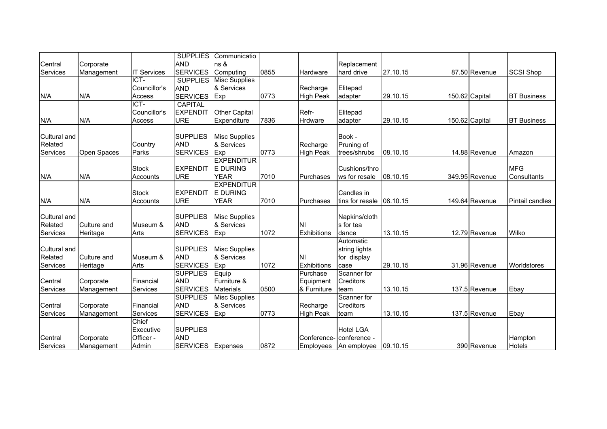| <b>AND</b><br>ns &<br>Replacement<br>Corporate<br><b>SERVICES</b><br><b>IT Services</b><br>Computing<br>0855<br>hard drive<br>27.10.15<br><b>SCSI Shop</b><br>Management<br>Hardware<br>87.50 Revenue<br>ICT-<br><b>SUPPLIES</b><br><b>Misc Supplies</b><br>& Services<br>Councillor's<br><b>AND</b><br>Elitepad<br>Recharge<br>N/A<br>N/A<br><b>SERVICES</b><br>Exp<br>0773<br><b>High Peak</b><br>29.10.15<br><b>BT Business</b><br>Access<br>150.62 Capital<br>adapter<br>ICT-<br><b>CAPITAL</b><br>Refr-<br>Councillor's<br><b>EXPENDIT</b><br>Other Capital<br>Elitepad<br>7836<br>N/A<br>Expenditure<br><b>BT Business</b><br>N/A<br>Access<br><b>URE</b><br>Hrdware<br>29.10.15<br>150.62 Capital<br>adapter<br><b>SUPPLIES</b><br>Book -<br>Cultural and<br><b>Misc Supplies</b><br>Related<br><b>AND</b><br>& Services<br>Country<br>Recharge<br>Pruning of<br><b>SERVICES</b><br>Services<br>Parks<br>Exp<br>0773<br>14.88 Revenue<br>Open Spaces<br><b>High Peak</b><br>trees/shrubs<br>08.10.15<br>Amazon<br><b>EXPENDITUR</b><br><b>MFG</b><br><b>E DURING</b><br><b>Stock</b><br><b>EXPENDIT</b><br>Cushions/thro<br>N/A<br><b>YEAR</b><br>7010<br>08.10.15<br>N/A<br><b>URE</b><br>ws for resale<br>349.95 Revenue<br>Consultants<br>Accounts<br>Purchases<br><b>EXPENDITUR</b><br><b>Stock</b><br><b>EXPENDIT</b><br><b>E DURING</b><br>Candles in<br><b>YEAR</b><br>N/A<br>N/A<br><b>URE</b><br>7010<br>08.10.15<br>149.64 Revenue<br>Pintail candles<br>Accounts<br>Purchases<br>tins for resale<br><b>SUPPLIES</b><br>Cultural and<br><b>Misc Supplies</b><br>Napkins/cloth<br><b>AND</b><br>& Services<br>Related<br>Culture and<br>Museum &<br>NI<br>s for tea<br><b>SERVICES</b><br>Wilko<br>Services<br>Arts<br>1072<br>13.10.15<br>12.79 Revenue<br>Heritage<br>Exp<br><b>Exhibitions</b><br>dance<br>Automatic<br><b>SUPPLIES</b><br>Cultural and<br><b>Misc Supplies</b><br>string lights<br>& Services<br>Related<br>Culture and<br><b>AND</b><br>ΝI<br>Museum &<br>for display<br><b>SERVICES</b><br>Exp<br>1072<br>Services<br>Arts<br>Exhibitions<br>29.10.15<br>31.96 Revenue<br>Worldstores<br>Heritage<br>case<br><b>SUPPLIES</b><br>Scanner for<br>Equip<br>Purchase<br>Financial<br><b>AND</b><br>Furniture &<br><b>Creditors</b><br>Central<br>Corporate<br>Equipment<br><b>SERVICES</b><br>0500<br>Services<br>13.10.15<br>137.5 Revenue<br>Services<br><b>Materials</b><br>& Furniture<br>Ebay<br>Management<br>team<br><b>SUPPLIES</b><br>Scanner for<br><b>Misc Supplies</b><br>Financial<br><b>AND</b><br>& Services<br>Central<br>Creditors<br>Corporate<br>Recharge<br><b>SERVICES</b><br>0773<br>Services<br>Services<br>Exp<br><b>High Peak</b><br>13.10.15<br>137.5 Revenue<br>Ebay<br>Management<br>team<br>Chief<br><b>SUPPLIES</b><br><b>Hotel LGA</b><br>Executive<br>Officer -<br><b>AND</b><br>Central<br>Corporate<br>Conference-<br>conference -<br>Hampton<br>Admin<br><b>SERVICES</b><br>0872<br>390 Revenue<br><b>Hotels</b><br>Expenses<br>An employee 09.10.15<br>Management<br><b>Employees</b> |          |  | <b>SUPPLIES</b> | Communicatio |  |  |  |  |
|-------------------------------------------------------------------------------------------------------------------------------------------------------------------------------------------------------------------------------------------------------------------------------------------------------------------------------------------------------------------------------------------------------------------------------------------------------------------------------------------------------------------------------------------------------------------------------------------------------------------------------------------------------------------------------------------------------------------------------------------------------------------------------------------------------------------------------------------------------------------------------------------------------------------------------------------------------------------------------------------------------------------------------------------------------------------------------------------------------------------------------------------------------------------------------------------------------------------------------------------------------------------------------------------------------------------------------------------------------------------------------------------------------------------------------------------------------------------------------------------------------------------------------------------------------------------------------------------------------------------------------------------------------------------------------------------------------------------------------------------------------------------------------------------------------------------------------------------------------------------------------------------------------------------------------------------------------------------------------------------------------------------------------------------------------------------------------------------------------------------------------------------------------------------------------------------------------------------------------------------------------------------------------------------------------------------------------------------------------------------------------------------------------------------------------------------------------------------------------------------------------------------------------------------------------------------------------------------------------------------------------------------------------------------------------------------------------------------------------------------------------------------------------------------------------------------------------------------------------------------------------------------------------------------------------------------------------------------------------------------------------------------------------------------------------------|----------|--|-----------------|--------------|--|--|--|--|
|                                                                                                                                                                                                                                                                                                                                                                                                                                                                                                                                                                                                                                                                                                                                                                                                                                                                                                                                                                                                                                                                                                                                                                                                                                                                                                                                                                                                                                                                                                                                                                                                                                                                                                                                                                                                                                                                                                                                                                                                                                                                                                                                                                                                                                                                                                                                                                                                                                                                                                                                                                                                                                                                                                                                                                                                                                                                                                                                                                                                                                                             | Central  |  |                 |              |  |  |  |  |
|                                                                                                                                                                                                                                                                                                                                                                                                                                                                                                                                                                                                                                                                                                                                                                                                                                                                                                                                                                                                                                                                                                                                                                                                                                                                                                                                                                                                                                                                                                                                                                                                                                                                                                                                                                                                                                                                                                                                                                                                                                                                                                                                                                                                                                                                                                                                                                                                                                                                                                                                                                                                                                                                                                                                                                                                                                                                                                                                                                                                                                                             | Services |  |                 |              |  |  |  |  |
|                                                                                                                                                                                                                                                                                                                                                                                                                                                                                                                                                                                                                                                                                                                                                                                                                                                                                                                                                                                                                                                                                                                                                                                                                                                                                                                                                                                                                                                                                                                                                                                                                                                                                                                                                                                                                                                                                                                                                                                                                                                                                                                                                                                                                                                                                                                                                                                                                                                                                                                                                                                                                                                                                                                                                                                                                                                                                                                                                                                                                                                             |          |  |                 |              |  |  |  |  |
|                                                                                                                                                                                                                                                                                                                                                                                                                                                                                                                                                                                                                                                                                                                                                                                                                                                                                                                                                                                                                                                                                                                                                                                                                                                                                                                                                                                                                                                                                                                                                                                                                                                                                                                                                                                                                                                                                                                                                                                                                                                                                                                                                                                                                                                                                                                                                                                                                                                                                                                                                                                                                                                                                                                                                                                                                                                                                                                                                                                                                                                             |          |  |                 |              |  |  |  |  |
|                                                                                                                                                                                                                                                                                                                                                                                                                                                                                                                                                                                                                                                                                                                                                                                                                                                                                                                                                                                                                                                                                                                                                                                                                                                                                                                                                                                                                                                                                                                                                                                                                                                                                                                                                                                                                                                                                                                                                                                                                                                                                                                                                                                                                                                                                                                                                                                                                                                                                                                                                                                                                                                                                                                                                                                                                                                                                                                                                                                                                                                             |          |  |                 |              |  |  |  |  |
|                                                                                                                                                                                                                                                                                                                                                                                                                                                                                                                                                                                                                                                                                                                                                                                                                                                                                                                                                                                                                                                                                                                                                                                                                                                                                                                                                                                                                                                                                                                                                                                                                                                                                                                                                                                                                                                                                                                                                                                                                                                                                                                                                                                                                                                                                                                                                                                                                                                                                                                                                                                                                                                                                                                                                                                                                                                                                                                                                                                                                                                             |          |  |                 |              |  |  |  |  |
|                                                                                                                                                                                                                                                                                                                                                                                                                                                                                                                                                                                                                                                                                                                                                                                                                                                                                                                                                                                                                                                                                                                                                                                                                                                                                                                                                                                                                                                                                                                                                                                                                                                                                                                                                                                                                                                                                                                                                                                                                                                                                                                                                                                                                                                                                                                                                                                                                                                                                                                                                                                                                                                                                                                                                                                                                                                                                                                                                                                                                                                             |          |  |                 |              |  |  |  |  |
|                                                                                                                                                                                                                                                                                                                                                                                                                                                                                                                                                                                                                                                                                                                                                                                                                                                                                                                                                                                                                                                                                                                                                                                                                                                                                                                                                                                                                                                                                                                                                                                                                                                                                                                                                                                                                                                                                                                                                                                                                                                                                                                                                                                                                                                                                                                                                                                                                                                                                                                                                                                                                                                                                                                                                                                                                                                                                                                                                                                                                                                             |          |  |                 |              |  |  |  |  |
|                                                                                                                                                                                                                                                                                                                                                                                                                                                                                                                                                                                                                                                                                                                                                                                                                                                                                                                                                                                                                                                                                                                                                                                                                                                                                                                                                                                                                                                                                                                                                                                                                                                                                                                                                                                                                                                                                                                                                                                                                                                                                                                                                                                                                                                                                                                                                                                                                                                                                                                                                                                                                                                                                                                                                                                                                                                                                                                                                                                                                                                             |          |  |                 |              |  |  |  |  |
|                                                                                                                                                                                                                                                                                                                                                                                                                                                                                                                                                                                                                                                                                                                                                                                                                                                                                                                                                                                                                                                                                                                                                                                                                                                                                                                                                                                                                                                                                                                                                                                                                                                                                                                                                                                                                                                                                                                                                                                                                                                                                                                                                                                                                                                                                                                                                                                                                                                                                                                                                                                                                                                                                                                                                                                                                                                                                                                                                                                                                                                             |          |  |                 |              |  |  |  |  |
|                                                                                                                                                                                                                                                                                                                                                                                                                                                                                                                                                                                                                                                                                                                                                                                                                                                                                                                                                                                                                                                                                                                                                                                                                                                                                                                                                                                                                                                                                                                                                                                                                                                                                                                                                                                                                                                                                                                                                                                                                                                                                                                                                                                                                                                                                                                                                                                                                                                                                                                                                                                                                                                                                                                                                                                                                                                                                                                                                                                                                                                             |          |  |                 |              |  |  |  |  |
|                                                                                                                                                                                                                                                                                                                                                                                                                                                                                                                                                                                                                                                                                                                                                                                                                                                                                                                                                                                                                                                                                                                                                                                                                                                                                                                                                                                                                                                                                                                                                                                                                                                                                                                                                                                                                                                                                                                                                                                                                                                                                                                                                                                                                                                                                                                                                                                                                                                                                                                                                                                                                                                                                                                                                                                                                                                                                                                                                                                                                                                             |          |  |                 |              |  |  |  |  |
|                                                                                                                                                                                                                                                                                                                                                                                                                                                                                                                                                                                                                                                                                                                                                                                                                                                                                                                                                                                                                                                                                                                                                                                                                                                                                                                                                                                                                                                                                                                                                                                                                                                                                                                                                                                                                                                                                                                                                                                                                                                                                                                                                                                                                                                                                                                                                                                                                                                                                                                                                                                                                                                                                                                                                                                                                                                                                                                                                                                                                                                             |          |  |                 |              |  |  |  |  |
|                                                                                                                                                                                                                                                                                                                                                                                                                                                                                                                                                                                                                                                                                                                                                                                                                                                                                                                                                                                                                                                                                                                                                                                                                                                                                                                                                                                                                                                                                                                                                                                                                                                                                                                                                                                                                                                                                                                                                                                                                                                                                                                                                                                                                                                                                                                                                                                                                                                                                                                                                                                                                                                                                                                                                                                                                                                                                                                                                                                                                                                             |          |  |                 |              |  |  |  |  |
|                                                                                                                                                                                                                                                                                                                                                                                                                                                                                                                                                                                                                                                                                                                                                                                                                                                                                                                                                                                                                                                                                                                                                                                                                                                                                                                                                                                                                                                                                                                                                                                                                                                                                                                                                                                                                                                                                                                                                                                                                                                                                                                                                                                                                                                                                                                                                                                                                                                                                                                                                                                                                                                                                                                                                                                                                                                                                                                                                                                                                                                             |          |  |                 |              |  |  |  |  |
|                                                                                                                                                                                                                                                                                                                                                                                                                                                                                                                                                                                                                                                                                                                                                                                                                                                                                                                                                                                                                                                                                                                                                                                                                                                                                                                                                                                                                                                                                                                                                                                                                                                                                                                                                                                                                                                                                                                                                                                                                                                                                                                                                                                                                                                                                                                                                                                                                                                                                                                                                                                                                                                                                                                                                                                                                                                                                                                                                                                                                                                             |          |  |                 |              |  |  |  |  |
|                                                                                                                                                                                                                                                                                                                                                                                                                                                                                                                                                                                                                                                                                                                                                                                                                                                                                                                                                                                                                                                                                                                                                                                                                                                                                                                                                                                                                                                                                                                                                                                                                                                                                                                                                                                                                                                                                                                                                                                                                                                                                                                                                                                                                                                                                                                                                                                                                                                                                                                                                                                                                                                                                                                                                                                                                                                                                                                                                                                                                                                             |          |  |                 |              |  |  |  |  |
|                                                                                                                                                                                                                                                                                                                                                                                                                                                                                                                                                                                                                                                                                                                                                                                                                                                                                                                                                                                                                                                                                                                                                                                                                                                                                                                                                                                                                                                                                                                                                                                                                                                                                                                                                                                                                                                                                                                                                                                                                                                                                                                                                                                                                                                                                                                                                                                                                                                                                                                                                                                                                                                                                                                                                                                                                                                                                                                                                                                                                                                             |          |  |                 |              |  |  |  |  |
|                                                                                                                                                                                                                                                                                                                                                                                                                                                                                                                                                                                                                                                                                                                                                                                                                                                                                                                                                                                                                                                                                                                                                                                                                                                                                                                                                                                                                                                                                                                                                                                                                                                                                                                                                                                                                                                                                                                                                                                                                                                                                                                                                                                                                                                                                                                                                                                                                                                                                                                                                                                                                                                                                                                                                                                                                                                                                                                                                                                                                                                             |          |  |                 |              |  |  |  |  |
|                                                                                                                                                                                                                                                                                                                                                                                                                                                                                                                                                                                                                                                                                                                                                                                                                                                                                                                                                                                                                                                                                                                                                                                                                                                                                                                                                                                                                                                                                                                                                                                                                                                                                                                                                                                                                                                                                                                                                                                                                                                                                                                                                                                                                                                                                                                                                                                                                                                                                                                                                                                                                                                                                                                                                                                                                                                                                                                                                                                                                                                             |          |  |                 |              |  |  |  |  |
|                                                                                                                                                                                                                                                                                                                                                                                                                                                                                                                                                                                                                                                                                                                                                                                                                                                                                                                                                                                                                                                                                                                                                                                                                                                                                                                                                                                                                                                                                                                                                                                                                                                                                                                                                                                                                                                                                                                                                                                                                                                                                                                                                                                                                                                                                                                                                                                                                                                                                                                                                                                                                                                                                                                                                                                                                                                                                                                                                                                                                                                             |          |  |                 |              |  |  |  |  |
|                                                                                                                                                                                                                                                                                                                                                                                                                                                                                                                                                                                                                                                                                                                                                                                                                                                                                                                                                                                                                                                                                                                                                                                                                                                                                                                                                                                                                                                                                                                                                                                                                                                                                                                                                                                                                                                                                                                                                                                                                                                                                                                                                                                                                                                                                                                                                                                                                                                                                                                                                                                                                                                                                                                                                                                                                                                                                                                                                                                                                                                             |          |  |                 |              |  |  |  |  |
|                                                                                                                                                                                                                                                                                                                                                                                                                                                                                                                                                                                                                                                                                                                                                                                                                                                                                                                                                                                                                                                                                                                                                                                                                                                                                                                                                                                                                                                                                                                                                                                                                                                                                                                                                                                                                                                                                                                                                                                                                                                                                                                                                                                                                                                                                                                                                                                                                                                                                                                                                                                                                                                                                                                                                                                                                                                                                                                                                                                                                                                             |          |  |                 |              |  |  |  |  |
|                                                                                                                                                                                                                                                                                                                                                                                                                                                                                                                                                                                                                                                                                                                                                                                                                                                                                                                                                                                                                                                                                                                                                                                                                                                                                                                                                                                                                                                                                                                                                                                                                                                                                                                                                                                                                                                                                                                                                                                                                                                                                                                                                                                                                                                                                                                                                                                                                                                                                                                                                                                                                                                                                                                                                                                                                                                                                                                                                                                                                                                             |          |  |                 |              |  |  |  |  |
|                                                                                                                                                                                                                                                                                                                                                                                                                                                                                                                                                                                                                                                                                                                                                                                                                                                                                                                                                                                                                                                                                                                                                                                                                                                                                                                                                                                                                                                                                                                                                                                                                                                                                                                                                                                                                                                                                                                                                                                                                                                                                                                                                                                                                                                                                                                                                                                                                                                                                                                                                                                                                                                                                                                                                                                                                                                                                                                                                                                                                                                             |          |  |                 |              |  |  |  |  |
|                                                                                                                                                                                                                                                                                                                                                                                                                                                                                                                                                                                                                                                                                                                                                                                                                                                                                                                                                                                                                                                                                                                                                                                                                                                                                                                                                                                                                                                                                                                                                                                                                                                                                                                                                                                                                                                                                                                                                                                                                                                                                                                                                                                                                                                                                                                                                                                                                                                                                                                                                                                                                                                                                                                                                                                                                                                                                                                                                                                                                                                             |          |  |                 |              |  |  |  |  |
|                                                                                                                                                                                                                                                                                                                                                                                                                                                                                                                                                                                                                                                                                                                                                                                                                                                                                                                                                                                                                                                                                                                                                                                                                                                                                                                                                                                                                                                                                                                                                                                                                                                                                                                                                                                                                                                                                                                                                                                                                                                                                                                                                                                                                                                                                                                                                                                                                                                                                                                                                                                                                                                                                                                                                                                                                                                                                                                                                                                                                                                             |          |  |                 |              |  |  |  |  |
|                                                                                                                                                                                                                                                                                                                                                                                                                                                                                                                                                                                                                                                                                                                                                                                                                                                                                                                                                                                                                                                                                                                                                                                                                                                                                                                                                                                                                                                                                                                                                                                                                                                                                                                                                                                                                                                                                                                                                                                                                                                                                                                                                                                                                                                                                                                                                                                                                                                                                                                                                                                                                                                                                                                                                                                                                                                                                                                                                                                                                                                             |          |  |                 |              |  |  |  |  |
|                                                                                                                                                                                                                                                                                                                                                                                                                                                                                                                                                                                                                                                                                                                                                                                                                                                                                                                                                                                                                                                                                                                                                                                                                                                                                                                                                                                                                                                                                                                                                                                                                                                                                                                                                                                                                                                                                                                                                                                                                                                                                                                                                                                                                                                                                                                                                                                                                                                                                                                                                                                                                                                                                                                                                                                                                                                                                                                                                                                                                                                             |          |  |                 |              |  |  |  |  |
|                                                                                                                                                                                                                                                                                                                                                                                                                                                                                                                                                                                                                                                                                                                                                                                                                                                                                                                                                                                                                                                                                                                                                                                                                                                                                                                                                                                                                                                                                                                                                                                                                                                                                                                                                                                                                                                                                                                                                                                                                                                                                                                                                                                                                                                                                                                                                                                                                                                                                                                                                                                                                                                                                                                                                                                                                                                                                                                                                                                                                                                             |          |  |                 |              |  |  |  |  |
|                                                                                                                                                                                                                                                                                                                                                                                                                                                                                                                                                                                                                                                                                                                                                                                                                                                                                                                                                                                                                                                                                                                                                                                                                                                                                                                                                                                                                                                                                                                                                                                                                                                                                                                                                                                                                                                                                                                                                                                                                                                                                                                                                                                                                                                                                                                                                                                                                                                                                                                                                                                                                                                                                                                                                                                                                                                                                                                                                                                                                                                             |          |  |                 |              |  |  |  |  |
|                                                                                                                                                                                                                                                                                                                                                                                                                                                                                                                                                                                                                                                                                                                                                                                                                                                                                                                                                                                                                                                                                                                                                                                                                                                                                                                                                                                                                                                                                                                                                                                                                                                                                                                                                                                                                                                                                                                                                                                                                                                                                                                                                                                                                                                                                                                                                                                                                                                                                                                                                                                                                                                                                                                                                                                                                                                                                                                                                                                                                                                             |          |  |                 |              |  |  |  |  |
|                                                                                                                                                                                                                                                                                                                                                                                                                                                                                                                                                                                                                                                                                                                                                                                                                                                                                                                                                                                                                                                                                                                                                                                                                                                                                                                                                                                                                                                                                                                                                                                                                                                                                                                                                                                                                                                                                                                                                                                                                                                                                                                                                                                                                                                                                                                                                                                                                                                                                                                                                                                                                                                                                                                                                                                                                                                                                                                                                                                                                                                             |          |  |                 |              |  |  |  |  |
|                                                                                                                                                                                                                                                                                                                                                                                                                                                                                                                                                                                                                                                                                                                                                                                                                                                                                                                                                                                                                                                                                                                                                                                                                                                                                                                                                                                                                                                                                                                                                                                                                                                                                                                                                                                                                                                                                                                                                                                                                                                                                                                                                                                                                                                                                                                                                                                                                                                                                                                                                                                                                                                                                                                                                                                                                                                                                                                                                                                                                                                             |          |  |                 |              |  |  |  |  |
|                                                                                                                                                                                                                                                                                                                                                                                                                                                                                                                                                                                                                                                                                                                                                                                                                                                                                                                                                                                                                                                                                                                                                                                                                                                                                                                                                                                                                                                                                                                                                                                                                                                                                                                                                                                                                                                                                                                                                                                                                                                                                                                                                                                                                                                                                                                                                                                                                                                                                                                                                                                                                                                                                                                                                                                                                                                                                                                                                                                                                                                             | Services |  |                 |              |  |  |  |  |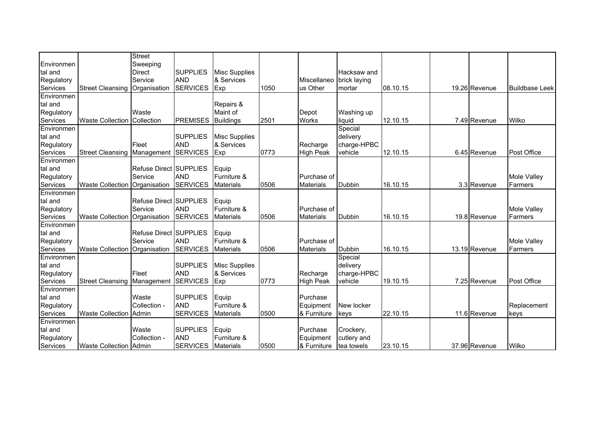|                        |                                    | <b>Street</b>                 |                               |                      |      |                          |               |          |               |                       |
|------------------------|------------------------------------|-------------------------------|-------------------------------|----------------------|------|--------------------------|---------------|----------|---------------|-----------------------|
| Environmen             |                                    | Sweeping                      |                               |                      |      |                          |               |          |               |                       |
| tal and                |                                    | <b>Direct</b>                 | <b>SUPPLIES</b>               | <b>Misc Supplies</b> |      |                          | Hacksaw and   |          |               |                       |
| Regulatory             |                                    | Service                       | <b>AND</b>                    | & Services           |      | Miscellaneo brick laying |               |          |               |                       |
| Services               | <b>Street Cleansing</b>            | Organisation                  | <b>SERVICES</b>               | Exp                  | 1050 | us Other                 | mortar        | 08.10.15 | 19.26 Revenue | <b>Buildbase Leek</b> |
| Environmen             |                                    |                               |                               |                      |      |                          |               |          |               |                       |
| tal and                |                                    |                               |                               | Repairs &            |      |                          |               |          |               |                       |
| Regulatory             |                                    | Waste                         |                               | Maint of             |      | Depot                    | Washing up    |          |               |                       |
| Services               | <b>Waste Collection</b>            | Collection                    | <b>PREMISES</b>               | <b>Buildings</b>     | 2501 | <b>Works</b>             | liquid        | 12.10.15 | 7.49 Revenue  | Wilko                 |
| Environmen             |                                    |                               |                               |                      |      |                          | Special       |          |               |                       |
| tal and                |                                    |                               | <b>SUPPLIES</b>               | <b>Misc Supplies</b> |      |                          | delivery      |          |               |                       |
| Regulatory             |                                    | Fleet                         | <b>AND</b>                    | & Services           |      | Recharge                 | charge-HPBC   |          |               |                       |
| Services               | <b>Street Cleansing Management</b> |                               | <b>SERVICES</b>               | Exp                  | 0773 | <b>High Peak</b>         | vehicle       | 12.10.15 | 6.45 Revenue  | Post Office           |
| Environmen             |                                    |                               |                               |                      |      |                          |               |          |               |                       |
| tal and                |                                    | <b>Refuse Direct SUPPLIES</b> |                               | Equip                |      |                          |               |          |               |                       |
| Regulatory             |                                    | Service                       | <b>AND</b>                    | Furniture &          |      | Purchase of              |               |          |               | Mole Valley           |
| Services               | <b>Waste Collection</b>            | Organisation                  | <b>SERVICES</b>               | <b>Materials</b>     | 0506 | <b>Materials</b>         | <b>Dubbin</b> | 16.10.15 | 3.3 Revenue   | Farmers               |
| Environmen             |                                    |                               |                               |                      |      |                          |               |          |               |                       |
| tal and                |                                    | Refuse Direct SUPPLIES        |                               | Equip                |      |                          |               |          |               |                       |
| Regulatory             |                                    | Service                       | <b>AND</b>                    | Furniture &          |      | Purchase of              |               |          |               | Mole Valley           |
| Services               | <b>Waste Collection</b>            | Organisation                  | <b>SERVICES</b>               | <b>Materials</b>     | 0506 | <b>Materials</b>         | Dubbin        | 16.10.15 | 19.8 Revenue  | Farmers               |
| Environmen             |                                    |                               |                               |                      |      |                          |               |          |               |                       |
| tal and                |                                    | Refuse Direct SUPPLIES        |                               | Equip                |      |                          |               |          |               |                       |
| Regulatory             |                                    | Service                       | <b>AND</b>                    | Furniture &          |      | Purchase of              |               |          |               | Mole Valley           |
| Services               | <b>Waste Collection</b>            | Organisation                  | <b>SERVICES</b>               | <b>Materials</b>     | 0506 | <b>Materials</b>         | Dubbin        | 16.10.15 | 13.19 Revenue | Farmers               |
| Environmen             |                                    |                               |                               |                      |      |                          | Special       |          |               |                       |
| tal and                |                                    |                               | <b>SUPPLIES</b>               | <b>Misc Supplies</b> |      |                          | delivery      |          |               |                       |
| Regulatory             |                                    | Fleet                         | <b>AND</b>                    | & Services           |      | Recharge                 | charge-HPBC   |          |               |                       |
| Services<br>Environmen | <b>Street Cleansing</b>            | Management                    | <b>SERVICES</b>               | Exp                  | 0773 | <b>High Peak</b>         | vehicle       | 19.10.15 | 7.25 Revenue  | <b>Post Office</b>    |
|                        |                                    | Waste                         |                               |                      |      |                          |               |          |               |                       |
| tal and                |                                    |                               | <b>SUPPLIES</b><br><b>AND</b> | Equip                |      | Purchase                 |               |          |               |                       |
| Regulatory             |                                    | Collection -                  |                               | Furniture &          |      | Equipment                | New locker    |          |               | Replacement           |
| Services<br>Environmen | <b>Waste Collection</b>            | Admin                         | <b>SERVICES</b>               | <b>Materials</b>     | 0500 | & Furniture              | keys          | 22.10.15 | 11.6 Revenue  | keys                  |
|                        |                                    |                               |                               |                      |      |                          |               |          |               |                       |
| tal and                |                                    | Waste                         | <b>SUPPLIES</b>               | Equip                |      | Purchase                 | Crockery,     |          |               |                       |
| Regulatory             |                                    | Collection -                  | <b>AND</b>                    | Furniture &          |      | Equipment                | cutlery and   |          |               |                       |
| Services               | <b>Waste Collection Admin</b>      |                               | <b>SERVICES</b>               | <b>Materials</b>     | 0500 | & Furniture              | tea towels    | 23.10.15 | 37.96 Revenue | Wilko                 |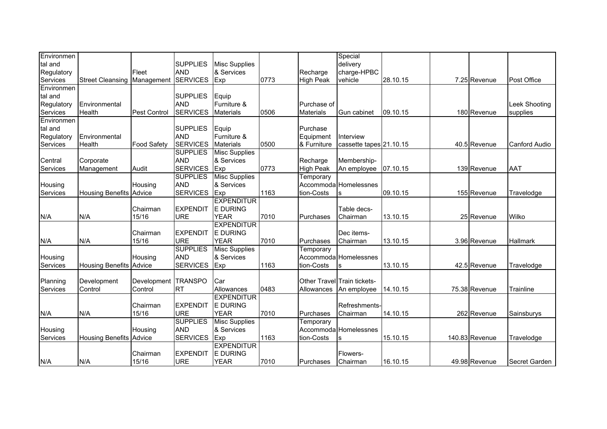| <b>SUPPLIES</b><br>delivery<br><b>Misc Supplies</b><br><b>AND</b><br>& Services<br>Fleet<br>Recharge<br>charge-HPBC<br><b>SERVICES</b><br>Exp<br>0773<br><b>High Peak</b><br>28.10.15<br>7.25 Revenue<br>Post Office<br><b>Street Cleansing Management</b><br>vehicle<br>Environmen<br><b>SUPPLIES</b><br>Equip<br><b>AND</b><br>Furniture &<br>Environmental<br><b>Leek Shooting</b><br>Purchase of<br>Services<br><b>SERVICES</b><br>0506<br>Health<br><b>Pest Control</b><br><b>Materials</b><br><b>Materials</b><br>Gun cabinet<br>09.10.15<br>180 Revenue<br>supplies<br>Environmen<br><b>SUPPLIES</b><br>Equip<br>Purchase<br><b>AND</b><br>Furniture &<br>Environmental<br>Equipment<br>Interview<br><b>Food Safety</b><br><b>SERVICES</b><br>0500<br>Health<br><b>Materials</b><br>& Furniture<br>cassette tapes 21.10.15<br>40.5 Revenue<br><b>Canford Audio</b><br><b>SUPPLIES</b><br><b>Misc Supplies</b><br>& Services<br><b>AND</b><br>Membership-<br>Corporate<br>Recharge<br><b>SERVICES</b><br>Exp<br>0773<br><b>High Peak</b><br>07.10.15<br>139 Revenue<br><b>AAT</b><br>Audit<br>An employee<br>Management<br><b>SUPPLIES</b><br><b>Misc Supplies</b><br>Temporary<br><b>AND</b><br>& Services<br>Accommoda Homelessnes<br>Housing<br><b>SERVICES</b><br>Exp<br>1163<br>tion-Costs<br>09.10.15<br>155 Revenue<br><b>Housing Benefits Advice</b><br>Travelodge<br>S<br><b>EXPENDITUR</b><br>E DURING<br><b>EXPENDIT</b><br>Chairman<br>Table decs-<br>N/A<br>15/16<br><b>URE</b><br><b>YEAR</b><br>7010<br>Wilko<br>Chairman<br>13.10.15<br>25 Revenue<br>Purchases<br><b>EXPENDITUR</b><br><b>E DURING</b><br><b>EXPENDIT</b><br>Chairman<br>Dec items-<br><b>URE</b><br><b>YEAR</b><br>7010<br>N/A<br>15/16<br>Chairman<br>13.10.15<br>3.96 Revenue<br>Hallmark<br>Purchases<br><b>SUPPLIES</b><br><b>Misc Supplies</b><br>Temporary<br><b>AND</b><br>& Services<br>Accommoda Homelessnes<br>Housing<br><b>SERVICES</b><br>Services<br><b>Housing Benefits Advice</b><br>1163<br>tion-Costs<br>13.10.15<br>42.5 Revenue<br>Exp<br>Travelodge<br>S<br>Development TRANSPO<br>Other Travel Train tickets-<br>Development<br>Car<br><b>RT</b><br>0483<br>75.38 Revenue<br>Control<br>Control<br>Allowances<br>14.10.15<br>Trainline<br>Allowances<br>An employee<br><b>EXPENDITUR</b><br><b>EXPENDIT</b><br><b>E DURING</b><br>Refreshments-<br>Chairman<br><b>YEAR</b><br>7010<br>N/A<br><b>URE</b><br>Chairman<br>14.10.15<br>262 Revenue<br>N/A<br>15/16<br>Purchases<br>Sainsburys<br><b>SUPPLIES</b><br><b>Misc Supplies</b><br>Temporary<br>& Services<br><b>AND</b><br>Housing<br>Housing<br>Accommoda Homelessnes | Environmen |  |                 |  |            | Special |          |  |  |
|--------------------------------------------------------------------------------------------------------------------------------------------------------------------------------------------------------------------------------------------------------------------------------------------------------------------------------------------------------------------------------------------------------------------------------------------------------------------------------------------------------------------------------------------------------------------------------------------------------------------------------------------------------------------------------------------------------------------------------------------------------------------------------------------------------------------------------------------------------------------------------------------------------------------------------------------------------------------------------------------------------------------------------------------------------------------------------------------------------------------------------------------------------------------------------------------------------------------------------------------------------------------------------------------------------------------------------------------------------------------------------------------------------------------------------------------------------------------------------------------------------------------------------------------------------------------------------------------------------------------------------------------------------------------------------------------------------------------------------------------------------------------------------------------------------------------------------------------------------------------------------------------------------------------------------------------------------------------------------------------------------------------------------------------------------------------------------------------------------------------------------------------------------------------------------------------------------------------------------------------------------------------------------------------------------------------------------------------------------------------------------------------------------------------------------------------------------------------------------------------------------------------------------------------------------------------------------------------------------------------------------------------|------------|--|-----------------|--|------------|---------|----------|--|--|
|                                                                                                                                                                                                                                                                                                                                                                                                                                                                                                                                                                                                                                                                                                                                                                                                                                                                                                                                                                                                                                                                                                                                                                                                                                                                                                                                                                                                                                                                                                                                                                                                                                                                                                                                                                                                                                                                                                                                                                                                                                                                                                                                                                                                                                                                                                                                                                                                                                                                                                                                                                                                                                            | tal and    |  |                 |  |            |         |          |  |  |
|                                                                                                                                                                                                                                                                                                                                                                                                                                                                                                                                                                                                                                                                                                                                                                                                                                                                                                                                                                                                                                                                                                                                                                                                                                                                                                                                                                                                                                                                                                                                                                                                                                                                                                                                                                                                                                                                                                                                                                                                                                                                                                                                                                                                                                                                                                                                                                                                                                                                                                                                                                                                                                            | Regulatory |  |                 |  |            |         |          |  |  |
|                                                                                                                                                                                                                                                                                                                                                                                                                                                                                                                                                                                                                                                                                                                                                                                                                                                                                                                                                                                                                                                                                                                                                                                                                                                                                                                                                                                                                                                                                                                                                                                                                                                                                                                                                                                                                                                                                                                                                                                                                                                                                                                                                                                                                                                                                                                                                                                                                                                                                                                                                                                                                                            | Services   |  |                 |  |            |         |          |  |  |
|                                                                                                                                                                                                                                                                                                                                                                                                                                                                                                                                                                                                                                                                                                                                                                                                                                                                                                                                                                                                                                                                                                                                                                                                                                                                                                                                                                                                                                                                                                                                                                                                                                                                                                                                                                                                                                                                                                                                                                                                                                                                                                                                                                                                                                                                                                                                                                                                                                                                                                                                                                                                                                            |            |  |                 |  |            |         |          |  |  |
|                                                                                                                                                                                                                                                                                                                                                                                                                                                                                                                                                                                                                                                                                                                                                                                                                                                                                                                                                                                                                                                                                                                                                                                                                                                                                                                                                                                                                                                                                                                                                                                                                                                                                                                                                                                                                                                                                                                                                                                                                                                                                                                                                                                                                                                                                                                                                                                                                                                                                                                                                                                                                                            | tal and    |  |                 |  |            |         |          |  |  |
|                                                                                                                                                                                                                                                                                                                                                                                                                                                                                                                                                                                                                                                                                                                                                                                                                                                                                                                                                                                                                                                                                                                                                                                                                                                                                                                                                                                                                                                                                                                                                                                                                                                                                                                                                                                                                                                                                                                                                                                                                                                                                                                                                                                                                                                                                                                                                                                                                                                                                                                                                                                                                                            | Regulatory |  |                 |  |            |         |          |  |  |
|                                                                                                                                                                                                                                                                                                                                                                                                                                                                                                                                                                                                                                                                                                                                                                                                                                                                                                                                                                                                                                                                                                                                                                                                                                                                                                                                                                                                                                                                                                                                                                                                                                                                                                                                                                                                                                                                                                                                                                                                                                                                                                                                                                                                                                                                                                                                                                                                                                                                                                                                                                                                                                            |            |  |                 |  |            |         |          |  |  |
|                                                                                                                                                                                                                                                                                                                                                                                                                                                                                                                                                                                                                                                                                                                                                                                                                                                                                                                                                                                                                                                                                                                                                                                                                                                                                                                                                                                                                                                                                                                                                                                                                                                                                                                                                                                                                                                                                                                                                                                                                                                                                                                                                                                                                                                                                                                                                                                                                                                                                                                                                                                                                                            |            |  |                 |  |            |         |          |  |  |
|                                                                                                                                                                                                                                                                                                                                                                                                                                                                                                                                                                                                                                                                                                                                                                                                                                                                                                                                                                                                                                                                                                                                                                                                                                                                                                                                                                                                                                                                                                                                                                                                                                                                                                                                                                                                                                                                                                                                                                                                                                                                                                                                                                                                                                                                                                                                                                                                                                                                                                                                                                                                                                            | tal and    |  |                 |  |            |         |          |  |  |
|                                                                                                                                                                                                                                                                                                                                                                                                                                                                                                                                                                                                                                                                                                                                                                                                                                                                                                                                                                                                                                                                                                                                                                                                                                                                                                                                                                                                                                                                                                                                                                                                                                                                                                                                                                                                                                                                                                                                                                                                                                                                                                                                                                                                                                                                                                                                                                                                                                                                                                                                                                                                                                            | Regulatory |  |                 |  |            |         |          |  |  |
|                                                                                                                                                                                                                                                                                                                                                                                                                                                                                                                                                                                                                                                                                                                                                                                                                                                                                                                                                                                                                                                                                                                                                                                                                                                                                                                                                                                                                                                                                                                                                                                                                                                                                                                                                                                                                                                                                                                                                                                                                                                                                                                                                                                                                                                                                                                                                                                                                                                                                                                                                                                                                                            | Services   |  |                 |  |            |         |          |  |  |
|                                                                                                                                                                                                                                                                                                                                                                                                                                                                                                                                                                                                                                                                                                                                                                                                                                                                                                                                                                                                                                                                                                                                                                                                                                                                                                                                                                                                                                                                                                                                                                                                                                                                                                                                                                                                                                                                                                                                                                                                                                                                                                                                                                                                                                                                                                                                                                                                                                                                                                                                                                                                                                            |            |  |                 |  |            |         |          |  |  |
|                                                                                                                                                                                                                                                                                                                                                                                                                                                                                                                                                                                                                                                                                                                                                                                                                                                                                                                                                                                                                                                                                                                                                                                                                                                                                                                                                                                                                                                                                                                                                                                                                                                                                                                                                                                                                                                                                                                                                                                                                                                                                                                                                                                                                                                                                                                                                                                                                                                                                                                                                                                                                                            | Central    |  |                 |  |            |         |          |  |  |
|                                                                                                                                                                                                                                                                                                                                                                                                                                                                                                                                                                                                                                                                                                                                                                                                                                                                                                                                                                                                                                                                                                                                                                                                                                                                                                                                                                                                                                                                                                                                                                                                                                                                                                                                                                                                                                                                                                                                                                                                                                                                                                                                                                                                                                                                                                                                                                                                                                                                                                                                                                                                                                            | Services   |  |                 |  |            |         |          |  |  |
|                                                                                                                                                                                                                                                                                                                                                                                                                                                                                                                                                                                                                                                                                                                                                                                                                                                                                                                                                                                                                                                                                                                                                                                                                                                                                                                                                                                                                                                                                                                                                                                                                                                                                                                                                                                                                                                                                                                                                                                                                                                                                                                                                                                                                                                                                                                                                                                                                                                                                                                                                                                                                                            |            |  |                 |  |            |         |          |  |  |
|                                                                                                                                                                                                                                                                                                                                                                                                                                                                                                                                                                                                                                                                                                                                                                                                                                                                                                                                                                                                                                                                                                                                                                                                                                                                                                                                                                                                                                                                                                                                                                                                                                                                                                                                                                                                                                                                                                                                                                                                                                                                                                                                                                                                                                                                                                                                                                                                                                                                                                                                                                                                                                            | Housing    |  |                 |  |            |         |          |  |  |
|                                                                                                                                                                                                                                                                                                                                                                                                                                                                                                                                                                                                                                                                                                                                                                                                                                                                                                                                                                                                                                                                                                                                                                                                                                                                                                                                                                                                                                                                                                                                                                                                                                                                                                                                                                                                                                                                                                                                                                                                                                                                                                                                                                                                                                                                                                                                                                                                                                                                                                                                                                                                                                            | Services   |  |                 |  |            |         |          |  |  |
|                                                                                                                                                                                                                                                                                                                                                                                                                                                                                                                                                                                                                                                                                                                                                                                                                                                                                                                                                                                                                                                                                                                                                                                                                                                                                                                                                                                                                                                                                                                                                                                                                                                                                                                                                                                                                                                                                                                                                                                                                                                                                                                                                                                                                                                                                                                                                                                                                                                                                                                                                                                                                                            |            |  |                 |  |            |         |          |  |  |
|                                                                                                                                                                                                                                                                                                                                                                                                                                                                                                                                                                                                                                                                                                                                                                                                                                                                                                                                                                                                                                                                                                                                                                                                                                                                                                                                                                                                                                                                                                                                                                                                                                                                                                                                                                                                                                                                                                                                                                                                                                                                                                                                                                                                                                                                                                                                                                                                                                                                                                                                                                                                                                            |            |  |                 |  |            |         |          |  |  |
|                                                                                                                                                                                                                                                                                                                                                                                                                                                                                                                                                                                                                                                                                                                                                                                                                                                                                                                                                                                                                                                                                                                                                                                                                                                                                                                                                                                                                                                                                                                                                                                                                                                                                                                                                                                                                                                                                                                                                                                                                                                                                                                                                                                                                                                                                                                                                                                                                                                                                                                                                                                                                                            | N/A        |  |                 |  |            |         |          |  |  |
|                                                                                                                                                                                                                                                                                                                                                                                                                                                                                                                                                                                                                                                                                                                                                                                                                                                                                                                                                                                                                                                                                                                                                                                                                                                                                                                                                                                                                                                                                                                                                                                                                                                                                                                                                                                                                                                                                                                                                                                                                                                                                                                                                                                                                                                                                                                                                                                                                                                                                                                                                                                                                                            |            |  |                 |  |            |         |          |  |  |
|                                                                                                                                                                                                                                                                                                                                                                                                                                                                                                                                                                                                                                                                                                                                                                                                                                                                                                                                                                                                                                                                                                                                                                                                                                                                                                                                                                                                                                                                                                                                                                                                                                                                                                                                                                                                                                                                                                                                                                                                                                                                                                                                                                                                                                                                                                                                                                                                                                                                                                                                                                                                                                            |            |  |                 |  |            |         |          |  |  |
|                                                                                                                                                                                                                                                                                                                                                                                                                                                                                                                                                                                                                                                                                                                                                                                                                                                                                                                                                                                                                                                                                                                                                                                                                                                                                                                                                                                                                                                                                                                                                                                                                                                                                                                                                                                                                                                                                                                                                                                                                                                                                                                                                                                                                                                                                                                                                                                                                                                                                                                                                                                                                                            | N/A        |  |                 |  |            |         |          |  |  |
|                                                                                                                                                                                                                                                                                                                                                                                                                                                                                                                                                                                                                                                                                                                                                                                                                                                                                                                                                                                                                                                                                                                                                                                                                                                                                                                                                                                                                                                                                                                                                                                                                                                                                                                                                                                                                                                                                                                                                                                                                                                                                                                                                                                                                                                                                                                                                                                                                                                                                                                                                                                                                                            |            |  |                 |  |            |         |          |  |  |
|                                                                                                                                                                                                                                                                                                                                                                                                                                                                                                                                                                                                                                                                                                                                                                                                                                                                                                                                                                                                                                                                                                                                                                                                                                                                                                                                                                                                                                                                                                                                                                                                                                                                                                                                                                                                                                                                                                                                                                                                                                                                                                                                                                                                                                                                                                                                                                                                                                                                                                                                                                                                                                            | Housing    |  |                 |  |            |         |          |  |  |
|                                                                                                                                                                                                                                                                                                                                                                                                                                                                                                                                                                                                                                                                                                                                                                                                                                                                                                                                                                                                                                                                                                                                                                                                                                                                                                                                                                                                                                                                                                                                                                                                                                                                                                                                                                                                                                                                                                                                                                                                                                                                                                                                                                                                                                                                                                                                                                                                                                                                                                                                                                                                                                            |            |  |                 |  |            |         |          |  |  |
|                                                                                                                                                                                                                                                                                                                                                                                                                                                                                                                                                                                                                                                                                                                                                                                                                                                                                                                                                                                                                                                                                                                                                                                                                                                                                                                                                                                                                                                                                                                                                                                                                                                                                                                                                                                                                                                                                                                                                                                                                                                                                                                                                                                                                                                                                                                                                                                                                                                                                                                                                                                                                                            |            |  |                 |  |            |         |          |  |  |
|                                                                                                                                                                                                                                                                                                                                                                                                                                                                                                                                                                                                                                                                                                                                                                                                                                                                                                                                                                                                                                                                                                                                                                                                                                                                                                                                                                                                                                                                                                                                                                                                                                                                                                                                                                                                                                                                                                                                                                                                                                                                                                                                                                                                                                                                                                                                                                                                                                                                                                                                                                                                                                            | Planning   |  |                 |  |            |         |          |  |  |
|                                                                                                                                                                                                                                                                                                                                                                                                                                                                                                                                                                                                                                                                                                                                                                                                                                                                                                                                                                                                                                                                                                                                                                                                                                                                                                                                                                                                                                                                                                                                                                                                                                                                                                                                                                                                                                                                                                                                                                                                                                                                                                                                                                                                                                                                                                                                                                                                                                                                                                                                                                                                                                            | Services   |  |                 |  |            |         |          |  |  |
|                                                                                                                                                                                                                                                                                                                                                                                                                                                                                                                                                                                                                                                                                                                                                                                                                                                                                                                                                                                                                                                                                                                                                                                                                                                                                                                                                                                                                                                                                                                                                                                                                                                                                                                                                                                                                                                                                                                                                                                                                                                                                                                                                                                                                                                                                                                                                                                                                                                                                                                                                                                                                                            |            |  |                 |  |            |         |          |  |  |
|                                                                                                                                                                                                                                                                                                                                                                                                                                                                                                                                                                                                                                                                                                                                                                                                                                                                                                                                                                                                                                                                                                                                                                                                                                                                                                                                                                                                                                                                                                                                                                                                                                                                                                                                                                                                                                                                                                                                                                                                                                                                                                                                                                                                                                                                                                                                                                                                                                                                                                                                                                                                                                            |            |  |                 |  |            |         |          |  |  |
|                                                                                                                                                                                                                                                                                                                                                                                                                                                                                                                                                                                                                                                                                                                                                                                                                                                                                                                                                                                                                                                                                                                                                                                                                                                                                                                                                                                                                                                                                                                                                                                                                                                                                                                                                                                                                                                                                                                                                                                                                                                                                                                                                                                                                                                                                                                                                                                                                                                                                                                                                                                                                                            |            |  |                 |  |            |         |          |  |  |
|                                                                                                                                                                                                                                                                                                                                                                                                                                                                                                                                                                                                                                                                                                                                                                                                                                                                                                                                                                                                                                                                                                                                                                                                                                                                                                                                                                                                                                                                                                                                                                                                                                                                                                                                                                                                                                                                                                                                                                                                                                                                                                                                                                                                                                                                                                                                                                                                                                                                                                                                                                                                                                            |            |  |                 |  |            |         |          |  |  |
|                                                                                                                                                                                                                                                                                                                                                                                                                                                                                                                                                                                                                                                                                                                                                                                                                                                                                                                                                                                                                                                                                                                                                                                                                                                                                                                                                                                                                                                                                                                                                                                                                                                                                                                                                                                                                                                                                                                                                                                                                                                                                                                                                                                                                                                                                                                                                                                                                                                                                                                                                                                                                                            |            |  |                 |  |            |         |          |  |  |
| 1163<br>140.83 Revenue<br><b>Housing Benefits Advice</b><br>Exp<br>Travelodge                                                                                                                                                                                                                                                                                                                                                                                                                                                                                                                                                                                                                                                                                                                                                                                                                                                                                                                                                                                                                                                                                                                                                                                                                                                                                                                                                                                                                                                                                                                                                                                                                                                                                                                                                                                                                                                                                                                                                                                                                                                                                                                                                                                                                                                                                                                                                                                                                                                                                                                                                              | Services   |  | <b>SERVICES</b> |  | tion-Costs |         | 15.10.15 |  |  |
| <b>EXPENDITUR</b>                                                                                                                                                                                                                                                                                                                                                                                                                                                                                                                                                                                                                                                                                                                                                                                                                                                                                                                                                                                                                                                                                                                                                                                                                                                                                                                                                                                                                                                                                                                                                                                                                                                                                                                                                                                                                                                                                                                                                                                                                                                                                                                                                                                                                                                                                                                                                                                                                                                                                                                                                                                                                          |            |  |                 |  |            |         |          |  |  |
| <b>EXPENDIT</b><br><b>E DURING</b><br>Chairman<br>Flowers-                                                                                                                                                                                                                                                                                                                                                                                                                                                                                                                                                                                                                                                                                                                                                                                                                                                                                                                                                                                                                                                                                                                                                                                                                                                                                                                                                                                                                                                                                                                                                                                                                                                                                                                                                                                                                                                                                                                                                                                                                                                                                                                                                                                                                                                                                                                                                                                                                                                                                                                                                                                 |            |  |                 |  |            |         |          |  |  |
| 15/16<br><b>URE</b><br><b>YEAR</b><br>N/A<br>7010<br>16.10.15<br>49.98 Revenue<br>Purchases<br>Chairman<br>Secret Garden                                                                                                                                                                                                                                                                                                                                                                                                                                                                                                                                                                                                                                                                                                                                                                                                                                                                                                                                                                                                                                                                                                                                                                                                                                                                                                                                                                                                                                                                                                                                                                                                                                                                                                                                                                                                                                                                                                                                                                                                                                                                                                                                                                                                                                                                                                                                                                                                                                                                                                                   | N/A        |  |                 |  |            |         |          |  |  |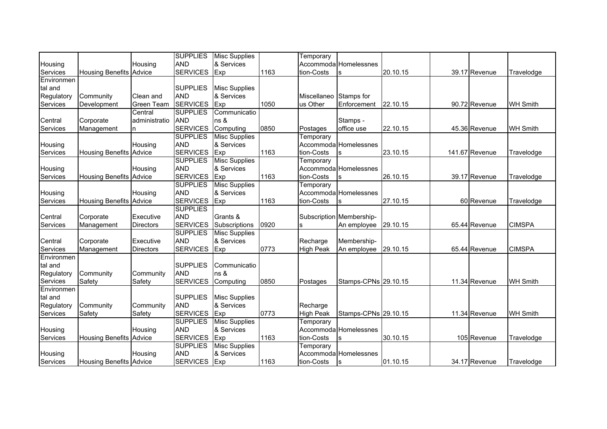| <b>AND</b><br>Accommoda Homelessnes<br>& Services<br>Housing<br>Housing<br>Services<br><b>SERVICES</b><br>1163<br><b>Housing Benefits Advice</b><br>Exp<br>tion-Costs<br>20.10.15<br>39.17 Revenue<br>Travelodge<br>Environmen<br><b>SUPPLIES</b><br><b>Misc Supplies</b><br>tal and |  |
|--------------------------------------------------------------------------------------------------------------------------------------------------------------------------------------------------------------------------------------------------------------------------------------|--|
|                                                                                                                                                                                                                                                                                      |  |
|                                                                                                                                                                                                                                                                                      |  |
|                                                                                                                                                                                                                                                                                      |  |
|                                                                                                                                                                                                                                                                                      |  |
| & Services<br><b>AND</b><br>Regulatory<br>Clean and<br>Stamps for<br>Community<br>Miscellaneo                                                                                                                                                                                        |  |
| Services<br><b>SERVICES</b><br>Exp<br>1050<br>Enforcement<br>Development<br><b>Green Team</b><br>us Other<br>22.10.15<br>90.72 Revenue<br><b>WH Smith</b>                                                                                                                            |  |
| <b>SUPPLIES</b><br>Central<br>Communicatio                                                                                                                                                                                                                                           |  |
| Central<br><b>AND</b><br>Corporate<br>administratio<br>ns &<br>Stamps -                                                                                                                                                                                                              |  |
| <b>SERVICES</b><br>Computing<br>0850<br><b>WH Smith</b><br>Services<br>office use<br>22.10.15<br>45.36 Revenue<br>Management<br>Postages<br>n                                                                                                                                        |  |
| <b>SUPPLIES</b><br><b>Misc Supplies</b><br>Temporary                                                                                                                                                                                                                                 |  |
| <b>AND</b><br>Accommoda Homelessnes<br>& Services<br>Housing<br>Housing                                                                                                                                                                                                              |  |
| <b>SERVICES</b><br>1163<br>Services<br>Exp<br>tion-Costs<br>23.10.15<br>141.67 Revenue<br><b>Housing Benefits Advice</b><br>Travelodge                                                                                                                                               |  |
| <b>SUPPLIES</b><br><b>Misc Supplies</b><br>Temporary                                                                                                                                                                                                                                 |  |
| <b>AND</b><br>& Services<br>Accommoda Homelessnes<br>Housing<br>Housing                                                                                                                                                                                                              |  |
| <b>SERVICES</b><br>Exp<br>1163<br>Services<br><b>Housing Benefits Advice</b><br>tion-Costs<br>26.10.15<br>39.17 Revenue<br>Travelodge                                                                                                                                                |  |
| <b>SUPPLIES</b><br><b>Misc Supplies</b><br>Temporary                                                                                                                                                                                                                                 |  |
| <b>AND</b><br>& Services<br>Accommoda Homelessnes<br>Housing<br>Housing                                                                                                                                                                                                              |  |
| <b>SERVICES</b><br>1163<br>Services<br><b>Housing Benefits Advice</b><br>Exp<br>tion-Costs<br>27.10.15<br>60 Revenue<br>Travelodge                                                                                                                                                   |  |
| <b>SUPPLIES</b>                                                                                                                                                                                                                                                                      |  |
| <b>AND</b><br>Subscription Membership-<br>Central<br>Corporate<br>Executive<br>Grants &                                                                                                                                                                                              |  |
| <b>SERVICES</b><br>0920<br>Services<br>29.10.15<br>65.44 Revenue<br><b>CIMSPA</b><br>Management<br>Subscriptions<br>An employee<br><b>Directors</b><br>s                                                                                                                             |  |
| <b>SUPPLIES</b><br><b>Misc Supplies</b>                                                                                                                                                                                                                                              |  |
| & Services<br><b>AND</b><br>Central<br>Executive<br>Membership-<br>Corporate<br>Recharge                                                                                                                                                                                             |  |
| <b>SERVICES</b><br>0773<br>Services<br><b>Exp</b><br><b>High Peak</b><br>An employee<br>29.10.15<br>65.44 Revenue<br><b>CIMSPA</b><br>Management<br><b>Directors</b>                                                                                                                 |  |
| Environmen                                                                                                                                                                                                                                                                           |  |
| <b>SUPPLIES</b><br>tal and<br>Communicatio                                                                                                                                                                                                                                           |  |
| <b>AND</b><br>Regulatory<br>Community<br>Community<br>ns &                                                                                                                                                                                                                           |  |
| Services<br>Safety<br>Safety<br><b>SERVICES</b><br>0850<br>Stamps-CPNs 29.10.15<br>11.34 Revenue<br><b>WH Smith</b><br>Computing<br>Postages                                                                                                                                         |  |
| Environmen                                                                                                                                                                                                                                                                           |  |
| <b>SUPPLIES</b><br><b>Misc Supplies</b><br>tal and                                                                                                                                                                                                                                   |  |
| Regulatory<br><b>AND</b><br>& Services<br>Community<br>Community<br>Recharge                                                                                                                                                                                                         |  |
| 0773<br>Services<br><b>SERVICES</b><br>Exp<br><b>High Peak</b><br>Stamps-CPNs 29.10.15<br>11.34 Revenue<br><b>WH Smith</b><br>Safety<br>Safety                                                                                                                                       |  |
| <b>SUPPLIES</b><br><b>Misc Supplies</b><br>Temporary                                                                                                                                                                                                                                 |  |
| <b>AND</b><br>& Services<br>Accommoda Homelessnes<br>Housing<br>Housing                                                                                                                                                                                                              |  |
| <b>SERVICES</b><br>1163<br>Exp<br>tion-Costs<br>30.10.15<br>105 Revenue<br>Services<br><b>Housing Benefits Advice</b><br>Travelodge                                                                                                                                                  |  |
| <b>SUPPLIES</b><br><b>Misc Supplies</b><br>Temporary                                                                                                                                                                                                                                 |  |
| <b>AND</b><br>& Services<br>Accommoda Homelessnes<br>Housing<br>Housing                                                                                                                                                                                                              |  |
| <b>SERVICES</b><br>Services<br>Exp<br>1163<br>tion-Costs<br>01.10.15<br>34.17 Revenue<br><b>Housing Benefits Advice</b><br>Travelodge                                                                                                                                                |  |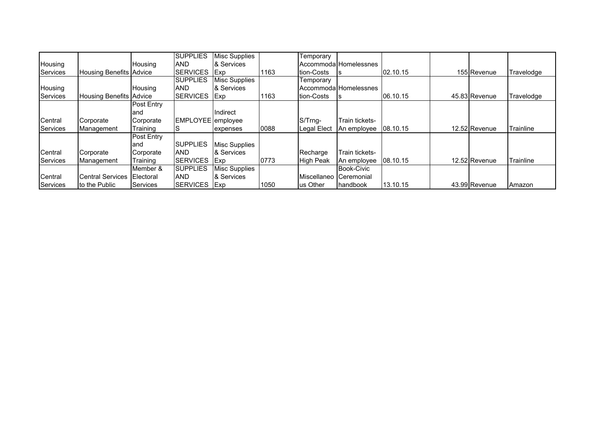|                 |                                |                   | <b>SUPPLIES</b>   | <b>Misc Supplies</b> |      | Temporary          |                       |          |               |            |
|-----------------|--------------------------------|-------------------|-------------------|----------------------|------|--------------------|-----------------------|----------|---------------|------------|
| Housing         |                                | Housing           | <b>AND</b>        | & Services           |      |                    | AccommodalHomelessnes |          |               |            |
| <b>Services</b> | <b>Housing Benefits Advice</b> |                   | <b>ISERVICES</b>  | <b>Exp</b>           | 1163 | <b>Ition-Costs</b> |                       | 02.10.15 | 155 Revenue   | Travelodge |
|                 |                                |                   | <b>SUPPLIES</b>   | Misc Supplies        |      | Temporary          |                       |          |               |            |
| Housing         |                                | Housing           | <b>AND</b>        | & Services           |      |                    | AccommodalHomelessnes |          |               |            |
| Services        | <b>Housing Benefits Advice</b> |                   | <b>ISERVICES</b>  | <b>IExp</b>          | 1163 | <b>Ition-Costs</b> |                       | 06.10.15 | 45.83 Revenue | Travelodge |
|                 |                                | <b>Post Entry</b> |                   |                      |      |                    |                       |          |               |            |
|                 |                                | land              |                   | <b>Indirect</b>      |      |                    |                       |          |               |            |
| Central         | Corporate                      | Corporate         | EMPLOYEE employee |                      |      | S/Trng-            | Train tickets-        |          |               |            |
| Services        | Management                     | Training          | ১                 | expenses             | 0088 | Legal Elect        | An employee           | 08.10.15 | 12.52 Revenue | Trainline  |
|                 |                                | <b>Post Entry</b> |                   |                      |      |                    |                       |          |               |            |
|                 |                                | land              | <b>SUPPLIES</b>   | Misc Supplies        |      |                    |                       |          |               |            |
| Central         | Corporate                      | Corporate         | <b>AND</b>        | & Services           |      | Recharge           | Train tickets-        |          |               |            |
| Services        | Management                     | Training          | <b>ISERVICES</b>  | <b>Exp</b>           | 0773 | <b>High Peak</b>   | An employee           | 08.10.15 | 12.52 Revenue | Trainline  |
|                 |                                | Member &          | <b>SUPPLIES</b>   | Misc Supplies        |      |                    | <b>Book-Civic</b>     |          |               |            |
| Central         | <b>Central Services</b>        | Electoral         | <b>AND</b>        | & Services           |      | Miscellaneo        | Ceremonial            |          |               |            |
| Services        | to the Public                  | Services          | <b>SERVICES</b>   | <b>IExp</b>          | 1050 | us Other           | handbook              | 13.10.15 | 43.99 Revenue | Amazon     |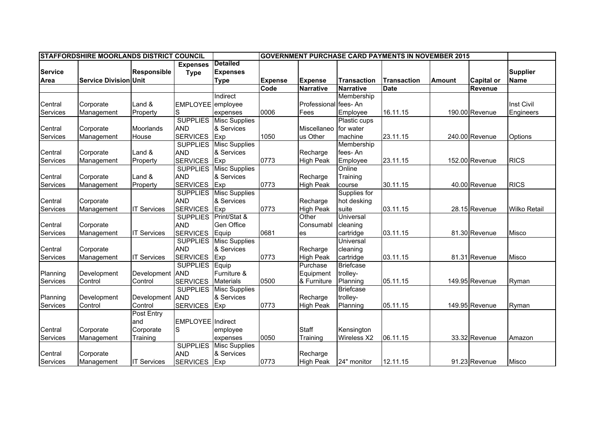|                | STAFFORDSHIRE MOORLANDS DISTRICT COUNCIL |                    |                   |                      |                |                       |                    | <b>GOVERNMENT PURCHASE CARD PAYMENTS IN NOVEMBER 2015</b> |               |                   |                     |
|----------------|------------------------------------------|--------------------|-------------------|----------------------|----------------|-----------------------|--------------------|-----------------------------------------------------------|---------------|-------------------|---------------------|
|                |                                          |                    | <b>Expenses</b>   | <b>Detailed</b>      |                |                       |                    |                                                           |               |                   |                     |
| <b>Service</b> |                                          | <b>Responsible</b> | <b>Type</b>       | <b>Expenses</b>      |                |                       |                    |                                                           |               |                   | <b>Supplier</b>     |
| <b>Area</b>    | <b>Service Division Unit</b>             |                    |                   | <b>Type</b>          | <b>Expense</b> | <b>Expense</b>        | <b>Transaction</b> | <b>Transaction</b>                                        | <b>Amount</b> | <b>Capital or</b> | Name                |
|                |                                          |                    |                   |                      | Code           | <b>Narrative</b>      | <b>Narrative</b>   | <b>Date</b>                                               |               | <b>Revenue</b>    |                     |
|                |                                          |                    |                   | Indirect             |                |                       | Membership         |                                                           |               |                   |                     |
| Central        | Corporate                                | Land &             | <b>EMPLOYEE</b>   | employee             |                | Professional fees- An |                    |                                                           |               |                   | Inst Civil          |
| Services       | Management                               | Property           | S                 | expenses             | 0006           | Fees                  | Employee           | 16.11.15                                                  |               | 190.00 Revenue    | Engineers           |
|                |                                          |                    | <b>SUPPLIES</b>   | <b>Misc Supplies</b> |                |                       | Plastic cups       |                                                           |               |                   |                     |
| Central        | Corporate                                | Moorlands          | <b>AND</b>        | & Services           |                | Miscellaneo           | for water          |                                                           |               |                   |                     |
| Services       | Management                               | House              | <b>SERVICES</b>   | Exp                  | 1050           | us Other              | machine            | 23.11.15                                                  |               | 240.00 Revenue    | Options             |
|                |                                          |                    | <b>SUPPLIES</b>   | <b>Misc Supplies</b> |                |                       | Membership         |                                                           |               |                   |                     |
| Central        | Corporate                                | Land &             | <b>AND</b>        | & Services           |                | Recharge              | fees-An            |                                                           |               |                   |                     |
| Services       | Management                               | Property           | <b>SERVICES</b>   | Exp                  | 0773           | <b>High Peak</b>      | Employee           | 23.11.15                                                  |               | 152.00 Revenue    | <b>RICS</b>         |
|                |                                          |                    | <b>SUPPLIES</b>   | <b>Misc Supplies</b> |                |                       | Online             |                                                           |               |                   |                     |
| Central        | Corporate                                | Land &             | <b>AND</b>        | & Services           |                | Recharge              | Training           |                                                           |               |                   |                     |
| Services       | Management                               | Property           | <b>SERVICES</b>   | Exp                  | 0773           | <b>High Peak</b>      | course             | 30.11.15                                                  |               | 40.00 Revenue     | <b>RICS</b>         |
|                |                                          |                    | <b>SUPPLIES</b>   | <b>Misc Supplies</b> |                |                       | Supplies for       |                                                           |               |                   |                     |
| Central        | Corporate                                |                    | <b>AND</b>        | & Services           |                | Recharge              | hot desking        |                                                           |               |                   |                     |
| Services       | Management                               | <b>IT Services</b> | <b>SERVICES</b>   | Exp                  | 0773           | <b>High Peak</b>      | suite              | 03.11.15                                                  |               | 28.15 Revenue     | <b>Wilko Retail</b> |
|                |                                          |                    | <b>SUPPLIES</b>   | Print/Stat &         |                | Other                 | <b>Universal</b>   |                                                           |               |                   |                     |
| Central        | Corporate                                |                    | <b>AND</b>        | <b>Gen Office</b>    |                | Consumabl             | cleaning           |                                                           |               |                   |                     |
| Services       | Management                               | <b>IT Services</b> | <b>SERVICES</b>   | Equip                | 0681           | es                    | cartridge          | 03.11.15                                                  |               | 81.30 Revenue     | Misco               |
|                |                                          |                    | <b>SUPPLIES</b>   | <b>Misc Supplies</b> |                |                       | Universal          |                                                           |               |                   |                     |
| Central        | Corporate                                |                    | <b>AND</b>        | & Services           |                | Recharge              | cleaning           |                                                           |               |                   |                     |
| Services       | Management                               | <b>IT Services</b> | <b>SERVICES</b>   | Exp                  | 0773           | <b>High Peak</b>      | cartridge          | 03.11.15                                                  |               | 81.31 Revenue     | Misco               |
|                |                                          |                    | <b>SUPPLIES</b>   | Equip                |                | Purchase              | <b>Briefcase</b>   |                                                           |               |                   |                     |
| Planning       | Development                              | Development        | <b>AND</b>        | Furniture &          |                | Equipment             | trolley-           |                                                           |               |                   |                     |
| Services       | Control                                  | Control            | <b>SERVICES</b>   | <b>Materials</b>     | 0500           | & Furniture           | Planning           | 05.11.15                                                  |               | 149.95 Revenue    | Ryman               |
|                |                                          |                    | <b>SUPPLIES</b>   | <b>Misc Supplies</b> |                |                       | <b>Briefcase</b>   |                                                           |               |                   |                     |
| Planning       | Development                              | Development AND    |                   | & Services           |                | Recharge              | trolley-           |                                                           |               |                   |                     |
| Services       | Control                                  | Control            | <b>SERVICES</b>   | Exp                  | 0773           | <b>High Peak</b>      | Planning           | 05.11.15                                                  |               | 149.95 Revenue    | Ryman               |
|                |                                          | Post Entry         |                   |                      |                |                       |                    |                                                           |               |                   |                     |
|                |                                          | and                | EMPLOYEE Indirect |                      |                |                       |                    |                                                           |               |                   |                     |
| Central        | Corporate                                | Corporate          | S                 | employee             |                | Staff                 | Kensington         |                                                           |               |                   |                     |
| Services       | Management                               | Training           |                   | expenses             | 0050           | Training              | Wireless X2        | 06.11.15                                                  |               | 33.32 Revenue     | Amazon              |
|                |                                          |                    | <b>SUPPLIES</b>   | <b>Misc Supplies</b> |                |                       |                    |                                                           |               |                   |                     |
| Central        | Corporate                                |                    | <b>AND</b>        | & Services           |                | Recharge              |                    |                                                           |               |                   |                     |
| Services       | Management                               | <b>IT Services</b> | <b>SERVICES</b>   | Exp                  | 0773           | <b>High Peak</b>      | 24" monitor        | 12.11.15                                                  |               | 91.23 Revenue     | Misco               |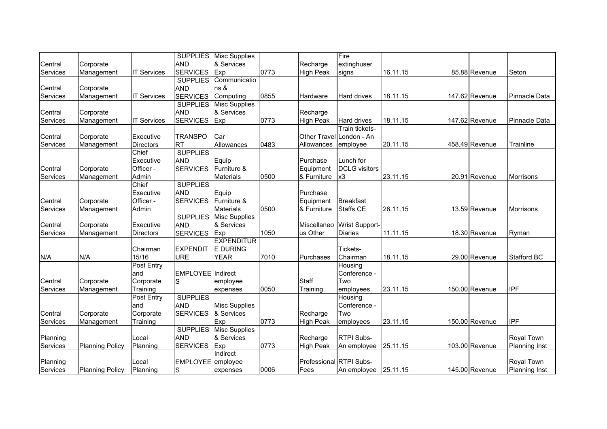|          |                        |                    |                          | <b>SUPPLIES</b> Misc Supplies |      |                         | Fire                     |          |                |                      |
|----------|------------------------|--------------------|--------------------------|-------------------------------|------|-------------------------|--------------------------|----------|----------------|----------------------|
| Central  | Corporate              |                    | <b>AND</b>               | & Services                    |      | Recharge                | extinghuser              |          |                |                      |
| Services | Management             | <b>IT Services</b> | <b>SERVICES</b>          | Exp                           | 0773 | <b>High Peak</b>        | signs                    | 16.11.15 | 85.88 Revenue  | Seton                |
|          |                        |                    | <b>SUPPLIES</b>          | Communicatio                  |      |                         |                          |          |                |                      |
| Central  | Corporate              |                    | <b>AND</b>               | ns &                          |      |                         |                          |          |                |                      |
| Services | Management             | <b>IT Services</b> | <b>SERVICES</b>          | Computing                     | 0855 | Hardware                | <b>Hard drives</b>       | 18.11.15 | 147.62 Revenue | Pinnacle Data        |
|          |                        |                    | <b>SUPPLIES</b>          | <b>Misc Supplies</b>          |      |                         |                          |          |                |                      |
| Central  | Corporate              |                    | <b>AND</b>               | & Services                    |      | Recharge                |                          |          |                |                      |
| Services | Management             | <b>IT Services</b> | <b>SERVICES</b>          | Exp                           | 0773 | <b>High Peak</b>        | Hard drives              | 18.11.15 | 147.62 Revenue | Pinnacle Data        |
|          |                        |                    |                          |                               |      |                         | Train tickets-           |          |                |                      |
| Central  | Corporate              | Executive          | <b>TRANSPO</b>           | Car                           |      |                         | Other Travel London - An |          |                |                      |
| Services | Management             | <b>Directors</b>   | <b>RT</b>                | Allowances                    | 0483 | Allowances              | employee                 | 20.11.15 | 458.49 Revenue | Trainline            |
|          |                        | Chief              | <b>SUPPLIES</b>          |                               |      |                         |                          |          |                |                      |
|          |                        | Executive          | <b>AND</b>               | Equip                         |      | Purchase                | Lunch for                |          |                |                      |
| Central  | Corporate              | Officer -          | <b>SERVICES</b>          | Furniture &                   |      | Equipment               | <b>DCLG</b> visitors     |          |                |                      |
| Services | Management             | Admin              |                          | <b>Materials</b>              | 0500 | & Furniture             | x3                       | 23.11.15 | 20.91 Revenue  | Morrisons            |
|          |                        | Chief              | <b>SUPPLIES</b>          |                               |      |                         |                          |          |                |                      |
|          |                        | Executive          | <b>AND</b>               | Equip                         |      | Purchase                |                          |          |                |                      |
| Central  | Corporate              | Officer -          | <b>SERVICES</b>          | Furniture &                   |      | Equipment               | <b>Breakfast</b>         |          |                |                      |
| Services | Management             | Admin              |                          | <b>Materials</b>              | 0500 | & Furniture             | <b>Staffs CE</b>         | 26.11.15 | 13.59 Revenue  | <b>Morrisons</b>     |
|          |                        |                    | <b>SUPPLIES</b>          | <b>Misc Supplies</b>          |      |                         |                          |          |                |                      |
| Central  | Corporate              | Executive          | <b>AND</b>               | & Services                    |      | Miscellaneo             | <b>Wrist Support-</b>    |          |                |                      |
| Services | Management             | <b>Directors</b>   | <b>SERVICES</b>          | Exp                           | 1050 | us Other                | <b>Diaries</b>           | 11.11.15 | 18.30 Revenue  | Ryman                |
|          |                        |                    |                          | <b>EXPENDITUR</b>             |      |                         |                          |          |                |                      |
|          |                        | Chairman           | <b>EXPENDIT</b>          | E DURING                      |      |                         | Tickets-                 |          |                |                      |
| N/A      | N/A                    | 15/16              | <b>URE</b>               | <b>YEAR</b>                   | 7010 | Purchases               | Chairman                 | 18.11.15 | 29.00 Revenue  | <b>Stafford BC</b>   |
|          |                        | Post Entry         |                          |                               |      |                         | Housing                  |          |                |                      |
|          |                        | and                | <b>EMPLOYEE</b> Indirect |                               |      |                         | Conference -             |          |                |                      |
| Central  | Corporate              | Corporate          | S                        | employee                      |      | <b>Staff</b>            | Two                      |          |                |                      |
| Services | Management             | Training           |                          | expenses                      | 0050 | Training                | employees                | 23.11.15 | 150.00 Revenue | <b>IPF</b>           |
|          |                        | Post Entry         | <b>SUPPLIES</b>          |                               |      |                         | Housing                  |          |                |                      |
|          |                        | and                | <b>AND</b>               | <b>Misc Supplies</b>          |      |                         | Conference -             |          |                |                      |
| Central  | Corporate              | Corporate          | <b>SERVICES</b>          | & Services                    |      | Recharge                | Two                      |          |                |                      |
| Services | Management             | Training           |                          | Exp                           | 0773 | <b>High Peak</b>        | employees                | 23.11.15 | 150.00 Revenue | IPF                  |
|          |                        |                    | <b>SUPPLIES</b>          | <b>Misc Supplies</b>          |      |                         |                          |          |                |                      |
| Planning |                        | Local              | <b>AND</b>               | & Services                    |      | Recharge                | <b>RTPI Subs-</b>        |          |                | Royal Town           |
| Services | <b>Planning Policy</b> | Planning           | <b>SERVICES</b>          | Exp                           | 0773 | <b>High Peak</b>        | An employee              | 25.11.15 | 103.00 Revenue | <b>Planning Inst</b> |
|          |                        |                    |                          | Indirect                      |      |                         |                          |          |                |                      |
| Planning |                        | Local              | EMPLOYEE employee        |                               |      | Professional RTPI Subs- |                          |          |                | Royal Town           |
| Services | <b>Planning Policy</b> | Planning           | S                        | expenses                      | 0006 | Fees                    | An employee              | 25.11.15 | 145.00 Revenue | <b>Planning Inst</b> |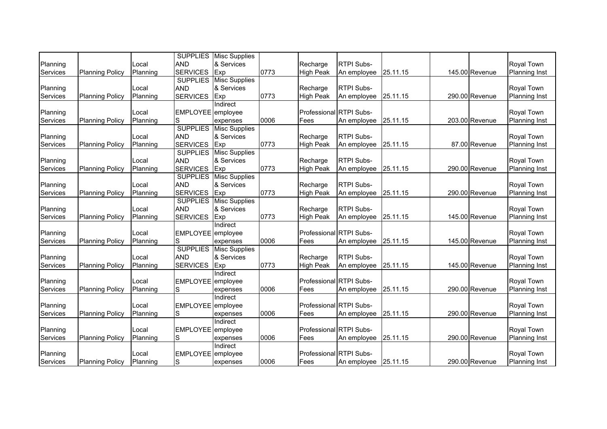|          |                        |          |                   | <b>SUPPLIES</b> Misc Supplies |      |                         |                   |          |                |                      |
|----------|------------------------|----------|-------------------|-------------------------------|------|-------------------------|-------------------|----------|----------------|----------------------|
| Planning |                        | Local    | <b>AND</b>        | & Services                    |      | Recharge                | <b>RTPI Subs-</b> |          |                | Royal Town           |
| Services | <b>Planning Policy</b> | Planning | <b>SERVICES</b>   | Exp                           | 0773 | <b>High Peak</b>        | An employee       | 25.11.15 | 145.00 Revenue | <b>Planning Inst</b> |
|          |                        |          |                   | <b>SUPPLIES</b> Misc Supplies |      |                         |                   |          |                |                      |
| Planning |                        | Local    | <b>AND</b>        | & Services                    |      | Recharge                | <b>RTPI Subs-</b> |          |                | Royal Town           |
| Services | <b>Planning Policy</b> | Planning | <b>SERVICES</b>   | Exp                           | 0773 | <b>High Peak</b>        | An employee       | 25.11.15 | 290.00 Revenue | <b>Planning Inst</b> |
|          |                        |          |                   | Indirect                      |      |                         |                   |          |                |                      |
| Planning |                        | Local    | EMPLOYEE employee |                               |      | Professional RTPI Subs- |                   |          |                | Royal Town           |
| Services | <b>Planning Policy</b> | Planning | S                 | expenses                      | 0006 | Fees                    | An employee       | 25.11.15 | 203.00 Revenue | <b>Planning Inst</b> |
|          |                        |          | <b>SUPPLIES</b>   | <b>Misc Supplies</b>          |      |                         |                   |          |                |                      |
| Planning |                        | Local    | <b>AND</b>        | & Services                    |      | Recharge                | RTPI Subs-        |          |                | Royal Town           |
| Services | <b>Planning Policy</b> | Planning | <b>SERVICES</b>   | Exp                           | 0773 | <b>High Peak</b>        | An employee       | 25.11.15 | 87.00 Revenue  | <b>Planning Inst</b> |
|          |                        |          | <b>SUPPLIES</b>   | <b>Misc Supplies</b>          |      |                         |                   |          |                |                      |
| Planning |                        | Local    | <b>AND</b>        | & Services                    |      | Recharge                | <b>RTPI Subs-</b> |          |                | Royal Town           |
| Services | <b>Planning Policy</b> | Planning | <b>SERVICES</b>   | Exp                           | 0773 | <b>High Peak</b>        | An employee       | 25.11.15 | 290.00 Revenue | <b>Planning Inst</b> |
|          |                        |          | <b>SUPPLIES</b>   | <b>Misc Supplies</b>          |      |                         |                   |          |                |                      |
| Planning |                        | Local    | <b>AND</b>        | & Services                    |      | Recharge                | <b>RTPI Subs-</b> |          |                | <b>Royal Town</b>    |
| Services | <b>Planning Policy</b> | Planning | <b>SERVICES</b>   | Exp                           | 0773 | <b>High Peak</b>        | An employee       | 25.11.15 | 290.00 Revenue | <b>Planning Inst</b> |
|          |                        |          | <b>SUPPLIES</b>   | <b>Misc Supplies</b>          |      |                         |                   |          |                |                      |
| Planning |                        | Local    | <b>AND</b>        | & Services                    |      | Recharge                | <b>RTPI Subs-</b> |          |                | Royal Town           |
| Services | <b>Planning Policy</b> | Planning | <b>SERVICES</b>   | Exp                           | 0773 | <b>High Peak</b>        | An employee       | 25.11.15 | 145.00 Revenue | <b>Planning Inst</b> |
|          |                        |          |                   | Indirect                      |      |                         |                   |          |                |                      |
| Planning |                        | Local    | EMPLOYEE employee |                               |      | Professional RTPI Subs- |                   |          |                | Royal Town           |
| Services | <b>Planning Policy</b> | Planning |                   | expenses                      | 0006 | Fees                    | An employee       | 25.11.15 | 145.00 Revenue | <b>Planning Inst</b> |
|          |                        |          |                   | <b>SUPPLIES</b> Misc Supplies |      |                         |                   |          |                |                      |
| Planning |                        | Local    | <b>AND</b>        | & Services                    |      | Recharge                | <b>RTPI Subs-</b> |          |                | Royal Town           |
| Services | <b>Planning Policy</b> | Planning | <b>SERVICES</b>   | Exp                           | 0773 | <b>High Peak</b>        | An employee       | 25.11.15 | 145.00 Revenue | <b>Planning Inst</b> |
|          |                        |          |                   | Indirect                      |      |                         |                   |          |                |                      |
| Planning |                        | Local    | <b>EMPLOYEE</b>   | employee                      |      | Professional RTPI Subs- |                   |          |                | Royal Town           |
| Services | <b>Planning Policy</b> | Planning | S                 | expenses                      | 0006 | Fees                    | An employee       | 25.11.15 | 290.00 Revenue | <b>Planning Inst</b> |
|          |                        |          |                   | Indirect                      |      |                         |                   |          |                |                      |
| Planning |                        | Local    | EMPLOYEE employee |                               |      | Professional RTPI Subs- |                   |          |                | Royal Town           |
| Services | <b>Planning Policy</b> | Planning | S                 | expenses                      | 0006 | Fees                    | An employee       | 25.11.15 | 290.00 Revenue | <b>Planning Inst</b> |
|          |                        |          |                   | Indirect                      |      |                         |                   |          |                |                      |
| Planning |                        | Local    | EMPLOYEE employee |                               |      | Professional RTPI Subs- |                   |          |                | Royal Town           |
| Services | <b>Planning Policy</b> | Planning | S                 | expenses                      | 0006 | Fees                    | An employee       | 25.11.15 | 290.00 Revenue | <b>Planning Inst</b> |
|          |                        |          |                   | Indirect                      |      |                         |                   |          |                |                      |
| Planning |                        | Local    | <b>EMPLOYEE</b>   | employee                      |      | Professional RTPI Subs- |                   |          |                | Royal Town           |
| Services | <b>Planning Policy</b> | Planning | S                 | expenses                      | 0006 | Fees                    | An employee       | 25.11.15 | 290.00 Revenue | <b>Planning Inst</b> |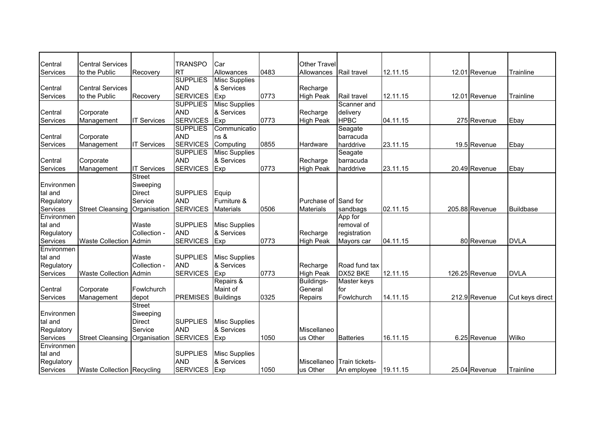| Central    | <b>Central Services</b>         |                    | <b>TRANSPO</b>  | Car                  |      | <b>Other Travel</b>  |                  |          |                |                  |
|------------|---------------------------------|--------------------|-----------------|----------------------|------|----------------------|------------------|----------|----------------|------------------|
| Services   | to the Public                   | Recovery           | <b>RT</b>       | Allowances           | 0483 | Allowances           | Rail travel      | 12.11.15 | 12.01 Revenue  | Trainline        |
|            |                                 |                    | <b>SUPPLIES</b> | <b>Misc Supplies</b> |      |                      |                  |          |                |                  |
| Central    | <b>Central Services</b>         |                    | <b>AND</b>      | & Services           |      | Recharge             |                  |          |                |                  |
| Services   | to the Public                   | Recovery           | <b>SERVICES</b> | Exp                  | 0773 | <b>High Peak</b>     | Rail travel      | 12.11.15 | 12.01 Revenue  | Trainline        |
|            |                                 |                    | <b>SUPPLIES</b> | <b>Misc Supplies</b> |      |                      | Scanner and      |          |                |                  |
| Central    | Corporate                       |                    | <b>AND</b>      | & Services           |      | Recharge             | delivery         |          |                |                  |
| Services   | Management                      | <b>IT Services</b> | <b>SERVICES</b> | Exp                  | 0773 | <b>High Peak</b>     | <b>HPBC</b>      | 04.11.15 | 275 Revenue    | Ebay             |
|            |                                 |                    | <b>SUPPLIES</b> | Communicatio         |      |                      | Seagate          |          |                |                  |
| Central    | Corporate                       |                    | <b>AND</b>      | ns &                 |      |                      | barracuda        |          |                |                  |
| Services   | Management                      | <b>IT Services</b> | <b>SERVICES</b> | Computing            | 0855 | Hardware             | harddrive        | 23.11.15 | 19.5 Revenue   | Ebay             |
|            |                                 |                    | <b>SUPPLIES</b> | <b>Misc Supplies</b> |      |                      | Seagate          |          |                |                  |
| Central    | Corporate                       |                    | <b>AND</b>      | & Services           |      | Recharge             | barracuda        |          |                |                  |
| Services   | Management                      | <b>IT Services</b> | <b>SERVICES</b> | Exp                  | 0773 | <b>High Peak</b>     | harddrive        | 23.11.15 | 20.49 Revenue  | Ebay             |
|            |                                 | <b>Street</b>      |                 |                      |      |                      |                  |          |                |                  |
| Environmen |                                 | Sweeping           |                 |                      |      |                      |                  |          |                |                  |
| tal and    |                                 | <b>Direct</b>      | <b>SUPPLIES</b> | Equip                |      |                      |                  |          |                |                  |
| Regulatory |                                 | Service            | <b>AND</b>      | Furniture &          |      | Purchase of Sand for |                  |          |                |                  |
| Services   | <b>Street Cleansing</b>         | Organisation       | <b>SERVICES</b> | <b>Materials</b>     | 0506 | <b>Materials</b>     | sandbags         | 02.11.15 | 205.88 Revenue | <b>Buildbase</b> |
| Environmen |                                 |                    |                 |                      |      |                      | App for          |          |                |                  |
| tal and    |                                 | Waste              | <b>SUPPLIES</b> | <b>Misc Supplies</b> |      |                      | removal of       |          |                |                  |
| Regulatory |                                 | Collection -       | <b>AND</b>      | & Services           |      | Recharge             | registration     |          |                |                  |
| Services   | <b>Waste Collection</b>         | Admin              | <b>SERVICES</b> | Exp                  | 0773 | <b>High Peak</b>     | Mayors car       | 04.11.15 | 80 Revenue     | <b>DVLA</b>      |
| Environmen |                                 |                    |                 |                      |      |                      |                  |          |                |                  |
| tal and    |                                 | Waste              | <b>SUPPLIES</b> | <b>Misc Supplies</b> |      |                      |                  |          |                |                  |
| Regulatory |                                 | Collection -       | <b>AND</b>      | & Services           |      | Recharge             | Road fund tax    |          |                |                  |
| Services   | <b>Waste Collection</b>         | Admin              | <b>SERVICES</b> | Exp                  | 0773 | <b>High Peak</b>     | DX52 BKE         | 12.11.15 | 126.25 Revenue | <b>DVLA</b>      |
|            |                                 |                    |                 | Repairs &            |      | Buildings-           | Master keys      |          |                |                  |
| Central    | Corporate                       | Fowlchurch         |                 | Maint of             |      | General              | for              |          |                |                  |
| Services   | Management                      | depot              | <b>PREMISES</b> | <b>Buildings</b>     | 0325 | Repairs              | Fowlchurch       | 14.11.15 | 212.9 Revenue  | Cut keys direct  |
|            |                                 | <b>Street</b>      |                 |                      |      |                      |                  |          |                |                  |
| Environmen |                                 | Sweeping           |                 |                      |      |                      |                  |          |                |                  |
| tal and    |                                 | <b>Direct</b>      | <b>SUPPLIES</b> | <b>Misc Supplies</b> |      |                      |                  |          |                |                  |
| Regulatory |                                 | Service            | <b>AND</b>      | & Services           |      | Miscellaneo          |                  |          |                |                  |
| Services   | Street Cleansing   Organisation |                    | <b>SERVICES</b> | Exp                  | 1050 | us Other             | <b>Batteries</b> | 16.11.15 | 6.25 Revenue   | Wilko            |
| Environmen |                                 |                    |                 |                      |      |                      |                  |          |                |                  |
| tal and    |                                 |                    | <b>SUPPLIES</b> | <b>Misc Supplies</b> |      |                      |                  |          |                |                  |
| Regulatory |                                 |                    | <b>AND</b>      | & Services           |      | Miscellaneo          | Train tickets-   |          |                |                  |
| Services   | Waste Collection Recycling      |                    | <b>SERVICES</b> | Exp                  | 1050 | us Other             | An employee      | 19.11.15 | 25.04 Revenue  | Trainline        |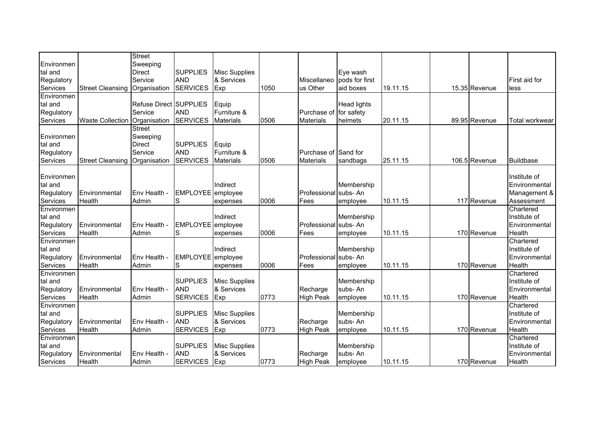| Environmen             |                                 | <b>Street</b><br>Sweeping     |                               |                      |      |                                          |                            |          |               |                           |
|------------------------|---------------------------------|-------------------------------|-------------------------------|----------------------|------|------------------------------------------|----------------------------|----------|---------------|---------------------------|
| tal and                |                                 | <b>Direct</b>                 | <b>SUPPLIES</b>               | <b>Misc Supplies</b> |      |                                          | Eye wash                   |          |               |                           |
| Regulatory             |                                 | Service                       | <b>AND</b>                    | & Services           |      |                                          | Miscellaneo pods for first |          |               | First aid for             |
| Services               | <b>Street Cleansing</b>         | Organisation                  | <b>SERVICES</b>               | Exp                  | 1050 | us Other                                 | aid boxes                  | 19.11.15 | 15.35 Revenue | less                      |
| Environmen             |                                 |                               |                               |                      |      |                                          |                            |          |               |                           |
| tal and                |                                 | <b>Refuse Direct SUPPLIES</b> |                               | Equip                |      |                                          | <b>Head lights</b>         |          |               |                           |
| Regulatory             |                                 | Service                       | <b>AND</b>                    | Furniture &          |      | Purchase of                              | for safety                 |          |               |                           |
| Services               | <b>Waste Collection</b>         | Organisation                  | <b>SERVICES</b>               | <b>Materials</b>     | 0506 | <b>Materials</b>                         | helmets                    | 20.11.15 | 89.95 Revenue | Total workwear            |
|                        |                                 | <b>Street</b>                 |                               |                      |      |                                          |                            |          |               |                           |
| Environmen             |                                 | Sweeping                      |                               |                      |      |                                          |                            |          |               |                           |
| tal and                |                                 | <b>Direct</b>                 | <b>SUPPLIES</b><br><b>AND</b> | Equip<br>Furniture & |      |                                          |                            |          |               |                           |
| Regulatory<br>Services | Street Cleansing   Organisation | Service                       | <b>SERVICES</b>               | <b>Materials</b>     | 0506 | Purchase of Sand for<br><b>Materials</b> | sandbags                   | 25.11.15 | 106.5 Revenue | <b>Buildbase</b>          |
|                        |                                 |                               |                               |                      |      |                                          |                            |          |               |                           |
| Environmen             |                                 |                               |                               |                      |      |                                          |                            |          |               | Institute of              |
| tal and                |                                 |                               |                               | Indirect             |      |                                          | Membership                 |          |               | Environmental             |
| Regulatory             | Environmental                   | Env Health -                  | <b>EMPLOYEE</b>               | employee             |      | Professional                             | subs-An                    |          |               | Management &              |
| Services               | Health                          | Admin                         | S                             | expenses             | 0006 | Fees                                     | employee                   | 10.11.15 | 117 Revenue   | Assessment                |
| Environmen             |                                 |                               |                               |                      |      |                                          |                            |          |               | Chartered                 |
| tal and                |                                 |                               |                               | Indirect             |      |                                          | Membership                 |          |               | Institute of              |
| Regulatory             | Environmental                   | Env Health -                  | EMPLOYEE employee             |                      |      | Professional subs-An                     |                            |          |               | Environmental             |
| Services               | Health                          | Admin                         | S                             | expenses             | 0006 | Fees                                     | employee                   | 10.11.15 | 170 Revenue   | Health                    |
| Environmen             |                                 |                               |                               |                      |      |                                          |                            |          |               | Chartered                 |
| tal and                |                                 |                               |                               | Indirect             |      |                                          | Membership                 |          |               | Institute of              |
| Regulatory             | Environmental                   | Env Health -                  | EMPLOYEE employee             |                      |      | Professional subs- An                    |                            |          |               | Environmental             |
| Services               | <b>Health</b>                   | Admin                         | S                             | expenses             | 0006 | Fees                                     | employee                   | 10.11.15 | 170 Revenue   | Health                    |
| Environmen<br>tal and  |                                 |                               | <b>SUPPLIES</b>               | Misc Supplies        |      |                                          | Membership                 |          |               | Chartered<br>Institute of |
| Regulatory             | Environmental                   | Env Health -                  | <b>AND</b>                    | & Services           |      | Recharge                                 | subs-An                    |          |               | Environmental             |
| Services               | Health                          | Admin                         | <b>SERVICES</b>               | Exp                  | 0773 | <b>High Peak</b>                         | employee                   | 10.11.15 | 170 Revenue   | Health                    |
| Environmen             |                                 |                               |                               |                      |      |                                          |                            |          |               | Chartered                 |
| tal and                |                                 |                               | <b>SUPPLIES</b>               | <b>Misc Supplies</b> |      |                                          | Membership                 |          |               | Institute of              |
| Regulatory             | Environmental                   | Env Health -                  | <b>AND</b>                    | & Services           |      | Recharge                                 | subs-An                    |          |               | Environmental             |
| Services               | Health                          | Admin                         | <b>SERVICES</b>               | Exp                  | 0773 | <b>High Peak</b>                         | employee                   | 10.11.15 | 170 Revenue   | Health                    |
| Environmen             |                                 |                               |                               |                      |      |                                          |                            |          |               | Chartered                 |
| tal and                |                                 |                               | <b>SUPPLIES</b>               | <b>Misc Supplies</b> |      |                                          | Membership                 |          |               | Institute of              |
| Regulatory             | Environmental                   | Env Health -                  | <b>AND</b>                    | & Services           |      | Recharge                                 | subs-An                    |          |               | Environmental             |
| Services               | Health                          | Admin                         | <b>SERVICES</b>               | Exp                  | 0773 | <b>High Peak</b>                         | employee                   | 10.11.15 | 170 Revenue   | Health                    |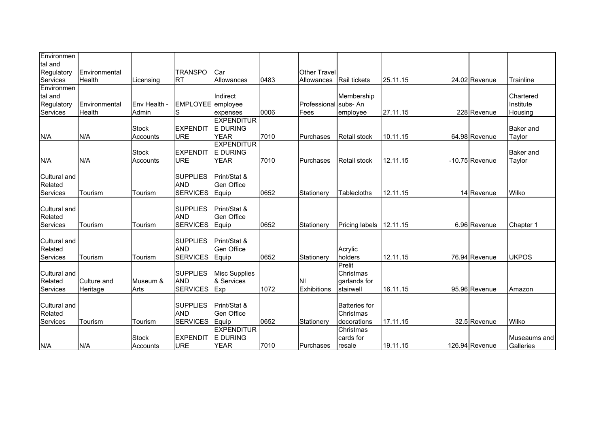| Environmen             |                         |                          |                               |                                  |      |                                   |                       |          |                  |                           |
|------------------------|-------------------------|--------------------------|-------------------------------|----------------------------------|------|-----------------------------------|-----------------------|----------|------------------|---------------------------|
| tal and                |                         |                          |                               |                                  |      |                                   |                       |          |                  |                           |
| Regulatory<br>Services | Environmental<br>Health | Licensing                | <b>TRANSPO</b><br><b>RT</b>   | Car<br>Allowances                | 0483 | <b>Other Travel</b><br>Allowances | <b>Rail tickets</b>   | 25.11.15 | 24.02 Revenue    | Trainline                 |
| Environmen             |                         |                          |                               |                                  |      |                                   |                       |          |                  |                           |
| tal and                |                         |                          |                               | Indirect                         |      |                                   | Membership            |          |                  | Chartered                 |
| Regulatory             | Environmental           | Env Health -             | EMPLOYEE employee             |                                  |      | Professional                      | subs-An               |          |                  | Institute                 |
| Services               | Health                  | Admin                    | S                             | expenses                         | 0006 | Fees                              | employee              | 27.11.15 | 228 Revenue      | Housing                   |
|                        |                         |                          |                               | <b>EXPENDITUR</b>                |      |                                   |                       |          |                  |                           |
|                        |                         | <b>Stock</b>             | <b>EXPENDIT</b>               | <b>E DURING</b>                  |      |                                   |                       |          |                  | <b>Baker</b> and          |
| N/A                    | N/A                     | Accounts                 | <b>URE</b>                    | <b>YEAR</b><br><b>EXPENDITUR</b> | 7010 | Purchases                         | <b>Retail stock</b>   | 10.11.15 | 64.98 Revenue    | Taylor                    |
|                        |                         | <b>Stock</b>             | <b>EXPENDIT</b>               | <b>E DURING</b>                  |      |                                   |                       |          |                  | <b>Baker</b> and          |
| N/A                    | N/A                     | Accounts                 | <b>URE</b>                    | <b>YEAR</b>                      | 7010 | Purchases                         | <b>Retail stock</b>   | 12.11.15 | $-10.75$ Revenue | Taylor                    |
|                        |                         |                          |                               |                                  |      |                                   |                       |          |                  |                           |
| Cultural and           |                         |                          | <b>SUPPLIES</b>               | Print/Stat &                     |      |                                   |                       |          |                  |                           |
| Related                |                         |                          | <b>AND</b>                    | Gen Office                       |      |                                   |                       |          |                  |                           |
| Services               | Tourism                 | Tourism                  | <b>SERVICES</b>               | Equip                            | 0652 | Stationerv                        | Tablecloths           | 12.11.15 | 14 Revenue       | Wilko                     |
| Cultural and           |                         |                          | <b>SUPPLIES</b>               | Print/Stat &                     |      |                                   |                       |          |                  |                           |
| Related                |                         |                          | <b>AND</b>                    | <b>Gen Office</b>                |      |                                   |                       |          |                  |                           |
| Services               | Tourism                 | Tourism                  | <b>SERVICES</b>               | Equip                            | 0652 | Stationery                        | <b>Pricing labels</b> | 12.11.15 | 6.96 Revenue     | Chapter 1                 |
|                        |                         |                          |                               |                                  |      |                                   |                       |          |                  |                           |
| Cultural and           |                         |                          | <b>SUPPLIES</b>               | Print/Stat &                     |      |                                   |                       |          |                  |                           |
| Related                |                         |                          | <b>AND</b>                    | <b>Gen Office</b>                |      |                                   | Acrylic               |          |                  |                           |
| Services               | Tourism                 | Tourism                  | <b>SERVICES</b>               | Equip                            | 0652 | Stationery                        | holders               | 12.11.15 | 76.94 Revenue    | <b>UKPOS</b>              |
| <b>Cultural and</b>    |                         |                          | <b>SUPPLIES</b>               | <b>Misc Supplies</b>             |      |                                   | Prelit<br>Christmas   |          |                  |                           |
| Related                | Culture and             | Museum &                 | <b>AND</b>                    | & Services                       |      | ΙNΙ                               | garlands for          |          |                  |                           |
| Services               | Heritage                | Arts                     | <b>SERVICES</b>               | Exp                              | 1072 | <b>Exhibitions</b>                | stairwell             | 16.11.15 | 95.96 Revenue    | Amazon                    |
|                        |                         |                          |                               |                                  |      |                                   |                       |          |                  |                           |
| Cultural and           |                         |                          | <b>SUPPLIES</b>               | Print/Stat &                     |      |                                   | <b>Batteries</b> for  |          |                  |                           |
| Related                |                         |                          | <b>AND</b>                    | Gen Office                       |      |                                   | Christmas             |          |                  |                           |
| Services               | Tourism                 | Tourism                  | <b>SERVICES</b>               | Equip                            | 0652 | Stationery                        | decorations           | 17.11.15 | 32.5 Revenue     | Wilko                     |
|                        |                         |                          |                               | <b>EXPENDITUR</b>                |      |                                   | Christmas             |          |                  |                           |
| N/A                    | N/A                     | <b>Stock</b><br>Accounts | <b>EXPENDIT</b><br><b>URE</b> | <b>E DURING</b><br><b>YEAR</b>   | 7010 | Purchases                         | cards for<br>resale   | 19.11.15 | 126.94 Revenue   | Museaums and<br>Galleries |
|                        |                         |                          |                               |                                  |      |                                   |                       |          |                  |                           |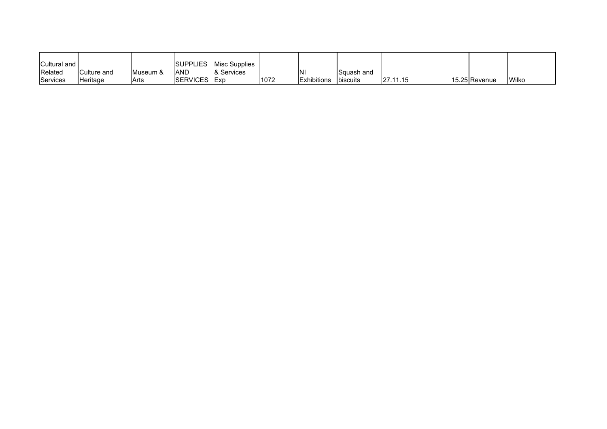| Cultural and |             |           | <b>SUPPLIES</b>  | Misc Supplies |      |                    |                 |               |               |              |
|--------------|-------------|-----------|------------------|---------------|------|--------------------|-----------------|---------------|---------------|--------------|
| Related      | Culture and | IMuseum & | <b>AND</b>       | 8 Services    |      | 'NΙ                | Squash and      |               |               |              |
| Services     | Heritage    | Arts      | <b>ISERVICES</b> | <b>IExp</b>   | 1072 | <b>Exhibitions</b> | <b>biscuits</b> | 27.<br>.11.15 | 15.25 Revenue | <b>Wilko</b> |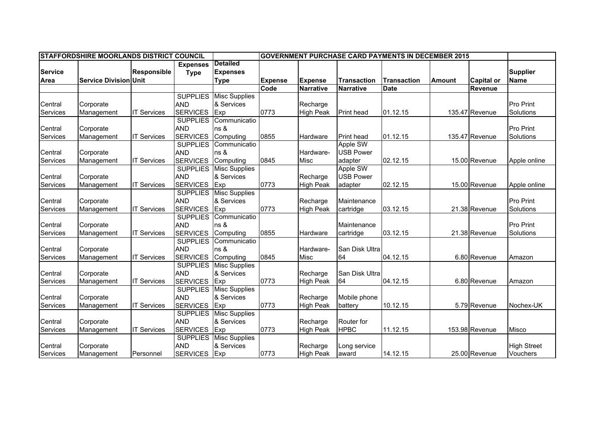|                | <b>STAFFORDSHIRE MOORLANDS DISTRICT COUNCIL</b> |                    |                 |                      |                |                  |                    | <b>GOVERNMENT PURCHASE CARD PAYMENTS IN DECEMBER 2015</b> |               |                   |                    |
|----------------|-------------------------------------------------|--------------------|-----------------|----------------------|----------------|------------------|--------------------|-----------------------------------------------------------|---------------|-------------------|--------------------|
|                |                                                 |                    | <b>Expenses</b> | <b>Detailed</b>      |                |                  |                    |                                                           |               |                   |                    |
| <b>Service</b> |                                                 | Responsible        | <b>Type</b>     | <b>Expenses</b>      |                |                  |                    |                                                           |               |                   | <b>Supplier</b>    |
| Area           | <b>Service Division Unit</b>                    |                    |                 | <b>Type</b>          | <b>Expense</b> | <b>Expense</b>   | <b>Transaction</b> | <b>Transaction</b>                                        | <b>Amount</b> | <b>Capital or</b> | <b>Name</b>        |
|                |                                                 |                    |                 |                      | Code           | <b>Narrative</b> | <b>Narrative</b>   | <b>Date</b>                                               |               | <b>Revenue</b>    |                    |
|                |                                                 |                    | <b>SUPPLIES</b> | <b>Misc Supplies</b> |                |                  |                    |                                                           |               |                   |                    |
| Central        | Corporate                                       |                    | <b>AND</b>      | & Services           |                | Recharge         |                    |                                                           |               |                   | <b>Pro Print</b>   |
| Services       | Management                                      | <b>IT Services</b> | <b>SERVICES</b> | Exp                  | 0773           | <b>High Peak</b> | Print head         | 01.12.15                                                  |               | 135.47 Revenue    | Solutions          |
|                |                                                 |                    | <b>SUPPLIES</b> | Communicatio         |                |                  |                    |                                                           |               |                   |                    |
| Central        | Corporate                                       |                    | <b>AND</b>      | ns &                 |                |                  |                    |                                                           |               |                   | <b>Pro Print</b>   |
| Services       | Management                                      | <b>IT Services</b> | <b>SERVICES</b> | Computing            | 0855           | Hardware         | <b>Print head</b>  | 01.12.15                                                  |               | 135.47 Revenue    | Solutions          |
|                |                                                 |                    | <b>SUPPLIES</b> | Communicatio         |                |                  | Apple SW           |                                                           |               |                   |                    |
| Central        | Corporate                                       |                    | <b>AND</b>      | ns &                 |                | Hardware-        | <b>USB Power</b>   |                                                           |               |                   |                    |
| Services       | Management                                      | <b>IT Services</b> | <b>SERVICES</b> | Computing            | 0845           | Misc             | adapter            | 02.12.15                                                  |               | 15.00 Revenue     | Apple online       |
|                |                                                 |                    | <b>SUPPLIES</b> | <b>Misc Supplies</b> |                |                  | Apple SW           |                                                           |               |                   |                    |
| Central        | Corporate                                       |                    | <b>AND</b>      | & Services           |                | Recharge         | <b>USB Power</b>   |                                                           |               |                   |                    |
| Services       | Management                                      | <b>IT Services</b> | <b>SERVICES</b> | Exp                  | 0773           | <b>High Peak</b> | adapter            | 02.12.15                                                  |               | 15.00 Revenue     | Apple online       |
|                |                                                 |                    | <b>SUPPLIES</b> | <b>Misc Supplies</b> |                |                  |                    |                                                           |               |                   |                    |
| Central        | Corporate                                       |                    | <b>AND</b>      | & Services           |                | Recharge         | Maintenance        |                                                           |               |                   | <b>Pro Print</b>   |
| Services       | Management                                      | <b>IT Services</b> | <b>SERVICES</b> | Exp                  | 0773           | <b>High Peak</b> | cartridge          | 03.12.15                                                  |               | 21.38 Revenue     | Solutions          |
|                |                                                 |                    | <b>SUPPLIES</b> | Communicatio         |                |                  |                    |                                                           |               |                   |                    |
| Central        | Corporate                                       |                    | <b>AND</b>      | ns &                 |                |                  | Maintenance        |                                                           |               |                   | <b>Pro Print</b>   |
| Services       | Management                                      | <b>IT Services</b> | <b>SERVICES</b> | Computing            | 0855           | Hardware         | cartridge          | 03.12.15                                                  |               | 21.38 Revenue     | Solutions          |
|                |                                                 |                    | <b>SUPPLIES</b> | Communicatio         |                |                  |                    |                                                           |               |                   |                    |
| Central        | Corporate                                       |                    | <b>AND</b>      | ns &                 |                | Hardware-        | San Disk Ultra     |                                                           |               |                   |                    |
| Services       | Management                                      | <b>IT Services</b> | <b>SERVICES</b> | Computing            | 0845           | <b>Misc</b>      | 64                 | 04.12.15                                                  |               | 6.80 Revenue      | Amazon             |
|                |                                                 |                    | <b>SUPPLIES</b> | <b>Misc Supplies</b> |                |                  |                    |                                                           |               |                   |                    |
| Central        | Corporate                                       |                    | <b>AND</b>      | & Services           |                | Recharge         | San Disk Ultra     |                                                           |               |                   |                    |
| Services       | Management                                      | <b>IT Services</b> | <b>SERVICES</b> | Exp                  | 0773           | <b>High Peak</b> | 64                 | 04.12.15                                                  |               | 6.80 Revenue      | Amazon             |
|                |                                                 |                    | <b>SUPPLIES</b> | <b>Misc Supplies</b> |                |                  |                    |                                                           |               |                   |                    |
| Central        | Corporate                                       |                    | <b>AND</b>      | & Services           |                | Recharge         | Mobile phone       |                                                           |               |                   |                    |
| Services       | Management                                      | <b>IT Services</b> | <b>SERVICES</b> | Exp                  | 0773           | <b>High Peak</b> | battery            | 10.12.15                                                  |               | 5.79 Revenue      | Nochex-UK          |
|                |                                                 |                    | <b>SUPPLIES</b> | <b>Misc Supplies</b> |                |                  |                    |                                                           |               |                   |                    |
| Central        | Corporate                                       |                    | <b>AND</b>      | & Services           |                | Recharge         | Router for         |                                                           |               |                   |                    |
| Services       | Management                                      | <b>IT Services</b> | <b>SERVICES</b> | Exp                  | 0773           | <b>High Peak</b> | <b>HPBC</b>        | 11.12.15                                                  |               | 153.98 Revenue    | <b>Misco</b>       |
|                |                                                 |                    | <b>SUPPLIES</b> | <b>Misc Supplies</b> |                |                  |                    |                                                           |               |                   |                    |
| Central        | Corporate                                       |                    | <b>AND</b>      | & Services           |                | Recharge         | Long service       |                                                           |               |                   | <b>High Street</b> |
| Services       | Management                                      | Personnel          | <b>SERVICES</b> | Exp                  | 0773           | <b>High Peak</b> | award              | 14.12.15                                                  |               | 25.00 Revenue     | Vouchers           |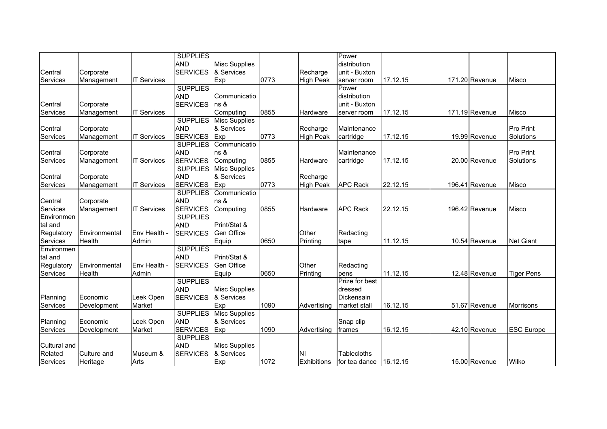|                     |               |                    | <b>SUPPLIES</b> |                      |      |                    | Power           |          |                |                   |
|---------------------|---------------|--------------------|-----------------|----------------------|------|--------------------|-----------------|----------|----------------|-------------------|
|                     |               |                    | <b>AND</b>      | <b>Misc Supplies</b> |      |                    | distribution    |          |                |                   |
| Central             | Corporate     |                    | <b>SERVICES</b> | & Services           |      | Recharge           | unit - Buxton   |          |                |                   |
| Services            | Management    | <b>IT Services</b> |                 | <b>IExp</b>          | 0773 | <b>High Peak</b>   | server room     | 17.12.15 | 171.20 Revenue | <b>Misco</b>      |
|                     |               |                    | <b>SUPPLIES</b> |                      |      |                    | Power           |          |                |                   |
|                     |               |                    | <b>AND</b>      | Communicatio         |      |                    | distribution    |          |                |                   |
| Central             | Corporate     |                    | <b>SERVICES</b> | ns &                 |      |                    | unit - Buxton   |          |                |                   |
| Services            | Management    | <b>IT Services</b> |                 | Computing            | 0855 | Hardware           | server room     | 17.12.15 | 171.19 Revenue | Misco             |
|                     |               |                    | <b>SUPPLIES</b> | <b>Misc Supplies</b> |      |                    |                 |          |                |                   |
| Central             | Corporate     |                    | <b>AND</b>      | & Services           |      | Recharge           | Maintenance     |          |                | <b>Pro Print</b>  |
| Services            | Management    | <b>IT Services</b> | <b>SERVICES</b> | Exp                  | 0773 | <b>High Peak</b>   | cartridge       | 17.12.15 | 19.99 Revenue  | Solutions         |
|                     |               |                    | <b>SUPPLIES</b> | Communicatio         |      |                    |                 |          |                |                   |
| Central             | Corporate     |                    | <b>AND</b>      | ns &                 |      |                    | Maintenance     |          |                | <b>Pro Print</b>  |
| Services            | Management    | <b>IT Services</b> | <b>SERVICES</b> | Computing            | 0855 | Hardware           | cartridge       | 17.12.15 | 20.00 Revenue  | Solutions         |
|                     |               |                    | <b>SUPPLIES</b> | <b>Misc Supplies</b> |      |                    |                 |          |                |                   |
| Central             | Corporate     |                    | <b>AND</b>      | & Services           |      | Recharge           |                 |          |                |                   |
| Services            | Management    | <b>IT Services</b> | <b>SERVICES</b> | Exp                  | 0773 | <b>High Peak</b>   | <b>APC Rack</b> | 22.12.15 | 196.41 Revenue | <b>Misco</b>      |
|                     |               |                    | <b>SUPPLIES</b> | Communicatio         |      |                    |                 |          |                |                   |
| Central             | Corporate     |                    | <b>AND</b>      | ns &                 |      |                    |                 |          |                |                   |
| Services            | Management    | <b>IT Services</b> | <b>SERVICES</b> | Computing            | 0855 | Hardware           | <b>APC Rack</b> | 22.12.15 | 196.42 Revenue | <b>Misco</b>      |
| Environmen          |               |                    | <b>SUPPLIES</b> |                      |      |                    |                 |          |                |                   |
| tal and             |               |                    | <b>AND</b>      | Print/Stat &         |      |                    |                 |          |                |                   |
| Regulatory          | Environmental | Env Health -       | <b>SERVICES</b> | Gen Office           |      | Other              | Redacting       |          |                |                   |
| Services            | Health        | Admin              |                 | Equip                | 0650 | Printing           | tape            | 11.12.15 | 10.54 Revenue  | <b>Net Giant</b>  |
| Environmen          |               |                    | <b>SUPPLIES</b> |                      |      |                    |                 |          |                |                   |
| tal and             |               |                    | <b>AND</b>      | Print/Stat &         |      |                    |                 |          |                |                   |
| Regulatory          | Environmental | Env Health -       | <b>SERVICES</b> | Gen Office           |      | Other              | Redacting       |          |                |                   |
| Services            | Health        | Admin              |                 | Equip                | 0650 | Printing           | pens            | 11.12.15 | 12.48 Revenue  | <b>Tiger Pens</b> |
|                     |               |                    | <b>SUPPLIES</b> |                      |      |                    | Prize for best  |          |                |                   |
|                     |               |                    | <b>AND</b>      | <b>Misc Supplies</b> |      |                    | dressed         |          |                |                   |
| Planning            | Economic      | Leek Open          | <b>SERVICES</b> | & Services           |      |                    | Dickensain      |          |                |                   |
| Services            | Development   | Market             |                 | Exp                  | 1090 | Advertising        | market stall    | 16.12.15 | 51.67 Revenue  | <b>Morrisons</b>  |
|                     |               |                    | <b>SUPPLIES</b> | <b>Misc Supplies</b> |      |                    |                 |          |                |                   |
| Planning            | Economic      | Leek Open          | <b>AND</b>      | & Services           |      |                    | Snap clip       |          |                |                   |
| Services            | Development   | Market             | <b>SERVICES</b> | Exp                  | 1090 | Advertising        | frames          | 16.12.15 | 42.10 Revenue  | <b>ESC Europe</b> |
|                     |               |                    | <b>SUPPLIES</b> |                      |      |                    |                 |          |                |                   |
| <b>Cultural and</b> |               |                    | <b>AND</b>      | <b>Misc Supplies</b> |      |                    |                 |          |                |                   |
| Related             | Culture and   | Museum &           | <b>SERVICES</b> | & Services           |      | INI                | Tablecloths     |          |                |                   |
| Services            | Heritage      | Arts               |                 | <b>IExp</b>          | 1072 | <b>Exhibitions</b> | for tea dance   | 16.12.15 | 15.00 Revenue  | Wilko             |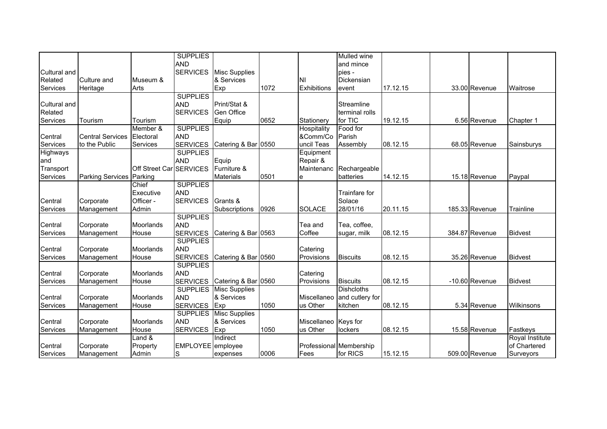|                     |                          |                         | <b>SUPPLIES</b><br><b>AND</b> |                                             |      |                        | Mulled wine<br>and mince |          |                |                 |
|---------------------|--------------------------|-------------------------|-------------------------------|---------------------------------------------|------|------------------------|--------------------------|----------|----------------|-----------------|
| <b>Cultural and</b> |                          |                         | <b>SERVICES</b>               | <b>Misc Supplies</b>                        |      |                        | pies -                   |          |                |                 |
| Related             | Culture and              | Museum &                |                               | & Services                                  |      | INI                    | Dickensian               |          |                |                 |
| Services            | Heritage                 | Arts                    |                               | <b>IExp</b>                                 | 1072 | <b>Exhibitions</b>     | event                    | 17.12.15 | 33.00 Revenue  | Waitrose        |
|                     |                          |                         | <b>SUPPLIES</b>               |                                             |      |                        |                          |          |                |                 |
| Cultural and        |                          |                         | <b>AND</b>                    | Print/Stat &                                |      |                        | Streamline               |          |                |                 |
| Related             |                          |                         | <b>SERVICES</b>               | Gen Office                                  |      |                        | terminal rolls           |          |                |                 |
| Services            | Tourism                  | Tourism                 |                               | Equip                                       | 0652 | Stationery             | for TIC                  | 19.12.15 | 6.56 Revenue   | Chapter 1       |
|                     |                          | Member &                | <b>SUPPLIES</b>               |                                             |      | Hospitality            | Food for                 |          |                |                 |
| Central             | <b>Central Services</b>  | Electoral               | <b>AND</b>                    |                                             |      | &Comm/Co               | Parish                   |          |                |                 |
| Services            | to the Public            | Services                | <b>SERVICES</b>               | Catering & Bar 0550                         |      | uncil Teas             | Assembly                 | 08.12.15 | 68.05 Revenue  | Sainsburys      |
| Highways            |                          |                         | <b>SUPPLIES</b>               |                                             |      | Equipment              |                          |          |                |                 |
| and                 |                          |                         | <b>AND</b>                    | Equip                                       |      | Repair &               |                          |          |                |                 |
| Transport           |                          | Off Street Car SERVICES |                               | Furniture &                                 |      | Maintenanc             | Rechargeable             |          |                |                 |
| Services            | Parking Services Parking |                         |                               | <b>Materials</b>                            | 0501 | e                      | batteries                | 14.12.15 | 15.18 Revenue  | Paypal          |
|                     |                          | Chief                   | <b>SUPPLIES</b>               |                                             |      |                        |                          |          |                |                 |
|                     |                          | Executive               | <b>AND</b>                    |                                             |      |                        | Trainfare for            |          |                |                 |
| Central             | Corporate                | Officer -               | <b>SERVICES</b>               | Grants &                                    |      |                        | Solace                   |          |                |                 |
| Services            | Management               | Admin                   |                               | Subscriptions                               | 0926 | <b>SOLACE</b>          | 28/01/16                 | 20.11.15 | 185.33 Revenue | Trainline       |
|                     |                          |                         | <b>SUPPLIES</b>               |                                             |      |                        |                          |          |                |                 |
| Central             | Corporate                | <b>Moorlands</b>        | <b>AND</b>                    |                                             |      | Tea and                | Tea, coffee,             |          |                |                 |
| Services            | Management               | House                   | <b>SERVICES</b>               | Catering & Bar 0563                         |      | Coffee                 | sugar, milk              | 08.12.15 | 384.87 Revenue | <b>Bidvest</b>  |
|                     |                          |                         | <b>SUPPLIES</b>               |                                             |      |                        |                          |          |                |                 |
| Central             | Corporate                | Moorlands               | <b>AND</b>                    |                                             |      | Catering               |                          |          |                |                 |
| Services            | Management               | House                   | <b>SERVICES</b>               | Catering & Bar 0560                         |      | Provisions             | <b>Biscuits</b>          | 08.12.15 | 35.26 Revenue  | <b>Bidvest</b>  |
|                     |                          |                         | <b>SUPPLIES</b><br><b>AND</b> |                                             |      |                        |                          |          |                |                 |
| Central<br>Services | Corporate                | Moorlands               | <b>SERVICES</b>               |                                             |      | Catering<br>Provisions | <b>Biscuits</b>          | 08.12.15 | -10.60 Revenue | <b>Bidvest</b>  |
|                     | Management               | House                   | <b>SUPPLIES</b>               | Catering & Bar 0560<br><b>Misc Supplies</b> |      |                        | <b>Dishcloths</b>        |          |                |                 |
| Central             | Corporate                | <b>Moorlands</b>        | <b>AND</b>                    | & Services                                  |      | Miscellaneo            | and cutlery for          |          |                |                 |
| Services            | Management               | House                   | <b>SERVICES</b>               | Exp                                         | 1050 | us Other               | kitchen                  | 08.12.15 | 5.34 Revenue   | Wilkinsons      |
|                     |                          |                         | <b>SUPPLIES</b>               | <b>Misc Supplies</b>                        |      |                        |                          |          |                |                 |
| Central             | Corporate                | Moorlands               | <b>AND</b>                    | & Services                                  |      | Miscellaneo Keys for   |                          |          |                |                 |
| Services            | Management               | House                   | <b>SERVICES</b>               | Exp                                         | 1050 | us Other               | lockers                  | 08.12.15 | 15.58 Revenue  | Fastkeys        |
|                     |                          | Land &                  |                               | Indirect                                    |      |                        |                          |          |                | Royal Institute |
| Central             | Corporate                | Property                | EMPLOYEE employee             |                                             |      |                        | Professional Membership  |          |                | of Chartered    |
| Services            | Management               | Admin                   | S                             | expenses                                    | 0006 | Fees                   | for RICS                 | 15.12.15 | 509.00 Revenue | Surveyors       |
|                     |                          |                         |                               |                                             |      |                        |                          |          |                |                 |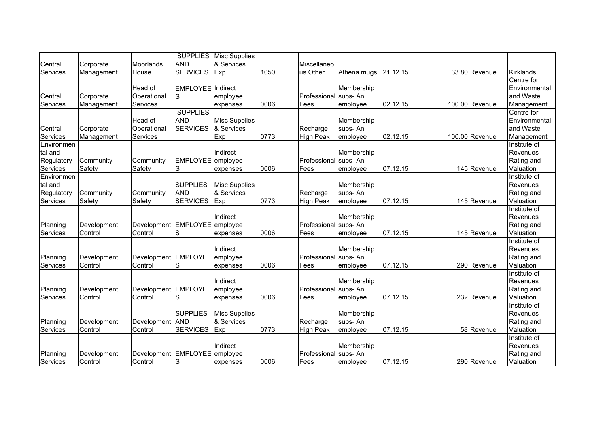|                      |             |                               |                          | <b>SUPPLIES</b> Misc Supplies |      |                       |             |          |                |                          |
|----------------------|-------------|-------------------------------|--------------------------|-------------------------------|------|-----------------------|-------------|----------|----------------|--------------------------|
| Central              | Corporate   | <b>Moorlands</b>              | <b>AND</b>               | & Services                    |      | Miscellaneo           |             |          |                |                          |
| Services             | Management  | House                         | <b>SERVICES</b>          | Exp                           | 1050 | us Other              | Athena mugs | 21.12.15 | 33.80 Revenue  | <b>Kirklands</b>         |
|                      |             |                               |                          |                               |      |                       |             |          |                | Centre for               |
|                      |             | Head of                       | <b>EMPLOYEE</b> Indirect |                               |      |                       | Membership  |          |                | Environmental            |
| Central              | Corporate   | Operational                   | S                        | employee                      |      | Professional          | subs-An     |          |                | and Waste                |
| Services             | Management  | Services                      |                          | expenses                      | 0006 | Fees                  | employee    | 02.12.15 | 100.00 Revenue | Management               |
|                      |             |                               | <b>SUPPLIES</b>          |                               |      |                       |             |          |                | Centre for               |
|                      |             | Head of                       | <b>AND</b>               | <b>Misc Supplies</b>          |      |                       | Membership  |          |                | Environmental            |
| Central              | Corporate   | Operational                   | <b>SERVICES</b>          | & Services                    |      | Recharge              | subs-An     |          |                | and Waste                |
| Services             | Management  | Services                      |                          | Exp                           | 0773 | <b>High Peak</b>      | employee    | 02.12.15 | 100.00 Revenue | Management               |
| Environmen           |             |                               |                          |                               |      |                       |             |          |                | Institute of             |
| tal and              |             |                               |                          | Indirect                      |      |                       | Membership  |          |                | Revenues                 |
| Regulatory           | Community   | Community                     | EMPLOYEE employee        |                               |      | Professional subs- An |             |          |                | Rating and               |
| Services             | Safety      | Safety                        | S                        | expenses                      | 0006 | Fees                  | employee    | 07.12.15 | 145 Revenue    | Valuation                |
| Environmen           |             |                               |                          |                               |      |                       |             |          |                | Institute of             |
| tal and              |             |                               | <b>SUPPLIES</b>          | <b>Misc Supplies</b>          |      |                       | Membership  |          |                | Revenues                 |
| Regulatory           | Community   | Community                     | <b>AND</b>               | & Services                    |      | Recharge              | subs-An     |          |                | Rating and               |
| Services             | Safety      | Safety                        | <b>SERVICES</b>          | Exp                           | 0773 | <b>High Peak</b>      | employee    | 07.12.15 | 145 Revenue    | Valuation                |
|                      |             |                               |                          | Indirect                      |      |                       | Membership  |          |                | Institute of<br>Revenues |
|                      | Development | Development EMPLOYEE employee |                          |                               |      | Professional subs- An |             |          |                |                          |
| Planning<br>Services | Control     | Control                       | S                        |                               | 0006 | Fees                  |             | 07.12.15 | 145 Revenue    | Rating and<br>Valuation  |
|                      |             |                               |                          | expenses                      |      |                       | employee    |          |                | Institute of             |
|                      |             |                               |                          | Indirect                      |      |                       | Membership  |          |                | Revenues                 |
| Planning             | Development | Development EMPLOYEE employee |                          |                               |      | Professional          | subs-An     |          |                | Rating and               |
| Services             | Control     | Control                       | S                        | expenses                      | 0006 | Fees                  | employee    | 07.12.15 | 290 Revenue    | Valuation                |
|                      |             |                               |                          |                               |      |                       |             |          |                | Institute of             |
|                      |             |                               |                          | Indirect                      |      |                       | Membership  |          |                | Revenues                 |
| Planning             | Development | Development                   | <b>EMPLOYEE</b>          | employee                      |      | Professional          | subs-An     |          |                | Rating and               |
| Services             | Control     | Control                       | S                        | expenses                      | 0006 | Fees                  | employee    | 07.12.15 | 232 Revenue    | Valuation                |
|                      |             |                               |                          |                               |      |                       |             |          |                | Institute of             |
|                      |             |                               | <b>SUPPLIES</b>          | <b>Misc Supplies</b>          |      |                       | Membership  |          |                | Revenues                 |
| Planning             | Development | Development                   | <b>AND</b>               | & Services                    |      | Recharge              | subs-An     |          |                | Rating and               |
| Services             | Control     | Control                       | <b>SERVICES</b>          | Exp                           | 0773 | <b>High Peak</b>      | employee    | 07.12.15 | 58 Revenue     | Valuation                |
|                      |             |                               |                          |                               |      |                       |             |          |                | Institute of             |
|                      |             |                               |                          | Indirect                      |      |                       | Membership  |          |                | Revenues                 |
| Planning             | Development | Development EMPLOYEE          |                          | employee                      |      | Professional          | subs-An     |          |                | Rating and               |
| Services             | Control     | Control                       | S                        | expenses                      | 0006 | Fees                  | employee    | 07.12.15 | 290 Revenue    | Valuation                |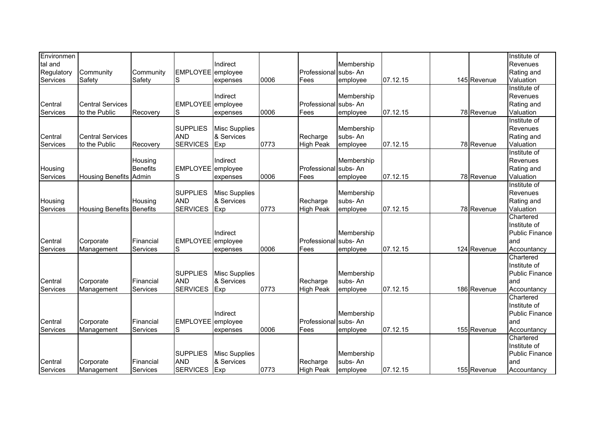| Environmen |                                  |                 |                               |                      |      |                       |            |          |             | Institute of          |
|------------|----------------------------------|-----------------|-------------------------------|----------------------|------|-----------------------|------------|----------|-------------|-----------------------|
| tal and    |                                  |                 |                               | Indirect             |      |                       | Membership |          |             | Revenues              |
| Regulatory | Community                        | Community       | EMPLOYEE employee             |                      |      | Professional          | subs-An    |          |             | Rating and            |
| Services   | Safety                           | Safety          | S                             | expenses             | 0006 | Fees                  | employee   | 07.12.15 | 145 Revenue | Valuation             |
|            |                                  |                 |                               |                      |      |                       |            |          |             | Institute of          |
|            |                                  |                 |                               | Indirect             |      |                       | Membership |          |             | Revenues              |
| Central    | <b>Central Services</b>          |                 | <b>EMPLOYEE</b>               | employee             |      | Professional          | subs-An    |          |             | Rating and            |
| Services   | to the Public                    | Recovery        | S                             | expenses             | 0006 | Fees                  | employee   | 07.12.15 | 78 Revenue  | Valuation             |
|            |                                  |                 |                               |                      |      |                       |            |          |             | Institute of          |
|            |                                  |                 | <b>SUPPLIES</b>               | <b>Misc Supplies</b> |      |                       | Membership |          |             | Revenues              |
| Central    | <b>Central Services</b>          |                 | <b>AND</b>                    | & Services           |      | Recharge              | subs-An    |          |             | Rating and            |
| Services   | to the Public                    | Recovery        | <b>SERVICES</b>               | Exp                  | 0773 | <b>High Peak</b>      | employee   | 07.12.15 | 78 Revenue  | Valuation             |
|            |                                  |                 |                               |                      |      |                       |            |          |             | Institute of          |
|            |                                  | Housing         |                               | Indirect             |      |                       | Membership |          |             | Revenues              |
| Housing    |                                  | <b>Benefits</b> | EMPLOYEE employee             |                      |      | Professional subs- An |            |          |             | Rating and            |
| Services   | <b>Housing Benefits</b>          | Admin           | S                             | expenses             | 0006 | Fees                  | employee   | 07.12.15 | 78 Revenue  | Valuation             |
|            |                                  |                 |                               |                      |      |                       |            |          |             | Institute of          |
|            |                                  |                 | <b>SUPPLIES</b>               | <b>Misc Supplies</b> |      |                       | Membership |          |             | Revenues              |
| Housing    |                                  | Housing         | <b>AND</b>                    | & Services           |      | Recharge              | subs-An    |          |             | Rating and            |
| Services   | <b>Housing Benefits Benefits</b> |                 | <b>SERVICES</b>               | Exp                  | 0773 | <b>High Peak</b>      | employee   | 07.12.15 | 78 Revenue  | Valuation             |
|            |                                  |                 |                               |                      |      |                       |            |          |             | Chartered             |
|            |                                  |                 |                               |                      |      |                       |            |          |             | Institute of          |
|            |                                  |                 |                               | Indirect             |      |                       | Membership |          |             | Public Finance        |
| Central    | Corporate                        | Financial       | EMPLOYEE employee             |                      |      | Professional          | subs-An    |          |             | and                   |
| Services   | Management                       | Services        | S                             | expenses             | 0006 | Fees                  | employee   | 07.12.15 | 124 Revenue | Accountancy           |
|            |                                  |                 |                               |                      |      |                       |            |          |             | Chartered             |
|            |                                  |                 |                               |                      |      |                       |            |          |             | Institute of          |
|            |                                  |                 | <b>SUPPLIES</b>               | <b>Misc Supplies</b> |      |                       | Membership |          |             | <b>Public Finance</b> |
| Central    | Corporate                        | Financial       | <b>AND</b>                    | & Services           |      | Recharge              | subs-An    |          |             | and                   |
| Services   | Management                       | Services        | <b>SERVICES</b>               | Exp                  | 0773 | <b>High Peak</b>      | employee   | 07.12.15 | 186 Revenue | Accountancy           |
|            |                                  |                 |                               |                      |      |                       |            |          |             | Chartered             |
|            |                                  |                 |                               |                      |      |                       |            |          |             | Institute of          |
|            |                                  |                 |                               | Indirect             |      |                       | Membership |          |             | <b>Public Finance</b> |
| Central    | Corporate                        | Financial       | <b>EMPLOYEE</b>               | employee             |      | Professional          | subs-An    |          |             | land                  |
| Services   | Management                       | Services        | S                             | expenses             | 0006 | Fees                  | employee   | 07.12.15 | 155 Revenue | Accountancy           |
|            |                                  |                 |                               |                      |      |                       |            |          |             | Chartered             |
|            |                                  |                 | <b>SUPPLIES</b>               |                      |      |                       |            |          |             | Institute of          |
|            |                                  |                 |                               | <b>Misc Supplies</b> |      |                       | Membership |          |             | <b>Public Finance</b> |
| Central    | Corporate                        | Financial       | <b>AND</b><br><b>SERVICES</b> | & Services           | 0773 | Recharge              | subs-An    |          |             | land                  |
| Services   | Management                       | Services        |                               | Exp                  |      | <b>High Peak</b>      | employee   | 07.12.15 | 155 Revenue | Accountancy           |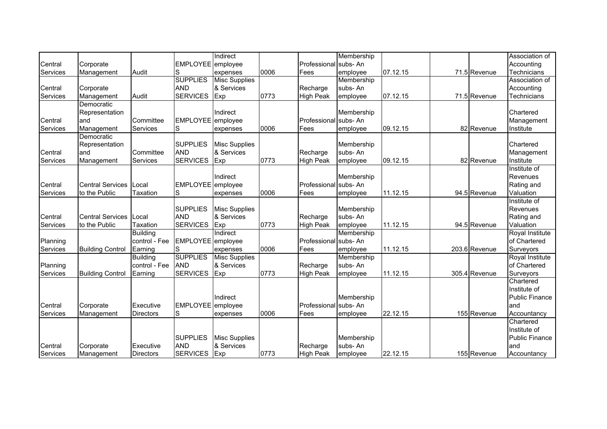|          |                          |                  |                   | Indirect             |      |                       | Membership |          |               | Association of        |
|----------|--------------------------|------------------|-------------------|----------------------|------|-----------------------|------------|----------|---------------|-----------------------|
| Central  | Corporate                |                  | EMPLOYEE employee |                      |      | Professional subs- An |            |          |               | Accounting            |
| Services | Management               | Audit            | S                 | expenses             | 0006 | Fees                  | employee   | 07.12.15 | 71.5 Revenue  | <b>Technicians</b>    |
|          |                          |                  | <b>SUPPLIES</b>   | <b>Misc Supplies</b> |      |                       | Membership |          |               | Association of        |
| Central  | Corporate                |                  | <b>AND</b>        | & Services           |      | Recharge              | subs-An    |          |               | Accounting            |
| Services | Management               | Audit            | <b>SERVICES</b>   | Exp                  | 0773 | <b>High Peak</b>      | employee   | 07.12.15 | 71.5 Revenue  | Technicians           |
|          | Democratic               |                  |                   |                      |      |                       |            |          |               |                       |
|          | Representation           |                  |                   | Indirect             |      |                       | Membership |          |               | Chartered             |
| Central  | land                     | Committee        | EMPLOYEE employee |                      |      | Professional subs- An |            |          |               | Management            |
| Services | Management               | Services         | ls                | expenses             | 0006 | Fees                  | employee   | 09.12.15 | 82 Revenue    | Institute             |
|          | Democratic               |                  |                   |                      |      |                       |            |          |               |                       |
|          | Representation           |                  | <b>SUPPLIES</b>   | <b>Misc Supplies</b> |      |                       | Membership |          |               | Chartered             |
| Central  | land                     | Committee        | <b>AND</b>        | & Services           |      | Recharge              | subs-An    |          |               | Management            |
| Services | Management               | Services         | <b>SERVICES</b>   | Exp                  | 0773 | <b>High Peak</b>      | employee   | 09.12.15 | 82 Revenue    | Institute             |
|          |                          |                  |                   |                      |      |                       |            |          |               | Institute of          |
|          |                          |                  |                   | Indirect             |      |                       | Membership |          |               | Revenues              |
| Central  | <b>Central Services</b>  | Local            | <b>EMPLOYEE</b>   | employee             |      | Professional          | subs-An    |          |               | Rating and            |
| Services | to the Public            | <b>Taxation</b>  | S                 | expenses             | 0006 | Fees                  | employee   | 11.12.15 | 94.5 Revenue  | Valuation             |
|          |                          |                  |                   |                      |      |                       |            |          |               | Institute of          |
|          |                          |                  | <b>SUPPLIES</b>   | <b>Misc Supplies</b> |      |                       | Membership |          |               | Revenues              |
| Central  | Central Services   Local |                  | <b>AND</b>        | & Services           |      | Recharge              | subs-An    |          |               | Rating and            |
| Services | to the Public            | <b>Taxation</b>  | <b>SERVICES</b>   | Exp                  | 0773 | <b>High Peak</b>      | employee   | 11.12.15 | 94.5 Revenue  | Valuation             |
|          |                          | <b>Building</b>  |                   | Indirect             |      |                       | Membership |          |               | Royal Institute       |
| Planning |                          | control - Fee    | EMPLOYEE employee |                      |      | Professional subs- An |            |          |               | of Chartered          |
| Services | <b>Building Control</b>  | Earning          | S                 | expenses             | 0006 | Fees                  | employee   | 11.12.15 | 203.6 Revenue | Surveyors             |
|          |                          | <b>Building</b>  | <b>SUPPLIES</b>   | <b>Misc Supplies</b> |      |                       | Membership |          |               | Royal Institute       |
| Planning |                          | control - Fee    | <b>AND</b>        | & Services           |      | Recharge              | subs-An    |          |               | of Chartered          |
| Services | <b>Building Control</b>  | Earning          | <b>SERVICES</b>   | Exp                  | 0773 | <b>High Peak</b>      | employee   | 11.12.15 | 305.4 Revenue | Surveyors             |
|          |                          |                  |                   |                      |      |                       |            |          |               | Chartered             |
|          |                          |                  |                   |                      |      |                       |            |          |               | Institute of          |
|          |                          |                  |                   | Indirect             |      |                       | Membership |          |               | <b>Public Finance</b> |
| Central  | Corporate                | Executive        | EMPLOYEE employee |                      |      | Professional subs- An |            |          |               | and                   |
| Services | Management               | <b>Directors</b> | S                 | expenses             | 0006 | Fees                  | employee   | 22.12.15 | 155 Revenue   | Accountancy           |
|          |                          |                  |                   |                      |      |                       |            |          |               | Chartered             |
|          |                          |                  |                   |                      |      |                       |            |          |               | Institute of          |
|          |                          |                  | <b>SUPPLIES</b>   | <b>Misc Supplies</b> |      |                       | Membership |          |               | <b>Public Finance</b> |
| Central  | Corporate                | Executive        | <b>AND</b>        | & Services           |      | Recharge              | subs-An    |          |               | land                  |
| Services | Management               | <b>Directors</b> | <b>SERVICES</b>   | Exp                  | 0773 | <b>High Peak</b>      | employee   | 22.12.15 | 155 Revenue   | Accountancy           |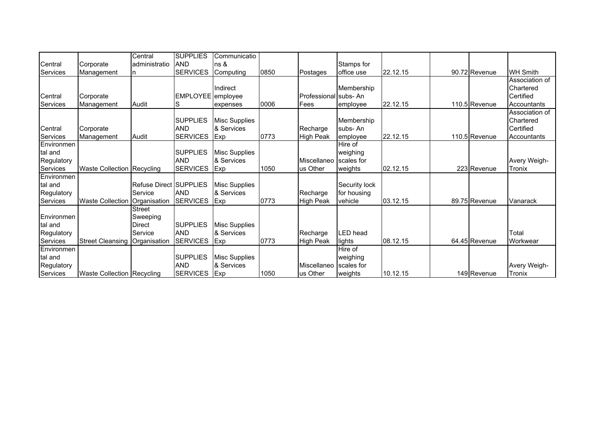|            |                                 | Central                       | <b>SUPPLIES</b>   | Communicatio         |      |                      |               |          |               |                 |
|------------|---------------------------------|-------------------------------|-------------------|----------------------|------|----------------------|---------------|----------|---------------|-----------------|
| Central    | Corporate                       | administratio                 | <b>AND</b>        | ns &                 |      |                      | Stamps for    |          |               |                 |
| Services   | Management                      | In                            | <b>SERVICES</b>   | Computing            | 0850 | Postages             | office use    | 22.12.15 | 90.72 Revenue | <b>WH Smith</b> |
|            |                                 |                               |                   |                      |      |                      |               |          |               | Association of  |
|            |                                 |                               |                   | Indirect             |      |                      | Membership    |          |               | Chartered       |
| Central    | Corporate                       |                               | EMPLOYEE employee |                      |      | Professional subs-An |               |          |               | Certified       |
| Services   | Management                      | Audit                         | S                 | expenses             | 0006 | Fees                 | employee      | 22.12.15 | 110.5 Revenue | Accountants     |
|            |                                 |                               |                   |                      |      |                      |               |          |               | Association of  |
|            |                                 |                               | <b>SUPPLIES</b>   | <b>Misc Supplies</b> |      |                      | Membership    |          |               | Chartered       |
| Central    | Corporate                       |                               | <b>AND</b>        | & Services           |      | Recharge             | subs-An       |          |               | Certified       |
| Services   | Management                      | Audit                         | <b>SERVICES</b>   | <b>IExp</b>          | 0773 | <b>High Peak</b>     | employee      | 22.12.15 | 110.5 Revenue | Accountants     |
| Environmen |                                 |                               |                   |                      |      |                      | Hire of       |          |               |                 |
| tal and    |                                 |                               | <b>SUPPLIES</b>   | <b>Misc Supplies</b> |      |                      | weighing      |          |               |                 |
| Regulatory |                                 |                               | <b>AND</b>        | & Services           |      | Miscellaneo          | scales for    |          |               | Avery Weigh-    |
| Services   | Waste Collection Recycling      |                               | <b>SERVICES</b>   | Exp                  | 1050 | us Other             | weights       | 02.12.15 | 223 Revenue   | Tronix          |
| Environmen |                                 |                               |                   |                      |      |                      |               |          |               |                 |
| tal and    |                                 | <b>Refuse Direct SUPPLIES</b> |                   | <b>Misc Supplies</b> |      |                      | Security lock |          |               |                 |
| Regulatory |                                 | Service                       | <b>AND</b>        | & Services           |      | Recharge             | for housing   |          |               |                 |
| Services   | Waste Collection   Organisation |                               | <b>SERVICES</b>   | $I$ Exp              | 0773 | <b>High Peak</b>     | vehicle       | 03.12.15 | 89.75 Revenue | Vanarack        |
|            |                                 | <b>Street</b>                 |                   |                      |      |                      |               |          |               |                 |
| Environmen |                                 | Sweeping                      |                   |                      |      |                      |               |          |               |                 |
| tal and    |                                 | <b>Direct</b>                 | <b>SUPPLIES</b>   | <b>Misc Supplies</b> |      |                      |               |          |               |                 |
| Regulatory |                                 | Service                       | <b>AND</b>        | & Services           |      | Recharge             | LED head      |          |               | Total           |
| Services   | <b>Street Cleansing</b>         | Organisation                  | <b>SERVICES</b>   | Exp                  | 0773 | <b>High Peak</b>     | lights        | 08.12.15 | 64.45 Revenue | Workwear        |
| Environmen |                                 |                               |                   |                      |      |                      | Hire of       |          |               |                 |
| tal and    |                                 |                               | <b>SUPPLIES</b>   | <b>Misc Supplies</b> |      |                      | weighing      |          |               |                 |
| Regulatory |                                 |                               | <b>AND</b>        | & Services           |      | Miscellaneo          | scales for    |          |               | Avery Weigh-    |
| Services   | Waste Collection Recycling      |                               | <b>SERVICES</b>   | Exp                  | 1050 | us Other             | weights       | 10.12.15 | 149 Revenue   | Tronix          |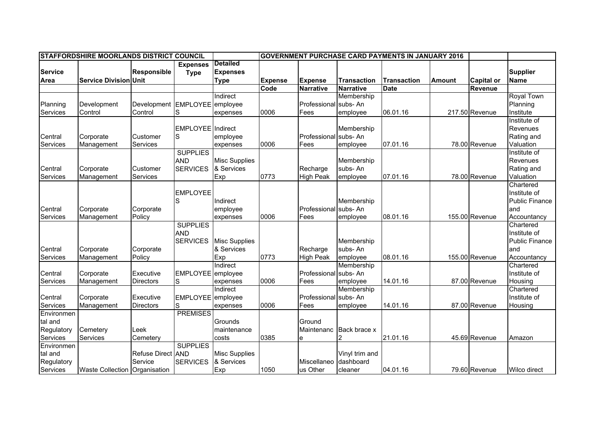|                | STAFFORDSHIRE MOORLANDS DISTRICT COUNCIL |                               |                   |                      |                |                       |                    | <b>GOVERNMENT PURCHASE CARD PAYMENTS IN JANUARY 2016</b> |               |                   |                       |
|----------------|------------------------------------------|-------------------------------|-------------------|----------------------|----------------|-----------------------|--------------------|----------------------------------------------------------|---------------|-------------------|-----------------------|
|                |                                          |                               | <b>Expenses</b>   | <b>Detailed</b>      |                |                       |                    |                                                          |               |                   |                       |
| <b>Service</b> |                                          | Responsible                   | <b>Type</b>       | <b>Expenses</b>      |                |                       |                    |                                                          |               |                   | <b>Supplier</b>       |
| Area           | <b>Service Division Unit</b>             |                               |                   | <b>Type</b>          | <b>Expense</b> | <b>Expense</b>        | <b>Transaction</b> | <b>Transaction</b>                                       | <b>Amount</b> | <b>Capital or</b> | <b>Name</b>           |
|                |                                          |                               |                   |                      | Code           | <b>Narrative</b>      | <b>Narrative</b>   | <b>Date</b>                                              |               | <b>Revenue</b>    |                       |
|                |                                          |                               |                   | Indirect             |                |                       | Membership         |                                                          |               |                   | <b>Royal Town</b>     |
| Planning       | Development                              | Development EMPLOYEE employee |                   |                      |                | Professional          | subs-An            |                                                          |               |                   | Planning              |
| Services       | Control                                  | Control                       | S                 | expenses             | 0006           | Fees                  | employee           | 06.01.16                                                 |               | 217.50 Revenue    | Institute             |
|                |                                          |                               |                   |                      |                |                       |                    |                                                          |               |                   | Institute of          |
|                |                                          |                               | EMPLOYEE Indirect |                      |                |                       | Membership         |                                                          |               |                   | Revenues              |
| Central        | Corporate                                | Customer                      | S                 | employee             |                | Professional subs- An |                    |                                                          |               |                   | Rating and            |
| Services       | Management                               | Services                      |                   | expenses             | 0006           | Fees                  | employee           | 07.01.16                                                 |               | 78.00 Revenue     | Valuation             |
|                |                                          |                               | <b>SUPPLIES</b>   |                      |                |                       |                    |                                                          |               |                   | Institute of          |
|                |                                          |                               | <b>AND</b>        | <b>Misc Supplies</b> |                |                       | Membership         |                                                          |               |                   | Revenues              |
| Central        | Corporate                                | Customer                      | <b>SERVICES</b>   | & Services           |                | Recharge              | subs-An            |                                                          |               |                   | Rating and            |
| Services       | Management                               | Services                      |                   | Exp                  | 0773           | <b>High Peak</b>      | employee           | 07.01.16                                                 |               | 78.00 Revenue     | Valuation             |
|                |                                          |                               |                   |                      |                |                       |                    |                                                          |               |                   | Chartered             |
|                |                                          |                               | <b>EMPLOYEE</b>   |                      |                |                       |                    |                                                          |               |                   | Institute of          |
|                |                                          |                               | S                 | Indirect             |                |                       | Membership         |                                                          |               |                   | <b>Public Finance</b> |
| Central        | Corporate                                | Corporate                     |                   | employee             |                | Professional          | subs-An            |                                                          |               |                   | land                  |
| Services       | Management                               | Policy                        |                   | expenses             | 0006           | Fees                  | employee           | 08.01.16                                                 |               | 155.00 Revenue    | Accountancy           |
|                |                                          |                               | <b>SUPPLIES</b>   |                      |                |                       |                    |                                                          |               |                   | Chartered             |
|                |                                          |                               | <b>AND</b>        |                      |                |                       |                    |                                                          |               |                   | Institute of          |
|                |                                          |                               | <b>SERVICES</b>   | <b>Misc Supplies</b> |                |                       | Membership         |                                                          |               |                   | <b>Public Finance</b> |
| Central        | Corporate                                | Corporate                     |                   | & Services           |                | Recharge              | subs-An            |                                                          |               |                   | and                   |
| Services       | Management                               | Policy                        |                   | Exp                  | 0773           | <b>High Peak</b>      | employee           | 08.01.16                                                 |               | 155.00 Revenue    | Accountancy           |
|                |                                          |                               |                   | Indirect             |                |                       | Membership         |                                                          |               |                   | Chartered             |
| Central        | Corporate                                | Executive                     | EMPLOYEE employee |                      |                | Professional subs- An |                    |                                                          |               |                   | Institute of          |
| Services       | Management                               | <b>Directors</b>              | S                 | expenses             | 0006           | Fees                  | employee           | 14.01.16                                                 |               | 87.00 Revenue     | Housing               |
|                |                                          |                               |                   | Indirect             |                |                       | Membership         |                                                          |               |                   | Chartered             |
| Central        | Corporate                                | Executive                     | EMPLOYEE employee |                      |                | Professional          | subs-An            |                                                          |               |                   | Institute of          |
| Services       | Management                               | <b>Directors</b>              | S                 | expenses             | 0006           | Fees                  | employee           | 14.01.16                                                 |               | 87.00 Revenue     | Housing               |
| Environmen     |                                          |                               | <b>PREMISES</b>   |                      |                |                       |                    |                                                          |               |                   |                       |
| tal and        |                                          |                               |                   | Grounds              |                | Ground                |                    |                                                          |               |                   |                       |
| Regulatory     | Cemetery                                 | Leek                          |                   | maintenance          |                | Maintenanc            | Back brace x       |                                                          |               |                   |                       |
| Services       | Services                                 | Cemetery                      |                   | costs                | 0385           | е                     |                    | 21.01.16                                                 |               | 45.69 Revenue     | Amazon                |
| Environmen     |                                          |                               | <b>SUPPLIES</b>   |                      |                |                       |                    |                                                          |               |                   |                       |
| tal and        |                                          | Refuse Direct AND             |                   | <b>Misc Supplies</b> |                |                       | Vinyl trim and     |                                                          |               |                   |                       |
| Regulatory     |                                          | Service                       | <b>SERVICES</b>   | & Services           |                | Miscellaneo           | dashboard          |                                                          |               |                   |                       |
| Services       | Waste Collection Organisation            |                               |                   | Exp                  | 1050           | us Other              | cleaner            | 04.01.16                                                 |               | 79.60 Revenue     | <b>Wilco direct</b>   |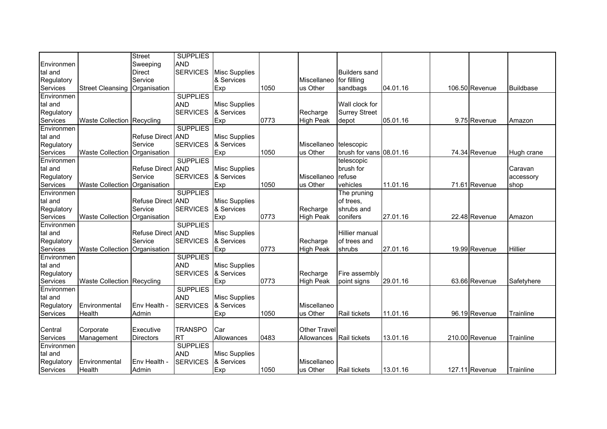| <b>AND</b><br>Environmen<br>Sweeping<br><b>SERVICES</b><br><b>Misc Supplies</b><br><b>Builders sand</b><br>tal and<br><b>Direct</b><br>Service<br>& Services<br>Regulatory<br>for fillling<br>Miscellaneo |  |
|-----------------------------------------------------------------------------------------------------------------------------------------------------------------------------------------------------------|--|
|                                                                                                                                                                                                           |  |
|                                                                                                                                                                                                           |  |
|                                                                                                                                                                                                           |  |
| Services<br><b>Street Cleansing</b><br>Organisation<br>Exp<br>1050<br>us Other<br>04.01.16<br>106.50 Revenue<br>sandbags<br>Buildbase                                                                     |  |
| <b>SUPPLIES</b><br>Environmen                                                                                                                                                                             |  |
| <b>AND</b><br><b>Misc Supplies</b><br>Wall clock for<br>tal and                                                                                                                                           |  |
| <b>SERVICES</b><br>& Services<br><b>Surrey Street</b><br>Regulatory<br>Recharge                                                                                                                           |  |
| 05.01.16<br>Services<br>Waste Collection Recycling<br>Exp<br>0773<br>9.75 Revenue<br>High Peak<br>depot<br>Amazon                                                                                         |  |
| <b>SUPPLIES</b><br>Environmen                                                                                                                                                                             |  |
| Refuse Direct AND<br><b>Misc Supplies</b><br>tal and                                                                                                                                                      |  |
| Service<br>Regulatory<br><b>SERVICES</b><br>& Services<br>Miscellaneo<br>telescopic                                                                                                                       |  |
| Services<br>1050<br>us Other<br>brush for vans 08.01.16<br>74.34 Revenue<br><b>Waste Collection</b><br>Organisation<br>Exp<br>Hugh crane                                                                  |  |
| <b>SUPPLIES</b><br>Environmen<br>telescopic                                                                                                                                                               |  |
| Refuse Direct AND<br><b>Misc Supplies</b><br>brush for<br>tal and<br>Caravan                                                                                                                              |  |
| <b>SERVICES</b><br>& Services<br>Regulatory<br>Service<br>Miscellaneo<br>refuse<br>accessory                                                                                                              |  |
| Exp<br>Services<br><b>Waste Collection</b><br>1050<br>us Other<br>vehicles<br>11.01.16<br>71.61 Revenue<br>Organisation<br>shop                                                                           |  |
| <b>SUPPLIES</b><br>Environmen<br>The pruning                                                                                                                                                              |  |
| of trees.<br>tal and<br><b>Refuse Direct AND</b><br><b>Misc Supplies</b>                                                                                                                                  |  |
| <b>SERVICES</b><br>Service<br>& Services<br>Regulatory<br>Recharge<br>shrubs and                                                                                                                          |  |
| Services<br>Exp<br>0773<br><b>High Peak</b><br>conifers<br>27.01.16<br>22.48 Revenue<br><b>Waste Collection</b><br>Organisation<br>Amazon                                                                 |  |
| <b>SUPPLIES</b><br>Environmen                                                                                                                                                                             |  |
| <b>Misc Supplies</b><br>Refuse Direct AND<br>Hillier manual<br>tal and                                                                                                                                    |  |
| Service<br><b>SERVICES</b><br>& Services<br>Regulatory<br>Recharge<br>of trees and                                                                                                                        |  |
| Services<br>Organisation<br>Exp<br>0773<br><b>High Peak</b><br>27.01.16<br>19.99 Revenue<br><b>Waste Collection</b><br>shrubs<br><b>Hillier</b>                                                           |  |
| Environmen<br><b>SUPPLIES</b>                                                                                                                                                                             |  |
| <b>AND</b><br><b>Misc Supplies</b><br>tal and                                                                                                                                                             |  |
| <b>SERVICES</b><br>& Services<br>Regulatory<br>Recharge<br>Fire assembly                                                                                                                                  |  |
| <b>Waste Collection Recycling</b><br>Exp<br>0773<br><b>High Peak</b><br>29.01.16<br>63.66 Revenue<br>Services<br>Safetyhere<br>point signs                                                                |  |
| <b>SUPPLIES</b><br>Environmen                                                                                                                                                                             |  |
| <b>AND</b><br>tal and<br><b>Misc Supplies</b>                                                                                                                                                             |  |
| <b>SERVICES</b><br>& Services<br>Environmental<br>Env Health -<br>Miscellaneo<br>Regulatory                                                                                                               |  |
| us Other<br>Rail tickets<br>96.19 Revenue<br>Services<br>Health<br>Admin<br>Exp<br>1050<br>11.01.16<br>Trainline                                                                                          |  |
|                                                                                                                                                                                                           |  |
| Central<br>Executive<br>Car<br><b>Other Travel</b><br>Corporate<br><b>TRANSPO</b>                                                                                                                         |  |
| 0483<br>Allowances<br>Rail tickets<br>13.01.16<br>210.00 Revenue<br>Trainline<br>Services<br><b>Directors</b><br><b>RT</b><br>Allowances<br>Management                                                    |  |
| <b>SUPPLIES</b><br>Environmen                                                                                                                                                                             |  |
| <b>AND</b><br><b>Misc Supplies</b><br>tal and                                                                                                                                                             |  |
| & Services<br>Regulatory<br>Environmental<br>Env Health -<br><b>SERVICES</b><br>Miscellaneo                                                                                                               |  |
| Services<br>Exp<br>Health<br>Admin<br>1050<br>us Other<br>Rail tickets<br>13.01.16<br>127.11 Revenue<br>Trainline                                                                                         |  |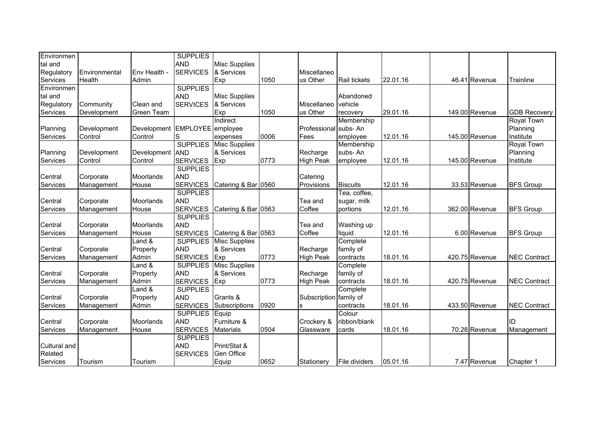| Environmen   |               |                      | <b>SUPPLIES</b> |                      |      |                        |                     |          |                |                     |
|--------------|---------------|----------------------|-----------------|----------------------|------|------------------------|---------------------|----------|----------------|---------------------|
| tal and      |               |                      | <b>AND</b>      | <b>Misc Supplies</b> |      |                        |                     |          |                |                     |
| Regulatory   | Environmental | Env Health -         | <b>SERVICES</b> | & Services           |      | Miscellaneo            |                     |          |                |                     |
| Services     | Health        | Admin                |                 | Exp                  | 1050 | us Other               | <b>Rail tickets</b> | 22.01.16 | 46.41 Revenue  | Trainline           |
| Environmen   |               |                      | <b>SUPPLIES</b> |                      |      |                        |                     |          |                |                     |
| tal and      |               |                      | <b>AND</b>      | <b>Misc Supplies</b> |      |                        | Abandoned           |          |                |                     |
| Regulatory   | Community     | Clean and            | <b>SERVICES</b> | & Services           |      | Miscellaneo            | vehicle             |          |                |                     |
| Services     | Development   | <b>Green Team</b>    |                 | Exp                  | 1050 | us Other               | recovery            | 29.01.16 | 149.00 Revenue | <b>GDB Recovery</b> |
|              |               |                      |                 | Indirect             |      |                        | Membership          |          |                | <b>Royal Town</b>   |
| Planning     | Development   | Development EMPLOYEE |                 | employee             |      | Professional           | subs-An             |          |                | Planning            |
| Services     | Control       | Control              | S               | expenses             | 0006 | Fees                   | employee            | 12.01.16 | 145.00 Revenue | Institute           |
|              |               |                      | <b>SUPPLIES</b> | <b>Misc Supplies</b> |      |                        | Membership          |          |                | <b>Royal Town</b>   |
| Planning     | Development   | Development AND      |                 | & Services           |      | Recharge               | subs-An             |          |                | Planning            |
| Services     | Control       | Control              | <b>SERVICES</b> | Exp                  | 0773 | <b>High Peak</b>       | employee            | 12.01.16 | 145.00 Revenue | Institute           |
|              |               |                      | <b>SUPPLIES</b> |                      |      |                        |                     |          |                |                     |
| Central      | Corporate     | Moorlands            | <b>AND</b>      |                      |      | Catering               |                     |          |                |                     |
| Services     | Management    | House                | <b>SERVICES</b> | Catering & Bar 0560  |      | Provisions             | <b>Biscuits</b>     | 12.01.16 | 33.53 Revenue  | <b>BFS Group</b>    |
|              |               |                      | <b>SUPPLIES</b> |                      |      |                        | Tea, coffee,        |          |                |                     |
| Central      | Corporate     | Moorlands            | <b>AND</b>      |                      |      | Tea and                | sugar, milk         |          |                |                     |
| Services     | Management    | House                | <b>SERVICES</b> | Catering & Bar 0563  |      | Coffee                 | portions            | 12.01.16 | 362.00 Revenue | <b>BFS Group</b>    |
|              |               |                      | <b>SUPPLIES</b> |                      |      |                        |                     |          |                |                     |
| Central      | Corporate     | Moorlands            | <b>AND</b>      |                      |      | Tea and                | Washing up          |          |                |                     |
| Services     | Management    | House                | <b>SERVICES</b> | Catering & Bar 0563  |      | Coffee                 | liquid              | 12.01.16 | 6.00 Revenue   | <b>BFS Group</b>    |
|              |               | Land &               | <b>SUPPLIES</b> | <b>Misc Supplies</b> |      |                        | Complete            |          |                |                     |
| Central      | Corporate     | Property             | <b>AND</b>      | & Services           |      | Recharge               | family of           |          |                |                     |
| Services     | Management    | Admin                | <b>SERVICES</b> | Exp                  | 0773 | <b>High Peak</b>       | contracts           | 18.01.16 | 420.75 Revenue | <b>NEC Contract</b> |
|              |               | Land &               | <b>SUPPLIES</b> | <b>Misc Supplies</b> |      |                        | Complete            |          |                |                     |
| Central      | Corporate     | Property             | <b>AND</b>      | & Services           |      | Recharge               | family of           |          |                |                     |
| Services     | Management    | Admin                | <b>SERVICES</b> | Exp                  | 0773 | <b>High Peak</b>       | contracts           | 18.01.16 | 420.75 Revenue | <b>NEC Contract</b> |
|              |               | Land &               | <b>SUPPLIES</b> |                      |      |                        | Complete            |          |                |                     |
| Central      | Corporate     | Property             | <b>AND</b>      | Grants &             |      | Subscription family of |                     |          |                |                     |
| Services     | Management    | Admin                | <b>SERVICES</b> | Subscriptions        | 0920 | ls.                    | contracts           | 18.01.16 | 433.50 Revenue | <b>NEC Contract</b> |
|              |               |                      | <b>SUPPLIES</b> | Equip                |      |                        | Colour              |          |                |                     |
| Central      | Corporate     | Moorlands            | <b>AND</b>      | Furniture &          |      | Crockery &             | ribbon/blank        |          |                | ID                  |
| Services     | Management    | House                | <b>SERVICES</b> | <b>Materials</b>     | 0504 | Glassware              | cards               | 18.01.16 | 70.28 Revenue  | Management          |
|              |               |                      | <b>SUPPLIES</b> |                      |      |                        |                     |          |                |                     |
| Cultural and |               |                      | <b>AND</b>      | Print/Stat &         |      |                        |                     |          |                |                     |
| Related      |               |                      | <b>SERVICES</b> | Gen Office           |      |                        |                     |          |                |                     |
| Services     | Tourism       | Tourism              |                 | Equip                | 0652 | Stationery             | File dividers       | 05.01.16 | 7.47 Revenue   | Chapter 1           |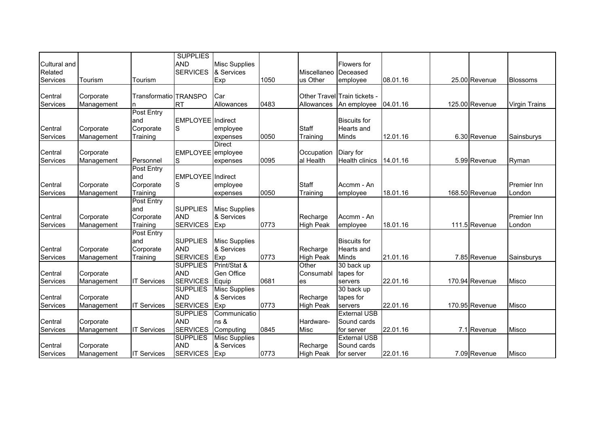| Cultural and        |            |                       | <b>SUPPLIES</b><br><b>AND</b> | <b>Misc Supplies</b>               |      |                                  | Flowers for                  |          |                |                      |
|---------------------|------------|-----------------------|-------------------------------|------------------------------------|------|----------------------------------|------------------------------|----------|----------------|----------------------|
| Related<br>Services | Tourism    | Tourism               | <b>SERVICES</b>               | & Services<br>Exp                  | 1050 | Miscellaneo Deceased<br>us Other | employee                     | 08.01.16 | 25.00 Revenue  | Blossoms             |
|                     |            |                       |                               |                                    |      |                                  |                              |          |                |                      |
| Central             | Corporate  | Transformatio TRANSPO |                               | Car                                |      |                                  | Other Travel Train tickets - |          |                |                      |
| Services            | Management | n                     | <b>RT</b>                     | Allowances                         | 0483 | Allowances                       | An employee                  | 04.01.16 | 125.00 Revenue | <b>Virgin Trains</b> |
|                     |            | Post Entry            |                               |                                    |      |                                  |                              |          |                |                      |
|                     |            | and                   | EMPLOYEE Indirect             |                                    |      |                                  | <b>Biscuits for</b>          |          |                |                      |
| Central             | Corporate  | Corporate             | S                             | employee                           |      | Staff                            | <b>Hearts</b> and            |          |                |                      |
| Services            | Management | Training              |                               | expenses                           | 0050 | Training                         | Minds                        | 12.01.16 | 6.30 Revenue   | Sainsburys           |
|                     |            |                       |                               | <b>Direct</b>                      |      |                                  |                              |          |                |                      |
| Central             | Corporate  |                       | EMPLOYEE employee             |                                    |      | Occupation                       | Diary for                    |          |                |                      |
| Services            | Management | Personnel             | S                             | expenses                           | 0095 | al Health                        | <b>Health clinics</b>        | 14.01.16 | 5.99 Revenue   | Ryman                |
|                     |            | Post Entry            |                               |                                    |      |                                  |                              |          |                |                      |
|                     |            | and                   | EMPLOYEE Indirect             |                                    |      |                                  |                              |          |                |                      |
| Central             | Corporate  | Corporate             | S                             | employee                           |      | Staff                            | Accmm - An                   |          |                | <b>Premier Inn</b>   |
| Services            | Management | Training              |                               | expenses                           | 0050 | Training                         | employee                     | 18.01.16 | 168.50 Revenue | London               |
|                     |            | Post Entry<br>and     | <b>SUPPLIES</b>               |                                    |      |                                  |                              |          |                |                      |
| Central             | Corporate  | Corporate             | <b>AND</b>                    | <b>Misc Supplies</b><br>& Services |      | Recharge                         | Accmm - An                   |          |                | <b>Premier Inn</b>   |
| Services            | Management | Training              | <b>SERVICES</b>               | Exp                                | 0773 | <b>High Peak</b>                 | employee                     | 18.01.16 | 111.5 Revenue  | London               |
|                     |            | Post Entry            |                               |                                    |      |                                  |                              |          |                |                      |
|                     |            | and                   | <b>SUPPLIES</b>               | <b>Misc Supplies</b>               |      |                                  | <b>Biscuits for</b>          |          |                |                      |
| Central             | Corporate  | Corporate             | <b>AND</b>                    | & Services                         |      | Recharge                         | <b>Hearts and</b>            |          |                |                      |
| Services            | Management | Training              | <b>SERVICES</b>               | Exp                                | 0773 | <b>High Peak</b>                 | Minds                        | 21.01.16 | 7.85 Revenue   | Sainsburys           |
|                     |            |                       | <b>SUPPLIES</b>               | Print/Stat &                       |      | Other                            | 30 back up                   |          |                |                      |
| Central             | Corporate  |                       | <b>AND</b>                    | Gen Office                         |      | Consumabl                        | tapes for                    |          |                |                      |
| Services            | Management | <b>IT Services</b>    | <b>SERVICES</b>               | Equip                              | 0681 | <b>es</b>                        | servers                      | 22.01.16 | 170.94 Revenue | Misco                |
|                     |            |                       | <b>SUPPLIES</b>               | <b>Misc Supplies</b>               |      |                                  | 30 back up                   |          |                |                      |
| Central             | Corporate  |                       | <b>AND</b>                    | & Services                         |      | Recharge                         | tapes for                    |          |                |                      |
| Services            | Management | <b>IT Services</b>    | <b>SERVICES</b>               | Exp                                | 0773 | <b>High Peak</b>                 | servers                      | 22.01.16 | 170.95 Revenue | Misco                |
|                     |            |                       | <b>SUPPLIES</b>               | Communicatio                       |      |                                  | <b>External USB</b>          |          |                |                      |
| Central             | Corporate  |                       | <b>AND</b>                    | ns &                               |      | Hardware-                        | Sound cards                  |          |                |                      |
| Services            | Management | <b>IT Services</b>    | <b>SERVICES</b>               | Computing                          | 0845 | Misc                             | for server                   | 22.01.16 | 7.1 Revenue    | <b>Misco</b>         |
|                     |            |                       | <b>SUPPLIES</b>               | <b>Misc Supplies</b>               |      |                                  | <b>External USB</b>          |          |                |                      |
| Central             | Corporate  |                       | <b>AND</b>                    | & Services                         |      | Recharge                         | Sound cards                  |          |                |                      |
| Services            | Management | <b>IT Services</b>    | <b>SERVICES</b>               | Exp                                | 0773 | <b>High Peak</b>                 | for server                   | 22.01.16 | 7.09 Revenue   | <b>Misco</b>         |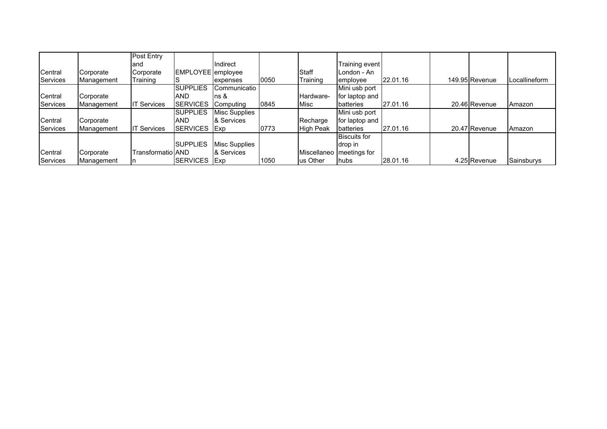|          |            | Post Entry         |                   |                      |      |                  |                     |          |                |               |
|----------|------------|--------------------|-------------------|----------------------|------|------------------|---------------------|----------|----------------|---------------|
|          |            | land               |                   | <b>Indirect</b>      |      |                  | Training event      |          |                |               |
| Central  | Corporate  | Corporate          | EMPLOYEE employee |                      |      | <b>Staff</b>     | London - An         |          |                |               |
| Services | Management | Training           |                   | expenses             | 0050 | Training         | employee            | 22.01.16 | 149.95 Revenue | Locallineform |
|          |            |                    | <b>SUPPLIES</b>   | Communicatio         |      |                  | Mini usb port       |          |                |               |
| Central  | Corporate  |                    | <b>AND</b>        | $\ln s$ &            |      | Hardware-        | for laptop and      |          |                |               |
| Services | Management | <b>IT Services</b> | <b>SERVICES</b>   | Computing            | 0845 | <b>Misc</b>      | batteries           | 27.01.16 | 20.46 Revenue  | Amazon        |
|          |            |                    | <b>SUPPLIES</b>   | <b>Misc Supplies</b> |      |                  | Mini usb port       |          |                |               |
| Central  | Corporate  |                    | AND               | & Services           |      | Recharge         | for laptop and      |          |                |               |
| Services | Management | <b>IT Services</b> | <b>SERVICES</b>   | <b>IExp</b>          | 0773 | <b>High Peak</b> | batteries           | 27.01.16 | 20.47 Revenue  | Amazon        |
|          |            |                    |                   |                      |      |                  | <b>Biscuits for</b> |          |                |               |
|          |            |                    | <b>SUPPLIES</b>   | Misc Supplies        |      |                  | drop in             |          |                |               |
| Central  | Corporate  | Transformatio AND  |                   | & Services           |      | Miscellaneo      | meetings for        |          |                |               |
| Services | Management |                    | <b>SERVICES</b>   | <b>IExp</b>          | 1050 | us Other         | hubs                | 28.01.16 | 4.25 Revenue   | Sainsburys    |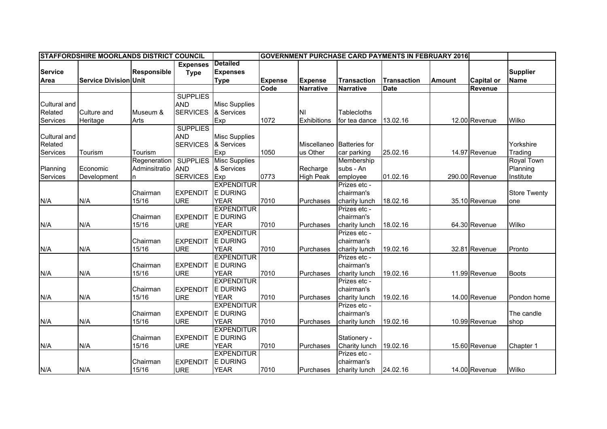|                |                              |                    | <b>STAFFORDSHIRE MOORLANDS DISTRICT COUNCIL</b><br><b>GOVERNMENT PURCHASE CARD PAYMENTS IN FEBRUARY 2016</b> |                      |                |                  |                      |                    |               |                   |                     |
|----------------|------------------------------|--------------------|--------------------------------------------------------------------------------------------------------------|----------------------|----------------|------------------|----------------------|--------------------|---------------|-------------------|---------------------|
|                |                              |                    | <b>Expenses</b>                                                                                              | <b>Detailed</b>      |                |                  |                      |                    |               |                   |                     |
| <b>Service</b> |                              | <b>Responsible</b> | <b>Type</b>                                                                                                  | <b>Expenses</b>      |                |                  |                      |                    |               |                   | <b>Supplier</b>     |
| Area           | <b>Service Division Unit</b> |                    |                                                                                                              | <b>Type</b>          | <b>Expense</b> | <b>Expense</b>   | <b>Transaction</b>   | <b>Transaction</b> | <b>Amount</b> | <b>Capital or</b> | <b>Name</b>         |
|                |                              |                    |                                                                                                              |                      | Code           | <b>Narrative</b> | <b>Narrative</b>     | <b>Date</b>        |               | <b>Revenue</b>    |                     |
|                |                              |                    | <b>SUPPLIES</b>                                                                                              |                      |                |                  |                      |                    |               |                   |                     |
| Cultural and   |                              |                    | <b>AND</b>                                                                                                   | <b>Misc Supplies</b> |                |                  |                      |                    |               |                   |                     |
| Related        | <b>Culture and</b>           | Museum &           | <b>SERVICES</b>                                                                                              | & Services           |                | ΝI               | <b>Tablecloths</b>   |                    |               |                   |                     |
| Services       | Heritage                     | Arts               |                                                                                                              | Exp                  | 1072           | Exhibitions      | for tea dance        | 13.02.16           |               | 12.00 Revenue     | Wilko               |
|                |                              |                    | <b>SUPPLIES</b>                                                                                              |                      |                |                  |                      |                    |               |                   |                     |
| Cultural and   |                              |                    | <b>AND</b>                                                                                                   | <b>Misc Supplies</b> |                |                  |                      |                    |               |                   |                     |
| Related        |                              |                    | <b>SERVICES</b>                                                                                              | & Services           |                | Miscellaneo      | <b>Batteries</b> for |                    |               |                   | Yorkshire           |
| Services       | Tourism                      | Tourism            |                                                                                                              | Exp                  | 1050           | us Other         | car parking          | 25.02.16           |               | 14.97 Revenue     | Trading             |
|                |                              | Regeneration       | <b>SUPPLIES</b>                                                                                              | <b>Misc Supplies</b> |                |                  | Membership           |                    |               |                   | <b>Royal Town</b>   |
| Planning       | Economic                     | Adminsitratio      | <b>AND</b>                                                                                                   | & Services           |                | Recharge         | subs - An            |                    |               |                   | Planning            |
| Services       | Development                  |                    | <b>SERVICES</b>                                                                                              | Exp                  | 0773           | <b>High Peak</b> | employee             | 01.02.16           |               | 290.00 Revenue    | Institute           |
|                |                              |                    |                                                                                                              | <b>EXPENDITUR</b>    |                |                  | Prizes etc -         |                    |               |                   |                     |
|                |                              | Chairman           | <b>EXPENDIT</b>                                                                                              | <b>E DURING</b>      |                |                  | chairman's           |                    |               |                   | <b>Store Twenty</b> |
| N/A            | N/A                          | 15/16              | <b>URE</b>                                                                                                   | <b>YEAR</b>          | 7010           | Purchases        | charity lunch        | 18.02.16           |               | 35.10 Revenue     | one                 |
|                |                              |                    |                                                                                                              | <b>EXPENDITUR</b>    |                |                  | Prizes etc -         |                    |               |                   |                     |
|                |                              | Chairman           | <b>EXPENDIT</b>                                                                                              | E DURING             |                |                  | chairman's           |                    |               |                   |                     |
| N/A            | N/A                          | 15/16              | <b>URE</b>                                                                                                   | <b>YEAR</b>          | 7010           | Purchases        | charity lunch        | 18.02.16           |               | 64.30 Revenue     | Wilko               |
|                |                              |                    |                                                                                                              | <b>EXPENDITUR</b>    |                |                  | Prizes etc -         |                    |               |                   |                     |
|                |                              | Chairman           | <b>EXPENDIT</b>                                                                                              | <b>E DURING</b>      |                |                  | chairman's           |                    |               |                   |                     |
| N/A            | N/A                          | 15/16              | <b>URE</b>                                                                                                   | <b>YEAR</b>          | 7010           | Purchases        | charity lunch        | 19.02.16           |               | 32.81 Revenue     | Pronto              |
|                |                              |                    |                                                                                                              | <b>EXPENDITUR</b>    |                |                  | Prizes etc -         |                    |               |                   |                     |
|                |                              | Chairman           | <b>EXPENDIT</b>                                                                                              | E DURING             |                |                  | chairman's           |                    |               |                   |                     |
| N/A            | N/A                          | 15/16              | <b>URE</b>                                                                                                   | <b>YEAR</b>          | 7010           | Purchases        | charity lunch        | 19.02.16           |               | 11.99 Revenue     | <b>Boots</b>        |
|                |                              |                    |                                                                                                              | <b>EXPENDITUR</b>    |                |                  | Prizes etc -         |                    |               |                   |                     |
|                |                              | Chairman           | <b>EXPENDIT</b>                                                                                              | E DURING             |                |                  | chairman's           |                    |               |                   |                     |
| N/A            | N/A                          | 15/16              | <b>URE</b>                                                                                                   | <b>YEAR</b>          | 7010           | Purchases        | charity lunch        | 19.02.16           |               | 14.00 Revenue     | Pondon home         |
|                |                              |                    |                                                                                                              | <b>EXPENDITUR</b>    |                |                  | Prizes etc -         |                    |               |                   |                     |
|                |                              | Chairman           | <b>EXPENDIT</b>                                                                                              | <b>E DURING</b>      |                |                  | chairman's           |                    |               |                   | The candle          |
| N/A            | N/A                          | 15/16              | <b>URE</b>                                                                                                   | <b>YEAR</b>          | 7010           | Purchases        | charity lunch        | 19.02.16           |               | 10.99 Revenue     | shop                |
|                |                              |                    |                                                                                                              | <b>EXPENDITUR</b>    |                |                  |                      |                    |               |                   |                     |
|                |                              | Chairman           | <b>EXPENDIT</b>                                                                                              | <b>E DURING</b>      |                |                  | Stationery -         |                    |               |                   |                     |
| N/A            | N/A                          | 15/16              | <b>URE</b>                                                                                                   | <b>YEAR</b>          | 7010           | Purchases        | Charity lunch        | 19.02.16           |               | 15.60 Revenue     | Chapter 1           |
|                |                              |                    |                                                                                                              | <b>EXPENDITUR</b>    |                |                  | Prizes etc -         |                    |               |                   |                     |
|                |                              | Chairman           | <b>EXPENDIT</b>                                                                                              | <b>E DURING</b>      |                |                  | chairman's           |                    |               |                   |                     |
| N/A            | N/A                          | 15/16              | <b>URE</b>                                                                                                   | <b>YEAR</b>          | 7010           | Purchases        | charity lunch        | 24.02.16           |               | 14.00 Revenue     | Wilko               |
|                |                              |                    |                                                                                                              |                      |                |                  |                      |                    |               |                   |                     |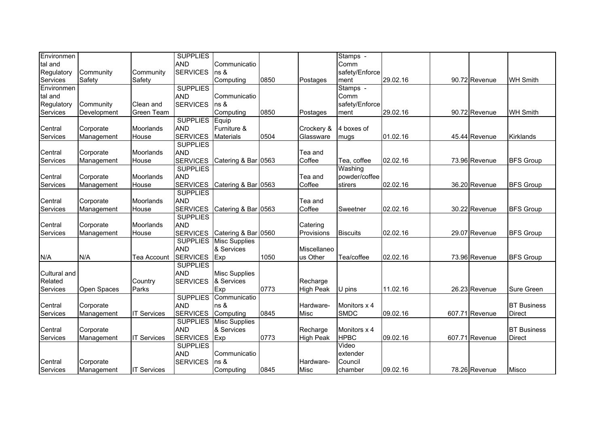| Environmen   |             |                    | <b>SUPPLIES</b> |                      |      |                  | Stamps -        |          |                |                    |
|--------------|-------------|--------------------|-----------------|----------------------|------|------------------|-----------------|----------|----------------|--------------------|
| tal and      |             |                    | <b>AND</b>      | Communicatio         |      |                  | Comm            |          |                |                    |
| Regulatory   | Community   | Community          | <b>SERVICES</b> | ns &                 |      |                  | safety/Enforce  |          |                |                    |
| Services     | Safety      | Safety             |                 | Computing            | 0850 | Postages         | ment            | 29.02.16 | 90.72 Revenue  | <b>WH Smith</b>    |
| Environmen   |             |                    | <b>SUPPLIES</b> |                      |      |                  | Stamps -        |          |                |                    |
| tal and      |             |                    | <b>AND</b>      | Communicatio         |      |                  | Comm            |          |                |                    |
| Regulatory   | Community   | Clean and          | <b>SERVICES</b> | ns &                 |      |                  | safety/Enforce  |          |                |                    |
| Services     | Development | Green Team         |                 | Computing            | 0850 | Postages         | ment            | 29.02.16 | 90.72 Revenue  | <b>WH Smith</b>    |
|              |             |                    | <b>SUPPLIES</b> | Equip                |      |                  |                 |          |                |                    |
| Central      | Corporate   | Moorlands          | <b>AND</b>      | Furniture &          |      | Crockery &       | 4 boxes of      |          |                |                    |
| Services     | Management  | House              | <b>SERVICES</b> | <b>Materials</b>     | 0504 | Glassware        | mugs            | 01.02.16 | 45.44 Revenue  | <b>Kirklands</b>   |
|              |             |                    | <b>SUPPLIES</b> |                      |      |                  |                 |          |                |                    |
| Central      | Corporate   | Moorlands          | <b>AND</b>      |                      |      | Tea and          |                 |          |                |                    |
| Services     | Management  | House              | <b>SERVICES</b> | Catering & Bar 0563  |      | Coffee           | Tea, coffee     | 02.02.16 | 73.96 Revenue  | <b>BFS Group</b>   |
|              |             |                    | <b>SUPPLIES</b> |                      |      |                  | Washing         |          |                |                    |
| Central      | Corporate   | Moorlands          | <b>AND</b>      |                      |      | Tea and          | powder/coffee   |          |                |                    |
| Services     | Management  | House              | <b>SERVICES</b> | Catering & Bar 0563  |      | Coffee           | stirers         | 02.02.16 | 36.20 Revenue  | <b>BFS Group</b>   |
|              |             |                    | <b>SUPPLIES</b> |                      |      |                  |                 |          |                |                    |
| Central      | Corporate   | Moorlands          | <b>AND</b>      |                      |      | Tea and          |                 |          |                |                    |
| Services     | Management  | House              | <b>SERVICES</b> | Catering & Bar 0563  |      | Coffee           | Sweetner        | 02.02.16 | 30.22 Revenue  | <b>BFS Group</b>   |
|              |             |                    | <b>SUPPLIES</b> |                      |      |                  |                 |          |                |                    |
| Central      | Corporate   | Moorlands          | <b>AND</b>      |                      |      | Catering         |                 |          |                |                    |
| Services     | Management  | House              | <b>SERVICES</b> | Catering & Bar 0560  |      | Provisions       | <b>Biscuits</b> | 02.02.16 | 29.07 Revenue  | <b>BFS Group</b>   |
|              |             |                    | <b>SUPPLIES</b> | <b>Misc Supplies</b> |      |                  |                 |          |                |                    |
|              |             |                    | <b>AND</b>      | & Services           |      | Miscellaneo      |                 |          |                |                    |
| N/A          | N/A         | Tea Account        | <b>SERVICES</b> | Exp                  | 1050 | us Other         | Tea/coffee      | 02.02.16 | 73.96 Revenue  | <b>BFS Group</b>   |
|              |             |                    | <b>SUPPLIES</b> |                      |      |                  |                 |          |                |                    |
| Cultural and |             |                    | <b>AND</b>      | <b>Misc Supplies</b> |      |                  |                 |          |                |                    |
| Related      |             | Country            | <b>SERVICES</b> | & Services           |      | Recharge         |                 |          |                |                    |
| Services     | Open Spaces | Parks              |                 | Exp                  | 0773 | <b>High Peak</b> | U pins          | 11.02.16 | 26.23 Revenue  | Sure Green         |
|              |             |                    | <b>SUPPLIES</b> | Communicatio         |      |                  |                 |          |                |                    |
| Central      | Corporate   |                    | <b>AND</b>      | ns &                 |      | Hardware-        | Monitors x 4    |          |                | <b>BT</b> Business |
| Services     | Management  | <b>IT Services</b> | <b>SERVICES</b> | Computing            | 0845 | Misc             | <b>SMDC</b>     | 09.02.16 | 607.71 Revenue | <b>Direct</b>      |
|              |             |                    | <b>SUPPLIES</b> | <b>Misc Supplies</b> |      |                  |                 |          |                |                    |
| Central      | Corporate   |                    | <b>AND</b>      | & Services           |      | Recharge         | Monitors x 4    |          |                | <b>BT</b> Business |
| Services     | Management  | <b>IT Services</b> | <b>SERVICES</b> | Exp                  | 0773 | <b>High Peak</b> | <b>HPBC</b>     | 09.02.16 | 607.71 Revenue | <b>Direct</b>      |
|              |             |                    | <b>SUPPLIES</b> |                      |      |                  | Video           |          |                |                    |
|              |             |                    | <b>AND</b>      | Communicatio         |      |                  | extender        |          |                |                    |
| Central      | Corporate   |                    | <b>SERVICES</b> | ns &                 |      | Hardware-        | Council         |          |                |                    |
| Services     | Management  | <b>IT Services</b> |                 | Computing            | 0845 | <b>Misc</b>      | chamber         | 09.02.16 | 78.26 Revenue  | <b>Misco</b>       |
|              |             |                    |                 |                      |      |                  |                 |          |                |                    |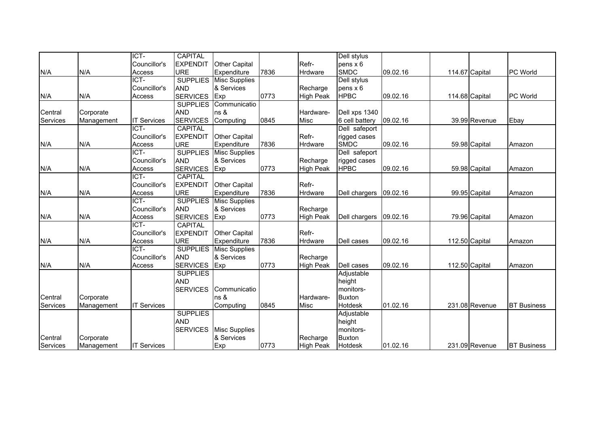|          |            | ICT-               | <b>CAPITAL</b>  |                      |      |                  | Dell stylus     |          |                |                |                    |
|----------|------------|--------------------|-----------------|----------------------|------|------------------|-----------------|----------|----------------|----------------|--------------------|
|          |            | Councillor's       | <b>EXPENDIT</b> | <b>Other Capital</b> |      | Refr-            | pens x 6        |          |                |                |                    |
| N/A      | N/A        | Access             | <b>URE</b>      | Expenditure          | 7836 | Hrdware          | <b>SMDC</b>     | 09.02.16 |                | 114.67 Capital | <b>PC World</b>    |
|          |            | ICT-               | <b>SUPPLIES</b> | <b>Misc Supplies</b> |      |                  | Dell stylus     |          |                |                |                    |
|          |            | Councillor's       | <b>AND</b>      | & Services           |      | Recharge         | $pens \times 6$ |          |                |                |                    |
| N/A      | N/A        | Access             | <b>SERVICES</b> | Exp                  | 0773 | <b>High Peak</b> | <b>HPBC</b>     | 09.02.16 | 114.68 Capital |                | <b>PC World</b>    |
|          |            |                    | <b>SUPPLIES</b> | Communicatio         |      |                  |                 |          |                |                |                    |
| Central  | Corporate  |                    | <b>AND</b>      | ns &                 |      | Hardware-        | Dell xps 1340   |          |                |                |                    |
| Services | Management | <b>IT Services</b> | <b>SERVICES</b> | Computing            | 0845 | Misc             | 6 cell battery  | 09.02.16 |                | 39.99 Revenue  | Ebay               |
|          |            | ICT-               | <b>CAPITAL</b>  |                      |      |                  | Dell safeport   |          |                |                |                    |
|          |            | Councillor's       | <b>EXPENDIT</b> | <b>Other Capital</b> |      | Refr-            | rigged cases    |          |                |                |                    |
| N/A      | N/A        | Access             | <b>URE</b>      | Expenditure          | 7836 | Hrdware          | <b>SMDC</b>     | 09.02.16 |                | 59.98 Capital  | Amazon             |
|          |            | ICT-               | <b>SUPPLIES</b> | <b>Misc Supplies</b> |      |                  | Dell safeport   |          |                |                |                    |
|          |            | Councillor's       | <b>AND</b>      | & Services           |      | Recharge         | rigged cases    |          |                |                |                    |
| N/A      | N/A        | Access             | <b>SERVICES</b> | Exp                  | 0773 | <b>High Peak</b> | <b>HPBC</b>     | 09.02.16 |                | 59.98 Capital  | Amazon             |
|          |            | ICT-               | <b>CAPITAL</b>  |                      |      |                  |                 |          |                |                |                    |
|          |            | Councillor's       | <b>EXPENDIT</b> | <b>Other Capital</b> |      | Refr-            |                 |          |                |                |                    |
| N/A      | N/A        | Access             | <b>URE</b>      | Expenditure          | 7836 | Hrdware          | Dell chargers   | 09.02.16 |                | 99.95 Capital  | Amazon             |
|          |            | ICT-               | <b>SUPPLIES</b> | <b>Misc Supplies</b> |      |                  |                 |          |                |                |                    |
|          |            | Councillor's       | <b>AND</b>      | & Services           |      | Recharge         |                 |          |                |                |                    |
| N/A      | N/A        | Access             | <b>SERVICES</b> | Exp                  | 0773 | <b>High Peak</b> | Dell chargers   | 09.02.16 |                | 79.96 Capital  | Amazon             |
|          |            | ICT-               | <b>CAPITAL</b>  |                      |      |                  |                 |          |                |                |                    |
|          |            | Councillor's       | <b>EXPENDIT</b> | <b>Other Capital</b> |      | Refr-            |                 |          |                |                |                    |
| N/A      | N/A        | Access             | <b>URE</b>      | Expenditure          | 7836 | Hrdware          | Dell cases      | 09.02.16 | 112.50 Capital |                | Amazon             |
|          |            | ICT-               | <b>SUPPLIES</b> | <b>Misc Supplies</b> |      |                  |                 |          |                |                |                    |
|          |            | Councillor's       | <b>AND</b>      | & Services           |      | Recharge         |                 |          |                |                |                    |
| N/A      | N/A        | Access             | <b>SERVICES</b> | Exp                  | 0773 | <b>High Peak</b> | Dell cases      | 09.02.16 | 112.50 Capital |                | Amazon             |
|          |            |                    | <b>SUPPLIES</b> |                      |      |                  | Adjustable      |          |                |                |                    |
|          |            |                    | <b>AND</b>      |                      |      |                  | height          |          |                |                |                    |
|          |            |                    | <b>SERVICES</b> | Communicatio         |      |                  | monitors-       |          |                |                |                    |
| Central  | Corporate  |                    |                 | ns &                 |      | Hardware-        | <b>Buxton</b>   |          |                |                |                    |
| Services | Management | <b>IT Services</b> |                 | Computing            | 0845 | Misc             | <b>Hotdesk</b>  | 01.02.16 |                | 231.08 Revenue | <b>BT</b> Business |
|          |            |                    | <b>SUPPLIES</b> |                      |      |                  | Adjustable      |          |                |                |                    |
|          |            |                    | <b>AND</b>      |                      |      |                  | height          |          |                |                |                    |
|          |            |                    | <b>SERVICES</b> | <b>Misc Supplies</b> |      |                  | monitors-       |          |                |                |                    |
| Central  | Corporate  |                    |                 | & Services           |      | Recharge         | <b>Buxton</b>   |          |                |                |                    |
| Services | Management | <b>IT Services</b> |                 | Exp                  | 0773 | <b>High Peak</b> | Hotdesk         | 01.02.16 |                | 231.09 Revenue | <b>BT Business</b> |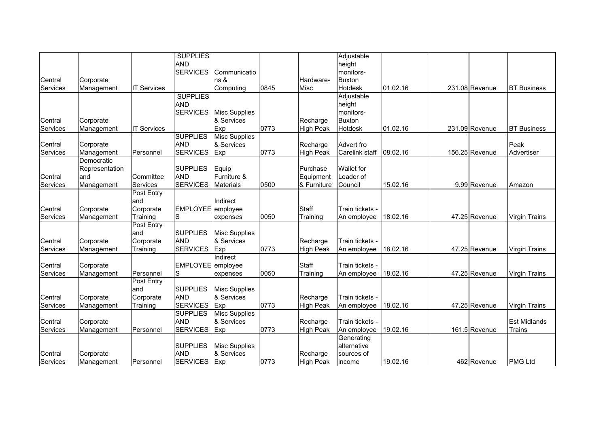|          |                         |                       | <b>SUPPLIES</b>               |                      |      |                  | Adjustable          |          |                |                      |
|----------|-------------------------|-----------------------|-------------------------------|----------------------|------|------------------|---------------------|----------|----------------|----------------------|
|          |                         |                       | <b>AND</b><br><b>SERVICES</b> | Communicatio         |      |                  | height<br>monitors- |          |                |                      |
| Central  | Corporate               |                       |                               | ns &                 |      | Hardware-        | <b>Buxton</b>       |          |                |                      |
| Services | Management              | <b>IT Services</b>    |                               | Computing            | 0845 | Misc             | <b>Hotdesk</b>      | 01.02.16 | 231.08 Revenue | <b>BT Business</b>   |
|          |                         |                       | <b>SUPPLIES</b>               |                      |      |                  | Adjustable          |          |                |                      |
|          |                         |                       | <b>AND</b>                    |                      |      |                  | height              |          |                |                      |
|          |                         |                       | <b>SERVICES</b>               | <b>Misc Supplies</b> |      |                  | monitors-           |          |                |                      |
| Central  | Corporate               |                       |                               | & Services           |      | Recharge         | <b>Buxton</b>       |          |                |                      |
| Services | Management              | <b>IT Services</b>    |                               | Exp                  | 0773 | <b>High Peak</b> | Hotdesk             | 01.02.16 | 231.09 Revenue | <b>BT</b> Business   |
|          |                         |                       | <b>SUPPLIES</b>               | <b>Misc Supplies</b> |      |                  |                     |          |                |                      |
| Central  | Corporate               |                       | <b>AND</b>                    | & Services           |      | Recharge         | Advert fro          |          |                | Peak                 |
| Services | Management              | Personnel             | <b>SERVICES</b>               | Exp                  | 0773 | <b>High Peak</b> | Carelink staff      | 08.02.16 | 156.25 Revenue | Advertiser           |
|          | Democratic              |                       |                               |                      |      |                  |                     |          |                |                      |
|          | Representation          |                       | <b>SUPPLIES</b>               | Equip                |      | Purchase         | Wallet for          |          |                |                      |
| Central  | and                     | Committee             | <b>AND</b>                    | Furniture &          |      | Equipment        | Leader of           |          |                |                      |
| Services | Management              | Services              | <b>SERVICES</b>               | <b>Materials</b>     | 0500 | & Furniture      | Council             | 15.02.16 | 9.99 Revenue   | Amazon               |
|          |                         | Post Entry            |                               |                      |      |                  |                     |          |                |                      |
| Central  |                         | and                   | <b>EMPLOYEE</b>               | Indirect             |      | Staff            | Train tickets -     |          |                |                      |
| Services | Corporate<br>Management | Corporate<br>Training | S                             | employee<br>expenses | 0050 | Training         | An employee         | 18.02.16 | 47.25 Revenue  | <b>Virgin Trains</b> |
|          |                         | Post Entry            |                               |                      |      |                  |                     |          |                |                      |
|          |                         | and                   | <b>SUPPLIES</b>               | <b>Misc Supplies</b> |      |                  |                     |          |                |                      |
| Central  | Corporate               | Corporate             | <b>AND</b>                    | & Services           |      | Recharge         | Train tickets -     |          |                |                      |
| Services | Management              | Training              | <b>SERVICES</b>               | Exp                  | 0773 | <b>High Peak</b> | An employee         | 18.02.16 | 47.25 Revenue  | <b>Virgin Trains</b> |
|          |                         |                       |                               | Indirect             |      |                  |                     |          |                |                      |
| Central  | Corporate               |                       | EMPLOYEE employee             |                      |      | Staff            | Train tickets -     |          |                |                      |
| Services | Management              | Personnel             | S                             | expenses             | 0050 | Training         | An employee         | 18.02.16 | 47.25 Revenue  | <b>Virgin Trains</b> |
|          |                         | <b>Post Entry</b>     |                               |                      |      |                  |                     |          |                |                      |
|          |                         | and                   | <b>SUPPLIES</b>               | <b>Misc Supplies</b> |      |                  |                     |          |                |                      |
| Central  | Corporate               | Corporate             | <b>AND</b>                    | & Services           |      | Recharge         | Train tickets -     |          |                |                      |
| Services | Management              | Training              | <b>SERVICES</b>               | Exp                  | 0773 | <b>High Peak</b> | An employee         | 18.02.16 | 47.25 Revenue  | <b>Virgin Trains</b> |
|          |                         |                       | <b>SUPPLIES</b>               | <b>Misc Supplies</b> |      |                  |                     |          |                |                      |
| Central  | Corporate               |                       | <b>AND</b>                    | & Services           |      | Recharge         | Train tickets -     |          |                | <b>Est Midlands</b>  |
| Services | Management              | Personnel             | <b>SERVICES</b>               | Exp                  | 0773 | <b>High Peak</b> | An employee         | 19.02.16 | 161.5 Revenue  | <b>Trains</b>        |
|          |                         |                       |                               |                      |      |                  | Generating          |          |                |                      |
|          |                         |                       | <b>SUPPLIES</b>               | <b>Misc Supplies</b> |      |                  | alternative         |          |                |                      |
| Central  | Corporate               |                       | <b>AND</b>                    | & Services           |      | Recharge         | sources of          |          |                |                      |
| Services | Management              | Personnel             | <b>SERVICES</b>               | Exp                  | 0773 | <b>High Peak</b> | income              | 19.02.16 | 462 Revenue    | <b>PMG Ltd</b>       |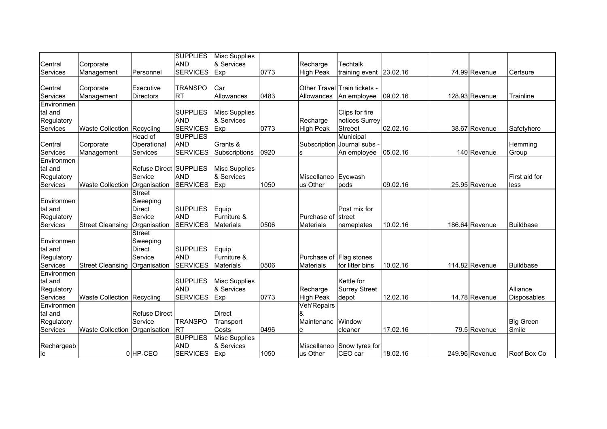|            |                                 |                        | <b>SUPPLIES</b> | <b>Misc Supplies</b> |      |                         |                              |          |                |                  |
|------------|---------------------------------|------------------------|-----------------|----------------------|------|-------------------------|------------------------------|----------|----------------|------------------|
| Central    | Corporate                       |                        | <b>AND</b>      | & Services           |      | Recharge                | <b>Techtalk</b>              |          |                |                  |
| Services   | Management                      | Personnel              | <b>SERVICES</b> | Exp                  | 0773 | <b>High Peak</b>        | training event 23.02.16      |          | 74.99 Revenue  | Certsure         |
|            |                                 |                        |                 |                      |      |                         |                              |          |                |                  |
| Central    | Corporate                       | Executive              | <b>TRANSPO</b>  | Car                  |      |                         | Other Travel Train tickets - |          |                |                  |
| Services   | Management                      | <b>Directors</b>       | <b>RT</b>       | Allowances           | 0483 | Allowances              | An employee                  | 09.02.16 | 128.93 Revenue | Trainline        |
| Environmen |                                 |                        |                 |                      |      |                         |                              |          |                |                  |
| tal and    |                                 |                        | <b>SUPPLIES</b> | <b>Misc Supplies</b> |      |                         | Clips for fire               |          |                |                  |
| Regulatory |                                 |                        | <b>AND</b>      | & Services           |      | Recharge                | notices Surrey               |          |                |                  |
| Services   | Waste Collection Recycling      |                        | <b>SERVICES</b> | Exp                  | 0773 | <b>High Peak</b>        | <b>Streeet</b>               | 02.02.16 | 38.67 Revenue  | Safetyhere       |
|            |                                 | Head of                | <b>SUPPLIES</b> |                      |      |                         | Municipal                    |          |                |                  |
| Central    | Corporate                       | Operational            | <b>AND</b>      | Grants &             |      | Subscription            | Journal subs -               |          |                | Hemming          |
| Services   | Management                      | Services               | <b>SERVICES</b> | Subscriptions        | 0920 | ls.                     | An employee                  | 05.02.16 | 140 Revenue    | Group            |
| Environmen |                                 |                        |                 |                      |      |                         |                              |          |                |                  |
| tal and    |                                 | Refuse Direct SUPPLIES |                 | <b>Misc Supplies</b> |      |                         |                              |          |                |                  |
| Regulatory |                                 | Service                | <b>AND</b>      | & Services           |      | Miscellaneo             | Eyewash                      |          |                | First aid for    |
| Services   | <b>Waste Collection</b>         | Organisation           | <b>SERVICES</b> | <b>Exp</b>           | 1050 | us Other                | pods                         | 09.02.16 | 25.95 Revenue  | less             |
|            |                                 | <b>Street</b>          |                 |                      |      |                         |                              |          |                |                  |
| Environmen |                                 | Sweeping               |                 |                      |      |                         |                              |          |                |                  |
| tal and    |                                 | <b>Direct</b>          | <b>SUPPLIES</b> | Equip                |      |                         | Post mix for                 |          |                |                  |
| Regulatory |                                 | Service                | <b>AND</b>      | Furniture &          |      | Purchase of             | <b>street</b>                |          |                |                  |
| Services   | <b>Street Cleansing</b>         | Organisation           | <b>SERVICES</b> | <b>Materials</b>     | 0506 | <b>Materials</b>        | nameplates                   | 10.02.16 | 186.64 Revenue | Buildbase        |
|            |                                 | <b>Street</b>          |                 |                      |      |                         |                              |          |                |                  |
| Environmen |                                 | Sweeping               |                 |                      |      |                         |                              |          |                |                  |
| tal and    |                                 | <b>Direct</b>          | <b>SUPPLIES</b> | Equip                |      |                         |                              |          |                |                  |
| Regulatory |                                 | Service                | <b>AND</b>      | Furniture &          |      | Purchase of Flag stones |                              |          |                |                  |
| Services   | Street Cleansing   Organisation |                        | <b>SERVICES</b> | <b>Materials</b>     | 0506 | <b>Materials</b>        | for litter bins              | 10.02.16 | 114.82 Revenue | Buildbase        |
| Environmen |                                 |                        |                 |                      |      |                         |                              |          |                |                  |
| tal and    |                                 |                        | <b>SUPPLIES</b> | <b>Misc Supplies</b> |      |                         | Kettle for                   |          |                |                  |
| Regulatory |                                 |                        | <b>AND</b>      | & Services           |      | Recharge                | <b>Surrey Street</b>         |          |                | Alliance         |
| Services   | Waste Collection Recycling      |                        | <b>SERVICES</b> | Exp                  | 0773 | <b>High Peak</b>        | depot                        | 12.02.16 | 14.78 Revenue  | Disposables      |
| Environmen |                                 |                        |                 |                      |      | Veh'Repairs             |                              |          |                |                  |
| tal and    |                                 | <b>Refuse Direct</b>   |                 | <b>Direct</b>        |      | &                       |                              |          |                |                  |
| Regulatory |                                 | Service                | <b>TRANSPO</b>  | Transport            |      | Maintenanc              | Window                       |          |                | <b>Big Green</b> |
| Services   | Waste Collection Organisation   |                        | <b>IRT</b>      | Costs                | 0496 | e                       | cleaner                      | 17.02.16 | 79.5 Revenue   | Smile            |
|            |                                 |                        | <b>SUPPLIES</b> | <b>Misc Supplies</b> |      |                         |                              |          |                |                  |
| Rechargeab |                                 |                        | <b>AND</b>      | & Services           |      | Miscellaneo             | Snow tyres for               |          |                |                  |
| le         |                                 | 0HP-CEO                | <b>SERVICES</b> | <b>IExp</b>          | 1050 | us Other                | CEO car                      | 18.02.16 | 249.96 Revenue | Roof Box Co      |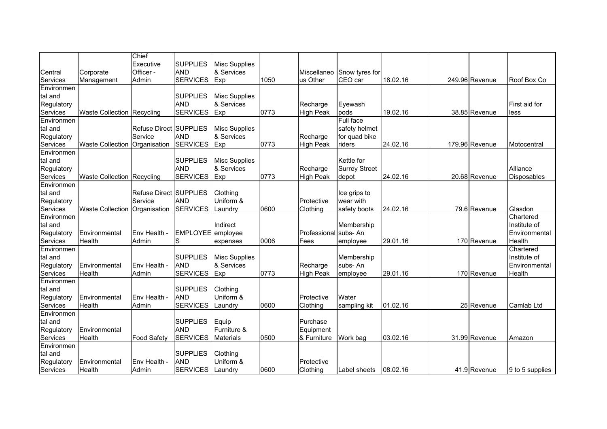|                        |                                 | Chief                  |                               |                      |      |                      |                                       |          |                |                 |
|------------------------|---------------------------------|------------------------|-------------------------------|----------------------|------|----------------------|---------------------------------------|----------|----------------|-----------------|
|                        |                                 | Executive              | <b>SUPPLIES</b>               | <b>Misc Supplies</b> |      |                      |                                       |          |                |                 |
| Central                | Corporate                       | Officer -<br>Admin     | <b>AND</b><br><b>SERVICES</b> | & Services<br>Exp    | 1050 | us Other             | Miscellaneo Snow tyres for<br>CEO car | 18.02.16 | 249.96 Revenue | Roof Box Co     |
| Services<br>Environmen | Management                      |                        |                               |                      |      |                      |                                       |          |                |                 |
| tal and                |                                 |                        | <b>SUPPLIES</b>               | <b>Misc Supplies</b> |      |                      |                                       |          |                |                 |
| Regulatory             |                                 |                        | <b>AND</b>                    | & Services           |      | Recharge             | Eyewash                               |          |                | First aid for   |
| Services               | Waste Collection Recycling      |                        | <b>SERVICES</b>               | Exp                  | 0773 | <b>High Peak</b>     | pods                                  | 19.02.16 | 38.85 Revenue  | less            |
| Environmen             |                                 |                        |                               |                      |      |                      | Full face                             |          |                |                 |
| tal and                |                                 | Refuse Direct SUPPLIES |                               | <b>Misc Supplies</b> |      |                      | safety helmet                         |          |                |                 |
| Regulatory             |                                 | Service                | <b>AND</b>                    | & Services           |      | Recharge             | for quad bike                         |          |                |                 |
| Services               | Waste Collection   Organisation |                        | <b>SERVICES</b>               | Exp                  | 0773 | <b>High Peak</b>     | riders                                | 24.02.16 | 179.96 Revenue | Motocentral     |
| Environmen             |                                 |                        |                               |                      |      |                      |                                       |          |                |                 |
| tal and                |                                 |                        | <b>SUPPLIES</b>               | <b>Misc Supplies</b> |      |                      | Kettle for                            |          |                |                 |
| Regulatory             |                                 |                        | <b>AND</b>                    | & Services           |      | Recharge             | <b>Surrey Street</b>                  |          |                | Alliance        |
| Services               | Waste Collection Recycling      |                        | <b>SERVICES</b>               | Exp                  | 0773 | <b>High Peak</b>     | depot                                 | 24.02.16 | 20.68 Revenue  | Disposables     |
| Environmen             |                                 |                        |                               |                      |      |                      |                                       |          |                |                 |
| tal and                |                                 | Refuse Direct SUPPLIES |                               | Clothing             |      |                      | Ice grips to                          |          |                |                 |
| Regulatory             |                                 | Service                | <b>AND</b>                    | Uniform &            |      | Protective           | wear with                             |          |                |                 |
| Services               | <b>Waste Collection</b>         | Organisation           | <b>SERVICES</b>               | Laundry              | 0600 | Clothina             | safety boots                          | 24.02.16 | 79.6 Revenue   | Glasdon         |
| Environmen             |                                 |                        |                               |                      |      |                      |                                       |          |                | Chartered       |
| tal and                |                                 |                        |                               | Indirect             |      |                      | Membership                            |          |                | Institute of    |
| Regulatory             | Environmental                   | Env Health -           | EMPLOYEE employee             |                      |      | Professional subs-An |                                       |          |                | Environmental   |
| Services               | Health                          | Admin                  | S                             | expenses             | 0006 | Fees                 | employee                              | 29.01.16 | 170 Revenue    | Health          |
| Environmen             |                                 |                        |                               |                      |      |                      |                                       |          |                | Chartered       |
| tal and                |                                 |                        | <b>SUPPLIES</b>               | <b>Misc Supplies</b> |      |                      | Membership                            |          |                | Institute of    |
| Regulatory             | Environmental<br><b>Health</b>  | Env Health -<br>Admin  | <b>AND</b><br><b>SERVICES</b> | & Services           | 0773 | Recharge             | subs-An                               | 29.01.16 | 170 Revenue    | Environmental   |
| Services<br>Environmen |                                 |                        |                               | Exp                  |      | <b>High Peak</b>     | employee                              |          |                | Health          |
| tal and                |                                 |                        | <b>SUPPLIES</b>               | Clothing             |      |                      |                                       |          |                |                 |
| Regulatory             | Environmental                   | Env Health -           | <b>AND</b>                    | Uniform &            |      | Protective           | Water                                 |          |                |                 |
| Services               | Health                          | Admin                  | <b>SERVICES</b>               | Laundry              | 0600 | Clothing             | sampling kit                          | 01.02.16 | 25 Revenue     | Camlab Ltd      |
| Environmen             |                                 |                        |                               |                      |      |                      |                                       |          |                |                 |
| tal and                |                                 |                        | <b>SUPPLIES</b>               | Equip                |      | Purchase             |                                       |          |                |                 |
| Regulatory             | Environmental                   |                        | <b>AND</b>                    | Furniture &          |      | Equipment            |                                       |          |                |                 |
| Services               | Health                          | <b>Food Safety</b>     | <b>SERVICES</b>               | <b>Materials</b>     | 0500 | & Furniture          | Work bag                              | 03.02.16 | 31.99 Revenue  | Amazon          |
| Environmen             |                                 |                        |                               |                      |      |                      |                                       |          |                |                 |
| tal and                |                                 |                        | <b>SUPPLIES</b>               | Clothing             |      |                      |                                       |          |                |                 |
| Regulatory             | Environmental                   | Env Health -           | <b>AND</b>                    | Uniform &            |      | Protective           |                                       |          |                |                 |
| Services               | Health                          | Admin                  | <b>SERVICES</b>               | Laundry              | 0600 | Clothina             | Label sheets                          | 08.02.16 | 41.9 Revenue   | 9 to 5 supplies |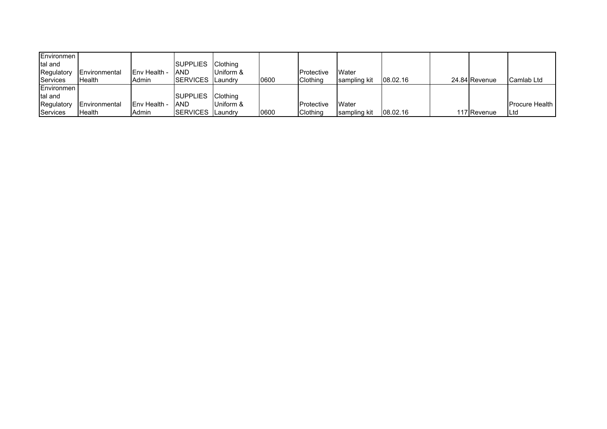| Environmen        |                      |                      |                   |                 |      |                    |              |          |               |                        |
|-------------------|----------------------|----------------------|-------------------|-----------------|------|--------------------|--------------|----------|---------------|------------------------|
| tal and           |                      |                      | SUPPLIES Clothing |                 |      |                    |              |          |               |                        |
| Regulatory        | <b>Environmental</b> | <b>IEnv Health -</b> | <b>AND</b>        | Uniform &       |      | <b>IProtective</b> | Water        |          |               |                        |
| Services          | <b>I</b> Health      | Admin                | SERVICES Laundry  |                 | 0600 | <b>Clothing</b>    | sampling kit | 08.02.16 | 24.84 Revenue | Camlab Ltd             |
| <b>Environmen</b> |                      |                      |                   |                 |      |                    |              |          |               |                        |
| tal and           |                      |                      | <b>SUPPLIES</b>   | <b>Clothing</b> |      |                    |              |          |               |                        |
| Regulatory        | <b>Environmental</b> | <b>IEnv Health -</b> | <b>AND</b>        | Uniform &       |      | <b>Protective</b>  | Water        |          |               | <b>IProcure Health</b> |
| Services          | <b>Health</b>        | Admin                | <b>ISERVICES</b>  | <b>Laundry</b>  | 0600 | <b>Clothing</b>    | sampling kit | 08.02.16 | 117 Revenue   | <b>ILtd</b>            |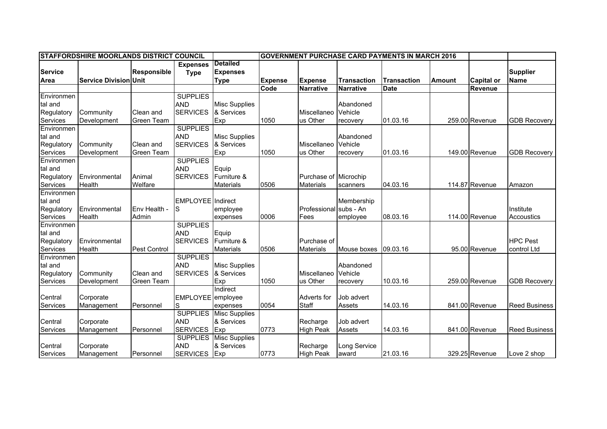|                | <b>STAFFORDSHIRE MOORLANDS DISTRICT COUNCIL</b> |                     |                          |                      | <b>GOVERNMENT PURCHASE CARD PAYMENTS IN MARCH 2016</b> |                       |                      |                    |               |                   |                      |
|----------------|-------------------------------------------------|---------------------|--------------------------|----------------------|--------------------------------------------------------|-----------------------|----------------------|--------------------|---------------|-------------------|----------------------|
|                |                                                 |                     | <b>Expenses</b>          | <b>Detailed</b>      |                                                        |                       |                      |                    |               |                   |                      |
| <b>Service</b> |                                                 | <b>Responsible</b>  | <b>Type</b>              | <b>Expenses</b>      |                                                        |                       |                      |                    |               |                   | <b>Supplier</b>      |
| <b>Area</b>    | <b>Service Division Unit</b>                    |                     |                          | <b>Type</b>          | <b>Expense</b>                                         | <b>Expense</b>        | <b>Transaction</b>   | <b>Transaction</b> | <b>Amount</b> | <b>Capital or</b> | <b>Name</b>          |
|                |                                                 |                     |                          |                      | Code                                                   | <b>Narrative</b>      | <b>Narrative</b>     | <b>Date</b>        |               | <b>Revenue</b>    |                      |
| Environmen     |                                                 |                     | <b>SUPPLIES</b>          |                      |                                                        |                       |                      |                    |               |                   |                      |
| tal and        |                                                 |                     | <b>AND</b>               | <b>Misc Supplies</b> |                                                        |                       | Abandoned            |                    |               |                   |                      |
| Regulatory     | Community                                       | Clean and           | <b>SERVICES</b>          | & Services           |                                                        | Miscellaneo           | Vehicle              |                    |               |                   |                      |
| Services       | Development                                     | <b>Green Team</b>   |                          | Exp                  | 1050                                                   | us Other              | recovery             | 01.03.16           |               | 259.00 Revenue    | <b>GDB Recovery</b>  |
| Environmen     |                                                 |                     | <b>SUPPLIES</b>          |                      |                                                        |                       |                      |                    |               |                   |                      |
| tal and        |                                                 |                     | <b>AND</b>               | <b>Misc Supplies</b> |                                                        |                       | Abandoned            |                    |               |                   |                      |
| Regulatory     | Community                                       | Clean and           | <b>SERVICES</b>          | & Services           |                                                        | Miscellaneo           | Vehicle              |                    |               |                   |                      |
| Services       | Development                                     | Green Team          |                          | Exp                  | 1050                                                   | us Other              | recovery             | 01.03.16           |               | 149.00 Revenue    | <b>GDB Recovery</b>  |
| Environmen     |                                                 |                     | <b>SUPPLIES</b>          |                      |                                                        |                       |                      |                    |               |                   |                      |
| tal and        |                                                 |                     | <b>AND</b>               | Equip                |                                                        |                       |                      |                    |               |                   |                      |
| Regulatory     | Environmental                                   | Animal              | <b>SERVICES</b>          | Furniture &          |                                                        | Purchase of Microchip |                      |                    |               |                   |                      |
| Services       | Health                                          | Welfare             |                          | <b>Materials</b>     | 0506                                                   | <b>Materials</b>      | scanners             | 04.03.16           |               | 114.87 Revenue    | Amazon               |
| Environmen     |                                                 |                     |                          |                      |                                                        |                       |                      |                    |               |                   |                      |
| tal and        |                                                 |                     | <b>EMPLOYEE</b> Indirect |                      |                                                        |                       | Membership           |                    |               |                   |                      |
| Regulatory     | Environmental                                   | Env Health -        | S                        | employee             |                                                        | Professional          | subs - An            |                    |               |                   | Institute            |
| Services       | Health                                          | Admin               |                          | expenses             | 0006                                                   | Fees                  | employee             | 08.03.16           |               | 114.00 Revenue    | Accoustics           |
| Environmen     |                                                 |                     | <b>SUPPLIES</b>          |                      |                                                        |                       |                      |                    |               |                   |                      |
| tal and        |                                                 |                     | <b>AND</b>               | Equip                |                                                        |                       |                      |                    |               |                   |                      |
| Regulatory     | Environmental                                   |                     | <b>SERVICES</b>          | Furniture &          |                                                        | Purchase of           |                      |                    |               |                   | <b>HPC Pest</b>      |
| Services       | Health                                          | <b>Pest Control</b> |                          | <b>Materials</b>     | 0506                                                   | <b>Materials</b>      | Mouse boxes 09.03.16 |                    |               | 95.00 Revenue     | control Ltd          |
| Environmen     |                                                 |                     | <b>SUPPLIES</b>          |                      |                                                        |                       |                      |                    |               |                   |                      |
| tal and        |                                                 |                     | <b>AND</b>               | <b>Misc Supplies</b> |                                                        |                       | Abandoned            |                    |               |                   |                      |
| Regulatory     | Community                                       | Clean and           | <b>SERVICES</b>          | & Services           |                                                        | Miscellaneo           | Vehicle              |                    |               |                   |                      |
| Services       | Development                                     | <b>Green Team</b>   |                          | Exp                  | 1050                                                   | us Other              | recovery             | 10.03.16           |               | 259.00 Revenue    | <b>GDB Recovery</b>  |
|                |                                                 |                     |                          | Indirect             |                                                        |                       |                      |                    |               |                   |                      |
| Central        | Corporate                                       |                     | EMPLOYEE employee        |                      |                                                        | <b>Adverts for</b>    | Job advert           |                    |               |                   |                      |
| Services       | Management                                      | Personnel           | S                        | expenses             | 0054                                                   | Staff                 | Assets               | 14.03.16           |               | 841.00 Revenue    | <b>Reed Business</b> |
|                |                                                 |                     | <b>SUPPLIES</b>          | <b>Misc Supplies</b> |                                                        |                       |                      |                    |               |                   |                      |
| Central        | Corporate                                       |                     | <b>AND</b>               | & Services           |                                                        | Recharge              | Job advert           |                    |               |                   |                      |
| Services       | Management                                      | Personnel           | <b>SERVICES</b>          | Exp                  | 0773                                                   | <b>High Peak</b>      | Assets               | 14.03.16           |               | 841.00 Revenue    | <b>Reed Business</b> |
|                |                                                 |                     | <b>SUPPLIES</b>          | <b>Misc Supplies</b> |                                                        |                       |                      |                    |               |                   |                      |
| Central        | Corporate                                       |                     | <b>AND</b>               | & Services           |                                                        | Recharge              | Long Service         |                    |               |                   |                      |
| Services       | Management                                      | Personnel           | <b>SERVICES</b>          | Exp                  | 0773                                                   | <b>High Peak</b>      | award                | 21.03.16           |               | 329.25 Revenue    | Love 2 shop          |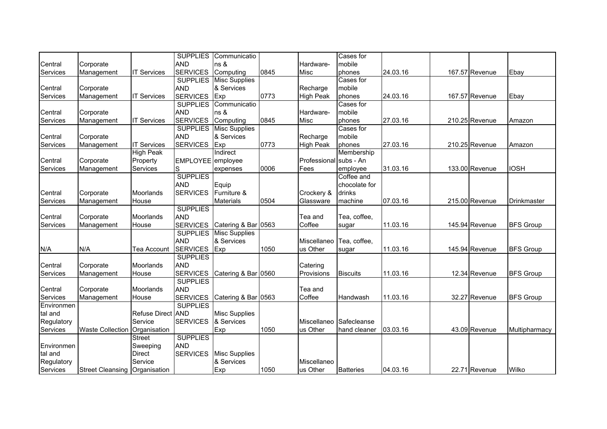|            |                                 |                    | <b>SUPPLIES</b> | Communicatio         |      |                        | Cases for        |          |                |                  |
|------------|---------------------------------|--------------------|-----------------|----------------------|------|------------------------|------------------|----------|----------------|------------------|
| Central    | Corporate                       |                    | <b>AND</b>      | ns &                 |      | Hardware-              | mobile           |          |                |                  |
| Services   | Management                      | <b>IT Services</b> | <b>SERVICES</b> | Computing            | 0845 | Misc                   | phones           | 24.03.16 | 167.57 Revenue | Ebay             |
|            |                                 |                    | <b>SUPPLIES</b> | <b>Misc Supplies</b> |      |                        | Cases for        |          |                |                  |
| Central    | Corporate                       |                    | <b>AND</b>      | & Services           |      | Recharge               | mobile           |          |                |                  |
| Services   | Management                      | <b>IT Services</b> | <b>SERVICES</b> | Exp                  | 0773 | <b>High Peak</b>       | phones           | 24.03.16 | 167.57 Revenue | Ebay             |
|            |                                 |                    | <b>SUPPLIES</b> | Communicatio         |      |                        | Cases for        |          |                |                  |
| Central    | Corporate                       |                    | <b>AND</b>      | ns &                 |      | Hardware-              | mobile           |          |                |                  |
| Services   | Management                      | <b>IT Services</b> | <b>SERVICES</b> | Computing            | 0845 | Misc                   | phones           | 27.03.16 | 210.25 Revenue | Amazon           |
|            |                                 |                    | <b>SUPPLIES</b> | <b>Misc Supplies</b> |      |                        | Cases for        |          |                |                  |
| Central    | Corporate                       |                    | <b>AND</b>      | & Services           |      | Recharge               | mobile           |          |                |                  |
| Services   | Management                      | <b>IT Services</b> | <b>SERVICES</b> | Exp                  | 0773 | <b>High Peak</b>       | phones           | 27.03.16 | 210.25 Revenue | Amazon           |
|            |                                 | <b>High Peak</b>   |                 | Indirect             |      |                        | Membership       |          |                |                  |
| Central    | Corporate                       | Property           | <b>EMPLOYEE</b> | employee             |      | Professional subs - An |                  |          |                |                  |
| Services   | Management                      | Services           | S               | expenses             | 0006 | Fees                   | employee         | 31.03.16 | 133.00 Revenue | <b>IOSH</b>      |
|            |                                 |                    | <b>SUPPLIES</b> |                      |      |                        | Coffee and       |          |                |                  |
|            |                                 |                    | <b>AND</b>      | Equip                |      |                        | chocolate for    |          |                |                  |
| Central    | Corporate                       | Moorlands          | <b>SERVICES</b> | Furniture &          |      | Crockery &             | drinks           |          |                |                  |
| Services   | Management                      | House              |                 | <b>Materials</b>     | 0504 | Glassware              | machine          | 07.03.16 | 215.00 Revenue | Drinkmaster      |
|            |                                 |                    | <b>SUPPLIES</b> |                      |      |                        |                  |          |                |                  |
| Central    | Corporate                       | Moorlands          | <b>AND</b>      |                      |      | Tea and                | Tea, coffee,     |          |                |                  |
| Services   | Management                      | House              | <b>SERVICES</b> | Catering & Bar 0563  |      | Coffee                 | sugar            | 11.03.16 | 145.94 Revenue | <b>BFS Group</b> |
|            |                                 |                    | <b>SUPPLIES</b> | <b>Misc Supplies</b> |      |                        |                  |          |                |                  |
|            |                                 |                    | <b>AND</b>      | & Services           |      | Miscellaneo            | Tea, coffee,     |          |                |                  |
| N/A        | N/A                             | Tea Account        | <b>SERVICES</b> | Exp                  | 1050 | us Other               | sugar            | 11.03.16 | 145.94 Revenue | <b>BFS Group</b> |
|            |                                 |                    | <b>SUPPLIES</b> |                      |      |                        |                  |          |                |                  |
| Central    | Corporate                       | Moorlands          | <b>AND</b>      |                      |      | Catering               |                  |          |                |                  |
| Services   | Management                      | House              | <b>SERVICES</b> | Catering & Bar 0560  |      | Provisions             | <b>Biscuits</b>  | 11.03.16 | 12.34 Revenue  | <b>BFS Group</b> |
|            |                                 |                    | <b>SUPPLIES</b> |                      |      |                        |                  |          |                |                  |
| Central    | Corporate                       | Moorlands          | <b>AND</b>      |                      |      | Tea and                |                  |          |                |                  |
| Services   | Management                      | House              | <b>SERVICES</b> | Catering & Bar 0563  |      | Coffee                 | Handwash         | 11.03.16 | 32.27 Revenue  | <b>BFS Group</b> |
| Environmen |                                 |                    | <b>SUPPLIES</b> |                      |      |                        |                  |          |                |                  |
| tal and    |                                 | Refuse Direct AND  |                 | <b>Misc Supplies</b> |      |                        |                  |          |                |                  |
| Regulatory |                                 | Service            | <b>SERVICES</b> | & Services           |      | Miscellaneo            | Safecleanse      |          |                |                  |
| Services   | <b>Waste Collection</b>         | Organisation       |                 | Exp                  | 1050 | us Other               | hand cleaner     | 03.03.16 | 43.09 Revenue  | Multipharmacy    |
|            |                                 | <b>Street</b>      | <b>SUPPLIES</b> |                      |      |                        |                  |          |                |                  |
| Environmen |                                 | Sweeping           | <b>AND</b>      |                      |      |                        |                  |          |                |                  |
| tal and    |                                 | <b>Direct</b>      | <b>SERVICES</b> | <b>Misc Supplies</b> |      |                        |                  |          |                |                  |
| Regulatory |                                 | Service            |                 | & Services           |      | Miscellaneo            |                  |          |                |                  |
| Services   | Street Cleansing   Organisation |                    |                 | Exp                  | 1050 | us Other               | <b>Batteries</b> | 04.03.16 | 22.71 Revenue  | Wilko            |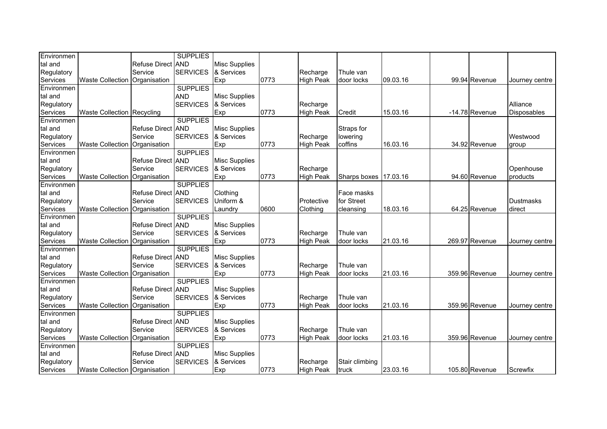| Refuse Direct AND<br><b>Misc Supplies</b><br><b>SERVICES</b><br>& Services<br>Service<br>Recharge<br>Thule van<br>Exp<br><b>Waste Collection</b><br>0773<br><b>High Peak</b><br>door locks<br>09.03.16<br>99.94 Revenue<br>Organisation<br>Journey centre<br><b>SUPPLIES</b><br><b>Misc Supplies</b><br><b>AND</b><br><b>SERVICES</b><br>& Services<br>Alliance<br>Regulatory<br>Recharge<br>0773<br>Credit<br>15.03.16<br>-14.78 Revenue<br><b>Waste Collection Recycling</b><br>Exp<br><b>High Peak</b><br>Disposables<br><b>SUPPLIES</b><br>Refuse Direct AND<br><b>Misc Supplies</b><br>Straps for<br><b>SERVICES</b><br>Service<br>& Services<br>Recharge<br>Westwood<br>lowering<br>Exp<br>0773<br><b>High Peak</b><br>coffins<br>16.03.16<br>34.92 Revenue<br><b>Waste Collection</b><br>Organisation<br>group<br><b>SUPPLIES</b><br>Refuse Direct AND<br><b>Misc Supplies</b><br><b>SERVICES</b><br>Service<br>Regulatory<br>& Services<br>Recharge<br>Openhouse<br>Exp<br><b>Waste Collection</b><br>0773<br><b>High Peak</b><br>Sharps boxes<br>17.03.16<br>94.60 Revenue<br>Services<br>Organisation<br>products<br><b>SUPPLIES</b><br>Clothing<br>Refuse Direct AND<br>Face masks<br>Service<br><b>SERVICES</b><br>Uniform &<br>Protective<br>for Street<br><b>Dustmasks</b><br>0600<br>18.03.16<br><b>Waste Collection</b><br>Clothing<br>64.25 Revenue<br>direct<br>Organisation<br>Laundry<br>cleansing<br><b>SUPPLIES</b><br>Refuse Direct AND<br><b>Misc Supplies</b><br>& Services<br>Regulatory<br>Service<br><b>SERVICES</b><br>Thule van<br>Recharge<br>Exp<br>0773<br>Waste Collection   Organisation<br><b>High Peak</b><br>door locks<br>21.03.16<br>269.97 Revenue<br>Journey centre<br><b>SUPPLIES</b><br>Refuse Direct AND<br><b>Misc Supplies</b><br>Service<br><b>SERVICES</b><br>& Services<br>Regulatory<br>Recharge<br>Thule van<br>Exp<br>0773<br>Services<br><b>Waste Collection</b><br>Organisation<br><b>High Peak</b><br>door locks<br>21.03.16<br>359.96 Revenue<br>Journey centre<br><b>SUPPLIES</b><br>Refuse Direct AND<br><b>Misc Supplies</b><br>Service<br>& Services<br><b>SERVICES</b><br>Recharge<br>Thule van<br>Services<br>Exp<br>0773<br><b>High Peak</b><br>21.03.16<br>359.96 Revenue<br><b>Waste Collection</b><br>Organisation<br>door locks<br>Journey centre<br><b>SUPPLIES</b><br>Refuse Direct AND<br><b>Misc Supplies</b><br>Service<br><b>SERVICES</b><br>& Services<br>Regulatory<br>Recharge<br>Thule van<br>0773<br>Services<br><b>Waste Collection</b><br>Exp<br>21.03.16<br>359.96 Revenue<br><b>High Peak</b><br>door locks<br>Organisation<br>Journey centre<br><b>SUPPLIES</b><br>Environmen<br><b>Refuse Direct</b><br><b>AND</b><br><b>Misc Supplies</b> | Environmen |         | <b>SUPPLIES</b> |            |          |                |  |  |
|---------------------------------------------------------------------------------------------------------------------------------------------------------------------------------------------------------------------------------------------------------------------------------------------------------------------------------------------------------------------------------------------------------------------------------------------------------------------------------------------------------------------------------------------------------------------------------------------------------------------------------------------------------------------------------------------------------------------------------------------------------------------------------------------------------------------------------------------------------------------------------------------------------------------------------------------------------------------------------------------------------------------------------------------------------------------------------------------------------------------------------------------------------------------------------------------------------------------------------------------------------------------------------------------------------------------------------------------------------------------------------------------------------------------------------------------------------------------------------------------------------------------------------------------------------------------------------------------------------------------------------------------------------------------------------------------------------------------------------------------------------------------------------------------------------------------------------------------------------------------------------------------------------------------------------------------------------------------------------------------------------------------------------------------------------------------------------------------------------------------------------------------------------------------------------------------------------------------------------------------------------------------------------------------------------------------------------------------------------------------------------------------------------------------------------------------------------------------------------------------------------------------------------------------------------------------------------------------------------------------------------------------------------------------------------------------------------------------------------|------------|---------|-----------------|------------|----------|----------------|--|--|
|                                                                                                                                                                                                                                                                                                                                                                                                                                                                                                                                                                                                                                                                                                                                                                                                                                                                                                                                                                                                                                                                                                                                                                                                                                                                                                                                                                                                                                                                                                                                                                                                                                                                                                                                                                                                                                                                                                                                                                                                                                                                                                                                                                                                                                                                                                                                                                                                                                                                                                                                                                                                                                                                                                                                 | tal and    |         |                 |            |          |                |  |  |
|                                                                                                                                                                                                                                                                                                                                                                                                                                                                                                                                                                                                                                                                                                                                                                                                                                                                                                                                                                                                                                                                                                                                                                                                                                                                                                                                                                                                                                                                                                                                                                                                                                                                                                                                                                                                                                                                                                                                                                                                                                                                                                                                                                                                                                                                                                                                                                                                                                                                                                                                                                                                                                                                                                                                 | Regulatory |         |                 |            |          |                |  |  |
|                                                                                                                                                                                                                                                                                                                                                                                                                                                                                                                                                                                                                                                                                                                                                                                                                                                                                                                                                                                                                                                                                                                                                                                                                                                                                                                                                                                                                                                                                                                                                                                                                                                                                                                                                                                                                                                                                                                                                                                                                                                                                                                                                                                                                                                                                                                                                                                                                                                                                                                                                                                                                                                                                                                                 | Services   |         |                 |            |          |                |  |  |
|                                                                                                                                                                                                                                                                                                                                                                                                                                                                                                                                                                                                                                                                                                                                                                                                                                                                                                                                                                                                                                                                                                                                                                                                                                                                                                                                                                                                                                                                                                                                                                                                                                                                                                                                                                                                                                                                                                                                                                                                                                                                                                                                                                                                                                                                                                                                                                                                                                                                                                                                                                                                                                                                                                                                 | Environmen |         |                 |            |          |                |  |  |
|                                                                                                                                                                                                                                                                                                                                                                                                                                                                                                                                                                                                                                                                                                                                                                                                                                                                                                                                                                                                                                                                                                                                                                                                                                                                                                                                                                                                                                                                                                                                                                                                                                                                                                                                                                                                                                                                                                                                                                                                                                                                                                                                                                                                                                                                                                                                                                                                                                                                                                                                                                                                                                                                                                                                 | tal and    |         |                 |            |          |                |  |  |
|                                                                                                                                                                                                                                                                                                                                                                                                                                                                                                                                                                                                                                                                                                                                                                                                                                                                                                                                                                                                                                                                                                                                                                                                                                                                                                                                                                                                                                                                                                                                                                                                                                                                                                                                                                                                                                                                                                                                                                                                                                                                                                                                                                                                                                                                                                                                                                                                                                                                                                                                                                                                                                                                                                                                 |            |         |                 |            |          |                |  |  |
|                                                                                                                                                                                                                                                                                                                                                                                                                                                                                                                                                                                                                                                                                                                                                                                                                                                                                                                                                                                                                                                                                                                                                                                                                                                                                                                                                                                                                                                                                                                                                                                                                                                                                                                                                                                                                                                                                                                                                                                                                                                                                                                                                                                                                                                                                                                                                                                                                                                                                                                                                                                                                                                                                                                                 | Services   |         |                 |            |          |                |  |  |
|                                                                                                                                                                                                                                                                                                                                                                                                                                                                                                                                                                                                                                                                                                                                                                                                                                                                                                                                                                                                                                                                                                                                                                                                                                                                                                                                                                                                                                                                                                                                                                                                                                                                                                                                                                                                                                                                                                                                                                                                                                                                                                                                                                                                                                                                                                                                                                                                                                                                                                                                                                                                                                                                                                                                 | Environmen |         |                 |            |          |                |  |  |
|                                                                                                                                                                                                                                                                                                                                                                                                                                                                                                                                                                                                                                                                                                                                                                                                                                                                                                                                                                                                                                                                                                                                                                                                                                                                                                                                                                                                                                                                                                                                                                                                                                                                                                                                                                                                                                                                                                                                                                                                                                                                                                                                                                                                                                                                                                                                                                                                                                                                                                                                                                                                                                                                                                                                 | tal and    |         |                 |            |          |                |  |  |
|                                                                                                                                                                                                                                                                                                                                                                                                                                                                                                                                                                                                                                                                                                                                                                                                                                                                                                                                                                                                                                                                                                                                                                                                                                                                                                                                                                                                                                                                                                                                                                                                                                                                                                                                                                                                                                                                                                                                                                                                                                                                                                                                                                                                                                                                                                                                                                                                                                                                                                                                                                                                                                                                                                                                 | Regulatory |         |                 |            |          |                |  |  |
|                                                                                                                                                                                                                                                                                                                                                                                                                                                                                                                                                                                                                                                                                                                                                                                                                                                                                                                                                                                                                                                                                                                                                                                                                                                                                                                                                                                                                                                                                                                                                                                                                                                                                                                                                                                                                                                                                                                                                                                                                                                                                                                                                                                                                                                                                                                                                                                                                                                                                                                                                                                                                                                                                                                                 | Services   |         |                 |            |          |                |  |  |
|                                                                                                                                                                                                                                                                                                                                                                                                                                                                                                                                                                                                                                                                                                                                                                                                                                                                                                                                                                                                                                                                                                                                                                                                                                                                                                                                                                                                                                                                                                                                                                                                                                                                                                                                                                                                                                                                                                                                                                                                                                                                                                                                                                                                                                                                                                                                                                                                                                                                                                                                                                                                                                                                                                                                 | Environmen |         |                 |            |          |                |  |  |
|                                                                                                                                                                                                                                                                                                                                                                                                                                                                                                                                                                                                                                                                                                                                                                                                                                                                                                                                                                                                                                                                                                                                                                                                                                                                                                                                                                                                                                                                                                                                                                                                                                                                                                                                                                                                                                                                                                                                                                                                                                                                                                                                                                                                                                                                                                                                                                                                                                                                                                                                                                                                                                                                                                                                 | tal and    |         |                 |            |          |                |  |  |
|                                                                                                                                                                                                                                                                                                                                                                                                                                                                                                                                                                                                                                                                                                                                                                                                                                                                                                                                                                                                                                                                                                                                                                                                                                                                                                                                                                                                                                                                                                                                                                                                                                                                                                                                                                                                                                                                                                                                                                                                                                                                                                                                                                                                                                                                                                                                                                                                                                                                                                                                                                                                                                                                                                                                 |            |         |                 |            |          |                |  |  |
|                                                                                                                                                                                                                                                                                                                                                                                                                                                                                                                                                                                                                                                                                                                                                                                                                                                                                                                                                                                                                                                                                                                                                                                                                                                                                                                                                                                                                                                                                                                                                                                                                                                                                                                                                                                                                                                                                                                                                                                                                                                                                                                                                                                                                                                                                                                                                                                                                                                                                                                                                                                                                                                                                                                                 |            |         |                 |            |          |                |  |  |
|                                                                                                                                                                                                                                                                                                                                                                                                                                                                                                                                                                                                                                                                                                                                                                                                                                                                                                                                                                                                                                                                                                                                                                                                                                                                                                                                                                                                                                                                                                                                                                                                                                                                                                                                                                                                                                                                                                                                                                                                                                                                                                                                                                                                                                                                                                                                                                                                                                                                                                                                                                                                                                                                                                                                 | Environmen |         |                 |            |          |                |  |  |
|                                                                                                                                                                                                                                                                                                                                                                                                                                                                                                                                                                                                                                                                                                                                                                                                                                                                                                                                                                                                                                                                                                                                                                                                                                                                                                                                                                                                                                                                                                                                                                                                                                                                                                                                                                                                                                                                                                                                                                                                                                                                                                                                                                                                                                                                                                                                                                                                                                                                                                                                                                                                                                                                                                                                 | tal and    |         |                 |            |          |                |  |  |
|                                                                                                                                                                                                                                                                                                                                                                                                                                                                                                                                                                                                                                                                                                                                                                                                                                                                                                                                                                                                                                                                                                                                                                                                                                                                                                                                                                                                                                                                                                                                                                                                                                                                                                                                                                                                                                                                                                                                                                                                                                                                                                                                                                                                                                                                                                                                                                                                                                                                                                                                                                                                                                                                                                                                 | Regulatory |         |                 |            |          |                |  |  |
|                                                                                                                                                                                                                                                                                                                                                                                                                                                                                                                                                                                                                                                                                                                                                                                                                                                                                                                                                                                                                                                                                                                                                                                                                                                                                                                                                                                                                                                                                                                                                                                                                                                                                                                                                                                                                                                                                                                                                                                                                                                                                                                                                                                                                                                                                                                                                                                                                                                                                                                                                                                                                                                                                                                                 | Services   |         |                 |            |          |                |  |  |
|                                                                                                                                                                                                                                                                                                                                                                                                                                                                                                                                                                                                                                                                                                                                                                                                                                                                                                                                                                                                                                                                                                                                                                                                                                                                                                                                                                                                                                                                                                                                                                                                                                                                                                                                                                                                                                                                                                                                                                                                                                                                                                                                                                                                                                                                                                                                                                                                                                                                                                                                                                                                                                                                                                                                 | Environmen |         |                 |            |          |                |  |  |
|                                                                                                                                                                                                                                                                                                                                                                                                                                                                                                                                                                                                                                                                                                                                                                                                                                                                                                                                                                                                                                                                                                                                                                                                                                                                                                                                                                                                                                                                                                                                                                                                                                                                                                                                                                                                                                                                                                                                                                                                                                                                                                                                                                                                                                                                                                                                                                                                                                                                                                                                                                                                                                                                                                                                 | tal and    |         |                 |            |          |                |  |  |
|                                                                                                                                                                                                                                                                                                                                                                                                                                                                                                                                                                                                                                                                                                                                                                                                                                                                                                                                                                                                                                                                                                                                                                                                                                                                                                                                                                                                                                                                                                                                                                                                                                                                                                                                                                                                                                                                                                                                                                                                                                                                                                                                                                                                                                                                                                                                                                                                                                                                                                                                                                                                                                                                                                                                 |            |         |                 |            |          |                |  |  |
|                                                                                                                                                                                                                                                                                                                                                                                                                                                                                                                                                                                                                                                                                                                                                                                                                                                                                                                                                                                                                                                                                                                                                                                                                                                                                                                                                                                                                                                                                                                                                                                                                                                                                                                                                                                                                                                                                                                                                                                                                                                                                                                                                                                                                                                                                                                                                                                                                                                                                                                                                                                                                                                                                                                                 | Services   |         |                 |            |          |                |  |  |
|                                                                                                                                                                                                                                                                                                                                                                                                                                                                                                                                                                                                                                                                                                                                                                                                                                                                                                                                                                                                                                                                                                                                                                                                                                                                                                                                                                                                                                                                                                                                                                                                                                                                                                                                                                                                                                                                                                                                                                                                                                                                                                                                                                                                                                                                                                                                                                                                                                                                                                                                                                                                                                                                                                                                 | Environmen |         |                 |            |          |                |  |  |
|                                                                                                                                                                                                                                                                                                                                                                                                                                                                                                                                                                                                                                                                                                                                                                                                                                                                                                                                                                                                                                                                                                                                                                                                                                                                                                                                                                                                                                                                                                                                                                                                                                                                                                                                                                                                                                                                                                                                                                                                                                                                                                                                                                                                                                                                                                                                                                                                                                                                                                                                                                                                                                                                                                                                 | tal and    |         |                 |            |          |                |  |  |
|                                                                                                                                                                                                                                                                                                                                                                                                                                                                                                                                                                                                                                                                                                                                                                                                                                                                                                                                                                                                                                                                                                                                                                                                                                                                                                                                                                                                                                                                                                                                                                                                                                                                                                                                                                                                                                                                                                                                                                                                                                                                                                                                                                                                                                                                                                                                                                                                                                                                                                                                                                                                                                                                                                                                 |            |         |                 |            |          |                |  |  |
|                                                                                                                                                                                                                                                                                                                                                                                                                                                                                                                                                                                                                                                                                                                                                                                                                                                                                                                                                                                                                                                                                                                                                                                                                                                                                                                                                                                                                                                                                                                                                                                                                                                                                                                                                                                                                                                                                                                                                                                                                                                                                                                                                                                                                                                                                                                                                                                                                                                                                                                                                                                                                                                                                                                                 |            |         |                 |            |          |                |  |  |
|                                                                                                                                                                                                                                                                                                                                                                                                                                                                                                                                                                                                                                                                                                                                                                                                                                                                                                                                                                                                                                                                                                                                                                                                                                                                                                                                                                                                                                                                                                                                                                                                                                                                                                                                                                                                                                                                                                                                                                                                                                                                                                                                                                                                                                                                                                                                                                                                                                                                                                                                                                                                                                                                                                                                 | Environmen |         |                 |            |          |                |  |  |
|                                                                                                                                                                                                                                                                                                                                                                                                                                                                                                                                                                                                                                                                                                                                                                                                                                                                                                                                                                                                                                                                                                                                                                                                                                                                                                                                                                                                                                                                                                                                                                                                                                                                                                                                                                                                                                                                                                                                                                                                                                                                                                                                                                                                                                                                                                                                                                                                                                                                                                                                                                                                                                                                                                                                 | tal and    |         |                 |            |          |                |  |  |
|                                                                                                                                                                                                                                                                                                                                                                                                                                                                                                                                                                                                                                                                                                                                                                                                                                                                                                                                                                                                                                                                                                                                                                                                                                                                                                                                                                                                                                                                                                                                                                                                                                                                                                                                                                                                                                                                                                                                                                                                                                                                                                                                                                                                                                                                                                                                                                                                                                                                                                                                                                                                                                                                                                                                 | Regulatory |         |                 |            |          |                |  |  |
|                                                                                                                                                                                                                                                                                                                                                                                                                                                                                                                                                                                                                                                                                                                                                                                                                                                                                                                                                                                                                                                                                                                                                                                                                                                                                                                                                                                                                                                                                                                                                                                                                                                                                                                                                                                                                                                                                                                                                                                                                                                                                                                                                                                                                                                                                                                                                                                                                                                                                                                                                                                                                                                                                                                                 |            |         |                 |            |          |                |  |  |
|                                                                                                                                                                                                                                                                                                                                                                                                                                                                                                                                                                                                                                                                                                                                                                                                                                                                                                                                                                                                                                                                                                                                                                                                                                                                                                                                                                                                                                                                                                                                                                                                                                                                                                                                                                                                                                                                                                                                                                                                                                                                                                                                                                                                                                                                                                                                                                                                                                                                                                                                                                                                                                                                                                                                 | Environmen |         |                 |            |          |                |  |  |
|                                                                                                                                                                                                                                                                                                                                                                                                                                                                                                                                                                                                                                                                                                                                                                                                                                                                                                                                                                                                                                                                                                                                                                                                                                                                                                                                                                                                                                                                                                                                                                                                                                                                                                                                                                                                                                                                                                                                                                                                                                                                                                                                                                                                                                                                                                                                                                                                                                                                                                                                                                                                                                                                                                                                 | tal and    |         |                 |            |          |                |  |  |
|                                                                                                                                                                                                                                                                                                                                                                                                                                                                                                                                                                                                                                                                                                                                                                                                                                                                                                                                                                                                                                                                                                                                                                                                                                                                                                                                                                                                                                                                                                                                                                                                                                                                                                                                                                                                                                                                                                                                                                                                                                                                                                                                                                                                                                                                                                                                                                                                                                                                                                                                                                                                                                                                                                                                 |            |         |                 |            |          |                |  |  |
|                                                                                                                                                                                                                                                                                                                                                                                                                                                                                                                                                                                                                                                                                                                                                                                                                                                                                                                                                                                                                                                                                                                                                                                                                                                                                                                                                                                                                                                                                                                                                                                                                                                                                                                                                                                                                                                                                                                                                                                                                                                                                                                                                                                                                                                                                                                                                                                                                                                                                                                                                                                                                                                                                                                                 |            |         |                 |            |          |                |  |  |
|                                                                                                                                                                                                                                                                                                                                                                                                                                                                                                                                                                                                                                                                                                                                                                                                                                                                                                                                                                                                                                                                                                                                                                                                                                                                                                                                                                                                                                                                                                                                                                                                                                                                                                                                                                                                                                                                                                                                                                                                                                                                                                                                                                                                                                                                                                                                                                                                                                                                                                                                                                                                                                                                                                                                 |            |         |                 |            |          |                |  |  |
|                                                                                                                                                                                                                                                                                                                                                                                                                                                                                                                                                                                                                                                                                                                                                                                                                                                                                                                                                                                                                                                                                                                                                                                                                                                                                                                                                                                                                                                                                                                                                                                                                                                                                                                                                                                                                                                                                                                                                                                                                                                                                                                                                                                                                                                                                                                                                                                                                                                                                                                                                                                                                                                                                                                                 | tal and    |         |                 |            |          |                |  |  |
|                                                                                                                                                                                                                                                                                                                                                                                                                                                                                                                                                                                                                                                                                                                                                                                                                                                                                                                                                                                                                                                                                                                                                                                                                                                                                                                                                                                                                                                                                                                                                                                                                                                                                                                                                                                                                                                                                                                                                                                                                                                                                                                                                                                                                                                                                                                                                                                                                                                                                                                                                                                                                                                                                                                                 | Regulatory | Service | <b>SERVICES</b> | & Services | Recharge | Stair climbing |  |  |
| Exp<br>23.03.16<br>0773<br><b>High Peak</b><br>105.80 Revenue<br>Screwfix<br>Waste Collection Organisation<br>truck                                                                                                                                                                                                                                                                                                                                                                                                                                                                                                                                                                                                                                                                                                                                                                                                                                                                                                                                                                                                                                                                                                                                                                                                                                                                                                                                                                                                                                                                                                                                                                                                                                                                                                                                                                                                                                                                                                                                                                                                                                                                                                                                                                                                                                                                                                                                                                                                                                                                                                                                                                                                             | Services   |         |                 |            |          |                |  |  |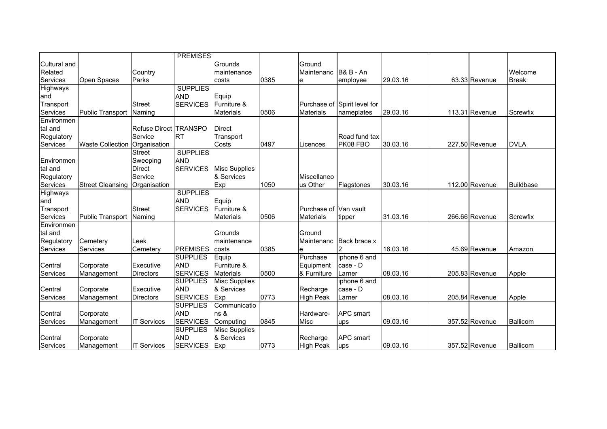|              |                               |                       | <b>PREMISES</b> |                      |      |                        |                              |          |                |              |
|--------------|-------------------------------|-----------------------|-----------------|----------------------|------|------------------------|------------------------------|----------|----------------|--------------|
| Cultural and |                               |                       |                 | Grounds              |      | Ground                 |                              |          |                |              |
| Related      |                               | Country               |                 | maintenance          |      | Maintenanc             | <b>B&amp; B - An</b>         |          |                | Welcome      |
| Services     | Open Spaces                   | Parks                 |                 | costs                | 0385 | e                      | employee                     | 29.03.16 | 63.33 Revenue  | <b>Break</b> |
| Highways     |                               |                       | <b>SUPPLIES</b> |                      |      |                        |                              |          |                |              |
| and          |                               |                       | <b>AND</b>      | Equip                |      |                        |                              |          |                |              |
| Transport    |                               | <b>Street</b>         | <b>SERVICES</b> | Furniture &          |      |                        | Purchase of Spirit level for |          |                |              |
| Services     | <b>Public Transport</b>       | Naming                |                 | <b>Materials</b>     | 0506 | <b>Materials</b>       | nameplates                   | 29.03.16 | 113.31 Revenue | Screwfix     |
| Environmen   |                               |                       |                 |                      |      |                        |                              |          |                |              |
| tal and      |                               | Refuse Direct TRANSPO |                 | <b>Direct</b>        |      |                        |                              |          |                |              |
| Regulatory   |                               | Service               | <b>RT</b>       | Transport            |      |                        | Road fund tax                |          |                |              |
| Services     | Waste Collection Organisation |                       |                 | Costs                | 0497 | Licences               | PK08 FBO                     | 30.03.16 | 227.50 Revenue | <b>DVLA</b>  |
|              |                               | <b>Street</b>         | <b>SUPPLIES</b> |                      |      |                        |                              |          |                |              |
| Environmen   |                               | Sweeping              | <b>AND</b>      |                      |      |                        |                              |          |                |              |
| tal and      |                               | <b>Direct</b>         | <b>SERVICES</b> | <b>Misc Supplies</b> |      |                        |                              |          |                |              |
| Regulatory   |                               | Service               |                 | & Services           |      | Miscellaneo            |                              |          |                |              |
| Services     | <b>Street Cleansing</b>       | Organisation          |                 | Exp                  | 1050 | us Other               | Flagstones                   | 30.03.16 | 112.00 Revenue | Buildbase    |
| Highways     |                               |                       | <b>SUPPLIES</b> |                      |      |                        |                              |          |                |              |
| and          |                               |                       | <b>AND</b>      | Equip                |      |                        |                              |          |                |              |
| Transport    |                               | <b>Street</b>         | <b>SERVICES</b> | Furniture &          |      | Purchase of IVan vault |                              |          |                |              |
| Services     | <b>Public Transport</b>       | Naming                |                 | <b>Materials</b>     | 0506 | <b>Materials</b>       | tipper                       | 31.03.16 | 266.66 Revenue | Screwfix     |
| Environmen   |                               |                       |                 |                      |      |                        |                              |          |                |              |
| tal and      |                               |                       |                 | Grounds              |      | Ground                 |                              |          |                |              |
| Regulatory   | Cemetery                      | Leek                  |                 | maintenance          |      | Maintenanc             | Back brace x                 |          |                |              |
| Services     | Services                      | Cemetery              | <b>PREMISES</b> | costs                | 0385 | e                      |                              | 16.03.16 | 45.69 Revenue  | Amazon       |
|              |                               |                       | <b>SUPPLIES</b> | Equip                |      | Purchase               | iphone 6 and                 |          |                |              |
| Central      | Corporate                     | Executive             | <b>AND</b>      | Furniture &          |      | Equipment              | case - D                     |          |                |              |
| Services     | Management                    | <b>Directors</b>      | <b>SERVICES</b> | <b>Materials</b>     | 0500 | & Furniture            | Larner                       | 08.03.16 | 205.83 Revenue | Apple        |
|              |                               |                       | <b>SUPPLIES</b> | <b>Misc Supplies</b> |      |                        | iphone 6 and                 |          |                |              |
| Central      | Corporate                     | Executive             | <b>AND</b>      | & Services           |      | Recharge               | case - D                     |          |                |              |
| Services     | Management                    | <b>Directors</b>      | <b>SERVICES</b> | Exp                  | 0773 | <b>High Peak</b>       | Larner                       | 08.03.16 | 205.84 Revenue | Apple        |
|              |                               |                       | <b>SUPPLIES</b> | Communicatio         |      |                        |                              |          |                |              |
| Central      | Corporate                     |                       | <b>AND</b>      | ns &                 |      | Hardware-              | <b>APC</b> smart             |          |                |              |
| Services     | Management                    | <b>IT Services</b>    | <b>SERVICES</b> | Computing            | 0845 | <b>Misc</b>            | ups                          | 09.03.16 | 357.52 Revenue | Ballicom     |
|              |                               |                       | <b>SUPPLIES</b> | <b>Misc Supplies</b> |      |                        |                              |          |                |              |
| Central      | Corporate                     |                       | <b>AND</b>      | & Services           |      | Recharge               | <b>APC</b> smart             |          |                |              |
| Services     | Management                    | <b>IT Services</b>    | <b>SERVICES</b> | Exp                  | 0773 | <b>High Peak</b>       | ups                          | 09.03.16 | 357.52 Revenue | Ballicom     |